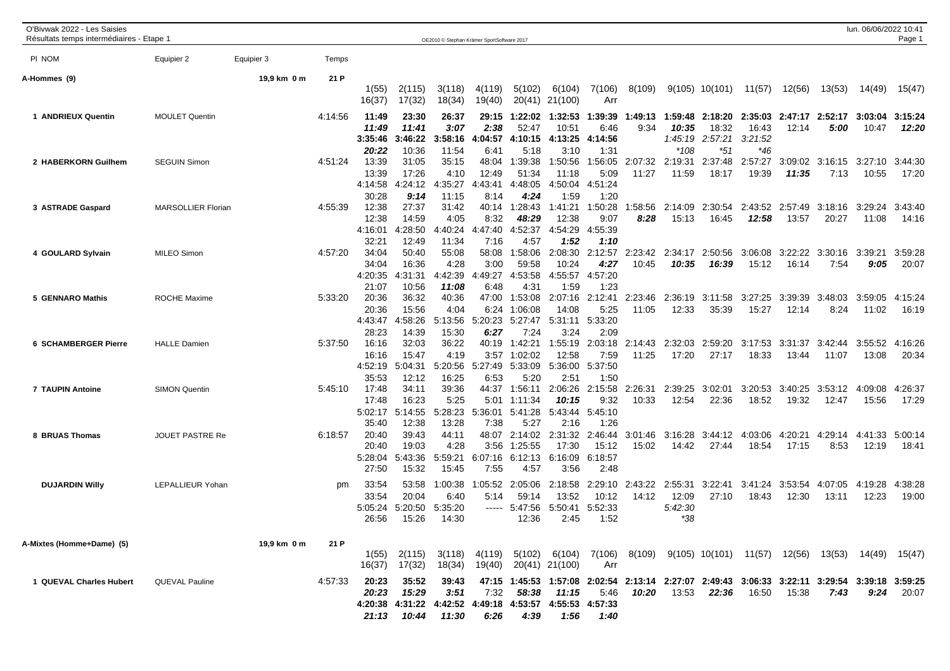| O'Bivwak 2022 - Les Saisies<br>Résultats temps intermédiaires - Etape 1 |                           |             |         |                                             |                                             | OE2010 © Stephan Krämer SportSoftware 2017                |                                   |                                              |                                             |                                             |                                                                                                        |                                      |                             |                             |                  |                  | lun. 06/06/2022 10:41 | Page 1           |
|-------------------------------------------------------------------------|---------------------------|-------------|---------|---------------------------------------------|---------------------------------------------|-----------------------------------------------------------|-----------------------------------|----------------------------------------------|---------------------------------------------|---------------------------------------------|--------------------------------------------------------------------------------------------------------|--------------------------------------|-----------------------------|-----------------------------|------------------|------------------|-----------------------|------------------|
| PI NOM                                                                  | Equipier 2                | Equipier 3  | Temps   |                                             |                                             |                                                           |                                   |                                              |                                             |                                             |                                                                                                        |                                      |                             |                             |                  |                  |                       |                  |
| A-Hommes (9)                                                            |                           | 19,9 km 0 m | 21 P    | 1(55)<br>16(37)                             | 2(115)<br>17(32)                            | 3(118)<br>18(34)                                          | 4(119)<br>19(40)                  | 5(102)<br>20(41)                             | 6(104)<br>21(100)                           | 7(106)<br>Arr                               | 8(109)                                                                                                 |                                      |                             | $9(105)$ 10(101) 11(57)     | 12(56)           | 13(53)           | 14(49)                | 15(47)           |
| 1 ANDRIEUX Quentin                                                      | <b>MOULET Quentin</b>     |             | 4:14:56 | 11:49<br>11:49<br>3:35:46                   | 23:30<br>11:41<br>3:46:22                   | 26:37<br>3:07<br>3:58:16                                  | 29:15<br>2:38<br>4:04:57          | 1:22:02<br>52:47<br>4:10:15                  | 1:32:53<br>10:51<br>4:13:25                 | 1:39:39<br>6:46<br>4:14:56                  | 1:49:13<br>9:34                                                                                        | 1:59:48<br>10:35<br>1:45:19          | 2:18:20<br>18:32<br>2:57:21 | 2:35:03<br>16:43<br>3:21:52 | 2:47:17<br>12:14 | 2:52:17<br>5:00  | 3:03:04<br>10:47      | 3:15:24<br>12:20 |
| 2 HABERKORN Guilhem                                                     | <b>SEGUIN Simon</b>       |             | 4:51:24 | 20:22<br>13:39<br>13:39<br>4:14:58          | 10:36<br>31:05<br>17:26<br>4:24:12          | 11:54<br>35:15<br>4:10<br>4:35:27                         | 6:41<br>48:04<br>12:49<br>4:43:41 | 5:18<br>1:39:38<br>51:34<br>4:48:05          | 3:10<br>1:50:56<br>11:18<br>4:50:04         | 1:31<br>1:56:05<br>5:09<br>4:51:24          | 2:07:32<br>11:27                                                                                       | $*108$<br>2:19:31<br>11:59           | $*51$<br>2:37:48<br>18:17   | *46<br>2:57:27<br>19:39     | 3:09:02<br>11:35 | 3:16:15<br>7:13  | 3:27:10<br>10:55      | 3:44:30<br>17:20 |
| 3 ASTRADE Gaspard                                                       | <b>MARSOLLIER Florian</b> |             | 4:55:39 | 30:28<br>12:38<br>12:38<br>4:16:01          | 9:14<br>27:37<br>14:59<br>4:28:50           | 11:15<br>31:42<br>4:05<br>4:40:24                         | 8:14<br>40:14<br>8:32<br>4:47:40  | 4:24<br>1:28:43<br>48:29<br>4:52:37          | 1:59<br>1:41:21<br>12:38<br>4:54:29         | 1:20<br>1:50:28<br>9:07<br>4:55:39          | 1:58:56<br>8:28                                                                                        | 2:14:09<br>15:13                     | 2:30:54<br>16:45            | 2:43:52<br>12:58            | 2:57:49<br>13:57 | 3:18:16<br>20:27 | 3:29:24<br>11:08      | 3:43:40<br>14:16 |
| 4 GOULARD Sylvain                                                       | <b>MILEO Simon</b>        |             | 4:57:20 | 32:21<br>34:04<br>34:04<br>4:20:35          | 12:49<br>50:40<br>16:36<br>4:31:31          | 11:34<br>55:08<br>4:28<br>4:42:39                         | 7:16<br>58:08<br>3:00<br>4:49:27  | 4:57<br>1:58:06<br>59:58<br>4:53:58          | 1:52<br>2:08:30<br>10:24<br>4:55:57         | 1:10<br>2:12:57<br>4:27<br>4:57:20          | 2:23:42<br>10:45                                                                                       | 2:34:17<br>10:35                     | 2:50:56<br>16:39            | 3:06:08<br>15:12            | 3:22:22<br>16:14 | 3:30:16<br>7:54  | 3:39:21<br>9:05       | 3:59:28<br>20:07 |
| 5 GENNARO Mathis                                                        | <b>ROCHE Maxime</b>       |             | 5:33:20 | 21:07<br>20:36<br>20:36<br>4:43:47          | 10:56<br>36:32<br>15:56<br>:58:26<br>4      | 11:08<br>40:36<br>4:04<br>5:13:56                         | 6:48<br>47:00<br>6:24<br>5:20:23  | 4:31<br>1:53:08<br>1:06:08<br>5:27:47        | 1:59<br>2:07:16<br>14:08<br>5:31:11         | 1:23<br>2:12:41<br>5:25<br>5:33:20          | 2:23:46<br>11:05                                                                                       | 2:36:19<br>12:33                     | 3:11:58<br>35:39            | 3:27:25<br>15:27            | 3:39:39<br>12:14 | 3:48:03<br>8:24  | 3:59:05<br>11:02      | 4:15:24<br>16:19 |
| <b>6 SCHAMBERGER Pierre</b>                                             | <b>HALLE Damien</b>       |             | 5:37:50 | 28:23<br>16:16<br>16:16<br>4:52:19          | 14:39<br>32:03<br>15:47<br>5:04:31          | 15:30<br>36:22<br>4:19<br>5:20:56                         | 6:27<br>40:19<br>3:57<br>5:27:49  | 7:24<br>1:42:21<br>1:02:02<br>5:33:09        | 3:24<br>1:55:19<br>12:58<br>5:36:00         | 2:09<br>2:03:18<br>7:59<br>5:37:50          | 2:14:43<br>11:25                                                                                       | 2:32:03<br>17:20                     | 2:59:20<br>27:17            | 3:17:53<br>18:33            | 3:31:37<br>13:44 | 3:42:44<br>11:07 | 3:55:52<br>13:08      | 4:16:26<br>20:34 |
| 7 TAUPIN Antoine                                                        | <b>SIMON Quentin</b>      |             | 5:45:10 | 35:53<br>17:48<br>17:48<br>5:02:17          | 12:12<br>34:11<br>16:23<br>5:14:55          | 16:25<br>39:36<br>5:25<br>5:28:23                         | 6:53<br>44:37<br>5:01<br>5:36:01  | 5:20<br>1:56:11<br>1:11:34<br>5:41:28        | 2:51<br>2:06:26<br>10:15<br>5:43:44         | 1:50<br>2:15:58<br>9:32<br>5:45:10          | 2:26:31<br>10:33                                                                                       | 2:39:25<br>12:54                     | 3:02:01<br>22:36            | 3:20:53<br>18:52            | 3:40:25<br>19:32 | 3:53:12<br>12:47 | 4:09:08<br>15:56      | 4:26:37<br>17:29 |
| 8 BRUAS Thomas                                                          | JOUET PASTRE Re           |             | 6:18:57 | 35:40<br>20:40<br>20:40<br>5:28:04          | 12:38<br>39:43<br>19:03<br>5:43:36          | 13:28<br>44:11<br>4:28<br>5:59:21                         | 7:38<br>48:07<br>3:56<br>6:07:16  | 5:27<br>2:14:02<br>1:25:55<br>6:12:13        | 2:16<br>2:31:32<br>17:30<br>6:16:09         | 1:26<br>2:46:44<br>15:12<br>6:18:57         | 3:01:46<br>15:02                                                                                       | 3:16:28<br>14:42                     | 3:44:12<br>27:44            | 4:03:06<br>18:54            | 4:20:21<br>17:15 | 4:29:14<br>8:53  | 4:41:33<br>12:19      | 5:00:14<br>18:41 |
| <b>DUJARDIN Willy</b>                                                   | LEPALLIEUR Yohan          |             | pm      | 27:50<br>33:54<br>33:54<br>5:05:24<br>26:56 | 15:32<br>53:58<br>20:04<br>5:20:50<br>15:26 | 15:45<br>1:00:38<br>6:40<br>5:35:20<br>14:30              | 7:55<br>:05:52<br>5:14<br>-----   | 4:57<br>2:05:06<br>59:14<br>5:47:56<br>12:36 | 3:56<br>2:18:58<br>13:52<br>5:50:41<br>2:45 | 2:48<br>2:29:10<br>10:12<br>5:52:33<br>1:52 | 2:43:22<br>14:12                                                                                       | 2:55:31<br>12:09<br>5:42:30<br>$*38$ | 3:22:41<br>27:10            | 3:41:24<br>18:43            | 3:53:54<br>12:30 | 4:07:05<br>13:11 | 4:19:28<br>12:23      | 4:38:28<br>19:00 |
| A-Mixtes (Homme+Dame) (5)                                               |                           | 19,9 km 0 m | 21 P    | 1(55)                                       | 2(115)<br>16(37) 17(32)                     | 3(118)<br>18(34)                                          | 4(119)<br>19(40)                  | 5(102)                                       | 6(104)<br>20(41) 21(100)                    | Arr                                         | 7(106) 8(109) 9(105) 10(101) 11(57) 12(56) 13(53) 14(49) 15(47)                                        |                                      |                             |                             |                  |                  |                       |                  |
| 1 QUEVAL Charles Hubert                                                 | <b>QUEVAL Pauline</b>     |             | 4:57:33 | 20:23<br>20:23<br>21:13                     | 35:52<br>15:29<br>10:44                     | 39:43<br>3:51<br>4:20:38 4:31:22 4:42:52 4:49:18<br>11:30 | 7:32<br>6:26                      | 58:38<br>4:53:57<br>4:39                     | 11:15<br>4:55:53 4:57:33<br>1:56            | 5:46<br>1:40                                | 47:15 1:45:53 1:57:08 2:02:54 2:13:14 2:27:07 2:49:43 3:06:33 3:22:11 3:29:54 3:39:18 3:59:25<br>10:20 | 13:53                                | 22:36                       | 16:50                       | 15:38            | 7:43             | 9:24                  | 20:07            |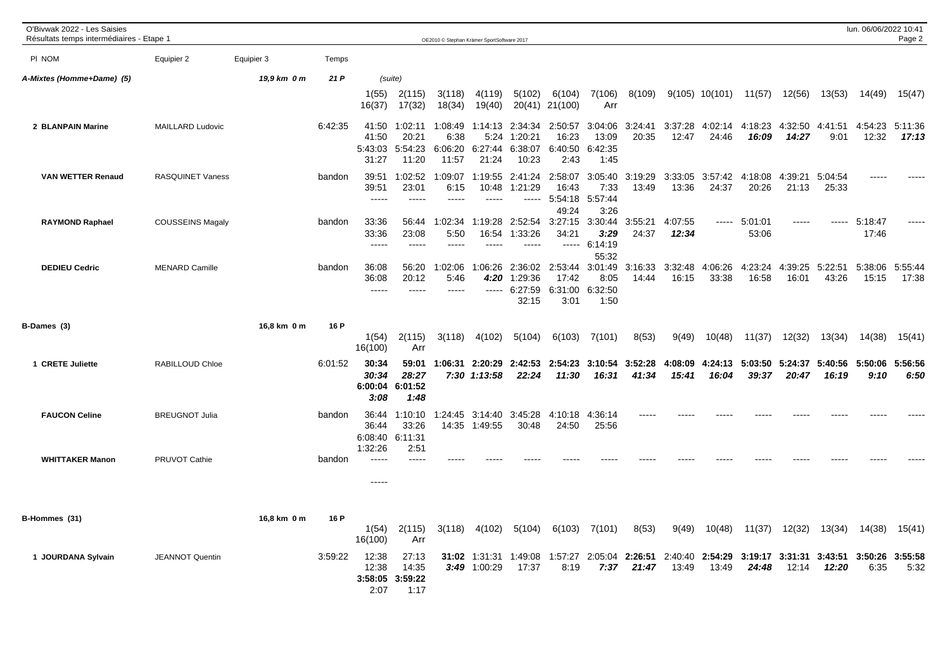| O'Bivwak 2022 - Les Saisies<br>Résultats temps intermédiaires - Etape 1 |                         |             |         |                                      |                                           | OE2010 © Stephan Krämer SportSoftware 2017 |                                     |                                        |                                      |                                     |                  |                      |                  |                        |                  |                  | lun. 06/06/2022 10:41 | Page 2           |
|-------------------------------------------------------------------------|-------------------------|-------------|---------|--------------------------------------|-------------------------------------------|--------------------------------------------|-------------------------------------|----------------------------------------|--------------------------------------|-------------------------------------|------------------|----------------------|------------------|------------------------|------------------|------------------|-----------------------|------------------|
| PI NOM                                                                  | Equipier 2              | Equipier 3  | Temps   |                                      |                                           |                                            |                                     |                                        |                                      |                                     |                  |                      |                  |                        |                  |                  |                       |                  |
| A-Mixtes (Homme+Dame) (5)                                               |                         | 19,9 km 0 m | 21 P    |                                      | (suite)                                   |                                            |                                     |                                        |                                      |                                     |                  |                      |                  |                        |                  |                  |                       |                  |
|                                                                         |                         |             |         | 1(55)<br>16(37)                      | 2(115)<br>17(32)                          | 3(118)<br>18(34)                           | 4(119)<br>19(40)                    | 5(102)<br>20(41)                       | 6(104)<br>21(100)                    | 7(106)<br>Arr                       | 8(109)           |                      | $9(105)$ 10(101) | 11(57)                 | 12(56)           | 13(53)           | 14(49)                | 15(47)           |
| 2 BLANPAIN Marine                                                       | <b>MAILLARD Ludovic</b> |             | 6:42:35 | 41:50<br>41:50<br>5:43:03<br>31:27   | 1:02:11<br>20:21<br>5:54:23<br>11:20      | 1:08:49<br>6:38<br>6:06:20<br>11:57        | 1:14:13<br>5:24<br>6:27:44<br>21:24 | 2:34:34<br>1:20:21<br>6:38:07<br>10:23 | 2:50:57<br>16:23<br>6:40:50<br>2:43  | 3:04:06<br>13:09<br>6:42:35<br>1:45 | 3:24:41<br>20:35 | 3:37:28<br>12:47     | 4:02:14<br>24:46 | 4:18:23<br>16:09       | 4:32:50<br>14:27 | 4:41:51<br>9:01  | 4:54:23<br>12:32      | 5:11:36<br>17:13 |
| <b>VAN WETTER Renaud</b>                                                | <b>RASQUINET Vaness</b> |             | bandon  | 39:51<br>39:51<br>$- - - - -$        | 1:02:52<br>23:01<br>$\frac{1}{2}$         | 1:09:07<br>6:15<br>$\frac{1}{2}$           | 1:19:55<br>10:48<br>$---$           | 2:41:24<br>1:21:29<br>-----            | 2:58:07<br>16:43<br>5:54:18<br>49:24 | 3:05:40<br>7:33<br>5:57:44<br>3:26  | 3:19:29<br>13:49 | 3:33:05<br>13:36     | 3:57:42<br>24:37 | 4:18:08<br>20:26       | 4:39:21<br>21:13 | 5:04:54<br>25:33 | ----                  |                  |
| <b>RAYMOND Raphael</b>                                                  | <b>COUSSEINS Magaly</b> |             | bandon  | 33:36<br>33:36<br>$- - - - -$        | 56:44<br>23:08<br>$\frac{1}{2}$           | 1:02:34<br>5:50<br>$\frac{1}{2}$           | 1:19:28<br>16:54                    | 2:52:54<br>1:33:26                     | 3:27:15<br>34:21<br>$\frac{1}{2}$    | 3:30:44<br>3:29<br>6:14:19<br>55:32 | 3:55:21<br>24:37 | 4:07:55<br>12:34     |                  | ----- 5:01:01<br>53:06 | -----            | ------           | 5:18:47<br>17:46      |                  |
| <b>DEDIEU Cedric</b>                                                    | <b>MENARD Camille</b>   |             | bandon  | 36:08<br>36:08<br>$---$              | 56:20<br>20:12<br>$--- -$                 | 1:02:06<br>5:46<br>$- - - - -$             | 1:06:26<br>4:20<br>$-----$          | 2:36:02<br>1:29:36<br>6:27:59<br>32:15 | 2:53:44<br>17:42<br>6:31:00<br>3:01  | 3:01:49<br>8:05<br>6:32:50<br>1:50  | 3:16:33<br>14:44 | 3:32:48<br>16:15     | 4:06:26<br>33:38 | 4:23:24<br>16:58       | 4:39:25<br>16:01 | 5:22:51<br>43:26 | 5:38:06<br>15:15      | 5:55:44<br>17:38 |
| B-Dames (3)                                                             |                         | 16,8 km 0 m | 16 P    | 1(54)<br>16(100)                     | 2(115)<br>Arr                             | 3(118)                                     | 4(102)                              | 5(104)                                 | 6(103)                               | 7(101)                              | 8(53)            | 9(49)                | 10(48)           | 11(37)                 | 12(32)           | 13(34)           | 14(38)                | 15(41)           |
| 1 CRETE Juliette                                                        | RABILLOUD Chloe         |             | 6:01:52 | 30:34<br>30:34<br>3:08               | 59:01<br>28:27<br>6:00:04 6:01:52<br>1:48 | 1:06:31                                    | 2:20:29<br>$7:30$ $1:13:58$         | 2:42:53<br>22:24                       | 2:54:23<br>11:30                     | 3:10:54<br>16:31                    | 3:52:28<br>41:34 | :08:09<br>4<br>15:41 | 4:24:13<br>16:04 | 5:03:50<br>39:37       | 5:24:37<br>20:47 | 5:40:56<br>16:19 | 5:50:06<br>9:10       | 5:56:56<br>6:50  |
| <b>FAUCON Celine</b>                                                    | <b>BREUGNOT Julia</b>   |             | bandon  | 36:44<br>36:44<br>6:08:40<br>1:32:26 | 1:10:10<br>33:26<br>6:11:31<br>2:51       | :24:45<br>-1<br>14:35                      | 3:14:40<br>1:49:55                  | 3:45:28<br>30:48                       | 4:10:18<br>24:50                     | 4:36:14<br>25:56                    |                  |                      |                  |                        |                  |                  |                       |                  |
| <b>WHITTAKER Manon</b>                                                  | PRUVOT Cathie           |             | bandon  | $---$<br>-----                       | $---$                                     |                                            |                                     |                                        |                                      |                                     |                  |                      |                  |                        |                  |                  |                       |                  |
| B-Hommes (31)                                                           |                         | 16,8 km 0 m | 16 P    | 1(54)<br>16(100)                     | 2(115)<br>Arr                             | 3(118)                                     | 4(102)                              | 5(104)                                 | 6(103)                               | 7(101)                              | 8(53)            | 9(49)                | 10(48)           | 11(37)                 | 12(32)           | 13(34)           | 14(38)                | 15(41)           |
| 1 JOURDANA Sylvain                                                      | <b>JEANNOT Quentin</b>  |             | 3:59:22 | 12:38<br>12:38<br>3:58:05<br>2:07    | 27:13<br>14:35<br>3:59:22<br>1:17         |                                            | 31:02 1:31:31<br>3:49 1:00:29       | 1:49:08<br>17:37                       | 1:57:27<br>8:19                      | 2:05:04<br>7:37                     | 2:26:51<br>21:47 | 2:40:40<br>13:49     | 2:54:29<br>13:49 | 3:19:17<br>24:48       | 3:31:31<br>12:14 | 3:43:51<br>12:20 | 3:50:26<br>6:35       | 3:55:58<br>5:32  |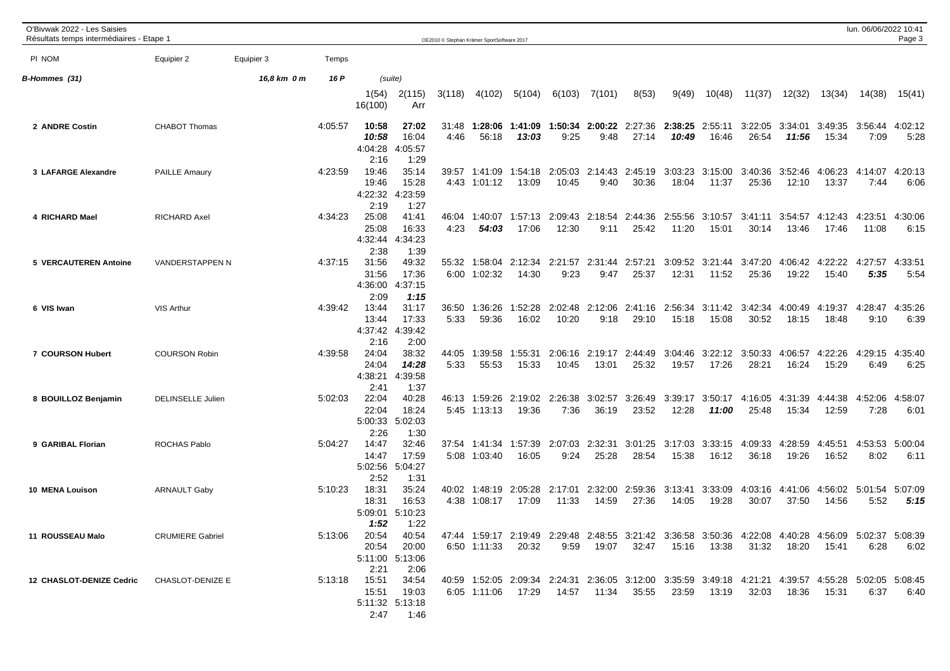| O'Bivwak 2022 - Les Saisies<br>Résultats temps intermédiaires - Etape 1 |                          |             |         |                                   |                                         |               | OE2010 © Stephan Krämer SportSoftware 2017 |                                                                                                                                                   |                  |                  |                                         |                                  |                  |                          |                     |                          | lun. 06/06/2022 10:41 | Page 3          |
|-------------------------------------------------------------------------|--------------------------|-------------|---------|-----------------------------------|-----------------------------------------|---------------|--------------------------------------------|---------------------------------------------------------------------------------------------------------------------------------------------------|------------------|------------------|-----------------------------------------|----------------------------------|------------------|--------------------------|---------------------|--------------------------|-----------------------|-----------------|
| PI NOM                                                                  | Equipier 2               | Equipier 3  | Temps   |                                   |                                         |               |                                            |                                                                                                                                                   |                  |                  |                                         |                                  |                  |                          |                     |                          |                       |                 |
| B-Hommes (31)                                                           |                          | 16,8 km 0 m | 16 P    |                                   | (suite)                                 |               |                                            |                                                                                                                                                   |                  |                  |                                         |                                  |                  |                          |                     |                          |                       |                 |
|                                                                         |                          |             |         | 1(54)<br>16(100)                  | 2(115)<br>Arr                           | 3(118)        | 4(102)                                     | 5(104)                                                                                                                                            | 6(103)           | 7(101)           | 8(53)                                   | 9(49)                            | 10(48)           | 11(37)                   | 12(32)              | 13(34)                   | 14(38)                | 15(41)          |
| 2 ANDRE Costin                                                          | <b>CHABOT Thomas</b>     |             | 4:05:57 | 10:58<br>10:58<br>4:04:28<br>2:16 | 27:02<br>16:04<br>4:05:57<br>1:29       | 31:48<br>4:46 | 1:28:06<br>56:18                           | 1:41:09<br>13:03                                                                                                                                  | 9:25             | 9:48             | <b>1:50:34 2:00:22</b> 2:27:36<br>27:14 | 2:38:25<br>10:49                 | 2:55:11<br>16:46 | 3:22:05<br>26:54         | 3:34:01<br>11:56    | 3:49:35 3:56:44<br>15:34 | 7:09                  | 4:02:12<br>5:28 |
| 3 LAFARGE Alexandre                                                     | <b>PAILLE Amaury</b>     |             | 4:23:59 | 19:46<br>19:46<br>4:22:32<br>2:19 | 35:14<br>15:28<br>4:23:59<br>1:27       | 39:57         | 1:41:09<br>4:43 1:01:12                    | 1:54:18<br>13:09                                                                                                                                  | 2:05:03<br>10:45 | 2:14:43<br>9:40  | 2:45:19<br>30:36                        | 3:03:23<br>18:04                 | 3:15:00<br>11:37 | 3:40:36<br>25:36         | 3:52:46<br>12:10    | 4:06:23<br>13:37         | 4:14:07<br>7:44       | 4:20:13<br>6:06 |
| 4 RICHARD Mael                                                          | <b>RICHARD Axel</b>      |             | 4:34:23 | 25:08<br>25:08<br>4:32:44<br>2:38 | 41:41<br>16:33<br>4:34:23<br>1:39       | 46:04<br>4:23 | 1:40:07<br>54:03                           | 1:57:13<br>17:06                                                                                                                                  | 2:09:43<br>12:30 | 2:18:54<br>9:11  | 2:44:36<br>25:42                        | 2:55:56<br>11:20                 | 3:10:57<br>15:01 | 3:41:11<br>30:14         | 3:54:57<br>13:46    | 4:12:43<br>17:46         | 4:23:51<br>11:08      | 4:30:06<br>6:15 |
| 5 VERCAUTEREN Antoine                                                   | VANDERSTAPPEN N          |             | 4:37:15 | 31:56<br>31:56<br>4:36:00<br>2:09 | 49:32<br>17:36<br>4:37:15<br>1:15       | 55:32         | 1:58:04<br>6:00 1:02:32                    | 2:12:34<br>14:30                                                                                                                                  | 2:21:57<br>9:23  | 2:31:44<br>9:47  | 2:57:21<br>25:37                        | 3:09:52<br>12:31                 | 3:21:44<br>11:52 | 3:47:20<br>25:36         | 19:22               | 4:06:42 4:22:22<br>15:40 | 4:27:57<br>5:35       | 4:33:51<br>5:54 |
| 6 VIS Iwan                                                              | <b>VIS Arthur</b>        |             | 4:39:42 | 13:44<br>13:44<br>4:37:42<br>2:16 | 31:17<br>17:33<br>4:39:42<br>2:00       | 36:50<br>5:33 | 1:36:26<br>59:36                           | 1:52:28<br>16:02                                                                                                                                  | 2:02:48<br>10:20 | 2:12:06<br>9:18  | 2:41:16<br>29:10                        | 2:56:34<br>15:18                 | 3:11:42<br>15:08 | 3:42:34<br>30:52         | 4:00:49<br>18:15    | 4:19:37<br>18:48         | 4:28:47<br>9:10       | 4:35:26<br>6:39 |
| 7 COURSON Hubert                                                        | <b>COURSON Robin</b>     |             | 4:39:58 | 24:04<br>24:04<br>4:38:21<br>2:41 | 38:32<br>14:28<br>4:39:58<br>1:37       | 44:05<br>5:33 | 1:39:58<br>55:53                           | 1:55:31<br>15:33                                                                                                                                  | 2:06:16<br>10:45 | 2:19:17<br>13:01 | 2:44:49<br>25:32                        | 3:04:46<br>19:57                 | 17:26            | 3:22:12 3:50:33<br>28:21 | 4:06:57<br>16:24    | 4:22:26<br>15:29         | 4:29:15<br>6:49       | 4:35:40<br>6:25 |
| 8 BOUILLOZ Benjamin                                                     | <b>DELINSELLE Julien</b> |             | 5:02:03 | 22:04<br>22:04<br>5:00:33<br>2:26 | 40:28<br>18:24<br>5:02:03<br>1:30       | 46:13         | 1:59:26<br>5:45 1:13:13                    | 2:19:02<br>19:36                                                                                                                                  | 2:26:38<br>7:36  | 3:02:57<br>36:19 | 3:26:49<br>23:52                        | 3:39:17<br>12:28                 | 3:50:17<br>11:00 | 4:16:05<br>25:48         | 4:31:39<br>15:34    | 4:44:38<br>12:59         | 4:52:06<br>7:28       | 4:58:07<br>6:01 |
| 9 GARIBAL Florian                                                       | <b>ROCHAS Pablo</b>      |             | 5:04:27 | 14:47<br>14:47<br>5:02:56<br>2:52 | 32:46<br>17:59<br>5:04:27<br>1:31       |               | 37:54 1:41:34<br>5:08 1:03:40              | 1:57:39<br>16:05                                                                                                                                  | 2:07:03<br>9:24  | 2:32:31<br>25:28 | 3:01:25<br>28:54                        | 3:17:03<br>15:38                 | 3:33:15<br>16:12 | 4:09:33<br>36:18         | 4:28:59<br>19:26    | 4:45:51<br>16:52         | 4:53:53<br>8:02       | 5:00:04<br>6:11 |
| 10 MENA Louison                                                         | <b>ARNAULT Gaby</b>      |             | 5:10:23 | 18:31<br>18:31<br>5:09:01<br>1:52 | 35:24<br>16:53<br>5:10:23<br>1:22       | 40:02         | 1:48:19<br>4:38 1:08:17                    | 2:05:28<br>17:09                                                                                                                                  | 2:17:01<br>11:33 | 14:59            | 2:32:00 2:59:36<br>27:36                | 3:13:41<br>14:05                 | 3:33:09<br>19:28 | 4:03:16<br>30:07         | 4:41:06<br>37:50    | 4:56:02 5:01:54<br>14:56 | 5:52                  | 5:07:09<br>5:15 |
| 11 ROUSSEAU Malo                                                        | <b>CRUMIERE Gabriel</b>  |             |         | 5:13:06 20:54 40:54<br>2:21       | 20:54 20:00<br>5:11:00 5:13:06<br>2:06  |               |                                            | 47:44 1:59:17 2:19:49 2:29:48 2:48:55 3:21:42 3:36:58 3:50:36 4:22:08 4:40:28 4:56:09 5:02:37 5:08:39<br>6:50 1:11:33 20:32                       |                  |                  |                                         | 9:59  19:07  32:47  15:16  13:38 |                  |                          | 31:32  18:20  15:41 |                          | 6:28                  | 6:02            |
| 12 CHASLOT-DENIZE Cedric CHASLOT-DENIZE E                               |                          |             |         | 5:13:18  15:51  34:54<br>2:47     | 15:51  19:03<br>5:11:32 5:13:18<br>1:46 |               |                                            | 40:59 1:52:05 2:09:34 2:24:31 2:36:05 3:12:00 3:35:59 3:49:18 4:21:21 4:39:57 4:55:28 5:02:05 5:08:45<br>6:05 1:11:06  17:29  14:57  11:34  35:55 |                  |                  |                                         |                                  | 23:59 13:19      |                          |                     |                          | 6:37                  | 6:40            |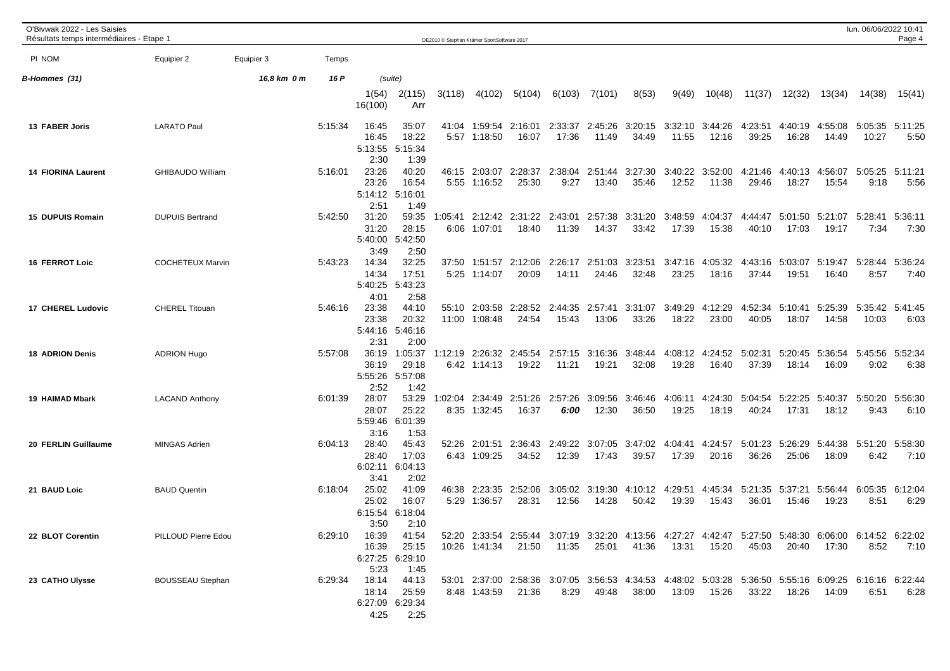| O'Bivwak 2022 - Les Saisies<br>Résultats temps intermédiaires - Etape 1 |                         |             |         |                  |                          | OE2010 © Stephan Krämer SportSoftware 2017 |                               |                                                                                                                |                  |                  |                          |                  |                  |                  |                  |                  | lun. 06/06/2022 10:41 | Page 4          |
|-------------------------------------------------------------------------|-------------------------|-------------|---------|------------------|--------------------------|--------------------------------------------|-------------------------------|----------------------------------------------------------------------------------------------------------------|------------------|------------------|--------------------------|------------------|------------------|------------------|------------------|------------------|-----------------------|-----------------|
| PI NOM                                                                  | Equipier 2              | Equipier 3  | Temps   |                  |                          |                                            |                               |                                                                                                                |                  |                  |                          |                  |                  |                  |                  |                  |                       |                 |
|                                                                         |                         |             |         |                  |                          |                                            |                               |                                                                                                                |                  |                  |                          |                  |                  |                  |                  |                  |                       |                 |
| B-Hommes (31)                                                           |                         | 16,8 km 0 m | 16 P    | 1(54)            | (suite)<br>2(115)        | 3(118)                                     | 4(102)                        | 5(104)                                                                                                         | 6(103)           | 7(101)           | 8(53)                    | 9(49)            | 10(48)           | 11(37)           | 12(32)           | 13(34)           | 14(38)                | 15(41)          |
|                                                                         |                         |             |         | 16(100)          | Arr                      |                                            |                               |                                                                                                                |                  |                  |                          |                  |                  |                  |                  |                  |                       |                 |
| 13 FABER Joris                                                          | <b>LARATO Paul</b>      |             | 5:15:34 | 16:45            | 35:07                    |                                            | 41:04 1:59:54                 | 2:16:01                                                                                                        | 2:33:37          |                  | 2:45:26 3:20:15          | 3:32:10          | 3:44:26          | 4:23:51          | 4:40:19          | 4:55:08          | 5:05:35 5:11:25       |                 |
|                                                                         |                         |             |         | 16:45<br>5:13:55 | 18:22<br>5:15:34         |                                            | 5:57 1:18:50                  | 16:07                                                                                                          | 17:36            | 11:49            | 34:49                    | 11:55            | 12:16            | 39:25            | 16:28            | 14:49            | 10:27                 | 5:50            |
|                                                                         |                         |             |         | 2:30             | 1:39                     |                                            |                               |                                                                                                                |                  |                  |                          |                  |                  |                  |                  |                  |                       |                 |
| <b>14 FIORINA Laurent</b>                                               | <b>GHIBAUDO William</b> |             | 5:16:01 | 23:26<br>23:26   | 40:20<br>16:54           | 46:15                                      | 2:03:07<br>5:55 1:16:52       | 2:28:37<br>25:30                                                                                               | 2:38:04<br>9:27  | 2:51:44<br>13:40 | 3:27:30<br>35:46         | 3:40:22<br>12:52 | 3:52:00<br>11:38 | 4:21:46<br>29:46 | 4:40:13<br>18:27 | 4:56:07<br>15:54 | 5:05:25<br>9:18       | 5:11:21<br>5:56 |
|                                                                         |                         |             |         | 2:51             | 5:14:12 5:16:01<br>1:49  |                                            |                               |                                                                                                                |                  |                  |                          |                  |                  |                  |                  |                  |                       |                 |
| 15 DUPUIS Romain                                                        | <b>DUPUIS Bertrand</b>  |             | 5:42:50 | 31:20            | 59:35                    | 1:05:41                                    |                               | 2:12:42 2:31:22                                                                                                | 2:43:01          | 2:57:38          | 3:31:20                  | 3:48:59          | 4:04:37          | 4:44:47          | 5:01:50          | 5:21:07          | 5:28:41               | 5:36:11         |
|                                                                         |                         |             |         | 31:20            | 28:15<br>5:40:00 5:42:50 |                                            | 6:06 1:07:01                  | 18:40                                                                                                          | 11:39            | 14:37            | 33:42                    | 17:39            | 15:38            | 40:10            | 17:03            | 19:17            | 7:34                  | 7:30            |
|                                                                         |                         |             |         | 3:49             | 2:50                     |                                            |                               |                                                                                                                |                  |                  |                          |                  |                  |                  |                  |                  |                       |                 |
| <b>16 FERROT Loic</b>                                                   | <b>COCHETEUX Marvin</b> |             | 5:43:23 | 14:34<br>14:34   | 32:25<br>17:51           |                                            | 37:50 1:51:57<br>5:25 1:14:07 | 2:12:06<br>20:09                                                                                               | 2:26:17<br>14:11 | 24:46            | 2:51:03 3:23:51<br>32:48 | 3:47:16<br>23:25 | 4:05:32<br>18:16 | 4:43:16<br>37:44 | 5:03:07<br>19:51 | 5:19:47<br>16:40 | 5:28:44<br>8:57       | 5:36:24<br>7:40 |
|                                                                         |                         |             |         | 5:40:25<br>4:01  | 5:43:23<br>2:58          |                                            |                               |                                                                                                                |                  |                  |                          |                  |                  |                  |                  |                  |                       |                 |
| <b>17 CHEREL Ludovic</b>                                                | <b>CHEREL Titouan</b>   |             | 5:46:16 | 23:38            | 44:10                    | 55:10                                      | 2:03:58                       | 2:28:52                                                                                                        | 2:44:35          | 2:57:41          | 3:31:07                  | 3:49:29          | 4:12:29          | 4:52:34          | 5:10:41          | 5:25:39          | 5:35:42               | 5:41:45         |
|                                                                         |                         |             |         | 23:38            | 20:32<br>5:44:16 5:46:16 |                                            | 11:00 1:08:48                 | 24:54                                                                                                          | 15:43            | 13:06            | 33:26                    | 18:22            | 23:00            | 40:05            | 18:07            | 14:58            | 10:03                 | 6:03            |
|                                                                         |                         |             |         | 2:31             | 2:00                     |                                            |                               |                                                                                                                |                  |                  |                          |                  |                  |                  |                  |                  |                       |                 |
| <b>18 ADRION Denis</b>                                                  | <b>ADRION Hugo</b>      |             | 5:57:08 | 36:19<br>36:19   | 1:05:37<br>29:18         | 1:12:19                                    | 2:26:32<br>6:42 1:14:13       | 2:45:54<br>19:22                                                                                               | 2:57:15<br>11:21 | 3:16:36<br>19:21 | 3:48:44<br>32:08         | 4:08:12<br>19:28 | 4:24:52<br>16:40 | 5:02:31<br>37:39 | 5:20:45<br>18:14 | 5:36:54<br>16:09 | 5:45:56<br>9:02       | 5:52:34<br>6:38 |
|                                                                         |                         |             |         | 5:55:26          | 5:57:08                  |                                            |                               |                                                                                                                |                  |                  |                          |                  |                  |                  |                  |                  |                       |                 |
| 19 HAIMAD Mbark                                                         | <b>LACAND Anthony</b>   |             | 6:01:39 | 2:52<br>28:07    | 1:42<br>53:29            | 1:02:04                                    | 2:34:49                       | 2:51:26                                                                                                        | 2:57:26          | 3:09:56          | 3:46:46                  | 4:06:11          | 4:24:30          | 5:04:54          | 5:22:25          | 5:40:37          | 5:50:20               | 5:56:30         |
|                                                                         |                         |             |         | 28:07<br>5:59:46 | 25:22<br>6:01:39         |                                            | 8:35 1:32:45                  | 16:37                                                                                                          | 6:00             | 12:30            | 36:50                    | 19:25            | 18:19            | 40:24            | 17:31            | 18:12            | 9:43                  | 6:10            |
|                                                                         |                         |             |         | 3:16             | 1:53                     |                                            |                               |                                                                                                                |                  |                  |                          |                  |                  |                  |                  |                  |                       |                 |
| 20 FERLIN Guillaume                                                     | <b>MINGAS Adrien</b>    |             | 6:04:13 | 28:40<br>28:40   | 45:43<br>17:03           | 52:26                                      | 2:01:51<br>6:43 1:09:25       | 2:36:43<br>34:52                                                                                               | 2:49:22<br>12:39 | 3:07:05<br>17:43 | 3:47:02<br>39:57         | 4:04:41<br>17:39 | 4:24:57<br>20:16 | 5:01:23<br>36:26 | 5:26:29<br>25:06 | 5:44:38<br>18:09 | 5:51:20<br>6:42       | 5:58:30<br>7:10 |
|                                                                         |                         |             |         | 6:02:11          | 6:04:13                  |                                            |                               |                                                                                                                |                  |                  |                          |                  |                  |                  |                  |                  |                       |                 |
| 21 BAUD Loic                                                            | <b>BAUD Quentin</b>     |             | 6:18:04 | 3:41<br>25:02    | 2:02<br>41:09            | 46:38                                      | 2:23:35                       | 2:52:06                                                                                                        | 3:05:02          | 3:19:30          | 4:10:12                  | 4:29:51          | 4:45:34          | 5:21:35          | 5:37:21          | 5:56:44          | 6:05:35               | 6:12:04         |
|                                                                         |                         |             |         | 25:02<br>6:15:54 | 16:07<br>6:18:04         |                                            | 5:29 1:36:57                  | 28:31                                                                                                          | 12:56            | 14:28            | 50:42                    | 19:39            | 15:43            | 36:01            | 15:46            | 19:23            | 8:51                  | 6:29            |
|                                                                         |                         |             |         | 3:50             | 2:10                     |                                            |                               |                                                                                                                |                  |                  |                          |                  |                  |                  |                  |                  |                       |                 |
| 22 BLOT Corentin                                                        | PILLOUD Pierre Edou     |             | 6:29:10 | 16:39<br>16:39   | 41:54<br>25:15           |                                            | 10:26 1:41:34                 | 52:20 2:33:54 2:55:44 3:07:19 3:32:20 4:13:56 4:27:27 4:42:47 5:27:50 5:48:30 6:06:00 6:14:52 6:22:02<br>21:50 | 11:35            | 25:01            | 41:36                    | 13:31            | 15:20            | 45:03            | 20:40            | 17:30            | 8:52                  | 7:10            |
|                                                                         |                         |             |         |                  | 6:27:25 6:29:10          |                                            |                               |                                                                                                                |                  |                  |                          |                  |                  |                  |                  |                  |                       |                 |
| 23 CATHO Ulysse                                                         | <b>BOUSSEAU Stephan</b> |             | 6:29:34 | 5:23<br>18:14    | 1:45<br>44:13            |                                            |                               | 53:01 2:37:00 2:58:36 3:07:05 3:56:53 4:34:53 4:48:02 5:03:28 5:36:50 5:55:16 6:09:25 6:16:16 6:22:44          |                  |                  |                          |                  |                  |                  |                  |                  |                       |                 |
|                                                                         |                         |             |         | 18:14            | 25:59                    |                                            | 8:48 1:43:59                  | 21:36                                                                                                          | 8:29             | 49:48            | 38:00                    | 13:09            | 15:26            | 33:22            | 18:26            | 14:09            | 6:51                  | 6:28            |
|                                                                         |                         |             |         | 4:25             | 6:27:09 6:29:34<br>2:25  |                                            |                               |                                                                                                                |                  |                  |                          |                  |                  |                  |                  |                  |                       |                 |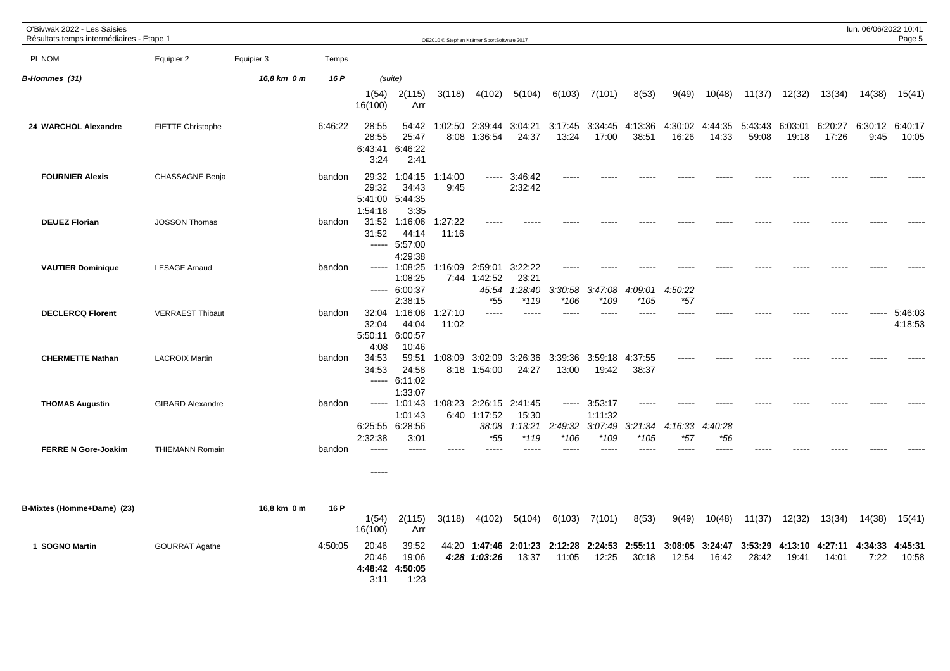| O'Bivwak 2022 - Les Saisies<br>Résultats temps intermédiaires - Etape 1 |                         |             |         |                                   |                                                    |                  | OE2010 © Stephan Krämer SportSoftware 2017       |                                       |                            |                               |                        |                  |                          |                  |                          |                  | lun. 06/06/2022 10:41 | Page 5             |
|-------------------------------------------------------------------------|-------------------------|-------------|---------|-----------------------------------|----------------------------------------------------|------------------|--------------------------------------------------|---------------------------------------|----------------------------|-------------------------------|------------------------|------------------|--------------------------|------------------|--------------------------|------------------|-----------------------|--------------------|
| PI NOM                                                                  | Equipier 2              | Equipier 3  | Temps   |                                   |                                                    |                  |                                                  |                                       |                            |                               |                        |                  |                          |                  |                          |                  |                       |                    |
| B-Hommes (31)                                                           |                         | 16,8 km 0 m | 16 P    |                                   | (suite)                                            |                  |                                                  |                                       |                            |                               |                        |                  |                          |                  |                          |                  |                       |                    |
|                                                                         |                         |             |         | 1(54)<br>16(100)                  | 2(115)<br>Arr                                      | 3(118)           | 4(102)                                           | 5(104)                                | 6(103)                     | 7(101)                        | 8(53)                  | 9(49)            | 10(48)                   | 11(37)           | 12(32)                   | 13(34)           | 14(38)                | 15(41)             |
| 24 WARCHOL Alexandre                                                    | FIETTE Christophe       |             | 6:46:22 | 28:55<br>28:55<br>6:43:41<br>3:24 | 54:42<br>25:47<br>6:46:22<br>2:41                  | 1:02:50          | 2:39:44<br>8:08 1:36:54                          | 3:04:21<br>24:37                      | 3:17:45<br>13:24           | 3:34:45<br>17:00              | 4:13:36<br>38:51       | 4:30:02<br>16:26 | 4:44:35<br>14:33         | 5:43:43<br>59:08 | 6:03:01<br>19:18         | 6:20:27<br>17:26 | 6:30:12<br>9:45       | 6:40:17<br>10:05   |
| <b>FOURNIER Alexis</b>                                                  | <b>CHASSAGNE Benja</b>  |             | bandon  | 29:32<br>29:32<br>1:54:18         | 1:04:15<br>34:43<br>5:41:00 5:44:35<br>3:35        | 1:14:00<br>9:45  | -----                                            | 3:46:42<br>2:32:42                    |                            |                               |                        |                  |                          |                  |                          |                  |                       |                    |
| <b>DEUEZ Florian</b>                                                    | <b>JOSSON Thomas</b>    |             | bandon  | 31:52                             | 31:52 1:16:06<br>44:14<br>$--- 5:57:00$<br>4:29:38 | 1:27:22<br>11:16 |                                                  |                                       |                            |                               |                        |                  |                          |                  |                          |                  |                       |                    |
| <b>VAUTIER Dominique</b>                                                | <b>LESAGE Arnaud</b>    |             | bandon  | -----                             | 1:08:25<br>1:08:25<br>$--- 6:00:37$<br>2:38:15     | 1:16:09          | 2:59:01<br>7:44 1:42:52<br>45:54<br>$*55$        | 3:22:22<br>23:21<br>1:28:40<br>$*119$ | 3:30:58<br>*106            | 3:47:08<br>$*109$             | :09:01<br>4:<br>$*105$ | 4:50:22<br>$*57$ |                          |                  |                          |                  |                       |                    |
| <b>DECLERCQ Florent</b>                                                 | <b>VERRAEST Thibaut</b> |             | bandon  | 32:04<br>32:04<br>4:08            | 1:16:08<br>44:04<br>5:50:11 6:00:57<br>10:46       | 1:27:10<br>11:02 | $---$                                            | -----                                 |                            | $\frac{1}{2}$                 |                        |                  |                          |                  |                          |                  |                       | 5:46:03<br>4:18:53 |
| <b>CHERMETTE Nathan</b>                                                 | <b>LACROIX Martin</b>   |             | bandon  | 34:53<br>34:53                    | 59:51<br>24:58<br>$--- 6:11:02$<br>1:33:07         | 1:08:09          | 3:02:09<br>8:18 1:54:00                          | 3:26:36<br>24:27                      | 3:39:36<br>13:00           | 3:59:18<br>19:42              | 4:37:55<br>38:37       |                  |                          |                  |                          |                  |                       |                    |
| <b>THOMAS Augustin</b>                                                  | <b>GIRARD Alexandre</b> |             | bandon  | -----                             | 1:01:43<br>1:01:43<br>6:25:55 6:28:56              |                  | 1:08:23 2:26:15 2:41:45<br>6:40 1:17:52<br>38:08 | 15:30<br>1:13:21                      | $\cdots \cdots$<br>2:49:32 | 3:53:17<br>1:11:32<br>3:07:49 | 3:21:34                | 4:16:33          | 4:40:28                  |                  |                          |                  |                       |                    |
| <b>FERRE N Gore-Joakim</b>                                              | <b>THIEMANN Romain</b>  |             | bandon  | 2:32:38<br>-----<br>$\frac{1}{2}$ | 3:01<br>$- - - - -$                                | -----            | $*55$                                            | $*119$<br>-----                       | *106<br>-----              | $*109$<br>$--- -$             | $*105$<br>-----        | *57              | $*56$<br>-----           |                  |                          |                  |                       |                    |
| B-Mixtes (Homme+Dame) (23)                                              |                         | 16,8 km 0 m | 16 P    | 1(54)<br>16(100)                  | 2(115)<br>Arr                                      | 3(118)           | 4(102)                                           | 5(104)                                | 6(103)                     | 7(101)                        | 8(53)                  | 9(49)            | 10(48)                   | 11(37)           | 12(32)                   | 13(34)           | 14(38)                | 15(41)             |
| 1 SOGNO Martin                                                          | <b>GOURRAT Agathe</b>   |             | 4:50:05 | 20:46<br>20:46<br>3:11            | 39:52<br>19:06<br>4:48:42 4:50:05<br>1:23          | 44:20            | 1:47:46<br>4:28 1:03:26                          | 2:01:23<br>13:37                      | 2:12:28<br>11:05           | 2:24:53<br>12:25              | 2:55:11<br>30:18       | 3:08:05<br>12:54 | 3:24:47 3:53:29<br>16:42 | 28:42            | 4:13:10 4:27:11<br>19:41 | 14:01            | 4:34:33<br>7:22       | 4:45:31<br>10:58   |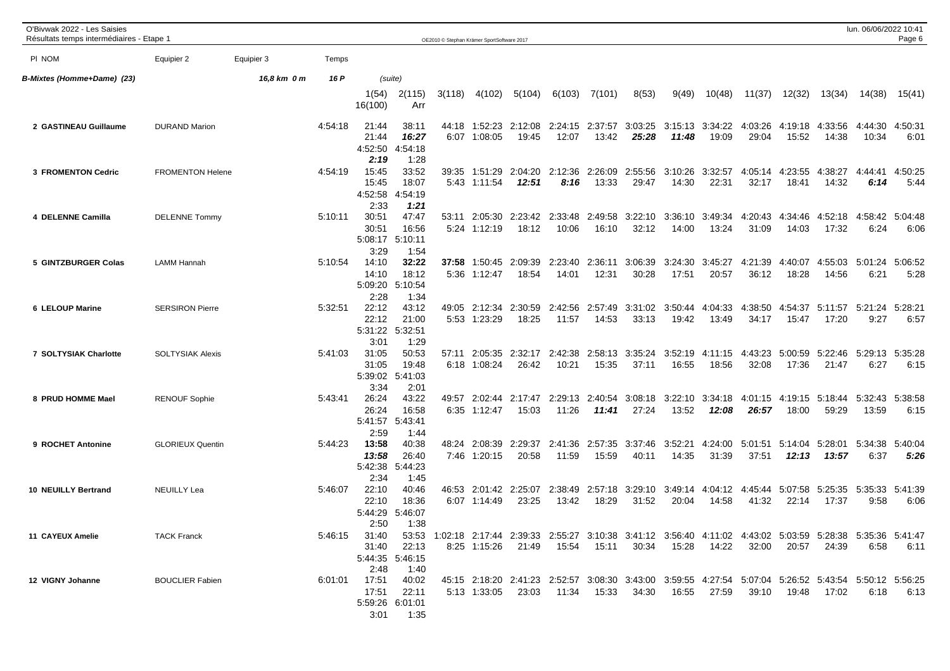| O'Bivwak 2022 - Les Saisies<br>Résultats temps intermédiaires - Etape 1 |                         |             |         |                                           |                                           | OE2010 © Stephan Krämer SportSoftware 2017 |                                      |                                                                                                                              |                  |                  |                                  |                  |                  |                                                          |                          |                          | lun. 06/06/2022 10:41 | Page 6          |
|-------------------------------------------------------------------------|-------------------------|-------------|---------|-------------------------------------------|-------------------------------------------|--------------------------------------------|--------------------------------------|------------------------------------------------------------------------------------------------------------------------------|------------------|------------------|----------------------------------|------------------|------------------|----------------------------------------------------------|--------------------------|--------------------------|-----------------------|-----------------|
| PI NOM                                                                  | Equipier 2              | Equipier 3  | Temps   |                                           |                                           |                                            |                                      |                                                                                                                              |                  |                  |                                  |                  |                  |                                                          |                          |                          |                       |                 |
| B-Mixtes (Homme+Dame) (23)                                              |                         | 16,8 km 0 m | 16 P    |                                           | (suite)                                   |                                            |                                      |                                                                                                                              |                  |                  |                                  |                  |                  |                                                          |                          |                          |                       |                 |
|                                                                         |                         |             |         | 1(54)<br>16(100)                          | 2(115)<br>Arr                             | 3(118)                                     | 4(102)                               | 5(104)                                                                                                                       | 6(103)           | 7(101)           | 8(53)                            | 9(49)            | 10(48)           | 11(37)                                                   | 12(32)                   | 13(34)                   | 14(38)                | 15(41)          |
| 2 GASTINEAU Guillaume                                                   | <b>DURAND Marion</b>    |             | 4:54:18 | 21:44<br>21:44<br>4:52:50<br>2:19         | 38:11<br>16:27<br>4:54:18<br>1:28         | 44:18                                      | 1:52:23<br>6:07 1:08:05              | 2:12:08<br>19:45                                                                                                             | 12:07            | 13:42            | 2:24:15 2:37:57 3:03:25<br>25:28 | 3:15:13<br>11:48 | 3:34:22<br>19:09 | 4:03:26<br>29:04                                         | 15:52                    | 4:19:18 4:33:56<br>14:38 | 4:44:30<br>10:34      | 4:50:31<br>6:01 |
| <b>3 FROMENTON Cedric</b>                                               | <b>FROMENTON Helene</b> |             | 4:54:19 | 15:45<br>15:45<br>4:52:58<br>2:33         | 33:52<br>18:07<br>4:54:19<br>1:21         | 39:35                                      | 1:51:29                              | 2:04:20 2:12:36<br>12:51                                                                                                     | 8:16             | 2:26:09<br>13:33 | 2:55:56<br>29:47                 | 3:10:26<br>14:30 | 3:32:57<br>22:31 | 4:05:14<br>32:17                                         | 4:23:55<br>18:41         | 4:38:27<br>14:32         | 4:44:41<br>6:14       | 4:50:25<br>5:44 |
| 4 DELENNE Camilla                                                       | <b>DELENNE Tommy</b>    |             | 5:10:11 | 30:51<br>30:51<br>5:08:17<br>3:29         | 47:47<br>16:56<br>5:10:11<br>1:54         |                                            | 53:11 2:05:30<br>5:24 1:12:19        | 2:23:42<br>18:12                                                                                                             | 2:33:48<br>10:06 | 2:49:58<br>16:10 | 3:22:10<br>32:12                 | 3:36:10<br>14:00 | 3:49:34<br>13:24 | 4:20:43<br>31:09                                         | 4:34:46 4:52:18<br>14:03 | 17:32                    | 4:58:42<br>6:24       | 5:04:48<br>6:06 |
| 5 GINTZBURGER Colas                                                     | <b>LAMM Hannah</b>      |             | 5:10:54 | 14:10<br>14:10<br>5:09:20<br>2:28         | 32:22<br>18:12<br>5:10:54<br>1:34         |                                            | <b>37:58</b> 1:50:45<br>5:36 1:12:47 | 2:09:39<br>18:54                                                                                                             | 2:23:40<br>14:01 | 2:36:11<br>12:31 | 3:06:39<br>30:28                 | 3:24:30<br>17:51 | 3:45:27<br>20:57 | 4:21:39<br>36:12                                         | 4:40:07<br>18:28         | 4:55:03<br>14:56         | 5:01:24<br>6:21       | 5:06:52<br>5:28 |
| 6 LELOUP Marine                                                         | <b>SERSIRON Pierre</b>  |             | 5:32:51 | 22:12<br>22:12<br>5:31:22<br>3:01         | 43:12<br>21:00<br>5:32:51<br>1:29         | 49:05                                      | 2:12:34<br>5:53 1:23:29              | 2:30:59<br>18:25                                                                                                             | 2:42:56<br>11:57 | 2:57:49<br>14:53 | 3:31:02<br>33:13                 | 3:50:44<br>19:42 | 4:04:33<br>13:49 | 4:38:50<br>34:17                                         | 4:54:37<br>15:47         | 5:11:57<br>17:20         | 5:21:24<br>9:27       | 5:28:21<br>6:57 |
| 7 SOLTYSIAK Charlotte                                                   | <b>SOLTYSIAK Alexis</b> |             | 5:41:03 | 31:05<br>31:05<br>5:39:02<br>3:34         | 50:53<br>19:48<br>5:41:03<br>2:01         | 57:11                                      | 2:05:35<br>6:18 1:08:24              | 2:32:17<br>26:42                                                                                                             | 2:42:38<br>10:21 | 15:35            | 2:58:13 3:35:24<br>37:11         | 3:52:19<br>16:55 | 18:56            | 4:11:15 4:43:23<br>32:08                                 | 5:00:59<br>17:36         | 5:22:46<br>21:47         | 5:29:13<br>6:27       | 5:35:28<br>6:15 |
| 8 PRUD HOMME Mael                                                       | <b>RENOUF Sophie</b>    |             | 5:43:41 | 26:24<br>26:24<br>5:41:57 5:43:41<br>2:59 | 43:22<br>16:58<br>1:44                    | 49:57                                      | 2:02:44<br>6:35 1:12:47              | 2:17:47<br>15:03                                                                                                             | 2:29:13<br>11:26 | 2:40:54<br>11:41 | 3:08:18<br>27:24                 | 3:22:10<br>13:52 | 3:34:18<br>12:08 | 4:01:15<br>26:57                                         | 4:19:15 5:18:44<br>18:00 | 59:29                    | 5:32:43<br>13:59      | 5:38:58<br>6:15 |
| 9 ROCHET Antonine                                                       | <b>GLORIEUX Quentin</b> |             | 5:44:23 | 13:58<br>13:58<br>5:42:38<br>2:34         | 40:38<br>26:40<br>5:44:23<br>1:45         | 48:24                                      | 2:08:39<br>7:46 1:20:15              | 2:29:37<br>20:58                                                                                                             | 2:41:36<br>11:59 | 2:57:35<br>15:59 | 3:37:46<br>40:11                 | 3:52:21<br>14:35 | 4:24:00<br>31:39 | 5:01:51<br>37:51                                         | 5:14:04 5:28:01<br>12:13 | 13:57                    | 5:34:38<br>6:37       | 5:40:04<br>5:26 |
| <b>10 NEUILLY Bertrand</b>                                              | <b>NEUILLY Lea</b>      |             | 5:46:07 | 22:10<br>22:10<br>5:44:29<br>2:50         | 40:46<br>18:36<br>5:46:07<br>1:38         | 46:53                                      | 6:07 1:14:49                         | 2:01:42 2:25:07<br>23:25                                                                                                     | 13:42            | 18:29            | 2:38:49 2:57:18 3:29:10<br>31:52 | 3:49:14<br>20:04 | 14:58            | 4:04:12 4:45:44 5:07:58 5:25:35 5:35:33 5:41:39<br>41:32 | 22:14                    | 17:37                    | 9:58                  | 6:06            |
| 11 CAYEUX Amelie                                                        | <b>TACK Franck</b>      |             | 5:46:15 | 2:48                                      | 31:40 22:13<br>5:44:35 5:46:15<br>1:40    |                                            | 8:25 1:15:26                         | 31:40 53:53 1:02:18 2:17:44 2:39:33 2:55:27 3:10:38 3:41:12 3:56:40 4:11:02 4:43:02 5:03:59 5:28:38 5:35:36 5:41:47<br>21:49 |                  | 15:54  15:11     | 30:34                            | 15:28            | 14:22            | 32:00                                                    | 20:57                    | 24:39                    | 6:58                  | 6:11            |
| 12 VIGNY Johanne                                                        | <b>BOUCLIER Fabien</b>  |             | 6:01:01 | 17:51<br>17:51<br>3:01                    | 40:02<br>22:11<br>5:59:26 6:01:01<br>1:35 |                                            | 5:13 1:33:05                         | 45:15 2:18:20 2:41:23 2:52:57 3:08:30 3:43:00 3:59:55 4:27:54 5:07:04 5:26:52 5:43:54 5:50:12 5:56:25<br>23:03               | 11:34            | 15:33            | 34:30                            | 16:55            | 27:59            | 39:10                                                    | 19:48                    | 17:02                    | 6:18                  | 6:13            |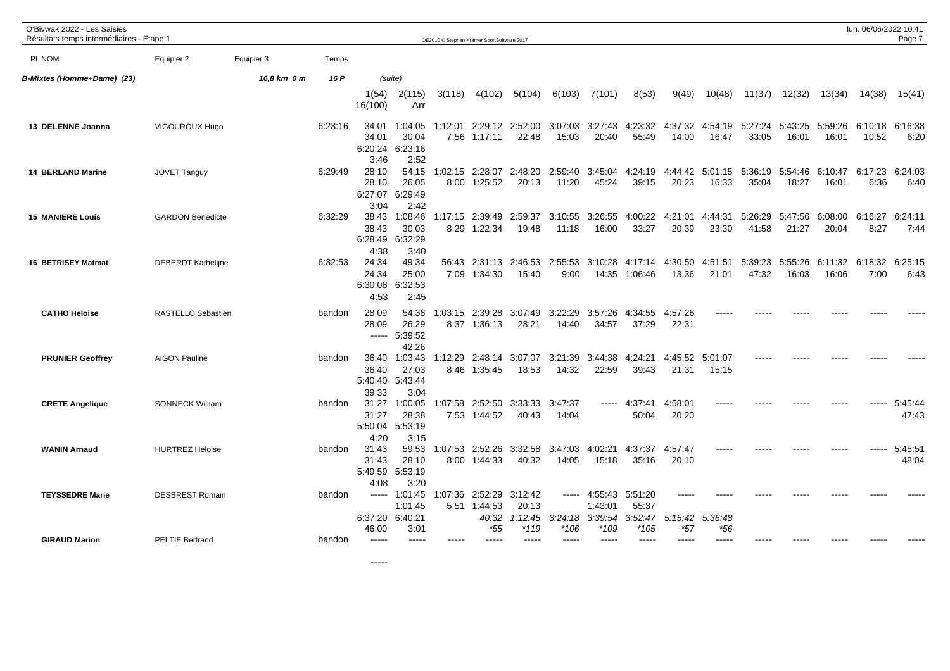| O'Bivwak 2022 - Les Saisies<br>Résultats temps intermédiaires - Etape 1 |                           |             |         |                                   |                                             |         | OE2010 © Stephan Krämer SportSoftware 2017 |                                     |                  |                                                       |                          |                        |                  |                                                  |                  |                  | lun. 06/06/2022 10:41 | Page 7           |
|-------------------------------------------------------------------------|---------------------------|-------------|---------|-----------------------------------|---------------------------------------------|---------|--------------------------------------------|-------------------------------------|------------------|-------------------------------------------------------|--------------------------|------------------------|------------------|--------------------------------------------------|------------------|------------------|-----------------------|------------------|
| PI NOM                                                                  | Equipier 2                | Equipier 3  | Temps   |                                   |                                             |         |                                            |                                     |                  |                                                       |                          |                        |                  |                                                  |                  |                  |                       |                  |
| B-Mixtes (Homme+Dame) (23)                                              |                           | 16,8 km 0 m | 16 P    |                                   | (suite)                                     |         |                                            |                                     |                  |                                                       |                          |                        |                  |                                                  |                  |                  |                       |                  |
|                                                                         |                           |             |         | 1(54)<br>16(100)                  | 2(115)<br>Arr                               | 3(118)  | 4(102)                                     | 5(104)                              | 6(103)           | 7(101)                                                | 8(53)                    | 9(49)                  | 10(48)           | 11(37)                                           | 12(32)           | 13(34)           | 14(38)                | 15(41)           |
| 13 DELENNE Joanna                                                       | VIGOUROUX Hugo            |             | 6:23:16 | 34:01<br>34:01<br>3:46            | 1:04:05<br>30:04<br>6:20:24 6:23:16<br>2:52 | 1:12:01 | 7:56 1:17:11                               | 2:29:12 2:52:00<br>22:48            | 3:07:03<br>15:03 | 3:27:43<br>20:40                                      | 4:23:32<br>55:49         | 4:37:32<br>14:00       | 4:54:19<br>16:47 | 5:27:24<br>33:05                                 | 5:43:25<br>16:01 | 5:59:26<br>16:01 | 6:10:18<br>10:52      | 6:16:38<br>6:20  |
| <b>14 BERLAND Marine</b>                                                | <b>JOVET Tanguy</b>       |             | 6:29:49 | 28:10<br>28:10<br>6:27:07<br>3:04 | 54:15<br>26:05<br>6:29:49<br>2:42           |         | 1:02:15 2:28:07<br>8:00 1:25:52            | 2:48:20<br>20:13                    | 2:59:40<br>11:20 | 3:45:04<br>45:24                                      | 4:24:19<br>39:15         | 20:23                  | 16:33            | 4:44:42 5:01:15 5:36:19 5:54:46 6:10:47<br>35:04 | 18:27            | 16:01            | 6:17:23<br>6:36       | 6:24:03<br>6:40  |
| <b>15 MANIERE Louis</b>                                                 | <b>GARDON Benedicte</b>   |             | 6:32:29 | 38:43<br>38:43<br>4:38            | 1:08:46<br>30:03<br>6:28:49 6:32:29<br>3:40 | 1:17:15 | 2:39:49<br>8:29 1:22:34                    | 2:59:37<br>19:48                    | 3:10:55<br>11:18 | 3:26:55<br>16:00                                      | 4:00:22<br>33:27         | 4:21:01<br>20:39       | 4:44:31<br>23:30 | 5:26:29<br>41:58                                 | 5:47:56<br>21:27 | 6:08:00<br>20:04 | 6:16:27<br>8:27       | 6:24:11<br>7:44  |
| <b>16 BETRISEY Matmat</b>                                               | <b>DEBERDT Kathelijne</b> |             | 6:32:53 | 24:34<br>24:34<br>6:30:08<br>4:53 | 49:34<br>25:00<br>6:32:53<br>2:45           |         | 56:43 2:31:13<br>7:09 1:34:30              | 2:46:53<br>15:40                    | 2:55:53<br>9:00  | 3:10:28<br>14:35                                      | 4:17:14<br>1:06:46       | 4:30:50<br>13:36       | 4:51:51<br>21:01 | 5:39:23<br>47:32                                 | 5:55:26<br>16:03 | 6:11:32<br>16:06 | 6:18:32<br>7:00       | 6:25:15<br>6:43  |
| <b>CATHO Heloise</b>                                                    | RASTELLO Sebastien        |             | bandon  | 28:09<br>28:09<br>-----           | 54:38<br>26:29<br>5:39:52<br>42:26          |         | $:03:15$ 2:39:28<br>8:37 1:36:13           | 3:07:49<br>28:21                    | 3:22:29<br>14:40 | 3:57:26<br>34:57                                      | 4:34:55<br>37:29         | 4:57:26<br>22:31       |                  |                                                  |                  |                  |                       |                  |
| <b>PRUNIER Geoffrey</b>                                                 | <b>AIGON Pauline</b>      |             | bandon  | 36:40<br>36:40<br>39:33           | 1:03:43<br>27:03<br>5:40:40 5:43:44<br>3:04 | 1:12:29 | 2:48:14<br>8:46 1:35:45                    | 3:07:07<br>18:53                    | 3:21:39<br>14:32 | 3:44:38<br>22:59                                      | 4:24:21<br>39:43         | 4:45:52<br>21:31       | 5:01:07<br>15:15 |                                                  |                  |                  |                       |                  |
| <b>CRETE Angelique</b>                                                  | <b>SONNECK William</b>    |             | bandon  | 31:27<br>31:27<br>5:50:04<br>4:20 | 1:00:05<br>28:38<br>5:53:19<br>3:15         | 1:07:58 | 2:52:50<br>7:53 1:44:52                    | 3:33:33<br>40:43                    | 3:47:37<br>14:04 |                                                       | $--- 4:37:41$<br>50:04   | 4:58:01<br>20:20       |                  |                                                  |                  |                  |                       | 5:45:44<br>47:43 |
| <b>WANIN Arnaud</b>                                                     | <b>HURTREZ Heloise</b>    |             | bandon  | 31:43<br>31:43<br>5:49:59<br>4:08 | 59:53<br>28:10<br>5:53:19<br>3:20           | 1:07:53 | 2:52:26<br>8:00 1:44:33                    | 3:32:58<br>40:32                    | 3:47:03<br>14:05 | 4:02:21<br>15:18                                      | 4:37:37<br>35:16         | 4:57:47<br>20:10       |                  |                                                  |                  |                  |                       | 5:45:51<br>48:04 |
| <b>TEYSSEDRE Marie</b>                                                  | <b>DESBREST Romain</b>    |             | bandon  | ------<br>6:37:20<br>46:00        | 1:01:45<br>1:01:45<br>6:40:21<br>3:01       | 1:07:36 | 2:52:29<br>5:51 1:44:53<br>40:32<br>$*55$  | 3:12:42<br>20:13<br>1:12:45<br>*119 | 3:24:18<br>*106  | $--- 4:55:43 5:51:20$<br>1:43:01<br>3:39:54<br>$*109$ | 55:37<br>3:52:47<br>*105 | ----<br>5:15:42<br>*57 | 5:36:48<br>*56   |                                                  |                  |                  |                       |                  |
| <b>GIRAUD Marion</b>                                                    | <b>PELTIE Bertrand</b>    |             | bandon  | -----                             | $\frac{1}{2}$                               |         | -----                                      | -----                               | -----            | -----                                                 | -----                    | -----                  | $\frac{1}{2}$    |                                                  |                  |                  |                       |                  |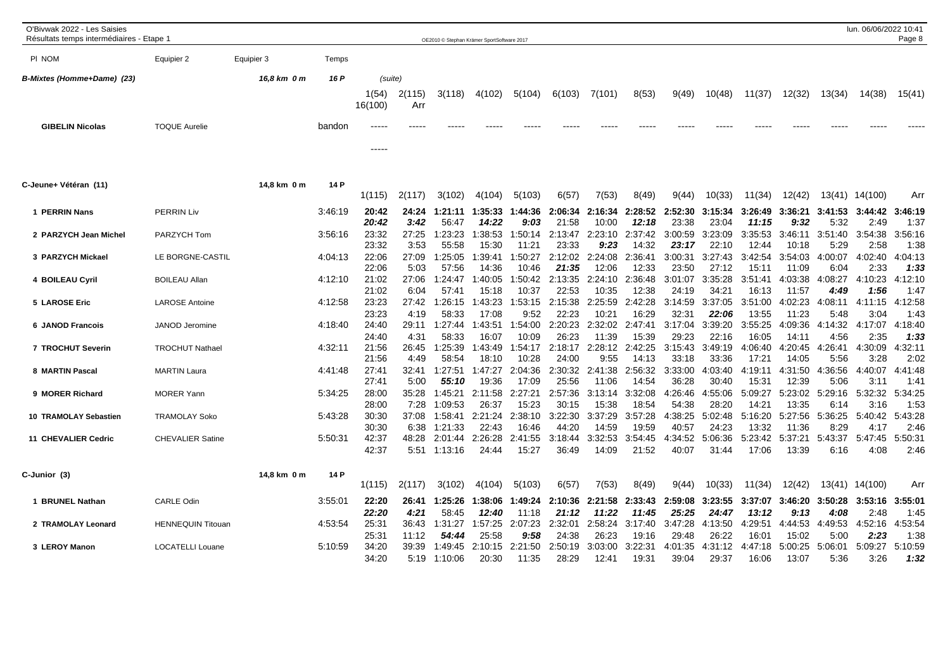| O'Bivwak 2022 - Les Saisies<br>Résultats temps intermédiaires - Etape 1 |                          |             |         |                  |               | OE2010 © Stephan Krämer SportSoftware 2017 |                  |                  |                  |                  |                  |                  |                  |                  |                  |                 | lun. 06/06/2022 10:41 | Page 8          |
|-------------------------------------------------------------------------|--------------------------|-------------|---------|------------------|---------------|--------------------------------------------|------------------|------------------|------------------|------------------|------------------|------------------|------------------|------------------|------------------|-----------------|-----------------------|-----------------|
| PI NOM                                                                  | Equipier 2               | Equipier 3  | Temps   |                  |               |                                            |                  |                  |                  |                  |                  |                  |                  |                  |                  |                 |                       |                 |
| B-Mixtes (Homme+Dame) (23)                                              |                          | 16,8 km 0 m | 16 P    |                  | (suite)       |                                            |                  |                  |                  |                  |                  |                  |                  |                  |                  |                 |                       |                 |
|                                                                         |                          |             |         | 1(54)<br>16(100) | 2(115)<br>Arr | 3(118)                                     | 4(102)           | 5(104)           | 6(103)           | 7(101)           | 8(53)            | 9(49)            | 10(48)           | 11(37)           | 12(32)           | 13(34)          | 14(38)                | 15(41)          |
| <b>GIBELIN Nicolas</b>                                                  | <b>TOQUE Aurelie</b>     |             | bandon  |                  |               |                                            |                  |                  |                  |                  |                  |                  |                  |                  |                  |                 |                       |                 |
|                                                                         |                          |             |         | -----            |               |                                            |                  |                  |                  |                  |                  |                  |                  |                  |                  |                 |                       |                 |
| C-Jeune+ Vétéran (11)                                                   |                          | 14,8 km 0 m | 14 P    | 1(115)           | 2(117)        | 3(102)                                     | 4(104)           | 5(103)           | 6(57)            | 7(53)            | 8(49)            | 9(44)            | 10(33)           | 11(34)           | 12(42)           |                 | 13(41) 14(100)        | Arr             |
| 1 PERRIN Nans                                                           | <b>PERRIN Liv</b>        |             | 3:46:19 | 20:42<br>20:42   | 24:24<br>3:42 | 1:21:11<br>56:47                           | 1:35:33<br>14:22 | 1:44:36<br>9:03  | 2:06:34<br>21:58 | 2:16:34<br>10:00 | :28:52<br>12:18  | 2:52:30<br>23:38 | 3:15:34<br>23:04 | 3:26:49<br>11:15 | 3:36:21<br>9:32  | 3:41:53<br>5:32 | 3:44:42<br>2:49       | 3:46:19<br>1:37 |
| 2 PARZYCH Jean Michel                                                   | PARZYCH Tom              |             | 3:56:16 | 23:32<br>23:32   | 27:25<br>3:53 | 1:23:23<br>55:58                           | 1:38:53<br>15:30 | 1:50:14<br>11:21 | 2:13:47<br>23:33 | 2:23:10<br>9:23  | 2:37:42<br>14:32 | 3:00:59<br>23:17 | 3:23:09<br>22:10 | 3:35:53<br>12:44 | 3:46:11<br>10:18 | 3:51:40<br>5:29 | 3:54:38<br>2:58       | 3:56:16<br>1:38 |
| 3 PARZYCH Mickael                                                       | LE BORGNE-CASTIL         |             | 4:04:13 | 22:06            | 27:09         | 1:25:05                                    | 1:39:41          | 1:50:27          | 2:12:02          | 2:24:08          | 2:36:41          | 3:00:31          | 3:27:43          | 3:42:54          | 3:54:03          | 4:00:07         | 4:02:40               | 4:04:13         |
| 4 BOILEAU Cyril                                                         | <b>BOILEAU Allan</b>     |             | 4:12:10 | 22:06<br>21:02   | 5:03<br>27:06 | 57:56<br>1:24:47                           | 14:36<br>1:40:05 | 10:46<br>1:50:42 | 21:35<br>2:13:35 | 12:06<br>2:24:10 | 12:33<br>2:36:48 | 23:50<br>3:01:07 | 27:12<br>3:35:28 | 15:11<br>3:51:41 | 11:09<br>4:03:38 | 6:04<br>4:08:27 | 2:33<br>4:10:23       | 1:33<br>4:12:10 |
| 5 LAROSE Eric                                                           | <b>LAROSE Antoine</b>    |             | 4:12:58 | 21:02<br>23:23   | 6:04<br>27:42 | 57:41<br>1:26:15                           | 15:18<br>1:43:23 | 10:37<br>1:53:15 | 22:53<br>2:15:38 | 10:35<br>2:25:59 | 12:38<br>2:42:28 | 24:19<br>3:14:59 | 34:21<br>3:37:05 | 16:13<br>3:51:00 | 11:57<br>4:02:23 | 4:49<br>4:08:11 | 1:56<br>4:11:15       | 1:47<br>4:12:58 |
| <b>6 JANOD Francois</b>                                                 | JANOD Jeromine           |             | 4:18:40 | 23:23<br>24:40   | 4:19<br>29:11 | 58:33<br>1:27:44                           | 17:08<br>1:43:51 | 9:52<br>1:54:00  | 22:23<br>2:20:23 | 10:21<br>2:32:02 | 16:29<br>2:47:41 | 32:31<br>3:17:04 | 22:06<br>3:39:20 | 13:55<br>3:55:25 | 11:23<br>4:09:36 | 5:48<br>4:14:32 | 3:04<br>4:17:07       | 1:43<br>4:18:40 |
|                                                                         |                          |             | 4:32:11 | 24:40<br>21:56   | 4:31<br>26:45 | 58:33<br>1:25:39                           | 16:07<br>1:43:49 | 10:09<br>1:54:17 | 26:23<br>2:18:17 | 11:39<br>2:28:12 | 15:39<br>2:42:25 | 29:23<br>3:15:43 | 22:16<br>3:49:19 | 16:05<br>4:06:40 | 14:11<br>4:20:45 | 4:56<br>4:26:41 | 2:35<br>4:30:09       | 1:33<br>4:32:11 |
| 7 TROCHUT Severin                                                       | <b>TROCHUT Nathael</b>   |             |         | 21:56            | 4:49          | 58:54                                      | 18:10            | 10:28            | 24:00            | 9:55             | 14:13            | 33:18            | 33:36            | 17:21            | 14:05            | 5:56            | 3:28                  | 2:02            |
| 8 MARTIN Pascal                                                         | <b>MARTIN Laura</b>      |             | 4:41:48 | 27:41            | 32:41         | 1:27:51                                    | 1:47:27          | 2:04:36          | 2:30:32          | 2:41:38          | 2:56:32          | 3:33:00          | 4:03:40          | 4:19:11          | 4:31:50          | 4:36:56         | 4:40:07               | 4:41:48         |
|                                                                         |                          |             |         | 27:41            | 5:00          | 55:10                                      | 19:36            | 17:09            | 25:56            | 11:06            | 14:54            | 36:28            | 30:40            | 15:31            | 12:39            | 5:06            | 3:11                  | 1:41            |
| 9 MORER Richard                                                         | <b>MORER Yann</b>        |             | 5:34:25 | 28:00<br>28:00   | 35:28<br>7:28 | 1:45:21<br>1:09:53                         | 2:11:58<br>26:37 | 2:27:21<br>15:23 | 2:57:36<br>30:15 | 3:13:14<br>15:38 | 3:32:08<br>18:54 | 4:26:46<br>54:38 | 4:55:06<br>28:20 | 5:09:27<br>14:21 | 5:23:02<br>13:35 | 5:29:16<br>6:14 | 5:32:32<br>3:16       | 5:34:25<br>1:53 |
| <b>10 TRAMOLAY Sebastien</b>                                            | <b>TRAMOLAY Soko</b>     |             | 5:43:28 | 30:30            | 37:08         | 1:58:41                                    | 2:21:24          | 2:38:10          | 3:22:30          | 3:37:29          | 3:57:28          | 4:38:25          | 5:02:48          | 5:16:20          | 5:27:56          | 5:36:25         | 5:40:42               | 5:43:28         |
|                                                                         |                          |             |         | 30:30            | 6:38          | 1:21:33                                    | 22:43            | 16:46            | 44:20            | 14:59            | 19:59            | 40:57            | 24:23            | 13:32            | 11:36            | 8:29            | 4:17                  | 2:46            |
| <b>11 CHEVALIER Cedric</b>                                              | <b>CHEVALIER Satine</b>  |             | 5:50:31 | 42:37<br>42:37   | 48:28<br>5:51 | 2:01:44<br>1:13:16                         | 2:26:28<br>24:44 | 2:41:55<br>15:27 | 3:18:44<br>36:49 | 3:32:53<br>14:09 | 3:54:45<br>21:52 | 4:34:52<br>40:07 | 5:06:36<br>31:44 | 5:23:42<br>17:06 | 5:37:21<br>13:39 | 5:43:37<br>6:16 | 5:47:45<br>4:08       | 5:50:31<br>2:46 |
| C-Junior (3)                                                            |                          | 14,8 km 0 m | 14 P    |                  |               |                                            |                  |                  |                  |                  |                  |                  |                  |                  |                  |                 |                       |                 |
|                                                                         |                          |             |         | 1(115)           | 2(117)        | 3(102)                                     | 4(104)           | 5(103)           | 6(57)            | 7(53)            | 8(49)            | 9(44)            | 10(33)           | 11(34)           | 12(42)           |                 | 13(41) 14(100)        | Arr             |
| 1 BRUNEL Nathan                                                         | <b>CARLE Odin</b>        |             | 3:55:01 | 22:20            | 26:41         | 1:25:26                                    | 1:38:06          | 1:49:24          | 2:10:36          | 2:21:58          | :33:43<br>2      | 2:59:08          | 3:23:55          | 3:37:07          | 3:46:20          | 3:50:28         | 3:53:16               | 3:55:01         |
|                                                                         | <b>HENNEQUIN Titouan</b> |             | 4:53:54 | 22:20<br>25:31   | 4:21<br>36:43 | 58:45<br>1:31:27                           | 12:40<br>1:57:25 | 11:18<br>2:07:23 | 21:12<br>2:32:01 | 11:22<br>2:58:24 | 11:45<br>3:17:40 | 25:25<br>3:47:28 | 24:47<br>4:13:50 | 13:12<br>4:29:51 | 9:13<br>4:44:53  | 4:08<br>4:49:53 | 2:48<br>4:52:16       | 1:45<br>4:53:54 |
| 2 TRAMOLAY Leonard                                                      |                          |             |         | 25:31            | 11:12         | 54:44                                      | 25:58            | 9:58             | 24:38            | 26:23            | 19:16            | 29:48            | 26:22            | 16:01            | 15:02            | 5:00            | 2:23                  | 1:38            |
| 3 LEROY Manon                                                           | <b>LOCATELLI Louane</b>  |             | 5:10:59 | 34:20            | 39:39         | 1:49:45                                    | 2:10:15          | 2:21:50          | 2:50:19          | 3:03:00          | 3:22:31          | 4:01:35          | 4:31:12          | 4:47:18          | 5:00:25          | 5:06:01         | 5:09:27               | 5:10:59         |
|                                                                         |                          |             |         | 34:20            | 5:19          | 1:10:06                                    | 20:30            | 11:35            | 28:29            | 12:41            | 19:31            | 39:04            | 29:37            | 16:06            | 13:07            | 5:36            | 3:26                  | 1:32            |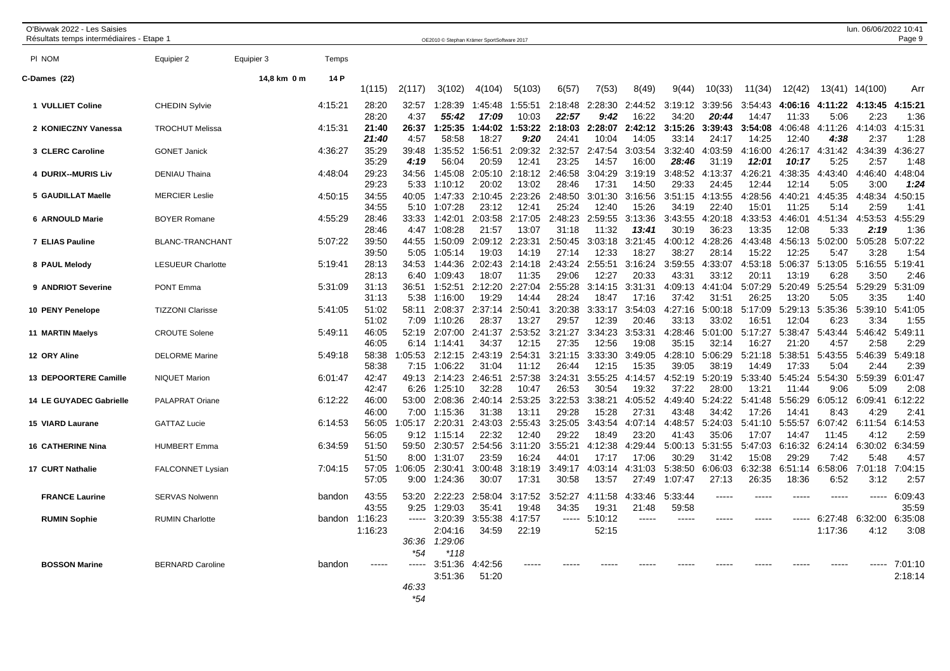| O'Bivwak 2022 - Les Saisies<br>Résultats temps intermédiaires - Etape 1 |                          |             |         |                |                      |                    | OE2010 © Stephan Krämer SportSoftware 2017 |                  |                  |                  |                  |                      |                  |                  |                  |                 | lun. 06/06/2022 10:41 | Page 9             |
|-------------------------------------------------------------------------|--------------------------|-------------|---------|----------------|----------------------|--------------------|--------------------------------------------|------------------|------------------|------------------|------------------|----------------------|------------------|------------------|------------------|-----------------|-----------------------|--------------------|
| PI NOM                                                                  | Equipier 2               | Equipier 3  | Temps   |                |                      |                    |                                            |                  |                  |                  |                  |                      |                  |                  |                  |                 |                       |                    |
|                                                                         |                          |             |         |                |                      |                    |                                            |                  |                  |                  |                  |                      |                  |                  |                  |                 |                       |                    |
| C-Dames (22)                                                            |                          | 14,8 km 0 m | 14 P    | 1(115)         | 2(117)               | 3(102)             | 4(104)                                     | 5(103)           | 6(57)            | 7(53)            | 8(49)            | 9(44)                | 10(33)           | 11(34)           | 12(42)           |                 | 13(41) 14(100)        | Arr                |
| 1 VULLIET Coline                                                        | <b>CHEDIN Sylvie</b>     |             | 4:15:21 | 28:20          | 32:57                | 1:28:39            | 1:45:48                                    | 1:55:51          | 2:18:48          | 2:28:30          | 2:44:52          | 3:19:12              | 3:39:56          | 3:54:43          | 4:06:16          | 4:11:22         | 4:13:45               | 4:15:21            |
|                                                                         |                          |             |         | 28:20          | 4:37                 | 55:42              | 17:09                                      | 10:03            | 22:57            | 9:42             | 16:22            | 34:20                | 20:44            | 14:47            | 11:33            | 5:06            | 2:23                  | 1:36               |
| 2 KONIECZNY Vanessa                                                     | <b>TROCHUT Melissa</b>   |             | 4:15:31 | 21:40          | 26:37                | 1:25:35            | 1:44:02                                    | 1:53:22          | 2:18:03          | 2:28:07          | 2:42:12          | 3:15:26              | 3:39:43          | 3:54:08          | 4:06:48          | 4:11:26         | 4:14:03               | 4:15:31            |
|                                                                         |                          |             |         | 21:40          | 4:57                 | 58:58              | 18:27                                      | 9:20             | 24:41            | 10:04            | 14:05            | 33:14                | 24:17            | 14:25            | 12:40            | 4:38            | 2:37                  | 1:28               |
| 3 CLERC Caroline                                                        | <b>GONET Janick</b>      |             | 4:36:27 | 35:29<br>35:29 | 39:48<br>4:19        | 1:35:52<br>56:04   | 1:56:51<br>20:59                           | 2:09:32<br>12:41 | 2:32:57<br>23:25 | 2:47:54<br>14:57 | 3:03:54<br>16:00 | 3:32:40<br>28:46     | 4:03:59<br>31:19 | 4:16:00<br>12:01 | 4:26:17<br>10:17 | 4:31:42<br>5:25 | 4:34:39<br>2:57       | 4:36:27<br>1:48    |
| 4 DURIX--MURIS Liv                                                      | DENIAU Thaina            |             | 4:48:04 | 29:23          | 34:56                | 1:45:08            | 2:05:10                                    | 2:18:12          | 2:46:58          | 3:04:29          | 3:19:19          | 3:48:52              | 4:13:37          | 4:26:21          | 4:38:35          | 4:43:40         | 4:46:40               | 4:48:04            |
|                                                                         |                          |             |         | 29:23          | 5:33                 | 1:10:12            | 20:02                                      | 13:02            | 28:46            | 17:31            | 14:50            | 29:33                | 24:45            | 12:44            | 12:14            | 5:05            | 3:00                  | 1:24               |
| 5 GAUDILLAT Maelle                                                      | <b>MERCIER Leslie</b>    |             | 4:50:15 | 34:55          | 40:05                | 1:47:33            | 2:10:45                                    | 2:23:26          | 2:48:50          | 3:01:30          | 3:16:56          | 3:51:15              | 4:13:55          | 4:28:56          | 4:40:21          | 4:45:35         | 4:48:34               | 4:50:15            |
|                                                                         |                          |             |         | 34:55          | 5:10                 | 1:07:28            | 23:12                                      | 12:41            | 25:24            | 12:40            | 15:26            | 34:19                | 22:40            | 15:01            | 11:25            | 5:14            | 2:59                  | 1:41               |
| 6 ARNOULD Marie                                                         | <b>BOYER Romane</b>      |             | 4:55:29 | 28:46<br>28:46 | 33:33<br>4:47        | 1:42:01<br>1:08:28 | 2:03:58<br>21:57                           | 2:17:05<br>13:07 | 2:48:23<br>31:18 | 2:59:55<br>11:32 | 3:13:36<br>13:41 | 3:43:55<br>30:19     | 4:20:18<br>36:23 | 4:33:53<br>13:35 | 4:46:01<br>12:08 | 4:51:34<br>5:33 | 4:53:53<br>2:19       | 4:55:29<br>1:36    |
| 7 ELIAS Pauline                                                         | <b>BLANC-TRANCHANT</b>   |             | 5:07:22 | 39:50          | 44:55                | 1:50:09            | 2:09:12                                    | 2:23:31          | 2:50:45          | 3:03:18          | 3:21:45          | 4:00:12              | 4:28:26          | 4:43:48          | 4:56:13          | 5:02:00         | 5:05:28               | 5:07:22            |
|                                                                         |                          |             |         | 39:50          | 5:05                 | 1:05:14            | 19:03                                      | 14:19            | 27:14            | 12:33            | 18:27            | 38:27                | 28:14            | 15:22            | 12:25            | 5:47            | 3:28                  | 1:54               |
| 8 PAUL Melody                                                           | <b>LESUEUR Charlotte</b> |             | 5:19:41 | 28:13          | 34:53                | 1:44:36            | 2:02:43                                    | 2:14:18          | 2:43:24          | 2:55:51          | 3:16:24          | 3:59:55              | 4:33:07          | 4:53:18          | 5:06:37          | 5:13:05         | 5:16:55               | 5:19:41            |
|                                                                         |                          |             |         | 28:13          | 6:40                 | 1:09:43            | 18:07                                      | 11:35            | 29:06            | 12:27            | 20:33            | 43:31                | 33:12            | 20:11            | 13:19            | 6:28            | 3:50                  | 2:46               |
| 9 ANDRIOT Severine                                                      | <b>PONT Emma</b>         |             | 5:31:09 | 31:13          | 36:51                | 1:52:51            | 2:12:20                                    | 2:27:04          | 2:55:28          | 3:14:15          | 3:31:31          | 4:09:13              | 4:41:04          | 5:07:29          | 5:20:49          | 5:25:54         | 5:29:29               | 5:31:09            |
|                                                                         |                          |             | 5:41:05 | 31:13<br>51:02 | 5:38<br>58:11        | 1:16:00<br>2:08:37 | 19:29<br>2:37:14                           | 14:44<br>2:50:41 | 28:24<br>3:20:38 | 18:47<br>3:33:17 | 17:16<br>3:54:03 | 37:42<br>4:27:16     | 31:51<br>5:00:18 | 26:25<br>5:17:09 | 13:20<br>5:29:13 | 5:05<br>5:35:36 | 3:35<br>5:39:10       | 1:40<br>5:41:05    |
| 10 PENY Penelope                                                        | <b>TIZZONI Clarisse</b>  |             |         | 51:02          | 7:09                 | 1:10:26            | 28:37                                      | 13:27            | 29:57            | 12:39            | 20:46            | 33:13                | 33:02            | 16:51            | 12:04            | 6:23            | 3:34                  | 1:55               |
| 11 MARTIN Maelys                                                        | <b>CROUTE Solene</b>     |             | 5:49:11 | 46:05          | 52:19                | 2:07:00            | 2:41:37                                    | 2:53:52          | 3:21:27          | 3:34:23          | 3:53:31          | 4:28:46              | 5:01:00          | 5:17:27          | 5:38:47          | 5:43:44         | 5:46:42               | 5:49:11            |
|                                                                         |                          |             |         | 46:05          | 6:14                 | 1:14:41            | 34:37                                      | 12:15            | 27:35            | 12:56            | 19:08            | 35:15                | 32:14            | 16:27            | 21:20            | 4:57            | 2:58                  | 2:29               |
| 12 ORY Aline                                                            | <b>DELORME Marine</b>    |             | 5:49:18 | 58:38          | :05:53               | 2:12:15            | 2:43:19                                    | 2:54:31          | 3:21:15          | 3:33:30          | 3:49:05          | 4:28:10              | 5:06:29          | 5:21:18          | 5:38:51          | 5:43:55         | 5:46:39               | 5:49:18            |
|                                                                         |                          |             |         | 58:38          | 7:15                 | 1:06:22            | 31:04                                      | 11:12            | 26:44            | 12:15            | 15:35            | 39:05                | 38:19            | 14:49            | 17:33            | 5:04            | 2:44                  | 2:39               |
| 13 DEPOORTERE Camille                                                   | <b>NIQUET Marion</b>     |             | 6:01:47 | 42:47<br>42:47 | 49:13<br>6:26        | 2:14:23<br>1:25:10 | 2:46:51<br>32:28                           | 2:57:38<br>10:47 | 3:24:31<br>26:53 | 3:55:25<br>30:54 | 4:14:57<br>19:32 | :52:19<br>Δ<br>37:22 | 5:20:19<br>28:00 | 5:33:40<br>13:21 | 5:45:24<br>11:44 | 5:54:30<br>9:06 | 5:59:39<br>5:09       | 6:01:47<br>2:08    |
| <b>14 LE GUYADEC Gabrielle</b>                                          | PALAPRAT Oriane          |             | 6:12:22 | 46:00          | 53:00                | 2:08:36            | 2:40:14                                    | 2:53:25          | 3:22:53          | 3:38:21          | 4:05:52          | 4:49:40              | 5:24:22          | 5:41:48          | 5:56:29          | 6:05:12         | 6:09:41               | 6:12:22            |
|                                                                         |                          |             |         | 46:00          | 7:00                 | 1:15:36            | 31:38                                      | 13:11            | 29:28            | 15:28            | 27:31            | 43:48                | 34:42            | 17:26            | 14:41            | 8:43            | 4:29                  | 2:41               |
| <b>15 VIARD Laurane</b>                                                 | <b>GATTAZ Lucie</b>      |             | 6:14:53 | 56:05          | :05:17               | 2:20:31            | 2:43:03                                    | 2:55:43          | 3:25:05          | 3:43:54          | 4:07:14          | 4:48:57              | 5:24:03          | 5:41:10          | 5:55:57          | 6:07:42         | 6:11:54               | 6:14:53            |
|                                                                         |                          |             |         | 56:05          | 9:12                 | 1:15:14            | 22:32                                      | 12:40            | 29:22            | 18:49            | 23:20            | 41:43                | 35:06            | 17:07            | 14:47            | 11:45           | 4:12                  | 2:59               |
| <b>16 CATHERINE Nina</b>                                                | <b>HUMBERT Emma</b>      |             | 6:34:59 | 51:50          | 59:50                | 2:30:57            | 2:54:56                                    | 3:11:20          | 3:55:21          | 4:12:38          | 4:29:44          | 5:00:13              | 5:31:55          | 5:47:03          | 6:16:32          | 6:24:14         | 6:30:02               | 6:34:59            |
| <b>17 CURT Nathalie</b>                                                 | <b>FALCONNET Lysian</b>  |             | 7:04:15 | 51:50<br>57:05 | 8:00<br>:06:05       | 1:31:07<br>2:30:41 | 23:59<br>3:00:48                           | 16:24<br>3:18:19 | 44:01<br>3:49:17 | 17:17<br>4:03:14 | 17:06<br>4:31:03 | 30:29<br>5:38:50     | 31:42<br>6:06:03 | 15:08<br>6:32:38 | 29:29<br>6:51:14 | 7:42<br>6:58:06 | 5:48<br>7:01:18       | 4:57<br>7:04:15    |
|                                                                         |                          |             |         | 57:05          | 9:00                 | 1:24:36            | 30:07                                      | 17:31            | 30:58            | 13:57            | 27:49            | 1:07:47              | 27:13            | 26:35            | 18:36            | 6:52            | 3:12                  | 2:57               |
| <b>FRANCE Laurine</b>                                                   | <b>SERVAS Nolwenn</b>    |             | bandon  | 43:55          | 53:20                | 2:22:23            | 2:58:04                                    | 3:17:52          | 3:52:27          | 4:11:58          | 4:33:46          | 5:33:44              | $\frac{1}{2}$    | -----            | -----            | -----           | $\frac{1}{2}$         | 6:09:43            |
|                                                                         |                          |             |         | 43:55          | 9:25                 | 1:29:03            | 35:41                                      | 19:48            | 34:35            | 19:31            | 21:48            | 59:58                |                  |                  |                  |                 |                       | 35:59              |
| <b>RUMIN Sophie</b>                                                     | <b>RUMIN Charlotte</b>   |             | bandon  | 1:16:23        | $\cdots$             | 3:20:39            | 3:55:38                                    | 4:17:57          | $- - - - -$      | 5:10:12          | $---$            | $\frac{1}{2}$        |                  | -----            | $\frac{1}{2}$    | 6:27:48         | 6:32:00               | 6:35:08            |
|                                                                         |                          |             |         | 1:16:23        |                      | 2:04:16            | 34:59                                      | 22:19            |                  | 52:15            |                  |                      |                  |                  |                  | 1:17:36         | 4:12                  | 3:08               |
|                                                                         |                          |             |         |                | 36:36                | 1:29:06            |                                            |                  |                  |                  |                  |                      |                  |                  |                  |                 |                       |                    |
|                                                                         |                          |             |         |                | *54<br>$\frac{1}{2}$ | *118               |                                            |                  |                  |                  |                  |                      |                  |                  |                  |                 |                       |                    |
| <b>BOSSON Marine</b>                                                    | <b>BERNARD Caroline</b>  |             | bandon  | $---$          |                      | 3:51:36<br>3:51:36 | 4:42:56<br>51:20                           |                  |                  |                  |                  |                      |                  |                  |                  |                 |                       | 7:01:10<br>2:18:14 |
|                                                                         |                          |             |         |                | 46:33                |                    |                                            |                  |                  |                  |                  |                      |                  |                  |                  |                 |                       |                    |
|                                                                         |                          |             |         |                |                      |                    |                                            |                  |                  |                  |                  |                      |                  |                  |                  |                 |                       |                    |

*\*54*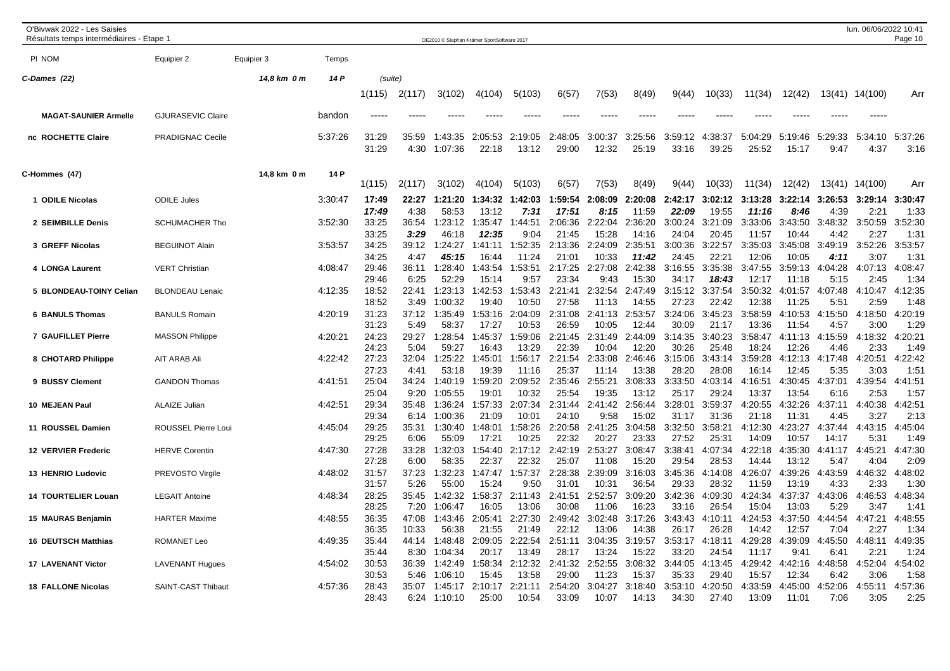| O'Bivwak 2022 - Les Saisies<br>Résultats temps intermédiaires - Etape 1 |                          |             |         |                         |                       | OE2010 © Stephan Krämer SportSoftware 2017 |                           |                          |                           |                           |                           |                           |                           |                           |                           |                         | lun. 06/06/2022 10:41   | Page 10                 |
|-------------------------------------------------------------------------|--------------------------|-------------|---------|-------------------------|-----------------------|--------------------------------------------|---------------------------|--------------------------|---------------------------|---------------------------|---------------------------|---------------------------|---------------------------|---------------------------|---------------------------|-------------------------|-------------------------|-------------------------|
| PI NOM                                                                  | Equipier 2               | Equipier 3  | Temps   |                         |                       |                                            |                           |                          |                           |                           |                           |                           |                           |                           |                           |                         |                         |                         |
| C-Dames (22)                                                            |                          | 14,8 km 0 m | 14 P    | (suite)                 |                       |                                            |                           |                          |                           |                           |                           |                           |                           |                           |                           |                         |                         |                         |
|                                                                         |                          |             |         | 1(115)                  | 2(117)                | 3(102)                                     | 4(104)                    | 5(103)                   | 6(57)                     | 7(53)                     | 8(49)                     | 9(44)                     | 10(33)                    | 11(34)                    | 12(42)                    |                         | 13(41) 14(100)          | Arr                     |
| <b>MAGAT-SAUNIER Armelle</b>                                            | <b>GJURASEVIC Claire</b> |             | bandon  |                         |                       |                                            |                           |                          |                           |                           |                           |                           |                           |                           |                           |                         |                         |                         |
| nc ROCHETTE Claire                                                      | <b>PRADIGNAC Cecile</b>  |             | 5:37:26 | 31:29<br>31:29          | 35:59<br>4:30         | 1:43:35<br>1:07:36                         | 2:05:53<br>22:18          | 2:19:05<br>13:12         | 2:48:05<br>29:00          | 3:00:37<br>12:32          | :25:56<br>3<br>25:19      | 3:59:12<br>33:16          | :38:37<br>4<br>39:25      | 5:04:29<br>25:52          | 5:19:46<br>15:17          | 5:29:33<br>9:47         | 5:34:10<br>4:37         | 5:37:26<br>3:16         |
| C-Hommes (47)                                                           |                          | 14,8 km 0 m | 14 P    | 1(115)                  | 2(117)                | 3(102)                                     | 4(104)                    | 5(103)                   | 6(57)                     | 7(53)                     | 8(49)                     | 9(44)                     | 10(33)                    | 11(34)                    | 12(42)                    | 13(41)                  | 14(100)                 | Arr                     |
| 1 ODILE Nicolas                                                         | <b>ODILE Jules</b>       |             | 3:30:47 | 17:49<br>17:49          | 22:27<br>4:38         | 1:21:20<br>58:53                           | 1:34:32<br>13:12          | 1:42:03<br>7:31          | :59:54<br>17:51           | 2:08:09<br>8:15           | 2:20:08<br>11:59          | 2:42:17<br>22:09          | 3:02:12<br>19:55          | 3:13:28<br>11:16          | 3:22:14<br>8:46           | 3:26:53<br>4:39         | 3:29:14<br>2:2'         | 3:30:47<br>1:33         |
| 2 SEIMBILLE Denis                                                       | <b>SCHUMACHER Tho</b>    |             | 3:52:30 | 33:25                   | 36:54                 | 1:23:12                                    | 1:35:47                   | 1:44:51                  | 2:06:36                   | 2:22:04                   | 2:36:20                   | 3:00:24                   | 3:21:09                   | 3:33:06                   | 3:43:50                   | 3:48:32                 | 3:50:59                 | 3:52:30                 |
| 3 GREFF Nicolas                                                         | <b>BEGUINOT Alain</b>    |             | 3:53:57 | 33:25<br>34:25<br>34:25 | 3:29<br>39:12<br>4:47 | 46:18<br>1:24:27<br>45:15                  | 12:35<br>1:41:11<br>16:44 | 9:04<br>1:52:35<br>11:24 | 21:45<br>2:13:36<br>21:01 | 15:28<br>2:24:09<br>10:33 | 14:16<br>2:35:51<br>11:42 | 24:04<br>3:00:36<br>24:45 | 20:45<br>3:22:57<br>22:21 | 11:57<br>3:35:03<br>12:06 | 10:44<br>3:45:08<br>10:05 | 4:42<br>3:49:19<br>4:11 | 2:27<br>3:52:26<br>3:07 | 1:31<br>3:53:57<br>1:31 |
| 4 LONGA Laurent                                                         | <b>VERT Christian</b>    |             | 4:08:47 | 29:46<br>29:46          | 36:11<br>6:25         | 1:28:40<br>52:29                           | 1:43:54<br>15:14          | 1:53:51<br>9:57          | 2:17:25<br>23:34          | 2:27:08<br>9:43           | 2:42:38<br>15:30          | 3:16:55<br>34:17          | 3:35:38<br>18:43          | 3:47:55<br>12:17          | 3:59:13<br>11:18          | 4:04:28<br>5:15         | 4:07:13<br>2:45         | 4:08:47<br>1:34         |
| 5 BLONDEAU-TOINY Celian                                                 | <b>BLONDEAU Lenaic</b>   |             | 4:12:35 | 18:52<br>18:52          | 22:41<br>3:49         | 1:23:13<br>1:00:32                         | 1:42:53<br>19:40          | 1:53:43<br>10:50         | 2:21:41<br>27:58          | 2:32:54<br>11:13          | 2:47:49<br>14:55          | 3:15:12<br>27:23          | 3:37:54<br>22:42          | 3:50:32<br>12:38          | 4:01:57<br>11:25          | 4:07:48<br>5:51         | 4:10:47<br>2:59         | 4:12:35<br>1:48         |
| <b>6 BANULS Thomas</b>                                                  | <b>BANULS Romain</b>     |             | 4:20:19 | 31:23<br>31:23          | 37:12<br>5:49         | 1:35:49<br>58:37                           | 1:53:16<br>17:27          | 2:04:09<br>10:53         | 2:31:08<br>26:59          | 2:41:13<br>10:05          | 2:53:57<br>12:44          | 3:24:06<br>30:09          | 3:45:23<br>21:17          | 3:58:59<br>13:36          | 4:10:53<br>11:54          | 4:15:50<br>4:57         | 4:18:50<br>3:00         | 4:20:19<br>1:29         |
| 7 GAUFILLET Pierre                                                      | <b>MASSON Philippe</b>   |             | 4:20:21 | 24:23<br>24:23          | 29:27<br>5:04         | 1:28:54<br>59:27                           | 1:45:37<br>16:43          | 1:59:06<br>13:29         | 2:21:45<br>22:39          | 2:31:49<br>10:04          | 2:44:09<br>12:20          | 3:14:35<br>30:26          | 3:40:23<br>25:48          | 3:58:47<br>18:24          | 4:11:13<br>12:26          | 4:15:59<br>4:46         | 4:18:32<br>2:33         | 4:20:21<br>1:49         |
| 8 CHOTARD Philippe                                                      | AIT ARAB Ali             |             | 4:22:42 | 27:23<br>27:23          | 32:04<br>4:41         | 1:25:22<br>53:18                           | 1:45:01<br>19:39          | 1:56:17<br>11:16         | 2:21:54<br>25:37          | 2:33:08<br>11:14          | 2:46:46<br>13:38          | 3:15:06<br>28:20          | 3:43:14<br>28:08          | 3:59:28<br>16:14          | 4:12:13<br>12:45          | 4:17:48<br>5:35         | 4:20:51<br>3:03         | 4:22:42<br>1:51         |
| 9 BUSSY Clement                                                         | <b>GANDON Thomas</b>     |             | 4:41:51 | 25:04<br>25:04          | 34:24<br>9:20         | 1:40:19<br>1:05:55                         | 1:59:20<br>19:01          | 2:09:52<br>10:32         | 2:35:46<br>25:54          | 2:55:21<br>19:35          | 3:08:33<br>13:12          | 3:33:50<br>25:17          | 4:03:14<br>29:24          | 4:16:51<br>13:37          | 4:30:45<br>13:54          | 4:37:01<br>6:16         | 4:39:54<br>2:53         | 4:41:51<br>1:57         |
| 10 MEJEAN Paul                                                          | <b>ALAIZE Julian</b>     |             | 4:42:51 | 29:34<br>29:34          | 35:48<br>6:14         | 1:36:24<br>1:00:36                         | 1:57:33<br>21:09          | 2:07:34<br>10:01         | 2:31:44<br>24:10          | 2:41:42<br>9:58           | 2:56:44<br>15:02          | 3:28:01<br>31:17          | 3:59:37<br>31:36          | 4:20:55<br>21:18          | 4:32:26<br>11:31          | 4:37:11<br>4:45         | 4:40:38<br>3:27         | 4:42:51<br>2:13         |
| 11 ROUSSEL Damien                                                       | ROUSSEL Pierre Loui      |             | 4:45:04 | 29:25<br>29:25          | 35:31<br>6:06         | 1:30:40<br>55:09                           | 1:48:01<br>17:21          | 1:58:26<br>10:25         | 2:20:58<br>22:32          | 2:41:25<br>20:27          | 3:04:58<br>23:33          | 3:32:50<br>27:52          | 3:58:21<br>25:31          | 4:12:30<br>14:09          | 4:23:27<br>10:57          | 4:37:44<br>14:17        | 4:43:15<br>5:31         | 4:45:04<br>1:49         |
| <b>12 VERVIER Frederic</b>                                              | <b>HERVE Corentin</b>    |             | 4:47:30 | 27:28<br>27:28          | 33:28<br>6:00         | 1:32:03<br>58:35                           | 1:54:40<br>22:37          | 2:17:12<br>22:32         | 2:42:19<br>25:07          | 2:53:27<br>11:08          | 3:08:47<br>15:20          | 3:38:41<br>29:54          | 4:07:34<br>28:53          | 4:22:18<br>14:44          | 4:35:30<br>13:12          | 4:41:17<br>5:47         | 4:45:21<br>4:04         | 4:47:30<br>2:09         |
| 13 HENRIO Ludovic                                                       | PREVOSTO Virgile         |             | 4:48:02 | 31:57<br>31:57          | 37:23<br>5:26         | 1:32:23<br>55:00                           | 1:47:47<br>15:24          | 1:57:37<br>9:50          | 2:28:38<br>31:01          | 2:39:09<br>10:31          | 3:16:03<br>36:54          | 3:45:36<br>29:33          | 4:14:08<br>28:32          | 4:26:07<br>11:59          | 4:39:26<br>13:19          | 4:43:59<br>4:33         | 4:46:32<br>2:33         | 4:48:02<br>1:30         |
| <b>14 TOURTELIER Louan</b>                                              | <b>LEGAIT Antoine</b>    |             | 4:48:34 | 28:25<br>28:25          | 35:45<br>7:20         | 1:42:32<br>1:06:47                         | 1:58:37<br>16:05          | 2:11:43<br>13:06         | 2:41:51<br>30:08          | 2:52:57<br>11:06          | 3:09:20<br>16:23          | 3:42:36<br>33:16          | 4:09:30<br>26:54          | 4:24:34<br>15:04          | 4:37:37<br>13:03          | 4:43:06<br>5:29         | 4:46:53<br>3:47         | 4:48:34<br>1:41         |
| 15 MAURAS Benjamin                                                      | <b>HARTER Maxime</b>     |             | 4:48:55 | 36:35<br>36:35          | 47:08<br>10:33        | 1:43:46<br>56:38                           | 2:05:41<br>21:55          | 2:27:30<br>21:49         | 2:49:42<br>22:12          | 3:02:48<br>13:06          | 3:17:26<br>14:38          | 3:43:43<br>26:17          | 4:10:11<br>26:28          | 4:24:53<br>14:42          | 4:37:50<br>12:57          | 4:44:54<br>7:04         | 4:47:21<br>2:27         | 4:48:55<br>1:34         |
| <b>16 DEUTSCH Matthias</b>                                              | <b>ROMANET Leo</b>       |             | 4:49:35 | 35:44<br>35:44          | 44:14<br>8:30         | 1:48:48<br>1:04:34                         | 2:09:05<br>20:17          | 2:22:54<br>13:49         | 2:51:11<br>28:17          | 3:04:35<br>13:24          | 3:19:57<br>15:22          | 3:53:17<br>33:20          | 4:18:11<br>24:54          | 4:29:28<br>11:17          | 4:39:09<br>9:41           | 4:45:50<br>6:41         | 4:48:11<br>2:21         | 4:49:35<br>1:24         |
| <b>17 LAVENANT Victor</b>                                               | <b>LAVENANT Hugues</b>   |             | 4:54:02 | 30:53<br>30:53          | 36:39<br>5:46         | 1:42:49<br>1:06:10                         | 1:58:34<br>15:45          | 2:12:32<br>13:58         | 2:41:32<br>29:00          | 2:52:55<br>11:23          | 3:08:32<br>15:37          | 3:44:05<br>35:33          | 4:13:45<br>29:40          | 4:29:42<br>15:57          | 4:42:16<br>12:34          | 4:48:58<br>6:42         | 4:52:04<br>3:06         | 4:54:02<br>1:58         |
| <b>18 FALLONE Nicolas</b>                                               | SAINT-CAST Thibaut       |             | 4:57:36 | 28:43<br>28:43          | 35:07<br>6:24         | 1:45:17<br>1:10:10                         | 2:10:17<br>25:00          | 2:21:11<br>10:54         | 2:54:20<br>33:09          | 3:04:27<br>10:07          | 3:18:40<br>14:13          | 3:53:10<br>34:30          | 4:20:50<br>27:40          | 4:33:59<br>13:09          | 4:45:00<br>11:01          | 4:52:06<br>7:06         | 4:55:11<br>3:05         | 4:57:36<br>2:25         |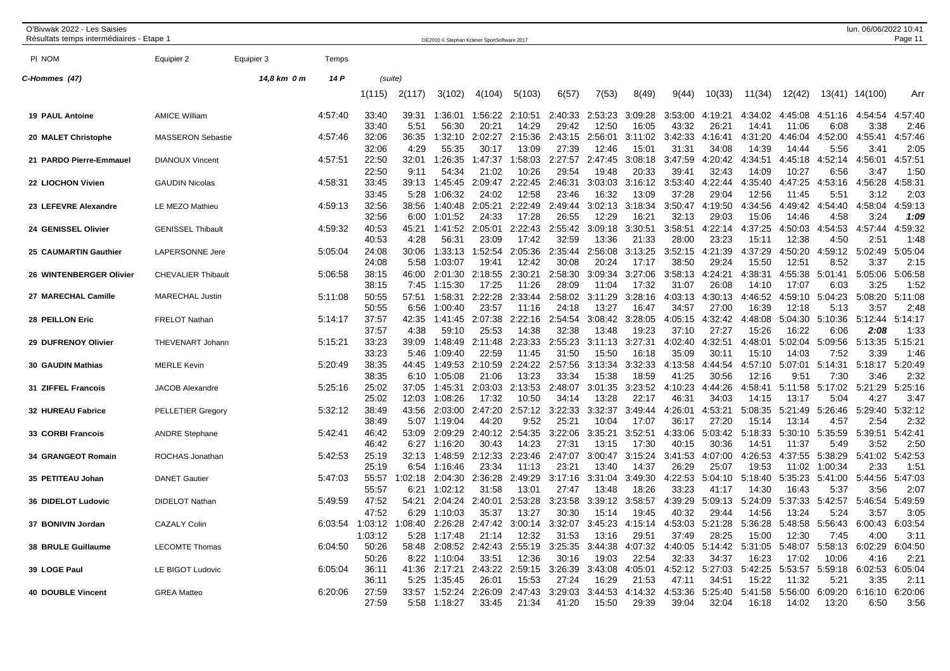| O'Bivwak 2022 - Les Saisies<br>Résultats temps intermédiaires - Etape 1 |                           |             |         |                         |                        |                               | OE2010 © Stephan Krämer SportSoftware 2017 |                           |                           |                           |                           |                           |                           |                           |                           |                          | lun. 06/06/2022 10:41   | Page 11                 |
|-------------------------------------------------------------------------|---------------------------|-------------|---------|-------------------------|------------------------|-------------------------------|--------------------------------------------|---------------------------|---------------------------|---------------------------|---------------------------|---------------------------|---------------------------|---------------------------|---------------------------|--------------------------|-------------------------|-------------------------|
| PI NOM                                                                  | Equipier 2                | Equipier 3  | Temps   |                         |                        |                               |                                            |                           |                           |                           |                           |                           |                           |                           |                           |                          |                         |                         |
| C-Hommes (47)                                                           |                           | 14,8 km 0 m | 14 P    | (suite)                 |                        |                               |                                            |                           |                           |                           |                           |                           |                           |                           |                           |                          |                         |                         |
|                                                                         |                           |             |         | 1(115)                  | 2(117)                 | 3(102)                        | 4(104)                                     | 5(103)                    | 6(57)                     | 7(53)                     | 8(49)                     | 9(44)                     | 10(33)                    | 11(34)                    | 12(42)                    | 13(41)                   | 14(100)                 | Arr                     |
| <b>19 PAUL Antoine</b>                                                  | <b>AMICE William</b>      |             | 4:57:40 | 33:40<br>33:40          | 39:31<br>5:51          | 1:36:01<br>56:30              | 1:56:22<br>20:21                           | 2:10:51<br>14:29          | 2:40:33<br>29:42          | 2:53:23<br>12:50          | 3:09:28<br>16:05          | 3:53:00<br>43:32          | 4:19:21<br>26:21          | 4:34:02<br>14:41          | 4:45:08<br>11:06          | 4:51:16<br>6:08          | 4:54:54<br>3:38         | 4:57:40<br>2:46         |
| 20 MALET Christophe                                                     | <b>MASSERON Sebastie</b>  |             | 4:57:46 | 32:06<br>32:06          | 36:35<br>4:29          | 1:32:10<br>55:35              | 2:02:27<br>30:17                           | 2:15:36<br>13:09          | 2:43:15<br>27:39          | 2:56:01<br>12:46          | 3:11:02<br>15:01          | 3:42:33<br>31:31          | 4:16:41<br>34:08          | 4:31:20<br>14:39          | 4:46:04<br>14:44          | :52:00<br>-4:<br>5:56    | 4:55:41<br>3:41         | 4:57:46<br>2:05         |
| 21 PARDO Pierre-Emmauel                                                 | <b>DIANOUX Vincent</b>    |             | 4:57:51 | 22:50<br>22:50          | 32:01<br>9:11          | 1:26:35<br>54:34              | 1:47:37<br>21:02                           | 1:58:03<br>10:26          | 2:27:57<br>29:54          | 2:47:45<br>19:48          | 3:08:18<br>20:33          | 3:47:59<br>39:41          | 4:20:42<br>32:43          | 4:34:51<br>14:09          | 4:45:18<br>10:27          | 4:52:14<br>6:56          | 4:56:01<br>3:47         | 4:57:51<br>1:50         |
| 22 LIOCHON Vivien                                                       | <b>GAUDIN Nicolas</b>     |             | 4:58:31 | 33:45<br>33:45          | 39:13<br>5:28          | 1:45:45<br>1:06:32            | 2:09:47<br>24:02                           | 2:22:45<br>12:58          | 2:46:31<br>23:46          | 3:03:03                   | 3:16:12                   | 3:53:40<br>37:28          | 4:22:44<br>29:04          | 4:35:40<br>12:56          | 4:47:25<br>11:45          | 4:53:16<br>5:51          | 4:56:28<br>3:12         | 4:58:31                 |
| 23 LEFEVRE Alexandre                                                    | LE MEZO Mathieu           |             | 4:59:13 | 32:56<br>32:56          | 38:56<br>6:00          | 1:40:48<br>1:01:52            | 2:05:21<br>24:33                           | 2:22:49<br>17:28          | 2:49:44<br>26:55          | 16:32<br>3:02:13<br>12:29 | 13:09<br>3:18:34<br>16:21 | 3:50:47<br>32:13          | 4:19:50<br>29:03          | 4:34:56<br>15:06          | 4:49:42<br>14:46          | 4:54:40<br>4:58          | 4:58:04<br>3:24         | 2:03<br>4:59:13<br>1:09 |
| 24 GENISSEL Olivier                                                     | <b>GENISSEL Thibault</b>  |             | 4:59:32 | 40:53<br>40:53          | 45:21<br>4:28          | 1:41:52<br>56:31              | 2:05:01<br>23:09                           | 2:22:43<br>17:42          | 2:55:42<br>32:59          | 3:09:18<br>13:36          | 3:30:51<br>21:33          | 3:58:51<br>28:00          | 4:22:14<br>23:23          | 4:37:25<br>15:11          | 4:50:03<br>12:38          | 4:54:53<br>4:50          | 4:57:44<br>2:51         | 4:59:32<br>1:48         |
| 25 CAUMARTIN Gauthier                                                   | <b>LAPERSONNE Jere</b>    |             | 5:05:04 | 24:08<br>24:08          | 30:06<br>5:58          | 1:33:13<br>1:03:07            | 1:52:54<br>19:41                           | 2:05:36<br>12:42          | 2:35:44<br>30:08          | 2:56:08<br>20:24          | 3:13:25<br>17:17          | 3:52:15<br>38:50          | 4:21:39<br>29:24          | 4:37:29<br>15:50          | 4:50:20<br>12:51          | 4:59:12<br>8:52          | 5:02:49<br>3:37         | 5:05:04<br>2:15         |
| 26 WINTENBERGER Olivier                                                 | <b>CHEVALIER Thibault</b> |             | 5:06:58 | 38:15<br>38:15          | 46:00<br>7:45          | 2:01:30<br>1:15:30            | 2:18:55<br>17:25                           | 2:30:21<br>11:26          | 2:58:30<br>28:09          | 3:09:34<br>11:04          | 3:27:06<br>17:32          | 3:58:13<br>31:07          | 4:24:21<br>26:08          | 4:38:31<br>14:10          | 4:55:38<br>17:07          | 5:01:41<br>6:03          | 5:05:06<br>3:25         | 5:06:58<br>1:52         |
| 27 MARECHAL Camille                                                     | <b>MARECHAL Justin</b>    |             | 5:11:08 | 50:55<br>50:55          | 57:51<br>6:56          | 1:58:31<br>1:00:40            | 2:22:28<br>23:57                           | 2:33:44<br>11:16          | 2:58:02<br>24:18          | 3:11:29<br>13:27          | 3:28:16<br>16:47          | 4:03:13<br>34:57          | 4:30:13<br>27:00          | 4:46:52<br>16:39          | 4:59:10<br>12:18          | 5:04:23<br>5:13          | 5:08:20<br>3:57         | 5:11:08<br>2:48         |
| 28 PEILLON Eric                                                         | <b>FRELOT Nathan</b>      |             | 5:14:17 | 37:57                   | 42:35                  | 1:41:45                       | 2:07:38                                    | 2:22:16                   | 2:54:54                   | 3:08:42                   | 3:28:05                   | 4:05:15                   | 4:32:42                   | 4:48:08                   | 5:04:30                   | 5:10:36                  | 5:12:44                 | 5:14:17                 |
| 29 DUFRENOY Olivier                                                     | THEVENART Johann          |             | 5:15:21 | 37:57<br>33:23          | 4:38<br>39:09          | 59:10<br>1:48:49              | 25:53<br>2:11:48                           | 14:38<br>2:23:33          | 32:38<br>2:55:23          | 13:48<br>3:11:13          | 19:23<br>3:27:31          | 37:10<br>4:02:40          | 27:27<br>4:32:51          | 15:26<br>4:48:01          | 16:22<br>5:02:04          | 6:06<br>5:09:56          | 2:08<br>5:13:35         | 1:33<br>5:15:21         |
| <b>30 GAUDIN Mathias</b>                                                | <b>MERLE Kevin</b>        |             | 5:20:49 | 33:23<br>38:35          | 5:46<br>44:45          | 1:09:40<br>1:49:53            | 22:59<br>2:10:59                           | 11:45<br>2:24:22          | 31:50<br>2:57:56          | 15:50<br>3:13:34          | 16:18<br>3:32:33          | 35:09<br>4:13:58          | 30:11<br>4:44:54          | 15:10<br>4:57:10          | 14:03<br>5:07:01          | 7:52<br>5:14:31          | 3:39<br>5:18:17         | 1:46<br>5:20:49         |
| 31 ZIFFEL Francois                                                      | JACOB Alexandre           |             | 5:25:16 | 38:35<br>25:02<br>25:02 | 6:10<br>37:05<br>12:03 | 1:05:08<br>1:45:31<br>1:08:26 | 21:06<br>2:03:03<br>17:32                  | 13:23<br>2:13:53<br>10:50 | 33:34<br>2:48:07<br>34:14 | 15:38<br>3:01:35<br>13:28 | 18:59<br>3:23:52<br>22:17 | 41:25<br>4:10:23<br>46:31 | 30:56<br>4:44:26<br>34:03 | 12:16<br>4:58:41<br>14:15 | 9:51<br>5:11:58<br>13:17  | 7:30<br>5:17:02<br>5:04  | 3:46<br>5:21:29<br>4:27 | 2:32<br>5:25:16<br>3:47 |
| 32 HUREAU Fabrice                                                       | <b>PELLETIER Gregory</b>  |             | 5:32:12 | 38:49<br>38:49          | 43:56<br>5:07          | 2:03:00<br>1:19:04            | 2:47:20<br>44:20                           | 2:57:12<br>9:52           | 3:22:33<br>25:21          | 3:32:37<br>10:04          | 3:49:44<br>17:07          | 4:26:01<br>36:17          | 4:53:21<br>27:20          | 5:08:35<br>15:14          | 5:21:49<br>13:14          | 5:26:46<br>4:57          | 5:29:40<br>2:54         | 5:32:12<br>2:32         |
| 33 CORBI Francois                                                       | <b>ANDRE Stephane</b>     |             | 5:42:41 | 46:42<br>46:42          | 53:09<br>6:27          | 2:09:29<br>1:16:20            | 2:40:12<br>30:43                           | 2:54:35<br>14:23          | 3:22:06<br>27:31          | 3:35:21<br>13:15          | 3:52:51<br>17:30          | 4:33:06<br>40:15          | 5:03:42<br>30:36          | 5:18:33<br>14:51          | 5:30:10<br>11:37          | 5:35:59<br>5:49          | 5:39:51<br>3:52         | 5:42:41<br>2:50         |
| 34 GRANGEOT Romain                                                      | ROCHAS Jonathan           |             | 5:42:53 | 25:19                   | 32:13                  | 1:48:59                       | 2:12:33<br>23:34                           | 2:23:46                   | 2:47:07                   | 3:00:47                   | 3:15:24                   | 3:41:53                   | 4:07:00<br>25:07          | 4:26:53                   | 4:37:55                   | 5:38:29                  | 5:41:02                 | 5:42:53                 |
| 35 PETITEAU Johan                                                       | <b>DANET Gautier</b>      |             | 5:47:03 | 25:19<br>55:57          | 6:54<br>:02:18         | 1:16:46<br>2:04:30            | 2:36:28                                    | 11:13<br>2:49:29          | 23:21<br>3:17:16          | 13:40<br>3:31:04          | 14:37<br>3:49:30          | 26:29<br>4:22:53          | 5:04:10                   | 19:53<br>5:18:40          | 11:02<br>5:35:23          | 1:00:34<br>5:41:00       | 2:33<br>5:44:56         | 1:51<br>5:47:03         |
| 36 DIDELOT Ludovic                                                      | <b>DIDELOT Nathan</b>     |             | 5:49:59 | 55:57<br>47:52          | 6:21<br>54:21          | 1:02:12<br>2:04:24            | 31:58<br>2:40:01                           | 13:01<br>2:53:28          | 27:47<br>3:23:58          | 13:48<br>3:39:12          | 18:26<br>3:58:57          | 33:23<br>4:39:29          | 41:17<br>5:09:13          | 14:30<br>5:24:09          | 16:43<br>5:37:33          | 5:37<br>5:42:57          | 3:56<br>5:46:54         | 2:07<br>5:49:59         |
| 37 BONIVIN Jordan                                                       | <b>CAZALY Colin</b>       |             | 6:03:54 | 47:52<br>1:03:12        | 6:29<br>:08:40         | 1:10:03<br>2:26:28            | 35:37<br>2:47:42                           | 13:27<br>3:00:14          | 30:30<br>3:32:07          | 15:14<br>3:45:23          | 19:45<br>4:15:14          | 40:32<br>4:53:03          | 29:44<br>5:21:28          | 14:56<br>5:36:28          | 13:24<br>5:48:58          | 5:24<br>5:56:43          | 3:57<br>6:00:43         | 3:05<br>6:03:54         |
| <b>38 BRULE Guillaume</b>                                               | <b>LECOMTE Thomas</b>     |             | 6:04:50 | 1:03:12<br>50:26        | 5:28<br>58:48          | 1:17:48<br>2:08:52            | 21:14<br>2:42:43                           | 12:32<br>2:55:19          | 31:53<br>3:25:35          | 13:16<br>3:44:38          | 29:51<br>4:07:32          | 37:49<br>4:40:05          | 28:25<br>5:14:42          | 15:00<br>5:31:05          | 12:30<br>5:48:07          | 7:45<br>5:58:13          | 4:00<br>6:02:29         | 3:11<br>6:04:50         |
| 39 LOGE Paul                                                            | LE BIGOT Ludovic          |             | 6:05:04 | 50:26<br>36:11          | 8:22<br>41:36          | 1:10:04<br>2:17:21            | 33:51<br>2:43:22                           | 12:36<br>2:59:15          | 30:16<br>3:26:39          | 19:03<br>3:43:08          | 22:54<br>4:05:01          | 32:33<br>4:52:12          | 34:37<br>5:27:03          | 16:23<br>5:42:25          | 17:02<br>5:53:57          | 10:06<br>5:59:18         | 4:16<br>6:02:53         | 2:21<br>6:05:04         |
| <b>40 DOUBLE Vincent</b>                                                | <b>GREA Matteo</b>        |             | 6:20:06 | 36:11<br>27:59<br>27:59 | 5:25<br>33:57<br>5:58  | 1:35:45<br>1:52:24<br>1:18:27 | 26:01<br>2:26:09<br>33:45                  | 15:53<br>2:47:43<br>21:34 | 27:24<br>3:29:03<br>41:20 | 16:29<br>3:44:53<br>15:50 | 21:53<br>4:14:32<br>29:39 | 47:11<br>4:53:36<br>39:04 | 34:51<br>5:25:40<br>32:04 | 15:22<br>5:41:58<br>16:18 | 11:32<br>5:56:00<br>14:02 | 5:21<br>6:09:20<br>13:20 | 3:35<br>6:16:10<br>6:50 | 2:11<br>6:20:06<br>3:56 |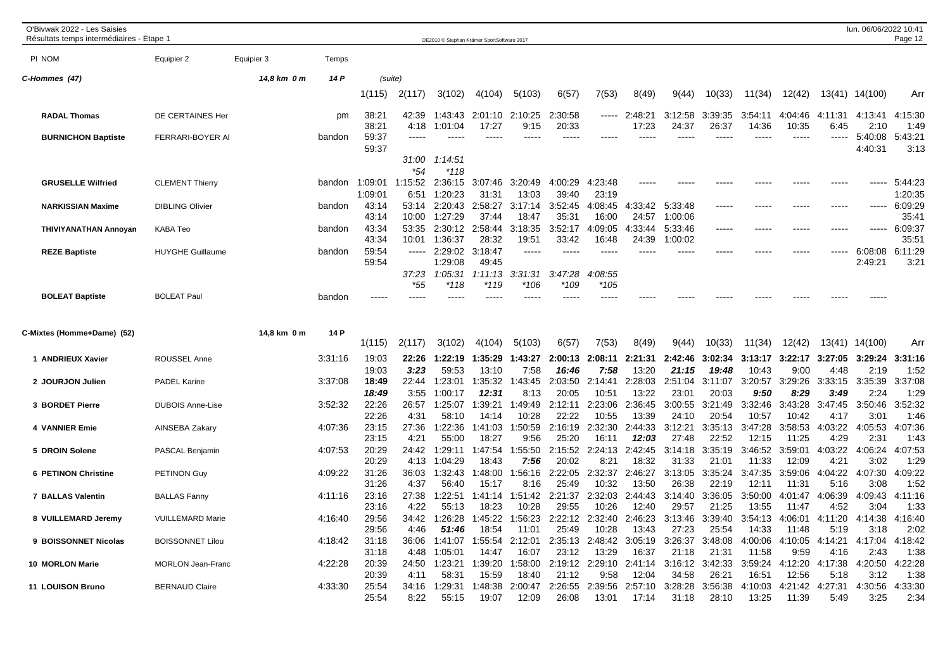| O'Bivwak 2022 - Les Saisies<br>Résultats temps intermédiaires - Etape ' |                                |             |                    |                         |                         | OE2010 © Stephan Krämer SportSoftware 2017 |                                     |                           |                             |                            |                             |                             |                             |                             |                             |                            | lun. 06/06/2022 10:41      | Page 12                    |
|-------------------------------------------------------------------------|--------------------------------|-------------|--------------------|-------------------------|-------------------------|--------------------------------------------|-------------------------------------|---------------------------|-----------------------------|----------------------------|-----------------------------|-----------------------------|-----------------------------|-----------------------------|-----------------------------|----------------------------|----------------------------|----------------------------|
| PI NOM                                                                  | Equipier 2                     | Equipier 3  | Temps              |                         |                         |                                            |                                     |                           |                             |                            |                             |                             |                             |                             |                             |                            |                            |                            |
| C-Hommes (47)                                                           |                                | 14,8 km 0 m | 14 P               | (suite)                 |                         |                                            |                                     |                           |                             |                            |                             |                             |                             |                             |                             |                            |                            |                            |
|                                                                         |                                |             |                    | 1(115)                  | 2(117)                  | 3(102)                                     | 4(104)                              | 5(103)                    | 6(57)                       | 7(53)                      | 8(49)                       | 9(44)                       | 10(33)                      | 11(34)                      | 12(42)                      | 13(41)                     | 14(100)                    | Arr                        |
| <b>RADAL Thomas</b>                                                     | DE CERTAINES Her               |             | pm                 | 38:21<br>38:21          | 42:39<br>4:18           | 1:43:43<br>1:01:04                         | 2:01:10<br>17:27                    | 2:10:25<br>9:15           | :30:58<br>20:33             | ------                     | 2:48:21<br>17:23            | 3:12:58<br>24:37            | 3:39:35<br>26:37            | 3:54:11<br>14:36            | 04:46<br>10:35              | 4:11:31<br>6:45            | 4:13:41<br>2:10            | 4:15:30<br>1:49            |
| <b>BURNICHON Baptiste</b>                                               | FERRARI-BOYER AI               |             | bandon             | 59:37<br>59:37          | $---$<br>31:00          | 1:14:51                                    |                                     |                           |                             |                            |                             | -----                       | ----                        | $---$                       | -----                       | -----                      | 5:40:08<br>4:40:31         | 5:43:21<br>3:13            |
| <b>GRUSELLE Wilfried</b>                                                | <b>CLEMENT Thierry</b>         |             | bandon             | 1:09:01<br>1:09:01      | *54<br>1:15:52<br>6:51  | *118<br>2:36:15<br>1:20:23                 | 3:07:46<br>31:31                    | 3:20:49<br>13:03          | 4:00:29<br>39:40            | 4:23:48<br>23:19           |                             |                             |                             |                             |                             |                            |                            | 5:44:23<br>1:20:35         |
| <b>NARKISSIAN Maxime</b>                                                | <b>DIBLING Olivier</b>         |             | bandon             | 43:14<br>43:14          | 53:14<br>10:00          | 2:20:43<br>1:27:29                         | 2:58:27<br>37:44                    | 3:17:14<br>18:47          | 3:52:45<br>35:31            | 4:08:45<br>16:00           | 4:33:42<br>24:57            | 5:33:48<br>1:00:06          |                             |                             |                             |                            |                            | 6:09:29<br>35:41           |
| <b>THIVIYANATHAN Annoyan</b>                                            | KABA Teo                       |             | bandon             | 43:34<br>43:34          | 53:35<br>10:01          | 2:30:12<br>1:36:37                         | 2:58:44<br>28:32                    | 3:18:35<br>19:51          | 3:52:17<br>33:42            | 4:09:05<br>16:48           | 4:33:44<br>24:39            | 5:33:46<br>1:00:02          | ----                        |                             |                             | -----                      | -----                      | 6:09:37<br>35:51           |
| <b>REZE Baptiste</b>                                                    | <b>HUYGHE Guillaume</b>        |             | bandon             | 59:54<br>59:54          | -----<br>37:23<br>$*55$ | 2:29:02<br>1:29:08<br>1:05:31<br>*118      | 3:18:47<br>49:45<br>1:11:13<br>*119 | -----<br>3:31:31<br>*106  | $---$<br>3:47:28<br>*109    | 4:08:55<br>*105            |                             |                             |                             |                             |                             |                            | 6:08:08<br>2:49:21         | 6:11:29<br>3:21            |
| <b>BOLEAT Baptiste</b>                                                  | <b>BOLEAT Paul</b>             |             | bandon             |                         | -----                   | -----                                      | $\frac{1}{2}$                       | -----                     | -----                       | -----                      |                             |                             |                             |                             |                             |                            |                            |                            |
| C-Mixtes (Homme+Dame) (52)                                              |                                | 14,8 km 0 m | 14 P               | 1(115)                  | 2(117)                  | 3(102)                                     | 4(104)                              | 5(103)                    | 6(57)                       | 7(53)                      | 8(49)                       | 9(44)                       | 10(33)                      | 11(34)                      | 12(42)                      | 13(41)                     | 14(100)                    | Arr                        |
| 1 ANDRIEUX Xavier                                                       | <b>ROUSSEL Anne</b>            |             | 3:31:16            | 19:03<br>19:03          | 22:26<br>3:23           | 1:22:19<br>59:53                           | 1:35:29<br>13:10                    | :43:27<br>-1<br>7:58      | :00:13<br>16:46             | 2:08:11<br>7:58            | 2:21:31<br>13:20            | 2:42:46<br>21:15            | 3:02:34<br>19:48            | 3:13:17<br>10:43            | 3:22:17<br>9:00             | 3:27:05<br>4:48            | 3:29:24<br>2:19            | 3:31:16<br>1:52            |
| 2 JOURJON Julien                                                        | <b>PADEL Karine</b>            |             | 3:37:08            | 18:49<br>18:49          | 22:44<br>3:55           | 1:23:01<br>1:00:17                         | 1:35:32<br>12:31                    | :43:45<br>8:13            | 2:03:50<br>20:05            | 2:14:41<br>10:5'           | 2:28:03<br>13:22            | 2:51:04<br>23:01            | 3:11:07<br>20:03            | 3:20:57<br>9:50             | 3:29:26<br>8:29             | 3:33:15<br>3:49            | 3:35:39<br>2:24            | 3:37:08<br>1:29            |
| 3 BORDET Pierre                                                         | <b>DUBOIS Anne-Lise</b>        |             | 3:52:32            | 22:26<br>22:26          | 26:57<br>4:31           | 1:25:07<br>58:10                           | 1:39:21<br>14:14                    | 1:49:49<br>10:28          | 2:12:11<br>22:22            | 2:23:06<br>10:55           | 2:36:45<br>13:39            | 3:00:55<br>24:10            | 3:21:49<br>20:54            | 3:32:46<br>10:57            | 3:43:28<br>10:42            | 3:47:45<br>4:17            | 3:50:46<br>3:01            | 3:52:32<br>1:46            |
| 4 VANNIER Emie                                                          | AINSEBA Zakary                 |             | 4:07:36            | 23:15<br>23:15          | 27:36<br>4:21           | 1:22:36<br>55:00                           | 1:41:03<br>18:27                    | 1:50:59<br>9:56           | 2:16:19<br>25:20            | 2:32:30<br>16:11           | 2:44:33<br>12:03            | 3:12:21<br>27:48            | 3:35:13<br>22:52            | 3:47:28<br>12:15            | 3:58:53<br>11:25            | 4:03:22<br>4:29            | 4:05:53<br>2:31            | 4:07:36<br>1:43            |
| 5 DROIN Solene<br><b>6 PETINON Christine</b>                            | PASCAL Benjamin<br>PETINON Guy |             | 4:07:53<br>4:09:22 | 20:29<br>20:29<br>31:26 | 24:42<br>4:13<br>36:03  | 1:29:11<br>1:04:29<br>1:32:43              | 1:47:54<br>18:43<br>1:48:00         | 1:55:50<br>7:56<br>:56:16 | 2:15:52<br>20:02<br>2:22:05 | 2:24:13<br>8:21<br>2:32:37 | 2:42:45<br>18:32<br>2:46:27 | 3:14:18<br>31:33<br>3:13:05 | 3:35:19<br>21:01<br>3:35:24 | 3:46:52<br>11:33<br>3:47:35 | 3:59:01<br>12:09<br>3:59:06 | 4:03:22<br>4:21<br>4:04:22 | 4:06:24<br>3:02<br>4:07:30 | 4:07:53<br>1:29<br>4:09:22 |
| <b>7 BALLAS Valentin</b>                                                | <b>BALLAS Fanny</b>            |             | 4:11:16            | 31:26<br>23:16          | 4:37<br>27:38           | 56:40<br>1:22:51                           | 15:17<br>1:41:14                    | 8:16<br>1:51:42           | 25:49<br>2:21:37            | 10:32<br>2:32:03           | 13:50<br>2:44:43            | 26:38<br>3:14:40            | 22:19<br>3:36:05            | 12:11<br>3:50:00            | 11:31<br>4:01:47            | 5:16<br>4:06:39            | 3:08<br>4:09:43            | 1:52<br>4:11:16            |
| 8 VUILLEMARD Jeremy                                                     | <b>VUILLEMARD Marie</b>        |             | 4:16:40            | 23:16<br>29:56<br>29:56 | 4:22<br>34:42           | 55:13<br>1:26:28<br>51:46                  | 18:23<br>1:45:22                    | 10:28<br>:56:23           | 29:55<br>2:22:12<br>25:49   | 10:26<br>2:32:40<br>10:28  | 12:40<br>2:46:23            | 29:57<br>3:13:46            | 21:25<br>3:39:40            | 13:55<br>3:54:13            | 11:47<br>4:06:01            | 4:52<br>4:11:20            | 3:04<br>4:14:38            | 1:33<br>4:16:40            |
| 9 BOISSONNET Nicolas                                                    | <b>BOISSONNET Lilou</b>        |             | 4:18:42            | 31:18<br>31:18          | 4:46<br>36:06<br>4:48   | 1:41:07<br>1:05:01                         | 18:54<br>1:55:54<br>14:47           | 11:01<br>2:12:01<br>16:07 | 2:35:13<br>23:12            | 2:48:42<br>13:29           | 13:43<br>3:05:19<br>16:37   | 27:23<br>3:26:37<br>21:18   | 25:54<br>3:48:08<br>21:31   | 14:33<br>4:00:06<br>11:58   | 11:48<br>4:10:05<br>9:59    | 5:19<br>4:14:21<br>4:16    | 3:18<br>4:17:04<br>2:43    | 2:02<br>4:18:42<br>1:38    |
| 10 MORLON Marie                                                         | MORLON Jean-Franc              |             | 4:22:28            | 20:39<br>20:39          | 24:50<br>4:11           | 1:23:21<br>58:3'                           | 1:39:20<br>15:59                    | 1:58:00<br>18:40          | 2:19:12<br>21:12            | 2:29:10<br>9:58            | 2:41:14<br>12:04            | 3:16:12<br>34:58            | 3:42:33<br>26:21            | 3:59:24<br>16:51            | 4:12:20<br>12:56            | 4:17:38<br>5:18            | 4:20:50<br>3:12            | 4:22:28<br>1:38            |
| <b>11 LOUISON Bruno</b>                                                 | <b>BERNAUD Claire</b>          |             | 4:33:30            | 25:54<br>25:54          | 34:16<br>8:22           | 1:29:31<br>55:15                           | 1:48:38<br>19:07                    | 2:00:47<br>12:09          | 2:26:55<br>26:08            | 2:39:56<br>13:01           | 2:57:10<br>17:14            | 3:28:28<br>31:18            | 3:56:38<br>28:10            | 4:10:03<br>13:25            | 4:21:42<br>11:39            | 4:27:31<br>5:49            | 4:30:56<br>3:25            | 4:33:30<br>2:34            |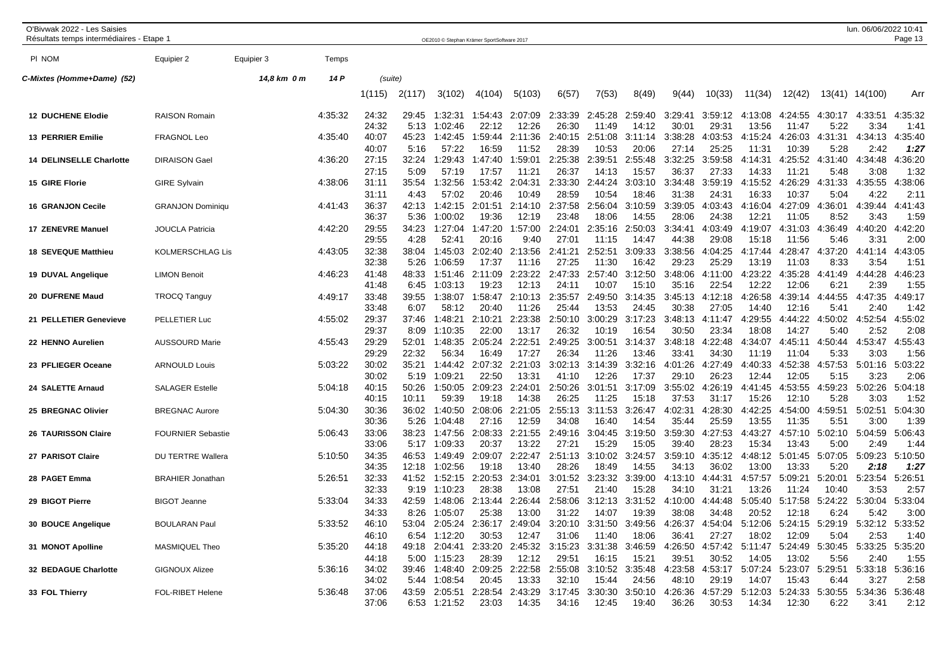| O'Bivwak 2022 - Les Saisies<br>Résultats temps intermédiaires - Etape 1 |                          |             |         |                         |                        |                               | OE2010 @ Stephan Krämer SportSoftware 2017 |                           |                           |                           |                           |                           |                           |                           |                           |                         | lun. 06/06/2022 10:41   | Page 13                 |
|-------------------------------------------------------------------------|--------------------------|-------------|---------|-------------------------|------------------------|-------------------------------|--------------------------------------------|---------------------------|---------------------------|---------------------------|---------------------------|---------------------------|---------------------------|---------------------------|---------------------------|-------------------------|-------------------------|-------------------------|
| PI NOM                                                                  | Equipier 2               | Equipier 3  | Temps   |                         |                        |                               |                                            |                           |                           |                           |                           |                           |                           |                           |                           |                         |                         |                         |
| C-Mixtes (Homme+Dame) (52)                                              |                          | 14,8 km 0 m | 14 P    | (suite)                 |                        |                               |                                            |                           |                           |                           |                           |                           |                           |                           |                           |                         |                         |                         |
|                                                                         |                          |             |         | 1(115)                  | 2(117)                 | 3(102)                        | 4(104)                                     | 5(103)                    | 6(57)                     | 7(53)                     | 8(49)                     | 9(44)                     | 10(33)                    | 11(34)                    | 12(42)                    |                         | 13(41) 14(100)          | Arr                     |
| <b>12 DUCHENE Elodie</b>                                                | <b>RAISON Romain</b>     |             | 4:35:32 | 24:32<br>24:32          | 29:45<br>5:13          | 1:32:31<br>1:02:46            | 1:54:43<br>22:12                           | 2:07:09<br>12:26          | 2:33:39<br>26:30          | 2:45:28<br>11:49          | 2:59:40<br>14:12          | 3:29:41<br>30:01          | 3:59:12<br>29:31          | 4:13:08<br>13:56          | 4:24:55<br>11:47          | 4:30:17<br>5:22         | 4:33:51<br>3:34         | 4:35:32<br>1:41         |
| <b>13 PERRIER Emilie</b>                                                | <b>FRAGNOL Leo</b>       |             | 4:35:40 | 40:07<br>40:07          | 45:23<br>5:16          | 1:42:45<br>57:22              | 1:59:44<br>16:59                           | 2:11:36<br>11:52          | 2:40:15<br>28:39          | 2:51:08<br>10:53          | 3:11:14<br>20:06          | 3:38:28<br>27:14          | 4:03:53<br>25:25          | 4:15:24<br>11:31          | 4:26:03<br>10:39          | 4:31:31<br>5:28         | 4:34:13<br>2:42         | 4:35:40<br>1:27         |
| <b>14 DELINSELLE Charlotte</b>                                          | <b>DIRAISON Gael</b>     |             | 4:36:20 | 27:15<br>27:15          | 32:24<br>5:09          | 1:29:43<br>57:19              | 1:47:40<br>17:57                           | 1:59:01<br>11:21          | 2:25:38<br>26:37          | 2:39:51<br>14:13          | 2:55:48<br>15:57          | 3:32:25<br>36:37          | 3:59:58<br>27:33          | 4:14:31<br>14:33          | 4:25:52<br>11:21          | 4:31:40<br>5:48         | 4:34:48<br>3:08         | 4:36:20<br>1:32         |
| 15 GIRE Florie                                                          | <b>GIRE Sylvain</b>      |             | 4:38:06 | 31:11<br>31:11          | 35:54<br>4:43          | 1:32:56<br>57:02              | 1:53:42<br>20:46                           | 2:04:31<br>10:49          | 2:33:30<br>28:59          | 2:44:24<br>10:54          | 3:03:10<br>18:46          | 3:34:48<br>31:38          | 3:59:19<br>24:31          | 4:15:52<br>16:33          | 4:26:29<br>10:37          | 4:31:33<br>5:04         | 4:35:55<br>4:22         | 4:38:06<br>2:11         |
| <b>16 GRANJON Cecile</b>                                                | <b>GRANJON Dominiqu</b>  |             | 4:41:43 | 36:37<br>36:37          | 42:13<br>5:36          | 1:42:15<br>1:00:02            | 2:01:51<br>19:36                           | 2:14:10<br>12:19          | 2:37:58<br>23:48          | 2:56:04<br>18:06          | 3:10:59<br>14:55          | 3:39:05<br>28:06          | 4:03:43<br>24:38          | 4:16:04<br>12:21          | 4:27:09<br>11:05          | 4:36:01<br>8:52         | 4:39:44<br>3:43         | 4:41:43<br>1:59         |
| <b>17 ZENEVRE Manuel</b>                                                | <b>JOUCLA Patricia</b>   |             | 4:42:20 | 29:55<br>29:55          | 34:23<br>4:28          | 1:27:04<br>52:41              | 1:47:20<br>20:16                           | 1:57:00<br>9:40           | 2:24:01<br>27:01          | 2:35:16<br>11:15          | 2:50:03<br>14:47          | 3:34:41<br>44:38          | 4:03:49<br>29:08          | 4:19:07<br>15:18          | 4:31:03<br>11:56          | 4:36:49<br>5:46         | 4:40:20<br>3:31         | 4:42:20<br>2:00         |
| <b>18 SEVEQUE Matthieu</b>                                              | <b>KOLMERSCHLAG Lis</b>  |             | 4:43:05 | 32:38<br>32:38          | 38:04<br>5:26          | 1:45:03<br>1:06:59            | 2:02:40<br>17:37                           | 2:13:56<br>11:16          | 2:41:21<br>27:25          | 2:52:51<br>11:30          | 3:09:33<br>16:42          | 3:38:56<br>29:23          | 4:04:25<br>25:29          | 4:17:44<br>13:19          | 4:28:47<br>11:03          | 4:37:20<br>8:33         | 4:41:14<br>3:54         | 4:43:05<br>1:51         |
| 19 DUVAL Angelique                                                      | <b>LIMON Benoit</b>      |             | 4:46:23 | 41:48<br>41:48          | 48:33<br>6:45          | 1:51:46<br>1:03:13            | 2:11:09<br>19:23                           | 2:23:22<br>12:13          | 2:47:33<br>24:11          | 2:57:40<br>10:07          | 3:12:50<br>15:10          | 3:48:06<br>35:16          | 4:11:00<br>22:54          | 4:23:22<br>12:22          | 4:35:28<br>12:06          | 4:41:49<br>6:21         | 4:44:28<br>2:39         | 4:46:23<br>1:55         |
| 20 DUFRENE Maud                                                         | <b>TROCQ Tanguy</b>      |             | 4:49:17 | 33:48<br>33:48          | 39:55<br>6:07          | 1:38:07<br>58:12              | 1:58:47<br>20:40                           | 2:10:13<br>11:26          | 2:35:57<br>25:44          | 2:49:50<br>13:53          | 3:14:35<br>24:45          | 3:45:13<br>30:38          | 4:12:18<br>27:05          | 4:26:58<br>14:40          | 4:39:14<br>12:16          | 4:44:55<br>5:41         | 4:47:35<br>2:40         | 4:49:17<br>1:42         |
| 21 PELLETIER Genevieve                                                  | PELLETIER Luc            |             | 4:55:02 | 29:37<br>29:37          | 37:46<br>8:09          | 1:48:21<br>1:10:35            | 2:10:21<br>22:00                           | 2:23:38<br>13:17          | 2:50:10<br>26:32          | 3:00:29<br>10:19          | 3:17:23<br>16:54          | 3:48:13<br>30:50          | 4:11:47<br>23:34          | 4:29:55<br>18:08          | 4:44:22<br>14:27          | 4:50:02<br>5:40         | 4:52:54<br>2:52         | 4:55:02<br>2:08         |
| 22 HENNO Aurelien                                                       | <b>AUSSOURD Marie</b>    |             | 4:55:43 | 29:29<br>29:29          | 52:01<br>22:32         | 1:48:35                       | 2:05:24                                    | 2:22:51                   | 2:49:25                   | 3:00:51                   | 3:14:37                   | 3:48:18<br>33:41          | 4:22:48<br>34:30          | 4:34:07                   | 4:45:11                   | 4:50:44                 | 4:53:47                 | 4:55:43<br>1:56         |
| 23 PFLIEGER Oceane                                                      | <b>ARNOULD Louis</b>     |             | 5:03:22 | 30:02                   | 35:21                  | 56:34<br>1:44:42              | 16:49<br>2:07:32                           | 17:27<br>2:21:03          | 26:34<br>3:02:13          | 11:26<br>3:14:39          | 13:46<br>3:32:16          | 4:01:26                   | 4:27:49                   | 11:19<br>4:40:33          | 11:04<br>4:52:38          | 5:33<br>4:57:53         | 3:03<br>5:01:16         | 5:03:22                 |
| 24 SALETTE Arnaud                                                       | <b>SALAGER Estelle</b>   |             | 5:04:18 | 30:02<br>40:15<br>40:15 | 5:19<br>50:26<br>10:11 | 1:09:21<br>1:50:05<br>59:39   | 22:50<br>2:09:23<br>19:18                  | 13:31<br>2:24:01<br>14:38 | 41:10<br>2:50:26<br>26:25 | 12:26<br>3:01:51<br>11:25 | 17:37<br>3:17:09<br>15:18 | 29:10<br>3:55:02<br>37:53 | 26:23<br>4:26:19<br>31:17 | 12:44<br>4:41:45<br>15:26 | 12:05<br>4:53:55<br>12:10 | 5:15<br>4:59:23<br>5:28 | 3:23<br>5:02:26<br>3:03 | 2:06<br>5:04:18<br>1:52 |
| 25 BREGNAC Olivier                                                      | <b>BREGNAC Aurore</b>    |             | 5:04:30 | 30:36<br>30:36          | 36:02<br>5:26          | 1:40:50<br>1:04:48            | 2:08:06<br>27:16                           | 2:21:05<br>12:59          | 2:55:13<br>34:08          | 3:11:53<br>16:40          | 3:26:47<br>14:54          | 4:02:31<br>35:44          | 4:28:30<br>25:59          | 4:42:25<br>13:55          | 4:54:00<br>11:35          | 4:59:51<br>5:51         | 5:02:51<br>3:00         | 5:04:30<br>1:39         |
| 26 TAURISSON Claire                                                     | <b>FOURNIER Sebastie</b> |             | 5:06:43 | 33:06<br>33:06          | 38:23<br>5:17          | 1:47:56<br>1:09:33            | 2:08:33<br>20:37                           | 2:21:55<br>13:22          | 2:49:16<br>27:21          | 3:04:45<br>15:29          | 3:19:50<br>15:05          | 3:59:30<br>39:40          | 4:27:53<br>28:23          | 4:43:27<br>15:34          | 4:57:10<br>13:43          | 5:02:10<br>5:00         | 5:04:59<br>2:49         | 5:06:43<br>1:44         |
| 27 PARISOT Claire                                                       | <b>DU TERTRE Wallera</b> |             | 5:10:50 | 34:35<br>34:35          | 46:53<br>12:18         | 1:49:49<br>1:02:56            | 2:09:07<br>19:18                           | 2:22:47<br>13:40          | 2:51:13<br>28:26          | 3:10:02<br>18:49          | 3:24:57<br>14:55          | 3:59:10<br>34:13          | 4:35:12<br>36:02          | 4:48:12<br>13:00          | 5:01:45<br>13:33          | 5:07:05<br>5:20         | 5:09:23<br>2:18         | 5:10:50<br>1:27         |
| 28 PAGET Emma                                                           | <b>BRAHIER Jonathan</b>  |             | 5:26:51 | 32:33<br>32:33          | 41:52<br>9:19          | 1:52:15<br>1:10:23            | 2:20:53<br>28:38                           | 2:34:01<br>13:08          | 3:01:52<br>27:51          | 3:23:32<br>21:40          | 3:39:00<br>15:28          | 4:13:10<br>34:10          | 4:44:31<br>31:21          | 4:57:57<br>13:26          | 5:09:21<br>11:24          | 5:20:01<br>10:40        | 5:23:54<br>3:53         | 5:26:51<br>2:57         |
| 29 BIGOT Pierre                                                         | <b>BIGOT Jeanne</b>      |             | 5:33:04 | 34:33                   | 42:59                  | 1:48:06                       | 2:13:44                                    | 2:26:44                   | 2:58:06                   | 3:12:13                   | 3:31:52                   | 4:10:00                   | 4:44:48                   | 5:05:40                   | 5:17:58                   | 5:24:22                 | 5:30:04                 | 5:33:04                 |
| 30 BOUCE Angelique                                                      | <b>BOULARAN Pau</b>      |             | 5:33:52 | 34:33<br>46:10          | 8:26<br>53:04          | 1:05:07<br>2:05:24            | 25:38<br>2:36:17                           | 13:00<br>2:49:04          | 31:22<br>3:20:10          | 14:07<br>3:31:50          | 19:39<br>3:49:56          | 38:08<br>4:26:37          | 34:48<br>4:54:04          | 20:52<br>5:12:06          | 12:18<br>5:24:15          | 6:24<br>5:29:19         | 5:42<br>5:32:12         | 3:00<br>5:33:52         |
| 31 MONOT Apolline                                                       | MASMIQUEL Theo           |             | 5:35:20 | 46:10<br>44:18          | 6:54<br>49:18          | 1:12:20<br>2:04:41            | 30:53<br>2:33:20                           | 12:47<br>2:45:32          | 31:06<br>3:15:23          | 11:40<br>3:31:38          | 18:06<br>3:46:59          | 36:41<br>4:26:50          | 27:27<br>4:57:42          | 18:02<br>5:11:47          | 12:09<br>5:24:49          | 5:04<br>5:30:45         | 2:53<br>5:33:25         | 1:40<br>5:35:20         |
| 32 BEDAGUE Charlotte                                                    | <b>GIGNOUX Alizee</b>    |             | 5:36:16 | 44:18<br>34:02          | 5:00<br>39:46          | 1:15:23<br>1:48:40            | 28:39<br>2:09:25                           | 12:12<br>2:22:58          | 29:51<br>2:55:08          | 16:15<br>3:10:52          | 15:21<br>3:35:48          | 39:51<br>4:23:58          | 30:52<br>4:53:17          | 14:05<br>5:07:24          | 13:02<br>5:23:07          | 5:56<br>5:29:51         | 2:40<br>5:33:18         | 1:55<br>5:36:16         |
| 33 FOL Thierry                                                          | <b>FOL-RIBET Helene</b>  |             | 5:36:48 | 34:02<br>37:06<br>37:06 | 5:44<br>43:59<br>6:53  | 1:08:54<br>2:05:51<br>1:21:52 | 20:45<br>2:28:54<br>23:03                  | 13:33<br>2:43:29<br>14:35 | 32:10<br>3:17:45<br>34:16 | 15:44<br>3:30:30<br>12:45 | 24:56<br>3:50:10<br>19:40 | 48:10<br>4:26:36<br>36:26 | 29:19<br>4:57:29<br>30:53 | 14:07<br>5:12:03<br>14:34 | 15:43<br>5:24:33<br>12:30 | 6:44<br>5:30:55<br>6:22 | 3:27<br>5:34:36<br>3:41 | 2:58<br>5:36:48<br>2:12 |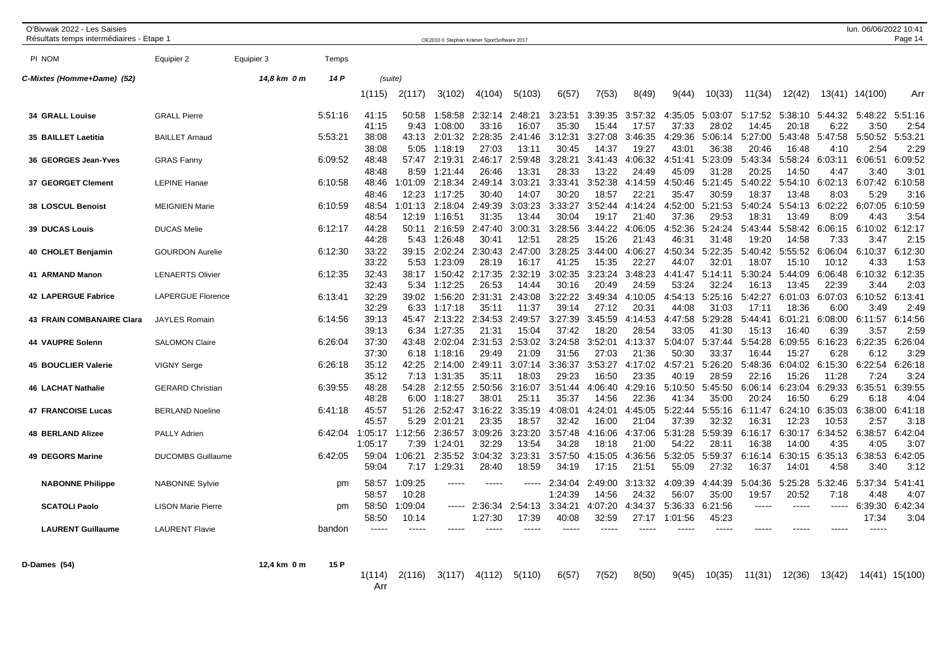| O'Bivwak 2022 - Les Saisies<br>Résultats temps intermédiaires - Etape 1 |                           |             |         |                        |                  |                    | OE2010 © Stephan Krämer SportSoftware 2017 |                  |                    |                      |                  |                      |                  |                  |                  |                     | lun. 06/06/2022 10:41 | Page 14                     |
|-------------------------------------------------------------------------|---------------------------|-------------|---------|------------------------|------------------|--------------------|--------------------------------------------|------------------|--------------------|----------------------|------------------|----------------------|------------------|------------------|------------------|---------------------|-----------------------|-----------------------------|
| PI NOM                                                                  | Equipier 2                | Equipier 3  | Temps   |                        |                  |                    |                                            |                  |                    |                      |                  |                      |                  |                  |                  |                     |                       |                             |
| C-Mixtes (Homme+Dame) (52)                                              |                           | 14,8 km 0 m | 14 P    | (suite)                |                  |                    |                                            |                  |                    |                      |                  |                      |                  |                  |                  |                     |                       |                             |
|                                                                         |                           |             |         | 1(115)                 | 2(117)           | 3(102)             | 4(104)                                     | 5(103)           | 6(57)              | 7(53)                | 8(49)            | 9(44)                | 10(33)           | 11(34)           | 12(42)           |                     | 13(41) 14(100)        | Arr                         |
| <b>34 GRALL Louise</b>                                                  | <b>GRALL Pierre</b>       |             | 5:51:16 | 41:15<br>41:15         | 50:58<br>9:43    | 1:58:58<br>1:08:00 | 2:32:14<br>33:16                           | 2:48:21<br>16:07 | 3:23:51<br>35:30   | 3:39:35<br>15:44     | 3:57:32<br>17:57 | :35:05<br>37:33      | 5:03:07<br>28:02 | 5:17:52<br>14:45 | 5:38:10<br>20:18 | 5:44:32<br>6:22     | 5:48:22<br>3:50       | 5:51:16<br>2:54             |
| 35 BAILLET Laetitia                                                     | <b>BAILLET Arnaud</b>     |             | 5:53:21 | 38:08<br>38:08         | 43:13<br>5:05    | 2:01:32<br>1:18:19 | 2:28:35<br>27:03                           | 2:41:46<br>13:11 | 3:12:31<br>30:45   | 3:27:08<br>14:37     | 3:46:35<br>19:27 | 4:29:36<br>43:01     | 5:06:14<br>36:38 | 5:27:00<br>20:46 | 5:43:48<br>16:48 | 5:47:58<br>4:10     | 5:50:52<br>2:54       | 5:53:21<br>2:29             |
| 36 GEORGES Jean-Yves                                                    | <b>GRAS Fanny</b>         |             | 6:09:52 | 48:48<br>48:48         | 57:47<br>8:59    | 2:19:31<br>1:21:44 | 2:46:17<br>26:46                           | 2:59:48<br>13:31 | 3:28:21<br>28:33   | 3:41:43<br>13:22     | 4:06:32<br>24:49 | 4:51:41<br>45:09     | 5:23:09<br>31:28 | 5:43:34<br>20:25 | 5:58:24<br>14:50 | 6:03:11<br>4:47     | 6:06:51<br>3:40       | 6:09:52<br>3:0 <sup>1</sup> |
| 37 GEORGET Clement                                                      | <b>LEPINE Hanae</b>       |             | 6:10:58 | 48:46<br>48:46         | 1:01:09<br>12:23 | 2:18:34<br>1:17:25 | 2:49:14<br>30:40                           | 3:03:21<br>14:07 | 3:33:41<br>30:20   | 3:52:38<br>18:57     | 4:14:59<br>22:21 | 4:50:46<br>35:47     | 5:21:45<br>30:59 | 5:40:22<br>18:37 | 5:54:10<br>13:48 | 6:02:13<br>8:03     | 6:07:42<br>5:29       | 6:10:58<br>3:16             |
| 38 LOSCUL Benoist                                                       | <b>MEIGNIEN Marie</b>     |             | 6:10:59 | 48:54<br>48:54         | 1:01:13<br>12:19 | 2:18:04<br>1:16:51 | 2:49:39<br>31:35                           | 3:03:23<br>13:44 | 3:33:27<br>30:04   | 3:52:44<br>19:17     | 4:14:24<br>21:40 | 4:52:00<br>37:36     | 5:21:53<br>29:53 | 5:40:24<br>18:31 | 5:54:13<br>13:49 | 6:02:22<br>8:09     | 6:07:05<br>4:43       | 6:10:59<br>3:54             |
| <b>39 DUCAS Louis</b>                                                   | <b>DUCAS Melie</b>        |             | 6:12:17 | 44:28<br>44:28         | 50:11<br>5:43    | 2:16:59<br>1:26:48 | 2:47:40<br>30:41                           | 3:00:31<br>12:51 | 3:28:56<br>28:25   | 3:44:22<br>15:26     | 4:06:05<br>21:43 | :52:36<br>Δ<br>46:31 | 5:24:24<br>31:48 | 5:43:44<br>19:20 | 5:58:42<br>14:58 | 6:06:15<br>7:33     | 6:10:02<br>3:47       | 6:12:17<br>2:15             |
| 40 CHOLET Benjamin                                                      | <b>GOURDON Aurelie</b>    |             | 6:12:30 | 33:22<br>33:22         | 39:15<br>5:53    | 2:02:24<br>1:23:09 | 2:30:43<br>28:19                           | 2:47:00<br>16:17 | 3:28:25<br>41:25   | 3:44:00<br>15:35     | 4:06:27<br>22:27 | :50:34<br>44:07      | 5:22:35<br>32:01 | 5:40:42<br>18:07 | 5:55:52<br>15:10 | 6:06:04<br>10:12    | 6:10:37<br>4:33       | 6:12:30<br>1:53             |
| 41 ARMAND Manon                                                         | <b>LENAERTS Olivier</b>   |             | 6:12:35 | 32:43<br>32:43         | 38:17<br>5:34    | 1:50:42<br>1:12:25 | 2:17:35<br>26:53                           | 2:32:19<br>14:44 | 3:02:35<br>30:16   | 3:23:24<br>20:49     | 3:48:23<br>24:59 | 4:41:47<br>53:24     | 5:14:11<br>32:24 | 5:30:24<br>16:13 | 5:44:09<br>13:45 | 6:06:48<br>22:39    | 6:10:32<br>3:44       | 6:12:35<br>2:03             |
| 42 LAPERGUE Fabrice                                                     | <b>LAPERGUE Florence</b>  |             | 6:13:41 | 32:29<br>32:29         | 39:02<br>6:33    | 1:56:20<br>1:17:18 | 2:31:31<br>35:1'                           | 2:43:08<br>11:37 | 3:22:22<br>39:14   | 3:49:34<br>27:12     | 4:10:05<br>20:31 | 4:54:13<br>44:08     | 5:25:16<br>31:03 | 5:42:27<br>17:11 | 6:01:03<br>18:36 | 6:07:03<br>6:00     | 6:10:52<br>3:49       | 6:13:41<br>2:49             |
| <b>43 FRAIN COMBANAIRE Clara</b>                                        | <b>JAYLES Romain</b>      |             | 6:14:56 | 39:13<br>39:13         | 45:47<br>6:34    | 2:13:22<br>1:27:35 | 2:34:53<br>21:31                           | 2:49:57<br>15:04 | 3:27:39<br>37:42   | 3:45:59<br>18:20     | 4:14:53<br>28:54 | 4:47:58<br>33:05     | 5:29:28<br>41:30 | 5:44:41<br>15:13 | 6:01:21<br>16:40 | 6:08:00<br>6:39     | 6:11:57<br>3:57       | 6:14:56<br>2:59             |
| 44 VAUPRE Solenn                                                        | <b>SALOMON Claire</b>     |             | 6:26:04 | 37:30<br>37:30         | 43:48<br>6:18    | 2:02:04<br>1:18:16 | 2:31:53<br>29:49                           | 2:53:02<br>21:09 | 3:24:58<br>31:56   | 3:52:01<br>27:03     | 4:13:37<br>21:36 | 5:04:07<br>50:30     | 5:37:44<br>33:37 | 5:54:28<br>16:44 | 6:09:55<br>15:27 | 6:16:23<br>6:28     | 6:22:35<br>6:12       | 6:26:04<br>3:29             |
| <b>45 BOUCLIER Valerie</b>                                              | <b>VIGNY Serge</b>        |             | 6:26:18 | 35:12<br>35:12         | 42:25<br>7:13    | 2:14:00<br>1:31:35 | 2:49:11<br>35:11                           | 3:07:14<br>18:03 | 3:36:37<br>29:23   | 3:53:27<br>16:50     | 4:17:02<br>23:35 | 4:57:21<br>40:19     | 5:26:20<br>28:59 | 5:48:36<br>22:16 | 6:04:02<br>15:26 | 6:15:30<br>11:28    | 6:22:54<br>7:24       | 6:26:18<br>3:24             |
| <b>46 LACHAT Nathalie</b>                                               | <b>GERARD Christian</b>   |             | 6:39:55 | 48:28<br>48:28         | 54:28<br>6:00    | 2:12:55<br>1:18:27 | 2:50:56<br>38:01                           | 3:16:07<br>25:11 | 3:51:44<br>35:37   | 4:06:40<br>14:56     | 4:29:16<br>22:36 | 5:10:50<br>41:34     | 5:45:50<br>35:00 | 6:06:14<br>20:24 | 6:23:04<br>16:50 | 6:29:33<br>6:29     | 6:35:51<br>6:18       | 6:39:55<br>4:04             |
| <b>47 FRANCOISE Lucas</b>                                               | <b>BERLAND Noeline</b>    |             | 6:41:18 | 45:57<br>45:57         | 51:26<br>5:29    | 2:52:47<br>2:01:21 | 3:16:22<br>23:35                           | 3:35:19<br>18:57 | 4:08:01<br>32:42   | 4:24:01<br>16:00     | 4:45:05<br>21:04 | 5:22:44<br>37:39     | 5:55:16<br>32:32 | 6:11:47<br>16:31 | 6:24:10<br>12:23 | 6:35:03<br>10:53    | 6:38:00<br>2:57       | 6:41:18<br>3:18             |
| <b>48 BERLAND Alizee</b>                                                | <b>PALLY Adrien</b>       |             | 6:42:04 | 1:05:17<br>1:05:17     | 1:12:56<br>7:39  | 2:36:57<br>1:24:01 | 3:09:26<br>32:29                           | 3:23:20<br>13:54 | 3:57:48<br>34:28   | 4:16:06<br>18:18     | 4:37:06<br>21:00 | 5:31:28<br>54:22     | 5:59:39<br>28:11 | 6:16:17<br>16:38 | 6:30:17<br>14:00 | 6:34:52<br>4:35     | 6:38:57<br>4:05       | 6:42:04<br>3:07             |
| 49 DEGORS Marine                                                        | <b>DUCOMBS Guillaume</b>  |             | 6:42:05 | 59:04<br>59:04         | 1:06:21<br>7:17  | 2:35:52<br>1:29:31 | 3:04:32<br>28:40                           | 3:23:31<br>18:59 | 3:57:50<br>34:19   | 4:15:05<br>17:15     | 4:36:56<br>21:51 | 5:32:05<br>55:09     | 5:59:37<br>27:32 | 6:16:14<br>16:37 | 6:30:15<br>14:01 | 6:35:13<br>4:58     | 6:38:53<br>3:40       | 6:42:05<br>3:12             |
| <b>NABONNE Philippe</b>                                                 | <b>NABONNE Sylvie</b>     |             | pm      | 58:57                  | 1:09:25          | $---$              | -----                                      | $\cdots$         | 2:34:04            | 2:49:00              | 3:13:32          | 4:09:39              | 4:44:39          | 5:04:36          | 5:25:28          | 5:32:46             | 5:37:34               | 5:41:41                     |
| <b>SCATOLI Paolo</b>                                                    | <b>LISON Marie Pierre</b> |             | pm      | 58:57<br>58:50         | 10:28<br>1:09:04 | -----              | 2:36:34                                    | 2:54:13          | 1:24:39<br>3:34:21 | 14:56<br>4:07:20     | 24:32<br>4:34:37 | 56:07<br>5:36:33     | 35:00<br>6:21:56 | 19:57            | 20:52<br>-----   | 7:18<br>$- - - - -$ | 4:48<br>6:39:30       | 4:07<br>6:42:34             |
| <b>LAURENT Guillaume</b>                                                | <b>LAURENT Flavie</b>     |             | bandon  | 58:50<br>$\frac{1}{2}$ | 10:14<br>$---$   | $---$              | 1:27:30<br>----                            | 17:39            | 40:08<br>$---$     | 32:59<br>$- - - - -$ | 27:17            | 1:01:56              | 45:23<br>$---$   |                  | $---$            | $---$               | 17:34<br>$---$        | 3:04                        |
| D-Dames (54)                                                            |                           | 12,4 km 0 m | 15 P    | 1(114)<br>Arr          | 2(116)           | 3(117)             | 4(112)                                     | 5(110)           | 6(57)              | 7(52)                | 8(50)            | 9(45)                | 10(35)           | 11(31)           | 12(36)           | 13(42)              |                       | 14(41) 15(100)              |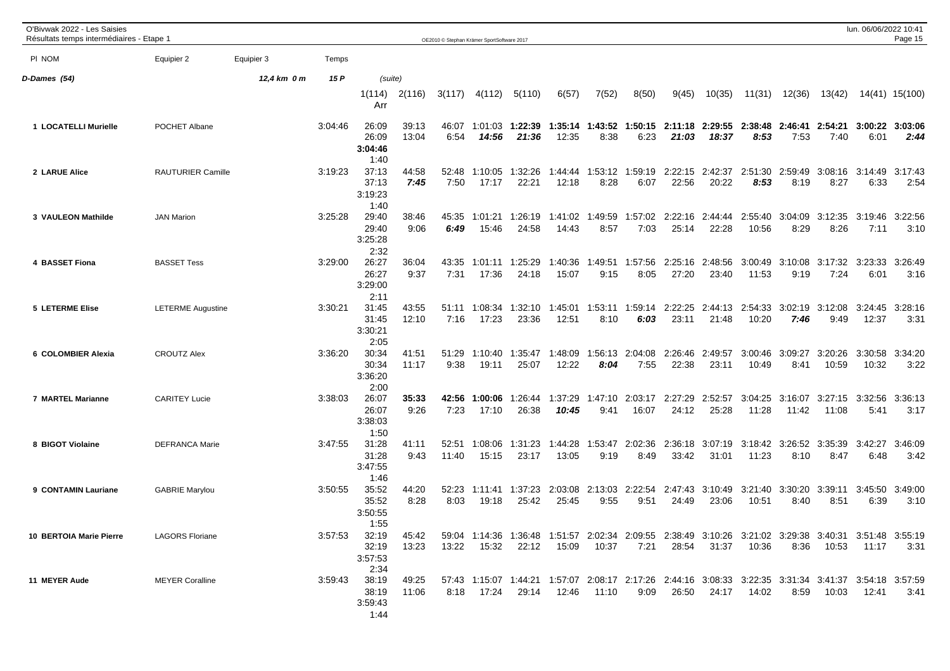| O'Bivwak 2022 - Les Saisies<br>Résultats temps intermédiaires - Etape 1 |                          |             |         |                                   |                |                | OE2010 C Stephan Krämer SportSoftware 2017 |                  |                  |                                 |                         |                                          |                  |                                                                                                                |                         |                  | lun. 06/06/2022 10:41 | Page 15                 |
|-------------------------------------------------------------------------|--------------------------|-------------|---------|-----------------------------------|----------------|----------------|--------------------------------------------|------------------|------------------|---------------------------------|-------------------------|------------------------------------------|------------------|----------------------------------------------------------------------------------------------------------------|-------------------------|------------------|-----------------------|-------------------------|
| PI NOM                                                                  | Equipier 2               | Equipier 3  | Temps   |                                   |                |                |                                            |                  |                  |                                 |                         |                                          |                  |                                                                                                                |                         |                  |                       |                         |
| D-Dames (54)                                                            |                          | 12,4 km 0 m | 15 P    | (suite)                           |                |                |                                            |                  |                  |                                 |                         |                                          |                  |                                                                                                                |                         |                  |                       |                         |
|                                                                         |                          |             |         | 1(114)<br>Arr                     | 2(116)         | 3(117)         | 4(112)                                     | 5(110)           | 6(57)            | 7(52)                           | 8(50)                   | 9(45)                                    | 10(35)           | 11(31)                                                                                                         | 12(36)                  | 13(42)           |                       | 14(41) 15(100)          |
| 1 LOCATELLI Murielle                                                    | POCHET Albane            |             | 3:04:46 | 26:09<br>26:09<br>3:04:46<br>1:40 | 39:13<br>13:04 | 46:07<br>6:54  | 1:01:03<br>14:56                           | 1:22:39<br>21:36 | 12:35            | 8:38                            | 6:23                    | 1:35:14 1:43:52 1:50:15 2:11:18<br>21:03 | 18:37            | 2:29:55 2:38:48<br>8:53                                                                                        | 2:46:41 2:54:21<br>7:53 | 7:40             | 6:01                  | 3:00:22 3:03:06<br>2:44 |
| 2 LARUE Alice                                                           | <b>RAUTURIER Camille</b> |             | 3:19:23 | 37:13<br>37:13<br>3:19:23<br>1:40 | 44:58<br>7:45  | 52:48<br>7:50  | 1:10:05<br>17:17                           | 1:32:26<br>22:21 | 1:44:44<br>12:18 | 1:53:12<br>8:28                 | 1:59:19<br>6:07         | 2:22:15<br>22:56                         | 2:42:37<br>20:22 | 2:51:30<br>8:53                                                                                                | 2:59:49<br>8:19         | 3:08:16<br>8:27  | 3:14:49<br>6:33       | 3:17:43<br>2:54         |
| 3 VAULEON Mathilde                                                      | <b>JAN Marion</b>        |             | 3:25:28 | 29:40<br>29:40<br>3:25:28<br>2:32 | 38:46<br>9:06  | 45:35<br>6:49  | 1:01:21<br>15:46                           | 1:26:19<br>24:58 | 1:41:02<br>14:43 | 1:49:59<br>8:57                 | 1:57:02<br>7:03         | 2:22:16<br>25:14                         | 2:44:44<br>22:28 | 2:55:40<br>10:56                                                                                               | 3:04:09<br>8:29         | 3:12:35<br>8:26  | 3:19:46<br>7:11       | 3:22:56<br>3:10         |
| 4 BASSET Fiona                                                          | <b>BASSET Tess</b>       |             | 3:29:00 | 26:27<br>26:27<br>3:29:00<br>2:11 | 36:04<br>9:37  | 43:35<br>7:31  | 1:01:11<br>17:36                           | 1:25:29<br>24:18 | 1:40:36<br>15:07 | 1:49:51<br>9:15                 | 1:57:56<br>8:05         | 2:25:16<br>27:20                         | 2:48:56<br>23:40 | 3:00:49<br>11:53                                                                                               | 3:10:08<br>9:19         | 3:17:32<br>7:24  | 3:23:33<br>6:01       | 3:26:49<br>3:16         |
| 5 LETERME Elise                                                         | <b>LETERME Augustine</b> |             | 3:30:21 | 31:45<br>31:45<br>3:30:21<br>2:05 | 43:55<br>12:10 | 51:11<br>7:16  | 1:08:34<br>17:23                           | 1:32:10<br>23:36 | 1:45:01<br>12:51 | 8:10                            | 1:53:11 1:59:14<br>6:03 | 2:22:25<br>23:11                         | 2:44:13<br>21:48 | 2:54:33<br>10:20                                                                                               | 3:02:19<br>7:46         | 3:12:08<br>9:49  | 3:24:45<br>12:37      | 3:28:16<br>3:31         |
| 6 COLOMBIER Alexia                                                      | <b>CROUTZ Alex</b>       |             | 3:36:20 | 30:34<br>30:34<br>3:36:20<br>2:00 | 41:51<br>11:17 | 51:29<br>9:38  | 1:10:40<br>19:11                           | 1:35:47<br>25:07 | 1:48:09<br>12:22 | 8:04                            | 1:56:13 2:04:08<br>7:55 | 2:26:46<br>22:38                         | 2:49:57<br>23:11 | 3:00:46<br>10:49                                                                                               | 3:09:27<br>8:41         | 3:20:26<br>10:59 | 3:30:58<br>10:32      | 3:34:20<br>3:22         |
| 7 MARTEL Marianne                                                       | <b>CARITEY Lucie</b>     |             | 3:38:03 | 26:07<br>26:07<br>3:38:03<br>1:50 | 35:33<br>9:26  | 42:56<br>7:23  | 1:00:06<br>17:10                           | 1:26:44<br>26:38 | 1:37:29<br>10:45 | 1:47:10<br>9:41                 | 2:03:17<br>16:07        | 2:27:29<br>24:12                         | 2:52:57<br>25:28 | 3:04:25<br>11:28                                                                                               | 3:16:07<br>11:42        | 3:27:15<br>11:08 | 3:32:56<br>5:41       | 3:36:13<br>3:17         |
| 8 BIGOT Violaine                                                        | <b>DEFRANCA Marie</b>    |             | 3:47:55 | 31:28<br>31:28<br>3:47:55<br>1:46 | 41:11<br>9:43  | 52:51<br>11:40 | 1:08:06<br>15:15                           | 1:31:23<br>23:17 | 1:44:28<br>13:05 | 1:53:47<br>9:19                 | 2:02:36<br>8:49         | 2:36:18<br>33:42                         | 3:07:19<br>31:01 | 3:18:42<br>11:23                                                                                               | 3:26:52<br>8:10         | 3:35:39<br>8:47  | 3:42:27<br>6:48       | 3:46:09<br>3:42         |
| 9 CONTAMIN Lauriane                                                     | <b>GABRIE Marylou</b>    |             | 3:50:55 | 35:52<br>35:52<br>3:50:55<br>1:55 | 44:20<br>8:28  | 52:23<br>8:03  | 1:11:41<br>19:18                           | 1:37:23<br>25:42 | 25:45            | 2:03:08 2:13:03 2:22:54<br>9:55 | 9:51                    | 2:47:43<br>24:49                         | 3:10:49<br>23:06 | 3:21:40<br>10:51                                                                                               | 3:30:20<br>8:40         | 3:39:11<br>8:51  | 3:45:50<br>6:39       | 3:49:00<br>3:10         |
| 10 BERTOIA Marie Pierre                                                 | <b>LAGORS Floriane</b>   |             | 3:57:53 | 32:19<br>32:19<br>3:57:53<br>2:34 | 45:42<br>13:23 |                |                                            | 22:12            | 15:09            | 10:37                           | 7:21                    |                                          | 28:54 31:37      | 59:04 1:14:36 1:36:48 1:51:57 2:02:34 2:09:55 2:38:49 3:10:26 3:21:02 3:29:38 3:40:31 3:51:48 3:55:19<br>10:36 |                         | 8:36 10:53       | 11:17                 | 3:31                    |
| 11 MEYER Aude                                                           | <b>MEYER Coralline</b>   |             | 3:59:43 | 38:19<br>38:19<br>3:59:43<br>1:44 | 49:25<br>11:06 |                | 8:18 17:24                                 | 29:14            |                  | 12:46  11:10                    | 9:09                    | 26:50                                    | 24:17            | 57:43 1:15:07 1:44:21 1:57:07 2:08:17 2:17:26 2:44:16 3:08:33 3:22:35 3:31:34 3:41:37 3:54:18 3:57:59<br>14:02 |                         | 8:59 10:03       | 12:41                 | 3:41                    |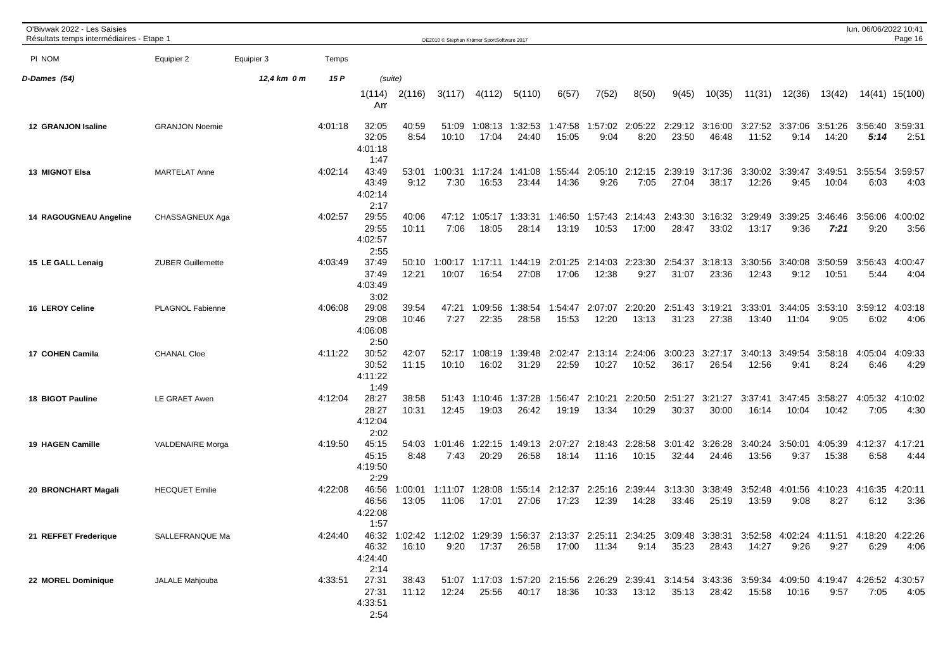| O'Bivwak 2022 - Les Saisies<br>Résultats temps intermédiaires - Etape 1 |                          |             |         |                                   |                  | OE2010 © Stephan Krämer SportSoftware 2017 |                  |                          |                  |                  |                  |                                  |                  |                                                                                                                                |                  |                                          | lun. 06/06/2022 10:41 | Page 16         |
|-------------------------------------------------------------------------|--------------------------|-------------|---------|-----------------------------------|------------------|--------------------------------------------|------------------|--------------------------|------------------|------------------|------------------|----------------------------------|------------------|--------------------------------------------------------------------------------------------------------------------------------|------------------|------------------------------------------|-----------------------|-----------------|
| PI NOM                                                                  | Equipier 2               | Equipier 3  | Temps   |                                   |                  |                                            |                  |                          |                  |                  |                  |                                  |                  |                                                                                                                                |                  |                                          |                       |                 |
| D-Dames (54)                                                            |                          | 12,4 km 0 m | 15 P    | (suite)                           |                  |                                            |                  |                          |                  |                  |                  |                                  |                  |                                                                                                                                |                  |                                          |                       |                 |
|                                                                         |                          |             |         | 1(114)<br>Arr                     | 2(116)           | 3(117)                                     | 4(112)           | 5(110)                   | 6(57)            | 7(52)            | 8(50)            | 9(45)                            | 10(35)           | 11(31)                                                                                                                         | 12(36)           | 13(42)                                   |                       | 14(41) 15(100)  |
| 12 GRANJON Isaline                                                      | <b>GRANJON Noemie</b>    |             | 4:01:18 | 32:05<br>32:05<br>4:01:18<br>1:47 | 40:59<br>8:54    | 51:09<br>10:10                             | 17:04            | 1:08:13 1:32:53<br>24:40 | 1:47:58<br>15:05 | 1:57:02<br>9:04  | 2:05:22<br>8:20  | 2:29:12<br>23:50                 | 3:16:00<br>46:48 | 11:52                                                                                                                          | 9:14             | 3:27:52 3:37:06 3:51:26 3:56:40<br>14:20 | 5:14                  | 3:59:31<br>2:51 |
| 13 MIGNOT Elsa                                                          | <b>MARTELAT Anne</b>     |             | 4:02:14 | 43:49<br>43:49<br>4:02:14<br>2:17 | 53:01<br>9:12    | 1:00:31<br>7:30                            | 1:17:24<br>16:53 | 1:41:08<br>23:44         | 1:55:44<br>14:36 | 2:05:10<br>9:26  | 2:12:15<br>7:05  | 2:39:19<br>27:04                 | 3:17:36<br>38:17 | 3:30:02<br>12:26                                                                                                               | 3:39:47<br>9:45  | 3:49:51<br>10:04                         | 3:55:54<br>6:03       | 3:59:57<br>4:03 |
| <b>14 RAGOUGNEAU Angeline</b>                                           | CHASSAGNEUX Aga          |             | 4:02:57 | 29:55<br>29:55<br>4:02:57<br>2:55 | 40:06<br>10:11   | 47:12<br>7:06                              | 1:05:17<br>18:05 | 1:33:31<br>28:14         | 1:46:50<br>13:19 | 1:57:43<br>10:53 | 2:14:43<br>17:00 | 2:43:30<br>28:47                 | 3:16:32<br>33:02 | 3:29:49<br>13:17                                                                                                               | 3:39:25<br>9:36  | 3:46:46<br>7:21                          | 3:56:06<br>9:20       | 4:00:02<br>3:56 |
| 15 LE GALL Lenaig                                                       | <b>ZUBER Guillemette</b> |             | 4:03:49 | 37:49<br>37:49<br>4:03:49<br>3:02 | 50:10<br>12:21   | 1:00:17<br>10:07                           | 1:17:11<br>16:54 | 1:44:19<br>27:08         | 2:01:25<br>17:06 | 2:14:03<br>12:38 | 2:23:30<br>9:27  | 2:54:37<br>31:07                 | 3:18:13<br>23:36 | 3:30:56<br>12:43                                                                                                               | 3:40:08<br>9:12  | 3:50:59<br>10:51                         | 3:56:43<br>5:44       | 4:00:47<br>4:04 |
| <b>16 LEROY Celine</b>                                                  | PLAGNOL Fabienne         |             | 4:06:08 | 29:08<br>29:08<br>4:06:08<br>2:50 | 39:54<br>10:46   | 47:21<br>7:27                              | 1:09:56<br>22:35 | 1:38:54<br>28:58         | 1:54:47<br>15:53 | 2:07:07<br>12:20 | 2:20:20<br>13:13 | 2:51:43<br>31:23                 | 3:19:21<br>27:38 | 3:33:01<br>13:40                                                                                                               | 3:44:05<br>11:04 | 3:53:10<br>9:05                          | 3:59:12<br>6:02       | 4:03:18<br>4:06 |
| 17 COHEN Camila                                                         | <b>CHANAL Cloe</b>       |             | 4:11:22 | 30:52<br>30:52<br>4:11:22<br>1:49 | 42:07<br>11:15   | 52:17<br>10:10                             | 1:08:19<br>16:02 | 1:39:48<br>31:29         | 2:02:47<br>22:59 | 2:13:14<br>10:27 | 2:24:06<br>10:52 | 3:00:23<br>36:17                 | 3:27:17<br>26:54 | 3:40:13<br>12:56                                                                                                               | 3:49:54<br>9:41  | 3:58:18<br>8:24                          | 4:05:04<br>6:46       | 4:09:33<br>4:29 |
| 18 BIGOT Pauline                                                        | LE GRAET Awen            |             | 4:12:04 | 28:27<br>28:27<br>4:12:04<br>2:02 | 38:58<br>10:31   | 51:43<br>12:45                             | 1:10:46<br>19:03 | 1:37:28<br>26:42         | 1:56:47<br>19:19 | 2:10:21<br>13:34 | 2:20:50<br>10:29 | 2:51:27<br>30:37                 | 3:21:27<br>30:00 | 3:37:41<br>16:14                                                                                                               | 3:47:45<br>10:04 | 3:58:27<br>10:42                         | 4:05:32<br>7:05       | 4:10:02<br>4:30 |
| 19 HAGEN Camille                                                        | <b>VALDENAIRE Morga</b>  |             | 4:19:50 | 45:15<br>45:15<br>4:19:50<br>2:29 | 54:03<br>8:48    | 1:01:46<br>7:43                            | 1:22:15<br>20:29 | 1:49:13<br>26:58         | 2:07:27<br>18:14 | 2:18:43<br>11:16 | 2:28:58<br>10:15 | 3:01:42<br>32:44                 | 3:26:28<br>24:46 | 3:40:24<br>13:56                                                                                                               | 3:50:01<br>9:37  | 4:05:39<br>15:38                         | 4:12:37<br>6:58       | 4:17:21<br>4:44 |
| 20 BRONCHART Magali                                                     | <b>HECQUET Emilie</b>    |             | 4:22:08 | 46:56<br>46:56<br>4:22:08<br>1:57 | 1:00:01<br>13:05 | 1:11:07<br>11:06                           | 1:28:08<br>17:01 | 1:55:14<br>27:06         | 2:12:37<br>17:23 | 12:39            | 14:28            | 2:25:16 2:39:44 3:13:30<br>33:46 | 3:38:49<br>25:19 | 3:52:48<br>13:59                                                                                                               | 9:08             | 4:01:56 4:10:23 4:16:35<br>8:27          | 6:12                  | 4:20:11<br>3:36 |
| 21 REFFET Frederique                                                    | SALLEFRANQUE Ma          |             | 4:24:40 | 46:32<br>4:24:40<br>2:14          | 16:10            | 9:20                                       | 17:37            | 26:58                    | 17:00            | 11:34            | 9:14             | 35:23                            | 28:43            | 46:32 1:02:42 1:12:02 1:29:39 1:56:37 2:13:37 2:25:11 2:34:25 3:09:48 3:38:31 3:52:58 4:02:24 4:11:51 4:18:20 4:22:26<br>14:27 | 9:26             | 9:27                                     | 6:29                  | 4:06            |
| 22 MOREL Dominique                                                      | JALALE Mahjouba          |             | 4:33:51 | 27:31<br>27:31<br>4:33:51<br>2:54 | 38:43<br>11:12   | 12:24                                      | 25:56            | 40:17                    | 18:36            | 10:33            | 13:12            | 35:13                            | 28:42            | 51:07 1:17:03 1:57:20 2:15:56 2:26:29 2:39:41 3:14:54 3:43:36 3:59:34 4:09:50 4:19:47 4:26:52 4:30:57<br>15:58                 | 10:16            | 9:57                                     | 7:05                  | 4:05            |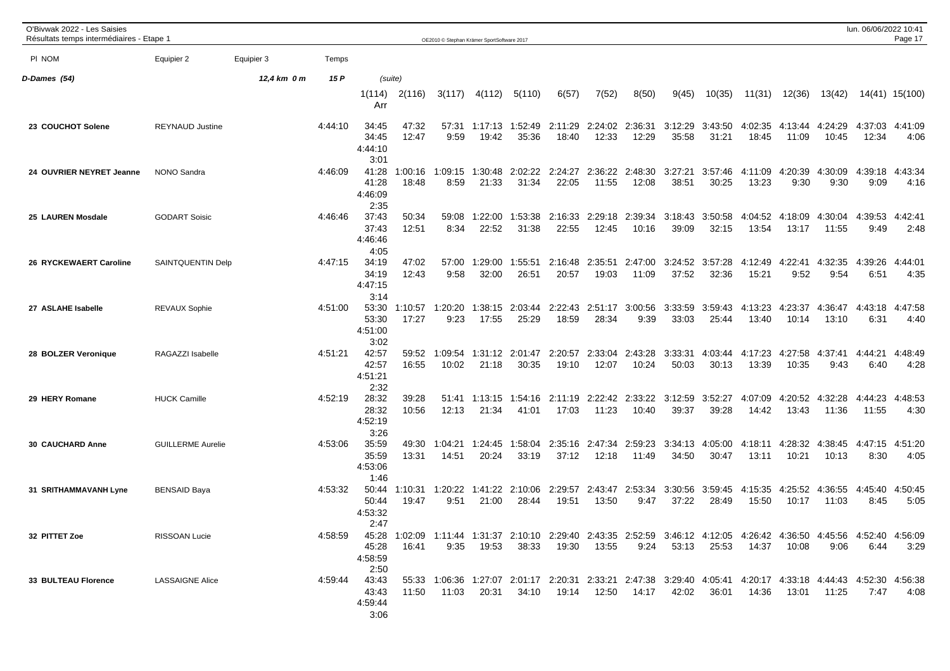| O'Bivwak 2022 - Les Saisies<br>Résultats temps intermédiaires - Etape 1 |                          |             |         |                                   |                  | OE2010 C Stephan Krämer SportSoftware 2017 |                          |                                                                                                                                |                  |                          |                         |                  |                  |                  |                  |                          | lun. 06/06/2022 10:41 | Page 17         |
|-------------------------------------------------------------------------|--------------------------|-------------|---------|-----------------------------------|------------------|--------------------------------------------|--------------------------|--------------------------------------------------------------------------------------------------------------------------------|------------------|--------------------------|-------------------------|------------------|------------------|------------------|------------------|--------------------------|-----------------------|-----------------|
| PI NOM                                                                  | Equipier 2               | Equipier 3  | Temps   |                                   |                  |                                            |                          |                                                                                                                                |                  |                          |                         |                  |                  |                  |                  |                          |                       |                 |
| D-Dames (54)                                                            |                          | 12,4 km 0 m | 15 P    |                                   | (suite)          |                                            |                          |                                                                                                                                |                  |                          |                         |                  |                  |                  |                  |                          |                       |                 |
|                                                                         |                          |             |         | 1(114)<br>Arr                     | 2(116)           | 3(117)                                     | 4(112)                   | 5(110)                                                                                                                         | 6(57)            | 7(52)                    | 8(50)                   | 9(45)            | 10(35)           | 11(31)           | 12(36)           | 13(42)                   |                       | 14(41) 15(100)  |
| 23 COUCHOT Solene                                                       | <b>REYNAUD Justine</b>   |             | 4:44:10 | 34:45<br>34:45<br>4:44:10<br>3:01 | 47:32<br>12:47   | 9:59                                       | 57:31 1:17:13<br>19:42   | 1:52:49<br>35:36                                                                                                               | 2:11:29<br>18:40 | 2:24:02 2:36:31<br>12:33 | 12:29                   | 3:12:29<br>35:58 | 3:43:50<br>31:21 | 4:02:35<br>18:45 | 11:09            | 4:13:44 4:24:29<br>10:45 | 4:37:03<br>12:34      | 4:41:09<br>4:06 |
| 24 OUVRIER NEYRET Jeanne                                                | NONO Sandra              |             | 4:46:09 | 41:28<br>41:28<br>4:46:09<br>2:35 | 1:00:16<br>18:48 | 1:09:15<br>8:59                            | 1:30:48<br>21:33         | 2:02:22<br>31:34                                                                                                               | 2:24:27<br>22:05 | 2:36:22<br>11:55         | 2:48:30<br>12:08        | 3:27:21<br>38:51 | 3:57:46<br>30:25 | 4:11:09<br>13:23 | 4:20:39<br>9:30  | 4:30:09<br>9:30          | 4:39:18<br>9:09       | 4:43:34<br>4:16 |
| 25 LAUREN Mosdale                                                       | <b>GODART Soisic</b>     |             | 4:46:46 | 37:43<br>37:43<br>4:46:46<br>4:05 | 50:34<br>12:51   | 59:08<br>8:34                              | 1:22:00<br>22:52         | 1:53:38<br>31:38                                                                                                               | 2:16:33<br>22:55 | 2:29:18<br>12:45         | 2:39:34<br>10:16        | 3:18:43<br>39:09 | 3:50:58<br>32:15 | 4:04:52<br>13:54 | 4:18:09<br>13:17 | 4:30:04<br>11:55         | 4:39:53<br>9:49       | 4:42:41<br>2:48 |
| 26 RYCKEWAERT Caroline                                                  | SAINTQUENTIN Delp        |             | 4:47:15 | 34:19<br>34:19<br>4:47:15<br>3:14 | 47:02<br>12:43   | 57:00<br>9:58                              | 1:29:00<br>32:00         | 1:55:51<br>26:51                                                                                                               | 2:16:48<br>20:57 | 2:35:51<br>19:03         | 2:47:00<br>11:09        | 3:24:52<br>37:52 | 3:57:28<br>32:36 | 4:12:49<br>15:21 | 4:22:41<br>9:52  | 4:32:35<br>9:54          | 4:39:26<br>6:51       | 4:44:01<br>4:35 |
| 27 ASLAHE Isabelle                                                      | <b>REVAUX Sophie</b>     |             | 4:51:00 | 53:30<br>53:30<br>4:51:00<br>3:02 | 1:10:57<br>17:27 | 1:20:20<br>9:23                            | 1:38:15<br>17:55         | 2:03:44<br>25:29                                                                                                               | 2:22:43<br>18:59 | 2:51:17<br>28:34         | 3:00:56<br>9:39         | 3:33:59<br>33:03 | 3:59:43<br>25:44 | 4:13:23<br>13:40 | 4:23:37<br>10:14 | 4:36:47<br>13:10         | 4:43:18<br>6:31       | 4:47:58<br>4:40 |
| 28 BOLZER Veronique                                                     | RAGAZZI Isabelle         |             | 4:51:21 | 42:57<br>42:57<br>4:51:21<br>2:32 | 59:52<br>16:55   | 1:09:54<br>10:02                           | 1:31:12<br>21:18         | 2:01:47<br>30:35                                                                                                               | 2:20:57<br>19:10 | 2:33:04<br>12:07         | 2:43:28<br>10:24        | 3:33:31<br>50:03 | 4:03:44<br>30:13 | 4:17:23<br>13:39 | 4:27:58<br>10:35 | 4:37:41<br>9:43          | 4:44:21<br>6:40       | 4:48:49<br>4:28 |
| 29 HERY Romane                                                          | <b>HUCK Camille</b>      |             | 4:52:19 | 28:32<br>28:32<br>4:52:19<br>3:26 | 39:28<br>10:56   | 51:41<br>12:13                             | 1:13:15<br>21:34         | 1:54:16<br>41:01                                                                                                               | 2:11:19<br>17:03 | 2:22:42<br>11:23         | 2:33:22<br>10:40        | 3:12:59<br>39:37 | 3:52:27<br>39:28 | 4:07:09<br>14:42 | 4:20:52<br>13:43 | 4:32:28<br>11:36         | 4:44:23<br>11:55      | 4:48:53<br>4:30 |
| 30 CAUCHARD Anne                                                        | <b>GUILLERME Aurelie</b> |             | 4:53:06 | 35:59<br>35:59<br>4:53:06<br>1:46 | 49:30<br>13:31   | 1:04:21<br>14:51                           | 1:24:45<br>20:24         | 1:58:04<br>33:19                                                                                                               | 2:35:16<br>37:12 | 2:47:34<br>12:18         | 2:59:23<br>11:49        | 3:34:13<br>34:50 | 4:05:00<br>30:47 | 4:18:11<br>13:11 | 4:28:32<br>10:21 | 4:38:45<br>10:13         | 4:47:15<br>8:30       | 4:51:20<br>4:05 |
| 31 SRITHAMMAVANH Lyne                                                   | <b>BENSAID Baya</b>      |             | 4:53:32 | 50:44<br>50:44<br>4:53:32<br>2:47 | 1:10:31<br>19:47 | 9:51                                       | 1:20:22 1:41:22<br>21:00 | 2:10:06<br>28:44                                                                                                               | 2:29:57<br>19:51 | 13:50                    | 2:43:47 2:53:34<br>9:47 | 3:30:56<br>37:22 | 3:59:45<br>28:49 | 4:15:35<br>15:50 | 4:25:52<br>10:17 | 4:36:55 4:45:40<br>11:03 | 8:45                  | 4:50:45<br>5:05 |
| 32 PITTET Zoe                                                           | RISSOAN Lucie            |             | 4:58:59 | 45:28<br>4:58:59<br>2:50          | 16:41            |                                            | $9:35$ $19:53$           | 45:28 1:02:09 1:11:44 1:31:37 2:10:10 2:29:40 2:43:35 2:52:59 3:46:12 4:12:05 4:26:42 4:36:50 4:45:56 4:52:40 4:56:09<br>38:33 | 19:30            | 13:55                    | 9:24                    |                  | 53:13 25:53      | 14:37            | 10:08            | 9:06                     | 6:44                  | 3:29            |
| 33 BULTEAU Florence                                                     | <b>LASSAIGNE Alice</b>   |             | 4:59:44 | 43:43<br>43:43<br>4:59:44<br>3:06 | 11:50            | 11:03                                      | 20:31                    | 55:33 1:06:36 1:27:07 2:01:17 2:20:31 2:33:21 2:47:38 3:29:40 4:05:41 4:20:17 4:33:18 4:44:43 4:52:30 4:56:38<br>34:10         |                  | 19:14 12:50              | 14:17                   | 42:02            | 36:01            | 14:36            | 13:01            | 11:25                    | 7:47                  | 4:08            |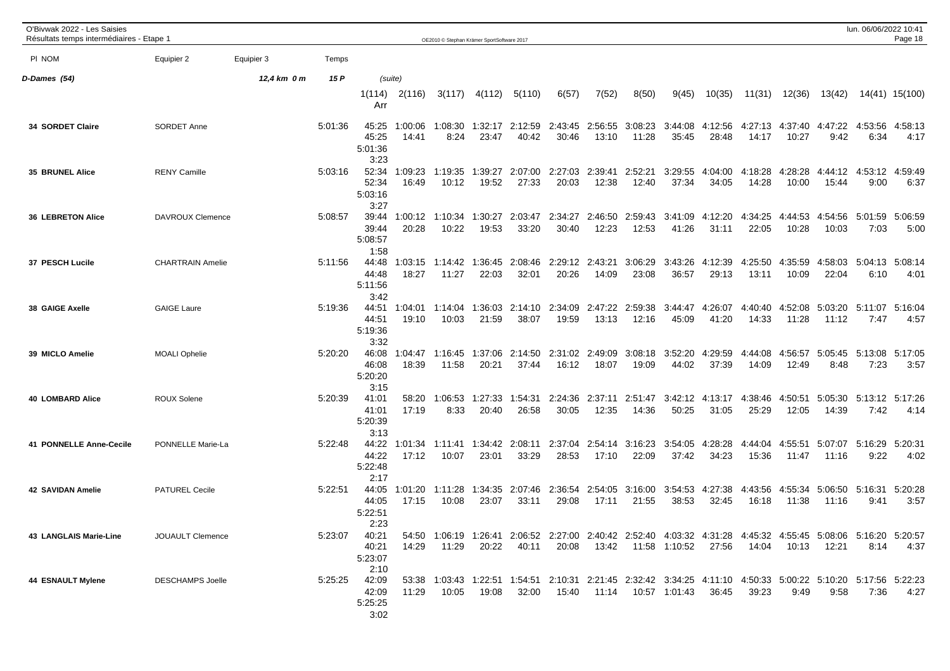| O'Bivwak 2022 - Les Saisies<br>Résultats temps intermédiaires - Etape 1 |                         |             |         |                                   |                  | OE2010 C Stephan Krämer SportSoftware 2017 |                           |                                                                                                                        |                  |                          |                          |                              |                          |                  |                  |                                  | lun. 06/06/2022 10:41   | Page 18         |
|-------------------------------------------------------------------------|-------------------------|-------------|---------|-----------------------------------|------------------|--------------------------------------------|---------------------------|------------------------------------------------------------------------------------------------------------------------|------------------|--------------------------|--------------------------|------------------------------|--------------------------|------------------|------------------|----------------------------------|-------------------------|-----------------|
| PI NOM                                                                  | Equipier 2              | Equipier 3  | Temps   |                                   |                  |                                            |                           |                                                                                                                        |                  |                          |                          |                              |                          |                  |                  |                                  |                         |                 |
| D-Dames (54)                                                            |                         | 12,4 km 0 m | 15 P    | (suite)                           |                  |                                            |                           |                                                                                                                        |                  |                          |                          |                              |                          |                  |                  |                                  |                         |                 |
|                                                                         |                         |             |         | 1(114)<br>Arr                     | 2(116)           | 3(117)                                     | 4(112)                    | 5(110)                                                                                                                 | 6(57)            | 7(52)                    | 8(50)                    | 9(45)                        | 10(35)                   | 11(31)           | 12(36)           | 13(42)                           |                         | 14(41) 15(100)  |
| <b>34 SORDET Claire</b>                                                 | SORDET Anne             |             | 5:01:36 | 45:25<br>45:25<br>5:01:36<br>3:23 | 1:00:06<br>14:41 | 8:24                                       | 1:08:30 1:32:17<br>23:47  | 2:12:59<br>40:42                                                                                                       | 30:46            | 2:43:45 2:56:55<br>13:10 | 3:08:23<br>11:28         | 3:44:08<br>35:45             | 4:12:56<br>28:48         | 4:27:13<br>14:17 | 4:37:40<br>10:27 | 4:47:22<br>9:42                  | 4:53:56<br>6:34         | 4:58:13<br>4:17 |
| <b>35 BRUNEL Alice</b>                                                  | <b>RENY Camille</b>     |             | 5:03:16 | 52:34<br>52:34<br>5:03:16<br>3:27 | 1:09:23<br>16:49 | 1:19:35<br>10:12                           | 1:39:27<br>19:52          | 2:07:00<br>27:33                                                                                                       | 2:27:03<br>20:03 | 2:39:41<br>12:38         | 2:52:21<br>12:40         | 3:29:55<br>37:34             | 4:04:00<br>34:05         | 4:18:28<br>14:28 | 4:28:28<br>10:00 | 4:44:12<br>15:44                 | 4:53:12<br>9:00         | 4:59:49<br>6:37 |
| <b>36 LEBRETON Alice</b>                                                | DAVROUX Clemence        |             | 5:08:57 | 39:44<br>39:44<br>5:08:57<br>1:58 | 1:00:12<br>20:28 | 1:10:34<br>10:22                           | 1:30:27<br>19:53          | 2:03:47<br>33:20                                                                                                       | 2:34:27<br>30:40 | 2:46:50<br>12:23         | 2:59:43<br>12:53         | 3:41:09<br>41:26             | 4:12:20<br>31:11         | 4:34:25<br>22:05 | 4:44:53<br>10:28 | 4:54:56<br>10:03                 | 5:01:59<br>7:03         | 5:06:59<br>5:00 |
| 37 PESCH Lucile                                                         | <b>CHARTRAIN Amelie</b> |             | 5:11:56 | 44:48<br>44:48<br>5:11:56<br>3:42 | 1:03:15<br>18:27 | 1:14:42<br>11:27                           | 1:36:45<br>22:03          | 2:08:46<br>32:01                                                                                                       | 2:29:12<br>20:26 | 2:43:21<br>14:09         | 3:06:29<br>23:08         | 3:43:26<br>36:57             | 4:12:39<br>29:13         | 4:25:50<br>13:11 | 4:35:59<br>10:09 | 4:58:03<br>22:04                 | 5:04:13<br>6:10         | 5:08:14<br>4:01 |
| 38 GAIGE Axelle                                                         | <b>GAIGE Laure</b>      |             | 5:19:36 | 44:51<br>44:51<br>5:19:36<br>3:32 | 1:04:01<br>19:10 | 1:14:04<br>10:03                           | 1:36:03<br>21:59          | 2:14:10<br>38:07                                                                                                       | 2:34:09<br>19:59 | 2:47:22<br>13:13         | 2:59:38<br>12:16         | 3:44:47<br>45:09             | 4:26:07<br>41:20         | 4:40:40<br>14:33 | 4:52:08<br>11:28 | 5:03:20<br>11:12                 | 5:11:07<br>7:47         | 5:16:04<br>4:57 |
| 39 MICLO Amelie                                                         | <b>MOALI Ophelie</b>    |             | 5:20:20 | 46:08<br>46:08<br>5:20:20<br>3:15 | 1:04:47<br>18:39 | 1:16:45<br>11:58                           | 1:37:06<br>20:21          | 2:14:50<br>37:44                                                                                                       | 2:31:02<br>16:12 | 2:49:09<br>18:07         | 3:08:18<br>19:09         | 3:52:20<br>44:02             | 4:29:59<br>37:39         | 4:44:08<br>14:09 | 4:56:57<br>12:49 | 8:48                             | 5:05:45 5:13:08<br>7:23 | 5:17:05<br>3:57 |
| <b>40 LOMBARD Alice</b>                                                 | <b>ROUX Solene</b>      |             | 5:20:39 | 41:01<br>41:01<br>5:20:39<br>3:13 | 58:20<br>17:19   | 1:06:53<br>8:33                            | 1:27:33<br>20:40          | 1:54:31<br>26:58                                                                                                       | 2:24:36<br>30:05 | 2:37:11<br>12:35         | 2:51:47<br>14:36         | 3:42:12<br>50:25             | 4:13:17<br>31:05         | 4:38:46<br>25:29 | 4:50:51<br>12:05 | 5:05:30<br>14:39                 | 5:13:12 5:17:26<br>7:42 | 4:14            |
| 41 PONNELLE Anne-Cecile                                                 | PONNELLE Marie-La       |             | 5:22:48 | 44:22<br>44:22<br>5:22:48<br>2:17 | 1:01:34<br>17:12 | 10:07                                      | 1:11:41  1:34:42<br>23:01 | 2:08:11<br>33:29                                                                                                       | 2:37:04<br>28:53 | 17:10                    | 2:54:14 3:16:23<br>22:09 | 3:54:05<br>37:42             | 4:28:28<br>34:23         | 4:44:04<br>15:36 | 4:55:51<br>11:47 | 5:07:07<br>11:16                 | 5:16:29<br>9:22         | 5:20:31<br>4:02 |
| <b>42 SAVIDAN Amelie</b>                                                | <b>PATUREL Cecile</b>   |             | 5:22:51 | 44:05<br>44:05<br>5:22:51<br>2:23 | 1:01:20<br>17:15 | 10:08                                      | 1:11:28 1:34:35<br>23:07  | 2:07:46 2:36:54<br>33:11                                                                                               | 29:08            | 17:11                    | 2:54:05 3:16:00<br>21:55 | 38:53                        | 3:54:53 4:27:38<br>32:45 | 4:43:56<br>16:18 | 11:38            | 4:55:34 5:06:50 5:16:31<br>11:16 | 9:41                    | 5:20:28<br>3:57 |
| 43 LANGLAIS Marie-Line                                                  | <b>JOUAULT Clemence</b> |             | 5:23:07 | 40:21<br>40:21<br>5:23:07<br>2:10 | 14:29            | 11:29                                      | 20:22                     | 54:50 1:06:19 1:26:41 2:06:52 2:27:00 2:40:42 2:52:40 4:03:32 4:31:28 4:45:32 4:55:45 5:08:06 5:16:20 5:20:57<br>40:11 | 20:08            |                          |                          | 13:42  11:58  1:10:52  27:56 |                          | 14:04            | 10:13            | 12:21                            | 8:14                    | 4:37            |
| <b>44 ESNAULT Mylene</b>                                                | <b>DESCHAMPS Joelle</b> |             | 5:25:25 | 42:09<br>42:09<br>5:25:25<br>3:02 | 11:29            | 10:05                                      | 19:08                     | 53:38 1:03:43 1:22:51 1:54:51 2:10:31 2:21:45 2:32:42 3:34:25 4:11:10 4:50:33 5:00:22 5:10:20 5:17:56 5:22:23<br>32:00 |                  |                          |                          | 15:40  11:14  10:57  1:01:43 | 36:45                    | 39:23            | 9:49             | 9:58                             | 7:36                    | 4:27            |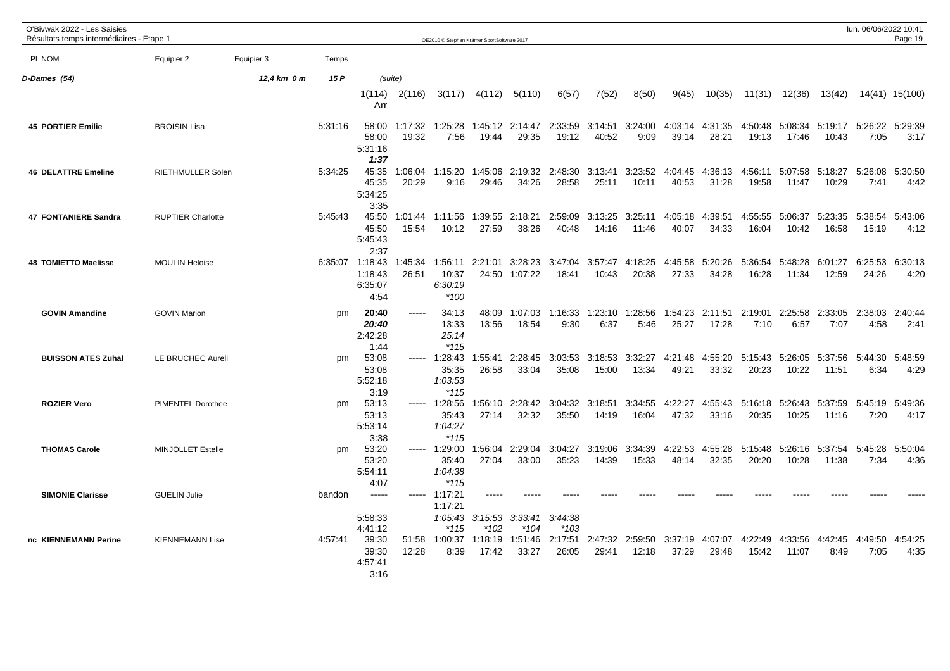| O'Bivwak 2022 - Les Saisies<br>Résultats temps intermédiaires - Etape 1 |                          |             |         |                                               |                  | OE2010 © Stephan Krämer SportSoftware 2017 |                   |                    |                   |                  |                          |                  |                  |                  |                  |                                 | lun. 06/06/2022 10:41 | Page 19         |
|-------------------------------------------------------------------------|--------------------------|-------------|---------|-----------------------------------------------|------------------|--------------------------------------------|-------------------|--------------------|-------------------|------------------|--------------------------|------------------|------------------|------------------|------------------|---------------------------------|-----------------------|-----------------|
| PI NOM                                                                  | Equipier 2               | Equipier 3  | Temps   |                                               |                  |                                            |                   |                    |                   |                  |                          |                  |                  |                  |                  |                                 |                       |                 |
| D-Dames (54)                                                            |                          | 12,4 km 0 m | 15 P    | (suite)                                       |                  |                                            |                   |                    |                   |                  |                          |                  |                  |                  |                  |                                 |                       |                 |
|                                                                         |                          |             |         | 1(114)<br>Arr                                 | 2(116)           | 3(117)                                     | 4(112)            | 5(110)             | 6(57)             | 7(52)            | 8(50)                    | 9(45)            | 10(35)           | 11(31)           | 12(36)           | 13(42)                          |                       | 14(41) 15(100)  |
| <b>45 PORTIER Emilie</b>                                                | <b>BROISIN Lisa</b>      |             | 5:31:16 | 58:00<br>58:00<br>5:31:16<br>1:37             | 1:17:32<br>19:32 | 1:25:28<br>7:56                            | 1:45:12<br>19:44  | 2:14:47<br>29:35   | 2:33:59<br>19:12  | 3:14:51<br>40:52 | 3:24:00<br>9:09          | 4:03:14<br>39:14 | 4:31:35<br>28:21 | 4:50:48<br>19:13 | 5:08:34<br>17:46 | 5:19:17<br>10:43                | 5:26:22<br>7:05       | 5:29:39<br>3:17 |
| <b>46 DELATTRE Emeline</b>                                              | <b>RIETHMULLER Solen</b> |             | 5:34:25 | 45:35<br>45:35<br>5:34:25<br>3:35             | 1:06:04<br>20:29 | 1:15:20<br>9:16                            | 1:45:06<br>29:46  | 2:19:32<br>34:26   | 2:48:30<br>28:58  | 3:13:41<br>25:11 | 3:23:52<br>10:11         | 4:04:45<br>40:53 | 4:36:13<br>31:28 | 4:56:11<br>19:58 | 5:07:58<br>11:47 | 5:18:27<br>10:29                | 5:26:08<br>7:41       | 5:30:50<br>4:42 |
| 47 FONTANIERE Sandra                                                    | <b>RUPTIER Charlotte</b> |             | 5:45:43 | 45:50<br>45:50<br>5:45:43<br>2:37             | 1:01:44<br>15:54 | 1:11:56<br>10:12                           | 1:39:55<br>27:59  | 2:18:21<br>38:26   | 2:59:09<br>40:48  | 3:13:25<br>14:16 | 3:25:11<br>11:46         | 4:05:18<br>40:07 | 4:39:51<br>34:33 | 4:55:55<br>16:04 | 5:06:37<br>10:42 | 5:23:35<br>16:58                | 5:38:54<br>15:19      | 5:43:06<br>4:12 |
| <b>48 TOMIETTO Maelisse</b>                                             | <b>MOULIN Heloise</b>    |             |         | 6:35:07 1:18:43<br>1:18:43<br>6:35:07<br>4:54 | 1:45:34<br>26:51 | 1:56:11<br>10:37<br>6:30:19<br>$*100$      | 2:21:01<br>24:50  | 3:28:23<br>1:07:22 | 3:47:04<br>18:41  | 3:57:47<br>10:43 | 4:18:25<br>20:38         | 4:45:58<br>27:33 | 5:20:26<br>34:28 | 5:36:54<br>16:28 | 5:48:28<br>11:34 | 6:01:27<br>12:59                | 6:25:53<br>24:26      | 6:30:13<br>4:20 |
| <b>GOVIN Amandine</b>                                                   | <b>GOVIN Marion</b>      |             | pm      | 20:40<br>20:40<br>2:42:28<br>1:44             | -----            | 34:13<br>13:33<br>25:14<br>$*115$          | 48:09<br>13:56    | 1:07:03<br>18:54   | 1:16:33<br>9:30   | 1:23:10<br>6:37  | 1:28:56<br>5:46          | 1:54:23<br>25:27 | 2:11:51<br>17:28 | 2:19:01<br>7:10  | 2:25:58<br>6:57  | 2:33:05<br>7:07                 | 2:38:03<br>4:58       | 2:40:44<br>2:41 |
| <b>BUISSON ATES Zuhal</b>                                               | LE BRUCHEC Aureli        |             | pm      | 53:08<br>53:08<br>5:52:18<br>3:19             | -----            | 1:28:43<br>35:35<br>1:03:53<br>$*115$      | 1:55:41<br>26:58  | 2:28:45<br>33:04   | 3:03:53<br>35:08  | 3:18:53<br>15:00 | 3:32:27<br>13:34         | 4:21:48<br>49:21 | 4:55:20<br>33:32 | 5:15:43<br>20:23 | 5:26:05<br>10:22 | 5:37:56<br>11:51                | 5:44:30<br>6:34       | 5:48:59<br>4:29 |
| <b>ROZIER Vero</b>                                                      | PIMENTEL Dorothee        |             | pm      | 53:13<br>53:13<br>5:53:14<br>3:38             | ------           | 1:28:56<br>35:43<br>1:04:27<br>$*115$      | 1:56:10<br>27:14  | 2:28:42<br>32:32   | 3:04:32<br>35:50  | 3:18:51<br>14:19 | 3:34:55<br>16:04         | 4:22:27<br>47:32 | 4:55:43<br>33:16 | 5:16:18<br>20:35 | 5:26:43<br>10:25 | 5:37:59 5:45:19<br>11:16        | 7:20                  | 5:49:36<br>4:17 |
| <b>THOMAS Carole</b>                                                    | <b>MINJOLLET Estelle</b> |             | pm      | 53:20<br>53:20<br>5:54:11<br>4:07             | -----            | 1:29:00<br>35:40<br>1:04:38<br>$*115$      | 1:56:04<br>27:04  | 2:29:04<br>33:00   | 3:04:27<br>35:23  | 3:19:06<br>14:39 | 3:34:39<br>15:33         | 4:22:53<br>48:14 | 4:55:28<br>32:35 | 5:15:48<br>20:20 | 5:26:16<br>10:28 | 5:37:54<br>11:38                | 5:45:28<br>7:34       | 5:50:04<br>4:36 |
| <b>SIMONIE Clarisse</b>                                                 | <b>GUELIN Julie</b>      |             | bandon  | $- - - - -$<br>5:58:33<br>4:41:12             | ------           | 1:17:21<br>1:17:21<br>1:05:43<br>$*115$    | 3:15:53<br>$*102$ | 3:33:41<br>*104    | 3:44:38<br>$*103$ |                  |                          |                  |                  |                  |                  |                                 |                       |                 |
| nc KIENNEMANN Perine                                                    | <b>KIENNEMANN Lise</b>   |             | 4:57:41 | 39:30<br>39:30<br>4:57:41<br>3:16             | 12:28            | 51:58 1:00:37<br>8:39                      | 1:18:19<br>17:42  | 1:51:46<br>33:27   | 2:17:51<br>26:05  | 29:41            | 2:47:32 2:59:50<br>12:18 | 3:37:19<br>37:29 | 4:07:07<br>29:48 | 4:22:49<br>15:42 | 11:07            | 4:33:56 4:42:45 4:49:50<br>8:49 | 7:05                  | 4:54:25<br>4:35 |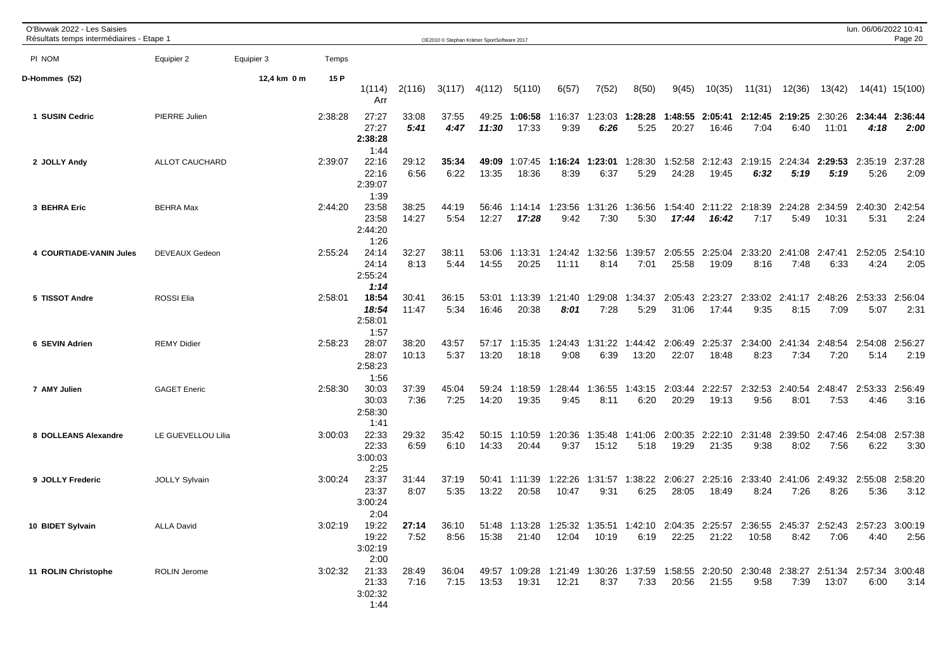| O'Bivwak 2022 - Les Saisies<br>Résultats temps intermédiaires - Etape 1 |                      |             |         |                                   |                | OE2010 © Stephan Krämer SportSoftware 2017 |                |                  |                  |                  |                  |                  |                  |                  |                         |                  | lun. 06/06/2022 10:41 | Page 20         |
|-------------------------------------------------------------------------|----------------------|-------------|---------|-----------------------------------|----------------|--------------------------------------------|----------------|------------------|------------------|------------------|------------------|------------------|------------------|------------------|-------------------------|------------------|-----------------------|-----------------|
| PI NOM                                                                  | Equipier 2           | Equipier 3  | Temps   |                                   |                |                                            |                |                  |                  |                  |                  |                  |                  |                  |                         |                  |                       |                 |
| D-Hommes (52)                                                           |                      | 12,4 km 0 m | 15 P    | 1(114)<br>Arr                     | 2(116)         | 3(117)                                     | 4(112)         | 5(110)           | 6(57)            | 7(52)            | 8(50)            | 9(45)            | 10(35)           | 11(31)           | 12(36)                  | 13(42)           |                       | 14(41) 15(100)  |
| 1 SUSIN Cedric                                                          | PIERRE Julien        |             | 2:38:28 | 27:27<br>27:27<br>2:38:28<br>1:44 | 33:08<br>5:41  | 37:55<br>4:47                              | 49:25<br>11:30 | 1:06:58<br>17:33 | 1:16:37<br>9:39  | :23:03<br>6:26   | 1:28:28<br>5:25  | 1:48:55<br>20:27 | 2:05:41<br>16:46 | 2:12:45<br>7:04  | 2:19:25<br>6:40         | 2:30:26<br>11:01 | 2:34:44<br>4:18       | 2:36:44<br>2:00 |
| 2 JOLLY Andy                                                            | ALLOT CAUCHARD       |             | 2:39:07 | 22:16<br>22:16<br>2:39:07<br>1:39 | 29:12<br>6:56  | 35:34<br>6:22                              | 49:09<br>13:35 | 1:07:45<br>18:36 | 1:16:24<br>8:39  | 1:23:01<br>6:37  | :28:30<br>5:29   | 1:52:58<br>24:28 | 2:12:43<br>19:45 | 2:19:15<br>6:32  | 2:24:34<br>5:19         | 2:29:53<br>5:19  | 2:35:19<br>5:26       | 2:37:28<br>2:09 |
| 3 BEHRA Eric                                                            | <b>BEHRA Max</b>     |             | 2:44:20 | 23:58<br>23:58<br>2:44:20<br>1:26 | 38:25<br>14:27 | 44:19<br>5:54                              | 56:46<br>12:27 | 1:14:14<br>17:28 | 1:23:56<br>9:42  | 1:31:26<br>7:30  | 1:36:56<br>5:30  | 1:54:40<br>17:44 | 2:11:22<br>16:42 | 2:18:39<br>7:17  | 2:24:28<br>5:49         | 2:34:59<br>10:31 | 2:40:30<br>5:31       | 2:42:54<br>2:24 |
| 4 COURTIADE-VANIN Jules                                                 | DEVEAUX Gedeon       |             | 2:55:24 | 24:14<br>24:14<br>2:55:24<br>1:14 | 32:27<br>8:13  | 38:11<br>5:44                              | 53:06<br>14:55 | 1:13:31<br>20:25 | 1:24:42<br>11:11 | 1:32:56<br>8:14  | 1:39:57<br>7:01  | 2:05:55<br>25:58 | 2:25:04<br>19:09 | 2:33:20<br>8:16  | 2:41:08 2:47:41<br>7:48 | 6:33             | 2:52:05<br>4:24       | 2:54:10<br>2:05 |
| 5 TISSOT Andre                                                          | <b>ROSSI Elia</b>    |             | 2:58:01 | 18:54<br>18:54<br>2:58:01<br>1:57 | 30:41<br>11:47 | 36:15<br>5:34                              | 53:01<br>16:46 | 1:13:39<br>20:38 | 1:21:40<br>8:01  | 1:29:08<br>7:28  | 1:34:37<br>5:29  | 2:05:43<br>31:06 | 2:23:27<br>17:44 | 9:35             | 2:33:02 2:41:17<br>8:15 | 2:48:26<br>7:09  | 2:53:33<br>5:07       | 2:56:04<br>2:31 |
| 6 SEVIN Adrien                                                          | <b>REMY Didier</b>   |             | 2:58:23 | 28:07<br>28:07<br>2:58:23<br>1:56 | 38:20<br>10:13 | 43:57<br>5:37                              | 57:17<br>13:20 | 1:15:35<br>18:18 | 1:24:43<br>9:08  | 1:31:22<br>6:39  | 1:44:42<br>13:20 | 2:06:49<br>22:07 | 2:25:37<br>18:48 | 2:34:00<br>8:23  | 2:41:34<br>7:34         | 2:48:54<br>7:20  | 2:54:08<br>5:14       | 2:56:27<br>2:19 |
| 7 AMY Julien                                                            | <b>GAGET Eneric</b>  |             | 2:58:30 | 30:03<br>30:03<br>2:58:30<br>1:41 | 37:39<br>7:36  | 45:04<br>7:25                              | 59:24<br>14:20 | 1:18:59<br>19:35 | 1:28:44<br>9:45  | 1:36:55<br>8:11  | 1:43:15<br>6:20  | 2:03:44<br>20:29 | 2:22:57<br>19:13 | 2:32:53<br>9:56  | 2:40:54<br>8:01         | 2:48:47<br>7:53  | 2:53:33<br>4:46       | 2:56:49<br>3:16 |
| 8 DOLLEANS Alexandre                                                    | LE GUEVELLOU Lilia   |             | 3:00:03 | 22:33<br>22:33<br>3:00:03<br>2:25 | 29:32<br>6:59  | 35:42<br>6:10                              | 50:15<br>14:33 | 1:10:59<br>20:44 | 1:20:36<br>9:37  | 1:35:48<br>15:12 | 1:41:06<br>5:18  | 2:00:35<br>19:29 | 2:22:10<br>21:35 | 2:31:48<br>9:38  | 2:39:50<br>8:02         | 2:47:46<br>7:56  | 2:54:08<br>6:22       | 2:57:38<br>3:30 |
| 9 JOLLY Frederic                                                        | <b>JOLLY Sylvain</b> |             | 3:00:24 | 23:37<br>23:37<br>3:00:24<br>2:04 | 31:44<br>8:07  | 37:19<br>5:35                              | 50:41<br>13:22 | 1:11:39<br>20:58 | 1:22:26<br>10:47 | 1:31:57<br>9:31  | :38:22<br>6:25   | 2:06:27<br>28:05 | 2:25:16<br>18:49 | 2:33:40<br>8:24  | 2:41:06<br>7:26         | 2:49:32<br>8:26  | 2:55:08<br>5:36       | 2:58:20<br>3:12 |
| 10 BIDET Sylvain                                                        | <b>ALLA David</b>    |             | 3:02:19 | 19:22<br>19:22<br>3:02:19<br>2:00 | 27:14<br>7:52  | 36:10<br>8:56                              | 51:48<br>15:38 | 1:13:28<br>21:40 | 1:25:32<br>12:04 | 1:35:51<br>10:19 | :42:10<br>6:19   | 2:04:35<br>22:25 | 2:25:57<br>21:22 | 2:36:55<br>10:58 | 2:45:37<br>8:42         | 2:52:43<br>7:06  | 2:57:23<br>4:40       | 3:00:19<br>2:56 |
| 11 ROLIN Christophe                                                     | <b>ROLIN Jerome</b>  |             | 3:02:32 | 21:33<br>21:33<br>3:02:32<br>1:44 | 28:49<br>7:16  | 36:04<br>7:15                              | 49:57<br>13:53 | 1:09:28<br>19:31 | 1:21:49<br>12:21 | 1:30:26<br>8:37  | :37:59<br>7:33   | 1:58:55<br>20:56 | 2:20:50<br>21:55 | 2:30:48<br>9:58  | 2:38:27<br>7:39         | 2:51:34<br>13:07 | 2:57:34<br>6:00       | 3:00:48<br>3:14 |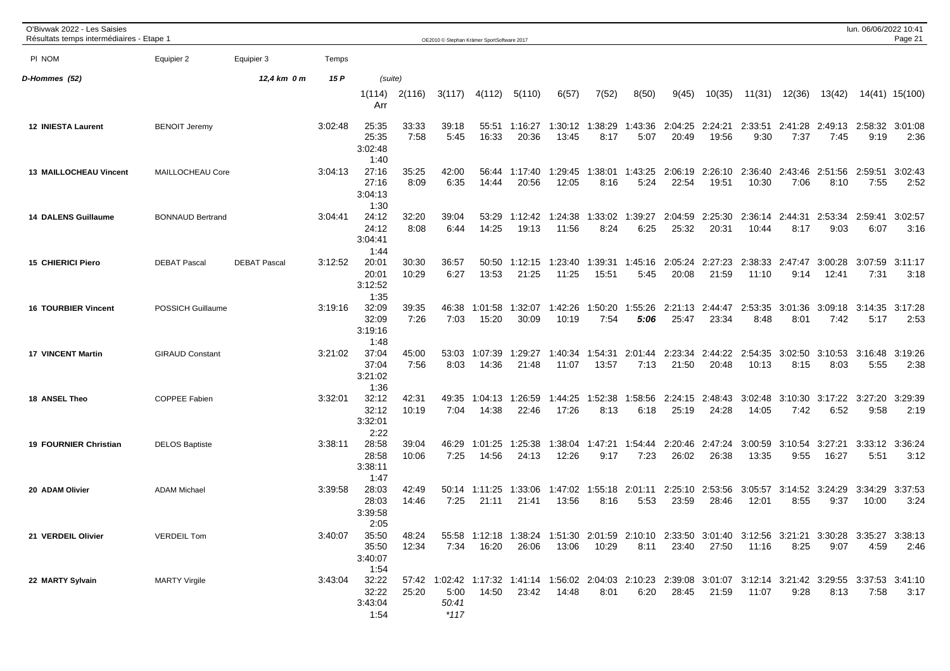| O'Bivwak 2022 - Les Saisies<br>Résultats temps intermédiaires - Etape 1 |                         |                     |         |                                   |                | OE2010 © Stephan Krämer SportSoftware 2017 |                        |                  |                                                                                                                        |                  |                         |                  |                  |                  |                 |                         | lun. 06/06/2022 10:41 | Page 21         |
|-------------------------------------------------------------------------|-------------------------|---------------------|---------|-----------------------------------|----------------|--------------------------------------------|------------------------|------------------|------------------------------------------------------------------------------------------------------------------------|------------------|-------------------------|------------------|------------------|------------------|-----------------|-------------------------|-----------------------|-----------------|
| PI NOM                                                                  | Equipier 2              | Equipier 3          | Temps   |                                   |                |                                            |                        |                  |                                                                                                                        |                  |                         |                  |                  |                  |                 |                         |                       |                 |
| D-Hommes (52)                                                           |                         | 12,4 km 0 m         | 15 P    | (suite)                           |                |                                            |                        |                  |                                                                                                                        |                  |                         |                  |                  |                  |                 |                         |                       |                 |
|                                                                         |                         |                     |         | 1(114)<br>Arr                     | 2(116)         | 3(117)                                     | 4(112)                 | 5(110)           | 6(57)                                                                                                                  | 7(52)            | 8(50)                   | 9(45)            | 10(35)           | 11(31)           | 12(36)          | 13(42)                  |                       | 14(41) 15(100)  |
| 12 INIESTA Laurent                                                      | <b>BENOIT Jeremy</b>    |                     | 3:02:48 | 25:35<br>25:35<br>3:02:48<br>1:40 | 33:33<br>7:58  | 39:18<br>5:45                              | 55:51<br>16:33         | 1:16:27<br>20:36 | 1:30:12<br>13:45                                                                                                       | 1:38:29<br>8:17  | 1:43:36<br>5:07         | 2:04:25<br>20:49 | 2:24:21<br>19:56 | 2:33:51<br>9:30  | 2:41:28<br>7:37 | 2:49:13 2:58:32<br>7:45 | 9:19                  | 3:01:08<br>2:36 |
| <b>13 MAILLOCHEAU Vincent</b>                                           | MAILLOCHEAU Core        |                     | 3:04:13 | 27:16<br>27:16<br>3:04:13<br>1:30 | 35:25<br>8:09  | 42:00<br>6:35                              | 56:44<br>14:44         | 1:17:40<br>20:56 | 1:29:45<br>12:05                                                                                                       | :38:01<br>8:16   | 1:43:25<br>5:24         | 2:06:19<br>22:54 | 2:26:10<br>19:51 | 2:36:40<br>10:30 | 2:43:46<br>7:06 | 2:51:56<br>8:10         | 2:59:51<br>7:55       | 3:02:43<br>2:52 |
| <b>14 DALENS Guillaume</b>                                              | <b>BONNAUD Bertrand</b> |                     | 3:04:41 | 24:12<br>24:12<br>3:04:41<br>1:44 | 32:20<br>8:08  | 39:04<br>6:44                              | 53:29<br>14:25         | 1:12:42<br>19:13 | 1:24:38<br>11:56                                                                                                       | 1:33:02<br>8:24  | :39:27<br>-1<br>6:25    | 2:04:59<br>25:32 | 2:25:30<br>20:31 | 2:36:14<br>10:44 | 2:44:31<br>8:17 | 2:53:34<br>9:03         | 2:59:41<br>6:07       | 3:02:57<br>3:16 |
| <b>15 CHIERICI Piero</b>                                                | <b>DEBAT Pascal</b>     | <b>DEBAT Pascal</b> | 3:12:52 | 20:01<br>20:01<br>3:12:52<br>1:35 | 30:30<br>10:29 | 36:57<br>6:27                              | 50:50<br>13:53         | 1:12:15<br>21:25 | 1:23:40<br>11:25                                                                                                       | 1:39:31<br>15:51 | 1:45:16<br>5:45         | 2:05:24<br>20:08 | 2:27:23<br>21:59 | 2:38:33<br>11:10 | 2:47:47<br>9:14 | 3:00:28<br>12:41        | 3:07:59<br>7:31       | 3:11:17<br>3:18 |
| <b>16 TOURBIER Vincent</b>                                              | POSSICH Guillaume       |                     | 3:19:16 | 32:09<br>32:09<br>3:19:16<br>1:48 | 39:35<br>7:26  | 46:38<br>7:03                              | 1:01:58<br>15:20       | 1:32:07<br>30:09 | 1:42:26<br>10:19                                                                                                       | 1:50:20<br>7:54  | :55:26<br>5:06          | 2:21:13<br>25:47 | 2:44:47<br>23:34 | 2:53:35<br>8:48  | 3:01:36<br>8:01 | 3:09:18<br>7:42         | 3:14:35<br>5:17       | 3:17:28<br>2:53 |
| <b>17 VINCENT Martin</b>                                                | <b>GIRAUD Constant</b>  |                     | 3:21:02 | 37:04<br>37:04<br>3:21:02<br>1:36 | 45:00<br>7:56  | 53:03<br>8:03                              | 1:07:39<br>14:36       | 1:29:27<br>21:48 | 1:40:34<br>11:07                                                                                                       | 1:54:31<br>13:57 | 2:01:44<br>7:13         | 2:23:34<br>21:50 | 2:44:22<br>20:48 | 2:54:35<br>10:13 | 3:02:50<br>8:15 | 3:10:53<br>8:03         | 3:16:48<br>5:55       | 3:19:26<br>2:38 |
| 18 ANSEL Theo                                                           | COPPEE Fabien           |                     | 3:32:01 | 32:12<br>32:12<br>3:32:01<br>2:22 | 42:31<br>10:19 | 49:35<br>7:04                              | 1:04:13<br>14:38       | 1:26:59<br>22:46 | 1:44:25<br>17:26                                                                                                       | 1:52:38<br>8:13  | :58:56<br>6:18          | 2:24:15<br>25:19 | 2:48:43<br>24:28 | 3:02:48<br>14:05 | 3:10:30<br>7:42 | 3:17:22<br>6:52         | 3:27:20<br>9:58       | 3:29:39<br>2:19 |
| <b>19 FOURNIER Christian</b>                                            | <b>DELOS Baptiste</b>   |                     | 3:38:11 | 28:58<br>28:58<br>3:38:11<br>1:47 | 39:04<br>10:06 | 46:29<br>7:25                              | 1:01:25<br>14:56       | 1:25:38<br>24:13 | 1:38:04<br>12:26                                                                                                       | 1:47:21<br>9:17  | 1:54:44<br>7:23         | 2:20:46<br>26:02 | 2:47:24<br>26:38 | 3:00:59<br>13:35 | 3:10:54<br>9:55 | 3:27:21<br>16:27        | 3:33:12<br>5:51       | 3:36:24<br>3:12 |
| 20 ADAM Olivier                                                         | <b>ADAM Michael</b>     |                     | 3:39:58 | 28:03<br>28:03<br>3:39:58<br>2:05 | 42:49<br>14:46 | 7:25                                       | 50:14 1:11:25<br>21:11 | 1:33:06<br>21:41 | 1:47:02<br>13:56                                                                                                       | 8:16             | 1:55:18 2:01:11<br>5:53 | 2:25:10<br>23:59 | 2:53:56<br>28:46 | 3:05:57<br>12:01 | 8:55            | 3:14:52 3:24:29<br>9:37 | 3:34:29<br>10:00      | 3:37:53<br>3:24 |
| 21 VERDEIL Olivier                                                      | <b>VERDEIL Tom</b>      |                     | 3:40:07 | 35:50<br>35:50<br>3:40:07<br>1:54 | 48:24<br>12:34 |                                            | 7:34 16:20             | 26:06            | 55:58 1:12:18 1:38:24 1:51:30 2:01:59 2:10:10 2:33:50 3:01:40 3:12:56 3:21:21 3:30:28 3:35:27 3:38:13<br>13:06         | 10:29            | 8:11                    | 23:40            | 27:50            | 11:16            | 8:25            | 9:07                    | 4:59                  | 2:46            |
| 22 MARTY Sylvain                                                        | <b>MARTY Virgile</b>    |                     | 3:43:04 | 32:22<br>32:22<br>3:43:04<br>1:54 | 25:20          | 5:00<br>50:41<br>$*117$                    | 14:50                  | 23:42            | 57:42 1:02:42 1:17:32 1:41:14 1:56:02 2:04:03 2:10:23 2:39:08 3:01:07 3:12:14 3:21:42 3:29:55 3:37:53 3:41:10<br>14:48 | 8:01             | 6:20                    | 28:45            | 21:59            | 11:07            | 9:28            | 8:13                    | 7:58                  | 3:17            |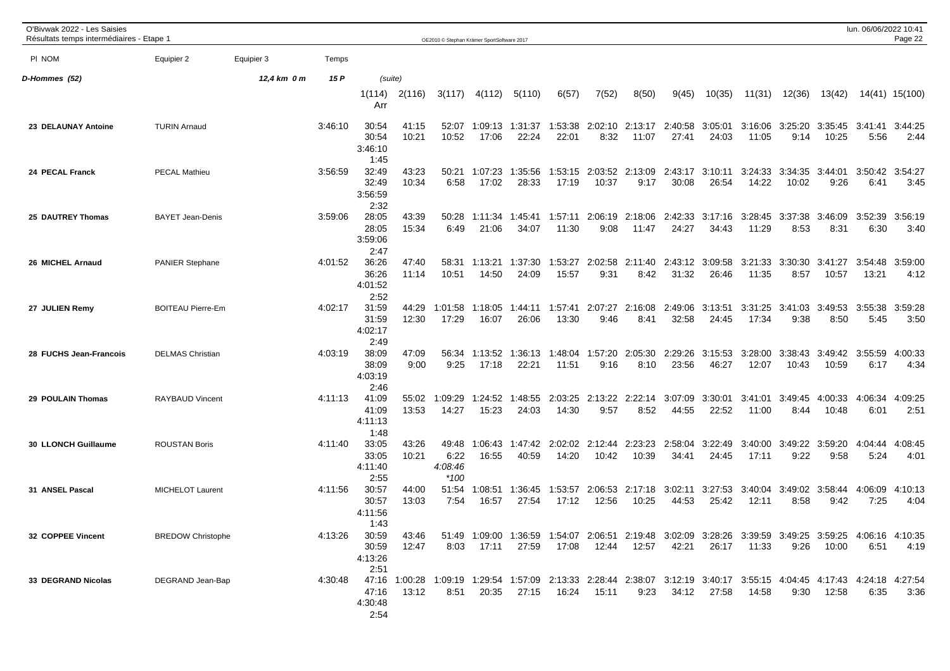| O'Bivwak 2022 - Les Saisies<br>Résultats temps intermédiaires - Etape 1 |                          |             |         |                                                                                                                                                   |                | OE2010 © Stephan Krämer SportSoftware 2017 |                  |                                                                                                                |                  |                          |                          |                  |                  |                  |                  |                          | lun. 06/06/2022 10:41 | Page 22         |
|-------------------------------------------------------------------------|--------------------------|-------------|---------|---------------------------------------------------------------------------------------------------------------------------------------------------|----------------|--------------------------------------------|------------------|----------------------------------------------------------------------------------------------------------------|------------------|--------------------------|--------------------------|------------------|------------------|------------------|------------------|--------------------------|-----------------------|-----------------|
| PI NOM                                                                  | Equipier 2               | Equipier 3  | Temps   |                                                                                                                                                   |                |                                            |                  |                                                                                                                |                  |                          |                          |                  |                  |                  |                  |                          |                       |                 |
| D-Hommes (52)                                                           |                          | 12,4 km 0 m | 15 P    | (suite)                                                                                                                                           |                |                                            |                  |                                                                                                                |                  |                          |                          |                  |                  |                  |                  |                          |                       |                 |
|                                                                         |                          |             |         | 1(114)<br>Arr                                                                                                                                     | 2(116)         | 3(117)                                     | 4(112)           | 5(110)                                                                                                         | 6(57)            | 7(52)                    | 8(50)                    | 9(45)            | 10(35)           | 11(31)           | 12(36)           | 13(42)                   |                       | 14(41) 15(100)  |
| 23 DELAUNAY Antoine                                                     | <b>TURIN Arnaud</b>      |             | 3:46:10 | 30:54<br>30:54<br>3:46:10<br>1:45                                                                                                                 | 41:15<br>10:21 | 52:07<br>10:52                             | 1:09:13<br>17:06 | 1:31:37<br>22:24                                                                                               | 1:53:38<br>22:01 | 8:32                     | 2:02:10 2:13:17<br>11:07 | 2:40:58<br>27:41 | 3:05:01<br>24:03 | 3:16:06<br>11:05 | 3:25:20<br>9:14  | 3:35:45 3:41:41<br>10:25 | 5:56                  | 3:44:25<br>2:44 |
| 24 PECAL Franck                                                         | <b>PECAL Mathieu</b>     |             | 3:56:59 | 32:49<br>32:49<br>3:56:59<br>2:32                                                                                                                 | 43:23<br>10:34 | 50:21<br>6:58                              | 1:07:23<br>17:02 | 1:35:56<br>28:33                                                                                               | 1:53:15<br>17:19 | 2:03:52 2:13:09<br>10:37 | 9:17                     | 2:43:17<br>30:08 | 3:10:11<br>26:54 | 3:24:33<br>14:22 | 3:34:35<br>10:02 | 3:44:01<br>9:26          | 3:50:42<br>6:41       | 3:54:27<br>3:45 |
| 25 DAUTREY Thomas                                                       | <b>BAYET Jean-Denis</b>  |             | 3:59:06 | 28:05<br>28:05<br>3:59:06<br>2:47                                                                                                                 | 43:39<br>15:34 | 50:28<br>6:49                              | 1:11:34<br>21:06 | 1:45:41<br>34:07                                                                                               | 1:57:11<br>11:30 | 2:06:19<br>9:08          | 2:18:06<br>11:47         | 2:42:33<br>24:27 | 3:17:16<br>34:43 | 3:28:45<br>11:29 | 3:37:38<br>8:53  | 3:46:09<br>8:31          | 3:52:39<br>6:30       | 3:56:19<br>3:40 |
| 26 MICHEL Arnaud                                                        | <b>PANIER Stephane</b>   |             | 4:01:52 | 36:26<br>36:26<br>4:01:52<br>2:52                                                                                                                 | 47:40<br>11:14 | 58:31<br>10:51                             | 1:13:21<br>14:50 | 1:37:30<br>24:09                                                                                               | 1:53:27<br>15:57 | 2:02:58<br>9:31          | 2:11:40<br>8:42          | 2:43:12<br>31:32 | 3:09:58<br>26:46 | 3:21:33<br>11:35 | 3:30:30<br>8:57  | 3:41:27<br>10:57         | 3:54:48<br>13:21      | 3:59:00<br>4:12 |
| 27 JULIEN Remy                                                          | <b>BOITEAU Pierre-Em</b> |             | 4:02:17 | 31:59<br>31:59<br>4:02:17<br>2:49                                                                                                                 | 44:29<br>12:30 | 1:01:58<br>17:29                           | 1:18:05<br>16:07 | 1:44:11<br>26:06                                                                                               | 1:57:41<br>13:30 | 2:07:27<br>9:46          | 2:16:08<br>8:41          | 2:49:06<br>32:58 | 3:13:51<br>24:45 | 3:31:25<br>17:34 | 3:41:03<br>9:38  | 3:49:53<br>8:50          | 3:55:38<br>5:45       | 3:59:28<br>3:50 |
| 28 FUCHS Jean-Francois                                                  | <b>DELMAS Christian</b>  |             | 4:03:19 | 38:09<br>38:09<br>4:03:19<br>2:46                                                                                                                 | 47:09<br>9:00  | 56:34<br>9:25                              | 1:13:52<br>17:18 | 1:36:13<br>22:21                                                                                               | 1:48:04<br>11:51 | 1:57:20<br>9:16          | 2:05:30<br>8:10          | 2:29:26<br>23:56 | 3:15:53<br>46:27 | 3:28:00<br>12:07 | 3:38:43<br>10:43 | 3:49:42<br>10:59         | 3:55:59<br>6:17       | 4:00:33<br>4:34 |
| 29 POULAIN Thomas                                                       | <b>RAYBAUD Vincent</b>   |             | 4:11:13 | 41:09<br>41:09<br>4:11:13<br>1:48                                                                                                                 | 55:02<br>13:53 | 1:09:29<br>14:27                           | 1:24:52<br>15:23 | 1:48:55<br>24:03                                                                                               | 2:03:25<br>14:30 | 2:13:22<br>9:57          | 2:22:14<br>8:52          | 3:07:09<br>44:55 | 3:30:01<br>22:52 | 3:41:01<br>11:00 | 3:49:45<br>8:44  | 4:00:33<br>10:48         | 4:06:34<br>6:01       | 4:09:25<br>2:51 |
| 30 LLONCH Guillaume                                                     | <b>ROUSTAN Boris</b>     |             | 4:11:40 | 33:05<br>33:05<br>4:11:40<br>2:55                                                                                                                 | 43:26<br>10:21 | 49:48<br>6:22<br>4:08:46<br>$*100$         | 1:06:43<br>16:55 | 1:47:42<br>40:59                                                                                               | 2:02:02<br>14:20 | 2:12:44<br>10:42         | 2:23:23<br>10:39         | 2:58:04<br>34:41 | 3:22:49<br>24:45 | 3:40:00<br>17:11 | 3:49:22<br>9:22  | 3:59:20<br>9:58          | 4:04:44<br>5:24       | 4:08:45<br>4:01 |
| 31 ANSEL Pascal                                                         | MICHELOT Laurent         |             | 4:11:56 | 30:57<br>30:57<br>4:11:56<br>1:43                                                                                                                 | 44:00<br>13:03 | 51:54<br>7:54                              | 1:08:51<br>16:57 | 1:36:45<br>27:54                                                                                               | 1:53:57<br>17:12 | 12:56                    | 2:06:53 2:17:18<br>10:25 | 3:02:11<br>44:53 | 3:27:53<br>25:42 | 3:40:04<br>12:11 | 8:58             | 3:49:02 3:58:44<br>9:42  | 4:06:09<br>7:25       | 4:10:13<br>4:04 |
| 32 COPPEE Vincent                                                       | <b>BREDOW Christophe</b> |             | 4:13:26 | 30:59<br>30:59<br>4:13:26<br>2:51                                                                                                                 | 43:46<br>12:47 |                                            | 8:03 17:11       | 51:49 1:09:00 1:36:59 1:54:07 2:06:51 2:19:48 3:02:09 3:28:26 3:39:59 3:49:25 3:59:25 4:06:16 4:10:35<br>27:59 |                  | 17:08  12:44  12:57      |                          | 42:21            | 26:17            | 11:33            | 9:26             | 10:00                    | 6:51                  | 4:19            |
| 33 DEGRAND Nicolas                                                      | DEGRAND Jean-Bap         |             | 4:30:48 | 47:16 1:00:28 1:09:19 1:29:54 1:57:09 2:13:33 2:28:44 2:38:07 3:12:19 3:40:17 3:55:15 4:04:45 4:17:43 4:24:18 4:27:54<br>47:16<br>4:30:48<br>2:54 | 13:12          | 8:51                                       | 20:35            | 27:15                                                                                                          | 16:24            | 15:11                    | 9:23                     |                  | 34:12 27:58      | 14:58            | 9:30             | 12:58                    | 6:35                  | 3:36            |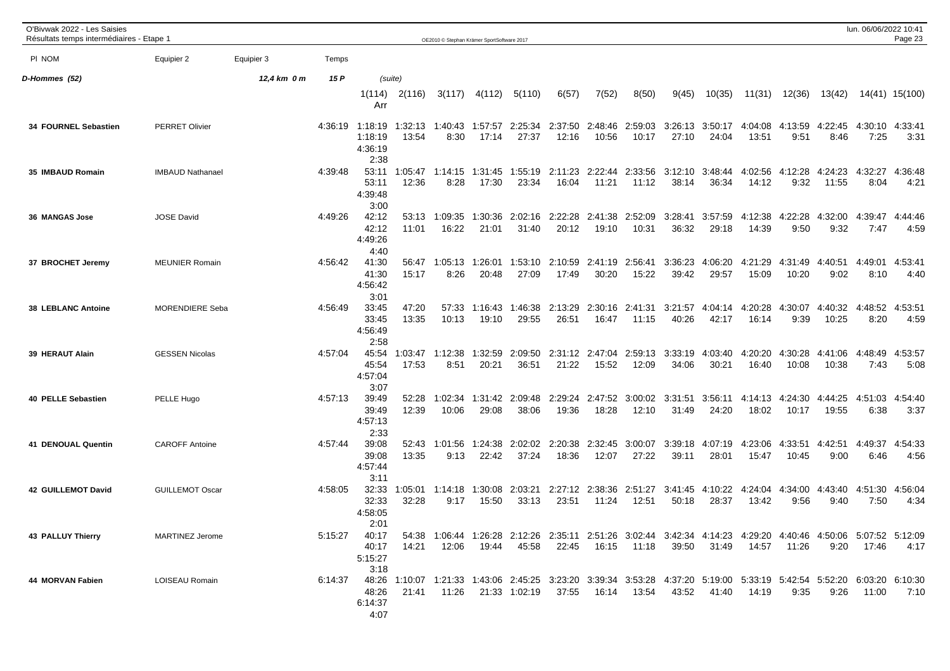| O'Bivwak 2022 - Les Saisies<br>Résultats temps intermédiaires - Etape 1 |                         |             |         |                                                                                                                                                           |                  | OE2010 © Stephan Krämer SportSoftware 2017 |                          |                     |                  |                          |                          |                  |                  |                  |                  |                         | lun. 06/06/2022 10:41 | Page 23         |
|-------------------------------------------------------------------------|-------------------------|-------------|---------|-----------------------------------------------------------------------------------------------------------------------------------------------------------|------------------|--------------------------------------------|--------------------------|---------------------|------------------|--------------------------|--------------------------|------------------|------------------|------------------|------------------|-------------------------|-----------------------|-----------------|
| PI NOM                                                                  | Equipier 2              | Equipier 3  | Temps   |                                                                                                                                                           |                  |                                            |                          |                     |                  |                          |                          |                  |                  |                  |                  |                         |                       |                 |
| D-Hommes (52)                                                           |                         | 12,4 km 0 m | 15 P    |                                                                                                                                                           | (suite)          |                                            |                          |                     |                  |                          |                          |                  |                  |                  |                  |                         |                       |                 |
|                                                                         |                         |             |         | 1(114)<br>Arr                                                                                                                                             | 2(116)           | 3(117)                                     | 4(112)                   | 5(110)              | 6(57)            | 7(52)                    | 8(50)                    | 9(45)            | 10(35)           | 11(31)           | 12(36)           | 13(42)                  |                       | 14(41) 15(100)  |
| 34 FOURNEL Sebastien                                                    | <b>PERRET Olivier</b>   |             |         | 4:36:19 1:18:19 1:32:13<br>1:18:19<br>4:36:19<br>2:38                                                                                                     | 13:54            | 8:30                                       | 1:40:43 1:57:57<br>17:14 | 2:25:34<br>27:37    | 2:37:50<br>12:16 | 2:48:46<br>10:56         | 2:59:03<br>10:17         | 3:26:13<br>27:10 | 3:50:17<br>24:04 | 4:04:08<br>13:51 | 4:13:59<br>9:51  | 4:22:45<br>8:46         | 4:30:10<br>7:25       | 4:33:41<br>3:31 |
| 35 IMBAUD Romain                                                        | <b>IMBAUD Nathanael</b> |             | 4:39:48 | 53:11<br>53:11<br>4:39:48<br>3:00                                                                                                                         | 1:05:47<br>12:36 | 1:14:15<br>8:28                            | 1:31:45<br>17:30         | 1:55:19<br>23:34    | 2:11:23<br>16:04 | 11:21                    | 2:22:44 2:33:56<br>11:12 | 3:12:10<br>38:14 | 3:48:44<br>36:34 | 4:02:56<br>14:12 | 4:12:28<br>9:32  | 4:24:23<br>11:55        | 4:32:27<br>8:04       | 4:36:48<br>4:21 |
| 36 MANGAS Jose                                                          | <b>JOSE David</b>       |             | 4:49:26 | 42:12<br>42:12<br>4:49:26<br>4:40                                                                                                                         | 53:13<br>11:01   | 1:09:35<br>16:22                           | 1:30:36<br>21:01         | 2:02:16<br>31:40    | 2:22:28<br>20:12 | 2:41:38<br>19:10         | 2:52:09<br>10:31         | 3:28:41<br>36:32 | 3:57:59<br>29:18 | 4:12:38<br>14:39 | 4:22:28<br>9:50  | 4:32:00<br>9:32         | 4:39:47<br>7:47       | 4:44:46<br>4:59 |
| 37 BROCHET Jeremy                                                       | <b>MEUNIER Romain</b>   |             | 4:56:42 | 41:30<br>41:30<br>4:56:42<br>3:01                                                                                                                         | 56:47<br>15:17   | 1:05:13<br>8:26                            | 1:26:01<br>20:48         | 1:53:10<br>27:09    | 2:10:59<br>17:49 | 2:41:19 2:56:41<br>30:20 | 15:22                    | 3:36:23<br>39:42 | 4:06:20<br>29:57 | 4:21:29<br>15:09 | 4:31:49<br>10:20 | 4:40:51<br>9:02         | 4:49:01<br>8:10       | 4:53:41<br>4:40 |
| <b>38 LEBLANC Antoine</b>                                               | <b>MORENDIERE Seba</b>  |             | 4:56:49 | 33:45<br>33:45<br>4:56:49<br>2:58                                                                                                                         | 47:20<br>13:35   | 57:33<br>10:13                             | 1:16:43<br>19:10         | 1:46:38<br>29:55    | 2:13:29<br>26:51 | 2:30:16<br>16:47         | 2:41:31<br>11:15         | 3:21:57<br>40:26 | 4:04:14<br>42:17 | 4:20:28<br>16:14 | 4:30:07<br>9:39  | 4:40:32<br>10:25        | 4:48:52<br>8:20       | 4:53:51<br>4:59 |
| 39 HERAUT Alain                                                         | <b>GESSEN Nicolas</b>   |             | 4:57:04 | 45:54<br>45:54<br>4:57:04<br>3:07                                                                                                                         | 1:03:47<br>17:53 | 1:12:38<br>8:51                            | 1:32:59<br>20:21         | 2:09:50<br>36:51    | 2:31:12<br>21:22 | 2:47:04<br>15:52         | 2:59:13<br>12:09         | 3:33:19<br>34:06 | 4:03:40<br>30:21 | 4:20:20<br>16:40 | 4:30:28<br>10:08 | 4:41:06<br>10:38        | 4:48:49<br>7:43       | 4:53:57<br>5:08 |
| 40 PELLE Sebastien                                                      | PELLE Hugo              |             | 4:57:13 | 39:49<br>39:49<br>4:57:13<br>2:33                                                                                                                         | 52:28<br>12:39   | 1:02:34<br>10:06                           | 1:31:42<br>29:08         | 2:09:48<br>38:06    | 2:29:24<br>19:36 | 2:47:52<br>18:28         | 3:00:02<br>12:10         | 3:31:51<br>31:49 | 3:56:11<br>24:20 | 4:14:13<br>18:02 | 4:24:30<br>10:17 | 4:44:25<br>19:55        | 4:51:03<br>6:38       | 4:54:40<br>3:37 |
| 41 DENOUAL Quentin                                                      | <b>CAROFF Antoine</b>   |             | 4:57:44 | 39:08<br>39:08<br>4:57:44<br>3:11                                                                                                                         | 52:43<br>13:35   | 1:01:56<br>9:13                            | 1:24:38<br>22:42         | 2:02:02<br>37:24    | 2:20:38<br>18:36 | 2:32:45<br>12:07         | 3:00:07<br>27:22         | 3:39:18<br>39:11 | 4:07:19<br>28:01 | 4:23:06<br>15:47 | 4:33:51<br>10:45 | 4:42:51<br>9:00         | 4:49:37<br>6:46       | 4:54:33<br>4:56 |
| <b>42 GUILLEMOT David</b>                                               | <b>GUILLEMOT Oscar</b>  |             | 4:58:05 | 32:33<br>32:33<br>4:58:05<br>2:01                                                                                                                         | 1:05:01<br>32:28 | 1:14:18<br>9:17                            | 1:30:08<br>15:50         | 2:03:21<br>33:13    | 2:27:12<br>23:51 | 2:38:36<br>11:24         | 2:51:27<br>12:51         | 3:41:45<br>50:18 | 4:10:22<br>28:37 | 4:24:04<br>13:42 | 4:34:00<br>9:56  | 4:43:40 4:51:30<br>9:40 | 7:50                  | 4:56:04<br>4:34 |
| 43 PALLUY Thierry                                                       | <b>MARTINEZ Jerome</b>  |             |         | 5:15:27 40:17 54:38 1:06:44 1:26:28 2:12:26 2:35:11 2:51:26 3:02:44 3:42:34 4:14:23 4:29:20 4:40:46 4:50:06 5:07:52 5:12:09<br>5:15:27<br>3:18            | 40:17 14:21      |                                            |                          | 12:06  19:44  45:58 |                  |                          | 22:45  16:15  11:18      |                  | 39:50 31:49      |                  |                  |                         | 9:20 17:46            | 4:17            |
| 44 MORVAN Fabien                                                        | LOISEAU Romain          |             |         | 6:14:37 48:26 1:10:07 1:21:33 1:43:06 2:45:25 3:23:20 3:39:34 3:53:28 4:37:20 5:19:00 5:33:19 5:42:54 5:52:20 6:03:20 6:10:30<br>48:26<br>6:14:37<br>4:07 | 21:41            |                                            |                          | 11:26 21:33 1:02:19 |                  |                          | 37:55  16:14  13:54      |                  | 43:52 41:40      | 14:19            | 9:35             | 9:26                    | 11:00                 | 7:10            |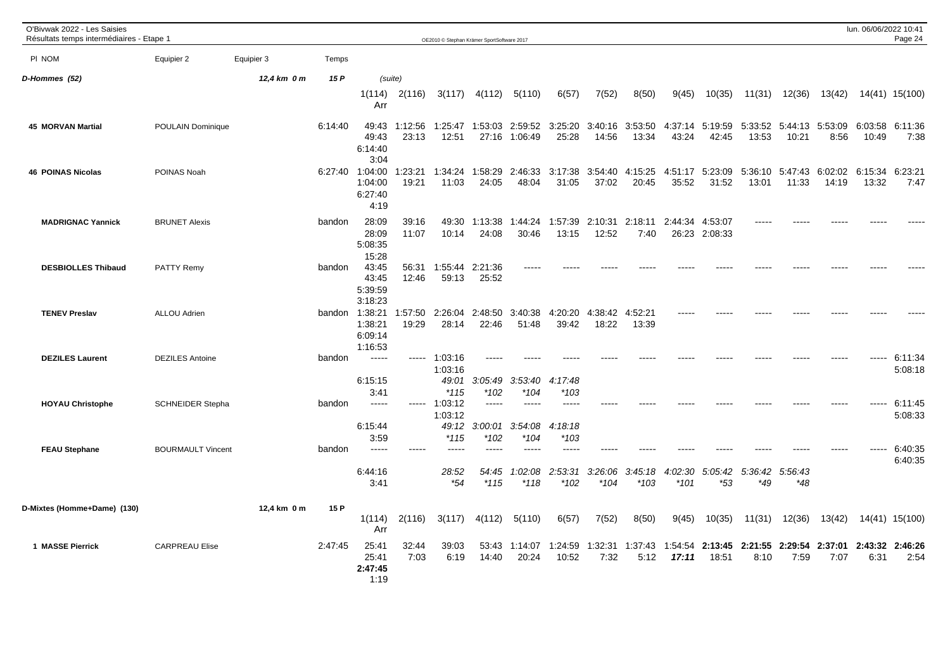| O'Bivwak 2022 - Les Saisies<br>Résultats temps intermédiaires - Etape 1 |                          |             |         |                                                 |                  | OE2010 © Stephan Krämer SportSoftware 2017 |                              |                                    |                          |                  |                  |                  |                          |                  |                          |                  | lun. 06/06/2022 10:41 | Page 24                 |
|-------------------------------------------------------------------------|--------------------------|-------------|---------|-------------------------------------------------|------------------|--------------------------------------------|------------------------------|------------------------------------|--------------------------|------------------|------------------|------------------|--------------------------|------------------|--------------------------|------------------|-----------------------|-------------------------|
| PI NOM                                                                  | Equipier 2               | Equipier 3  | Temps   |                                                 |                  |                                            |                              |                                    |                          |                  |                  |                  |                          |                  |                          |                  |                       |                         |
| D-Hommes (52)                                                           |                          | 12,4 km 0 m | 15 P    | (suite)                                         |                  |                                            |                              |                                    |                          |                  |                  |                  |                          |                  |                          |                  |                       |                         |
|                                                                         |                          |             |         | 1(114)<br>Arr                                   | 2(116)           | 3(117)                                     | 4(112)                       | 5(110)                             | 6(57)                    | 7(52)            | 8(50)            | 9(45)            | 10(35)                   | 11(31)           | 12(36)                   | 13(42)           |                       | 14(41) 15(100)          |
| <b>45 MORVAN Martial</b>                                                | POULAIN Dominique        |             | 6:14:40 | 49:43<br>49:43<br>6:14:40<br>3:04               | 1:12:56<br>23:13 | 1:25:47<br>12:51                           | 1:53:03<br>27:16             | 2:59:52<br>1:06:49                 | 3:25:20<br>25:28         | 3:40:16<br>14:56 | 3:53:50<br>13:34 | 4:37:14<br>43:24 | 5:19:59<br>42:45         | 13:53            | 5:33:52 5:44:13<br>10:21 | 5:53:09<br>8:56  | 6:03:58<br>10:49      | 6:11:36<br>7:38         |
| <b>46 POINAS Nicolas</b>                                                | POINAS Noah              |             | 6:27:40 | 1:04:00<br>1:04:00<br>6:27:40<br>4:19           | 1:23:21<br>19:21 | 1:34:24<br>11:03                           | 1:58:29<br>24:05             | 2:46:33<br>48:04                   | 3:17:38<br>31:05         | 3:54:40<br>37:02 | 4:15:25<br>20:45 | 4:51:17<br>35:52 | 5:23:09<br>31:52         | 5:36:10<br>13:01 | 5:47:43<br>11:33         | 6:02:02<br>14:19 | 6:15:34<br>13:32      | 6:23:21<br>7:47         |
| <b>MADRIGNAC Yannick</b>                                                | <b>BRUNET Alexis</b>     |             | bandon  | 28:09<br>28:09<br>5:08:35<br>15:28              | 39:16<br>11:07   | 49:30<br>10:14                             | 1:13:38<br>24:08             | 1:44:24<br>30:46                   | 1:57:39<br>13:15         | 2:10:31<br>12:52 | 2:18:11<br>7:40  | 2:44:34          | 4:53:07<br>26:23 2:08:33 |                  |                          |                  |                       |                         |
| <b>DESBIOLLES Thibaud</b>                                               | <b>PATTY Remy</b>        |             | bandon  | 43:45<br>43:45<br>5:39:59<br>3:18:23            | 56:31<br>12:46   | 1:55:44<br>59:13                           | 2:21:36<br>25:52             |                                    |                          |                  |                  |                  |                          |                  |                          |                  |                       |                         |
| <b>TENEV Preslav</b>                                                    | <b>ALLOU Adrien</b>      |             |         | bandon 1:38:21<br>1:38:21<br>6:09:14<br>1:16:53 | 1:57:50<br>19:29 | 2:26:04<br>28:14                           | 2:48:50<br>22:46             | 3:40:38<br>51:48                   | 4:20:20<br>39:42         | 4:38:42<br>18:22 | 4:52:21<br>13:39 |                  |                          |                  |                          |                  |                       |                         |
| <b>DEZILES Laurent</b>                                                  | <b>DEZILES Antoine</b>   |             | bandon  | $--- -$<br>6:15:15<br>3:41                      |                  | 1:03:16<br>1:03:16<br>49:01<br>$*115$      | 3:05:49<br>*102              | 3:53:40<br>$*104$                  | 4:17:48<br>*103          |                  |                  |                  |                          |                  |                          |                  | -----                 | 6:11:34<br>5:08:18      |
| <b>HOYAU Christophe</b>                                                 | <b>SCHNEIDER Stepha</b>  |             | bandon  | $\frac{1}{2}$<br>6:15:44<br>3:59                | ------           | 1:03:12<br>1:03:12<br>49:12<br>$*115$      | $--- - -$<br>3:00:01<br>*102 | $\frac{1}{2}$<br>3:54:08<br>$*104$ | -----<br>4:18:18<br>*103 |                  |                  |                  |                          |                  |                          |                  |                       | 6:11:45<br>5:08:33      |
| <b>FEAU Stephane</b>                                                    | <b>BOURMAULT Vincent</b> |             | bandon  | -----<br>6:44:16                                |                  | $\qquad \qquad - - -$<br>28:52             | 54:45                        | -----<br>:02:08                    | ----<br>:53.31<br>2      | 3:26:06          | 3:45:18          | 4:02:30          | 5:05:42                  | 5:36:42          | 5:56:43                  |                  |                       | 6:40:35<br>6:40:35      |
|                                                                         |                          |             |         | 3:41                                            |                  | *54                                        | $*115$                       | $*118$                             | $*102$                   | *104             | $*103$           | $*101$           | $*53$                    | *49              | *48                      |                  |                       |                         |
| D-Mixtes (Homme+Dame) (130)                                             |                          | 12,4 km 0 m | 15 P    | 1(114)<br>Arr                                   | 2(116)           | 3(117)                                     | 4(112)                       | 5(110)                             | 6(57)                    | 7(52)            | 8(50)            | 9(45)            | 10(35)                   | 11(31)           | 12(36)                   | 13(42)           |                       | 14(41) 15(100)          |
| 1 MASSE Pierrick                                                        | <b>CARPREAU Elise</b>    |             | 2:47:45 | 25:41<br>25:41<br>2:47:45<br>1:19               | 32:44<br>7:03    | 39:03<br>6:19                              | 53:43<br>14:40               | 1:14:07<br>20:24                   | 1:24:59<br>10:52         | 1:32:31<br>7:32  | 1:37:43<br>5:12  | 1:54:54<br>17:11 | 2:13:45<br>18:51         | 2:21:55<br>8:10  | 2:29:54<br>7:59          | 2:37:01<br>7:07  | 6:31                  | 2:43:32 2:46:26<br>2:54 |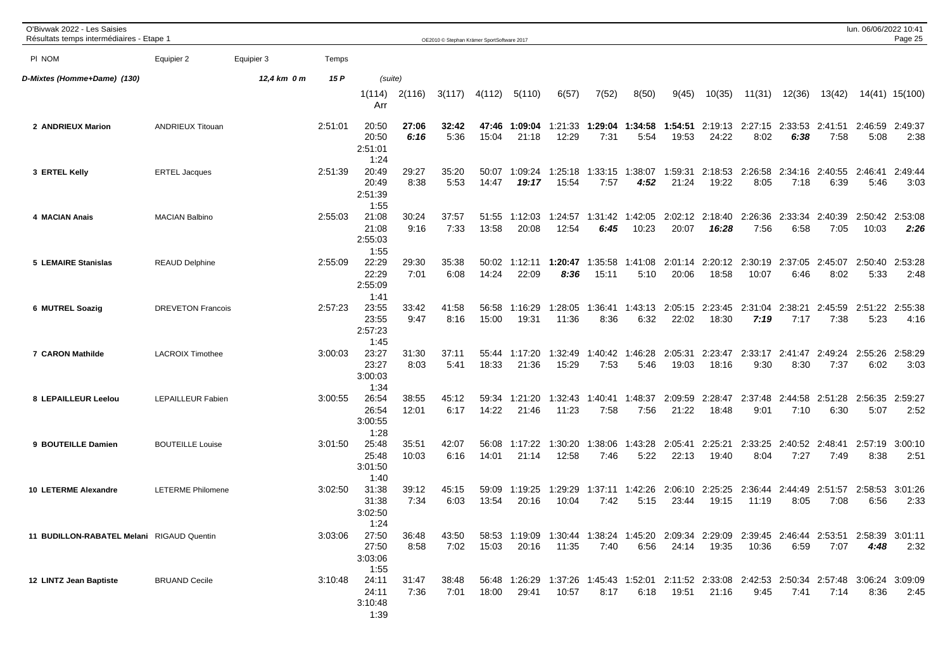| O'Bivwak 2022 - Les Saisies<br>Résultats temps intermédiaires - Etape 1 |                          |             |         |                                   |                | OE2010 © Stephan Krämer SportSoftware 2017 |                |                                                                                                        |                  |                         |                  |                  |                  |                                 |                 |                 | lun. 06/06/2022 10:41 | Page 25         |
|-------------------------------------------------------------------------|--------------------------|-------------|---------|-----------------------------------|----------------|--------------------------------------------|----------------|--------------------------------------------------------------------------------------------------------|------------------|-------------------------|------------------|------------------|------------------|---------------------------------|-----------------|-----------------|-----------------------|-----------------|
| PI NOM                                                                  | Equipier 2               | Equipier 3  | Temps   |                                   |                |                                            |                |                                                                                                        |                  |                         |                  |                  |                  |                                 |                 |                 |                       |                 |
| D-Mixtes (Homme+Dame) (130)                                             |                          | 12,4 km 0 m | 15 P    | (suite)                           |                |                                            |                |                                                                                                        |                  |                         |                  |                  |                  |                                 |                 |                 |                       |                 |
|                                                                         |                          |             |         | 1(114)<br>Arr                     | 2(116)         | 3(117)                                     | 4(112)         | 5(110)                                                                                                 | 6(57)            | 7(52)                   | 8(50)            | 9(45)            | 10(35)           | 11(31)                          | 12(36)          | 13(42)          |                       | 14(41) 15(100)  |
| 2 ANDRIEUX Marion                                                       | <b>ANDRIEUX Titouan</b>  |             | 2:51:01 | 20:50<br>20:50<br>2:51:01<br>1:24 | 27:06<br>6:16  | 32:42<br>5:36                              | 47:46<br>15:04 | 1:09:04<br>21:18                                                                                       | 1:21:33<br>12:29 | 1:29:04<br>7:31         | 1:34:58<br>5:54  | 1:54:51<br>19:53 | 24:22            | 2:19:13 2:27:15 2:33:53<br>8:02 | 6:38            | 2:41:51<br>7:58 | 2:46:59<br>5:08       | 2:49:37<br>2:38 |
| 3 ERTEL Kelly                                                           | <b>ERTEL Jacques</b>     |             | 2:51:39 | 20:49<br>20:49<br>2:51:39<br>1:55 | 29:27<br>8:38  | 35:20<br>5:53                              | 50:07<br>14:47 | 1:09:24<br>19:17                                                                                       | 1:25:18<br>15:54 | 1:33:15<br>7:57         | 1:38:07<br>4:52  | 1:59:31<br>21:24 | 2:18:53<br>19:22 | 2:26:58<br>8:05                 | 2:34:16<br>7:18 | 2:40:55<br>6:39 | 2:46:41<br>5:46       | 2:49:44<br>3:03 |
| 4 MACIAN Anais                                                          | <b>MACIAN Balbino</b>    |             | 2:55:03 | 21:08<br>21:08<br>2:55:03<br>1:55 | 30:24<br>9:16  | 37:57<br>7:33                              | 51:55<br>13:58 | 1:12:03<br>20:08                                                                                       | 1:24:57<br>12:54 | 1:31:42<br>6:45         | 1:42:05<br>10:23 | 2:02:12<br>20:07 | 2:18:40<br>16:28 | 2:26:36<br>7:56                 | 2:33:34<br>6:58 | 2:40:39<br>7:05 | 2:50:42<br>10:03      | 2:53:08<br>2:26 |
| <b>5 LEMAIRE Stanislas</b>                                              | <b>REAUD Delphine</b>    |             | 2:55:09 | 22:29<br>22:29<br>2:55:09<br>1:41 | 29:30<br>7:01  | 35:38<br>6:08                              | 50:02<br>14:24 | 1:12:11<br>22:09                                                                                       | 1:20:47<br>8:36  | 1:35:58<br>15:11        | 1:41:08<br>5:10  | 2:01:14<br>20:06 | 2:20:12<br>18:58 | 2:30:19<br>10:07                | 2:37:05<br>6:46 | 2:45:07<br>8:02 | 2:50:40<br>5:33       | 2:53:28<br>2:48 |
| 6 MUTREL Soazig                                                         | <b>DREVETON Francois</b> |             | 2:57:23 | 23:55<br>23:55<br>2:57:23<br>1:45 | 33:42<br>9:47  | 41:58<br>8:16                              | 56:58<br>15:00 | 1:16:29<br>19:31                                                                                       | 1:28:05<br>11:36 | 1:36:41<br>8:36         | 1:43:13<br>6:32  | 2:05:15<br>22:02 | 2:23:45<br>18:30 | 2:31:04<br>7:19                 | 2:38:21<br>7:17 | 2:45:59<br>7:38 | 2:51:22<br>5:23       | 2:55:38<br>4:16 |
| 7 CARON Mathilde                                                        | <b>LACROIX Timothee</b>  |             | 3:00:03 | 23:27<br>23:27<br>3:00:03<br>1:34 | 31:30<br>8:03  | 37:11<br>5:41                              | 55:44<br>18:33 | 1:17:20<br>21:36                                                                                       | 1:32:49<br>15:29 | 1:40:42<br>7:53         | 1:46:28<br>5:46  | 2:05:31<br>19:03 | 2:23:47<br>18:16 | 2:33:17<br>9:30                 | 2:41:47<br>8:30 | 2:49:24<br>7:37 | 2:55:26<br>6:02       | 2:58:29<br>3:03 |
| 8 LEPAILLEUR Leelou                                                     | <b>LEPAILLEUR Fabien</b> |             | 3:00:55 | 26:54<br>26:54<br>3:00:55<br>1:28 | 38:55<br>12:01 | 45:12<br>6:17                              | 59:34<br>14:22 | 1:21:20<br>21:46                                                                                       | 1:32:43<br>11:23 | 1:40:41<br>7:58         | 1:48:37<br>7:56  | 2:09:59<br>21:22 | 2:28:47<br>18:48 | 2:37:48<br>9:01                 | 2:44:58<br>7:10 | 2:51:28<br>6:30 | 2:56:35<br>5:07       | 2:59:27<br>2:52 |
| 9 BOUTEILLE Damien                                                      | <b>BOUTEILLE Louise</b>  |             | 3:01:50 | 25:48<br>25:48<br>3:01:50<br>1:40 | 35:51<br>10:03 | 42:07<br>6:16                              | 56:08<br>14:01 | 1:17:22<br>21:14                                                                                       | 1:30:20<br>12:58 | 1:38:06<br>7:46         | 1:43:28<br>5:22  | 2:05:41<br>22:13 | 2:25:21<br>19:40 | 2:33:25<br>8:04                 | 2:40:52<br>7:27 | 2:48:41<br>7:49 | 2:57:19<br>8:38       | 3:00:10<br>2:51 |
| 10 LETERME Alexandre                                                    | <b>LETERME Philomene</b> |             | 3:02:50 | 31:38<br>31:38<br>3:02:50<br>1:24 | 39:12<br>7:34  | 45:15<br>6:03                              | 59:09<br>13:54 | 1:19:25<br>20:16                                                                                       | 1:29:29<br>10:04 | 1:37:11 1:42:26<br>7:42 | 5:15             | 2:06:10<br>23:44 | 2:25:25<br>19:15 | 2:36:44 2:44:49<br>11:19        | 8:05            | 2:51:57<br>7:08 | 2:58:53<br>6:56       | 3:01:26<br>2:33 |
| 11 BUDILLON-RABATEL Melani RIGAUD Quentin                               |                          |             | 3:03:06 | 27:50<br>27:50<br>3:03:06<br>1:55 | 36:48<br>8:58  | 43:50<br>7:02                              | 15:03          | 58:53 1:19:09 1:30:44 1:38:24 1:45:20 2:09:34 2:29:09 2:39:45 2:46:44 2:53:51 2:58:39 3:01:11<br>20:16 | 11:35            | 7:40                    | 6:56             | 24:14            | 19:35            | 10:36                           | 6:59            | 7:07            | 4:48                  | 2:32            |
| 12 LINTZ Jean Baptiste                                                  | <b>BRUAND Cecile</b>     |             | 3:10:48 | 24:11<br>24:11<br>3:10:48<br>1:39 | 31:47<br>7:36  | 38:48<br>7:01                              | 18:00          | 56:48 1:26:29 1:37:26 1:45:43 1:52:01 2:11:52 2:33:08 2:42:53 2:50:34 2:57:48 3:06:24 3:09:09<br>29:41 | 10:57            | 8:17                    | 6:18             | 19:51            | 21:16            | 9:45                            | 7:41            | 7:14            | 8:36                  | 2:45            |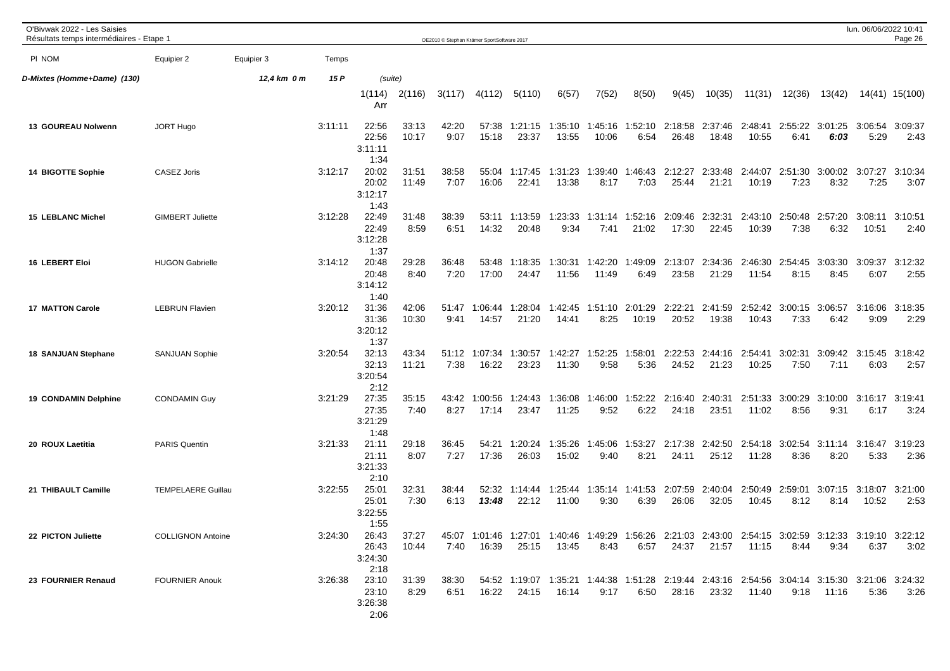| O'Bivwak 2022 - Les Saisies<br>Résultats temps intermédiaires - Etape 1 |                           |             |         |                                   |                |               | OE2010 © Stephan Krämer SportSoftware 2017 |                  |                                                                                                                |                  |                          |                  |                  |                  |                 |                         | lun. 06/06/2022 10:41 | Page 26         |
|-------------------------------------------------------------------------|---------------------------|-------------|---------|-----------------------------------|----------------|---------------|--------------------------------------------|------------------|----------------------------------------------------------------------------------------------------------------|------------------|--------------------------|------------------|------------------|------------------|-----------------|-------------------------|-----------------------|-----------------|
| PI NOM                                                                  | Equipier 2                | Equipier 3  | Temps   |                                   |                |               |                                            |                  |                                                                                                                |                  |                          |                  |                  |                  |                 |                         |                       |                 |
| D-Mixtes (Homme+Dame) (130)                                             |                           | 12,4 km 0 m | 15 P    | (suite)                           |                |               |                                            |                  |                                                                                                                |                  |                          |                  |                  |                  |                 |                         |                       |                 |
|                                                                         |                           |             |         | 1(114)<br>Arr                     | 2(116)         | 3(117)        | 4(112)                                     | 5(110)           | 6(57)                                                                                                          | 7(52)            | 8(50)                    | 9(45)            | 10(35)           | 11(31)           | 12(36)          | 13(42)                  |                       | 14(41) 15(100)  |
| 13 GOUREAU Nolwenn                                                      | <b>JORT Hugo</b>          |             | 3:11:11 | 22:56<br>22:56<br>3:11:11<br>1:34 | 33:13<br>10:17 | 42:20<br>9:07 | 57:38<br>15:18                             | 1:21:15<br>23:37 | 1:35:10<br>13:55                                                                                               | 1:45:16<br>10:06 | 1:52:10<br>6:54          | 2:18:58<br>26:48 | 2:37:46<br>18:48 | 2:48:41<br>10:55 | 2:55:22<br>6:41 | 3:01:25<br>6:03         | 3:06:54<br>5:29       | 3:09:37<br>2:43 |
| 14 BIGOTTE Sophie                                                       | <b>CASEZ Joris</b>        |             | 3:12:17 | 20:02<br>20:02<br>3:12:17<br>1:43 | 31:51<br>11:49 | 38:58<br>7:07 | 55:04<br>16:06                             | 1:17:45<br>22:41 | 1:31:23<br>13:38                                                                                               | 1:39:40<br>8:17  | 1:46:43<br>7:03          | 2:12:27<br>25:44 | 2:33:48<br>21:21 | 2:44:07<br>10:19 | 2:51:30<br>7:23 | 3:00:02<br>8:32         | 3:07:27<br>7:25       | 3:10:34<br>3:07 |
| <b>15 LEBLANC Michel</b>                                                | <b>GIMBERT Juliette</b>   |             | 3:12:28 | 22:49<br>22:49<br>3:12:28<br>1:37 | 31:48<br>8:59  | 38:39<br>6:51 | 53:11<br>14:32                             | 1:13:59<br>20:48 | 1:23:33<br>9:34                                                                                                | 7:41             | 1:31:14 1:52:16<br>21:02 | 2:09:46<br>17:30 | 2:32:31<br>22:45 | 2:43:10<br>10:39 | 2:50:48<br>7:38 | 2:57:20<br>6:32         | 3:08:11<br>10:51      | 3:10:51<br>2:40 |
| <b>16 LEBERT Eloi</b>                                                   | <b>HUGON Gabrielle</b>    |             | 3:14:12 | 20:48<br>20:48<br>3:14:12<br>1:40 | 29:28<br>8:40  | 36:48<br>7:20 | 53:48<br>17:00                             | 1:18:35<br>24:47 | 1:30:31<br>11:56                                                                                               | 1:42:20<br>11:49 | 1:49:09<br>6:49          | 2:13:07<br>23:58 | 2:34:36<br>21:29 | 2:46:30<br>11:54 | 2:54:45<br>8:15 | 3:03:30<br>8:45         | 3:09:37<br>6:07       | 3:12:32<br>2:55 |
| <b>17 MATTON Carole</b>                                                 | <b>LEBRUN Flavien</b>     |             | 3:20:12 | 31:36<br>31:36<br>3:20:12<br>1:37 | 42:06<br>10:30 | 51:47<br>9:41 | 1:06:44<br>14:57                           | 1:28:04<br>21:20 | 1:42:45<br>14:41                                                                                               | 1:51:10<br>8:25  | 2:01:29<br>10:19         | 2:22:21<br>20:52 | 2:41:59<br>19:38 | 2:52:42<br>10:43 | 3:00:15<br>7:33 | 3:06:57<br>6:42         | 3:16:06<br>9:09       | 3:18:35<br>2:29 |
| <b>18 SANJUAN Stephane</b>                                              | <b>SANJUAN Sophie</b>     |             | 3:20:54 | 32:13<br>32:13<br>3:20:54<br>2:12 | 43:34<br>11:21 | 51:12<br>7:38 | 1:07:34<br>16:22                           | 1:30:57<br>23:23 | 1:42:27<br>11:30                                                                                               | 1:52:25<br>9:58  | 1:58:01<br>5:36          | 2:22:53<br>24:52 | 2:44:16<br>21:23 | 2:54:41<br>10:25 | 3:02:31<br>7:50 | 3:09:42<br>7:11         | 3:15:45<br>6:03       | 3:18:42<br>2:57 |
| 19 CONDAMIN Delphine                                                    | <b>CONDAMIN Guy</b>       |             | 3:21:29 | 27:35<br>27:35<br>3:21:29<br>1:48 | 35:15<br>7:40  | 43:42<br>8:27 | 1:00:56<br>17:14                           | 1:24:43<br>23:47 | 1:36:08<br>11:25                                                                                               | 1:46:00<br>9:52  | 1:52:22<br>6:22          | 2:16:40<br>24:18 | 2:40:31<br>23:51 | 2:51:33<br>11:02 | 3:00:29<br>8:56 | 3:10:00<br>9:31         | 3:16:17<br>6:17       | 3:19:41<br>3:24 |
| 20 ROUX Laetitia                                                        | <b>PARIS Quentin</b>      |             | 3:21:33 | 21:11<br>21:11<br>3:21:33<br>2:10 | 29:18<br>8:07  | 36:45<br>7:27 | 54:21<br>17:36                             | 1:20:24<br>26:03 | 1:35:26<br>15:02                                                                                               | 1:45:06<br>9:40  | 1:53:27<br>8:21          | 2:17:38<br>24:11 | 2:42:50<br>25:12 | 2:54:18<br>11:28 | 3:02:54<br>8:36 | 3:11:14<br>8:20         | 3:16:47<br>5:33       | 3:19:23<br>2:36 |
| 21 THIBAULT Camille                                                     | <b>TEMPELAERE Guillau</b> |             | 3:22:55 | 25:01<br>25:01<br>3:22:55<br>1:55 | 32:31<br>7:30  | 38:44<br>6:13 | 52:32<br>13:48                             | 1:14:44<br>22:12 | 1:25:44<br>11:00                                                                                               | 9:30             | 1:35:14 1:41:53<br>6:39  | 2:07:59<br>26:06 | 2:40:04<br>32:05 | 2:50:49<br>10:45 | 2:59:01<br>8:12 | 3:07:15 3:18:07<br>8:14 | 10:52                 | 3:21:00<br>2:53 |
| 22 PICTON Juliette                                                      | <b>COLLIGNON Antoine</b>  |             | 3:24:30 | 26:43<br>26:43<br>3:24:30<br>2:18 | 37:27<br>10:44 | 7:40          | 16:39                                      | 25:15            | 45:07 1:01:46 1:27:01 1:40:46 1:49:29 1:56:26 2:21:03 2:43:00 2:54:15 3:02:59 3:12:33 3:19:10 3:22:12<br>13:45 | 8:43             | 6:57                     |                  | 24:37 21:57      | 11:15            | 8:44            | 9:34                    | 6:37                  | 3:02            |
| 23 FOURNIER Renaud                                                      | <b>FOURNIER Anouk</b>     |             | 3:26:38 | 23:10<br>23:10<br>3:26:38<br>2:06 | 31:39<br>8:29  | 38:30<br>6:51 | 16:22                                      | 24:15            | 54:52 1:19:07 1:35:21 1:44:38 1:51:28 2:19:44 2:43:16 2:54:56 3:04:14 3:15:30 3:21:06 3:24:32<br>16:14         | 9:17             | 6:50                     |                  | 28:16 23:32      | 11:40            |                 | $9:18$ 11:16            | 5:36                  | 3:26            |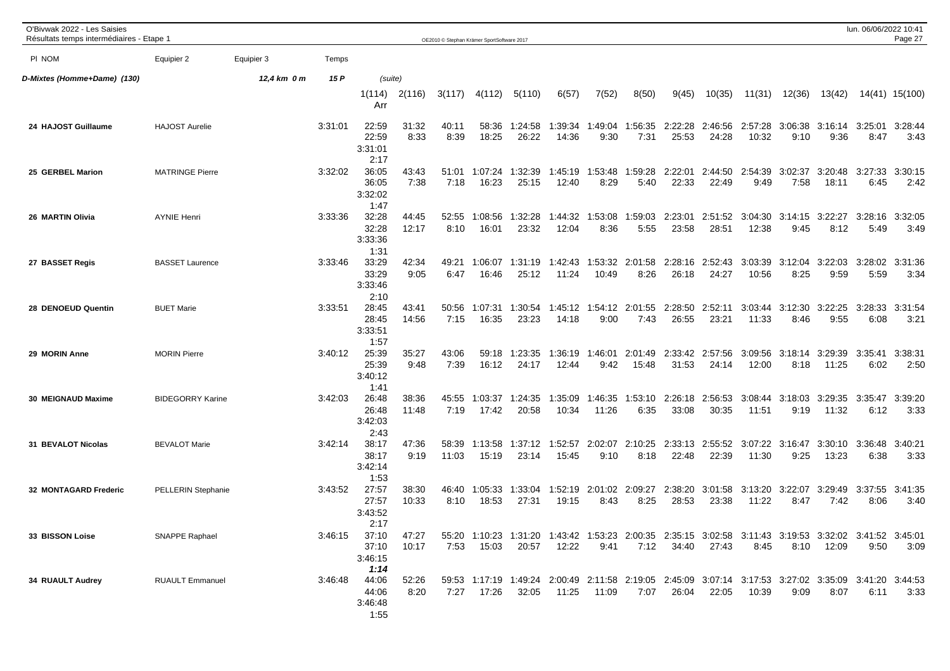| O'Bivwak 2022 - Les Saisies<br>Résultats temps intermédiaires - Etape 1 |                           |             |         |                                   |                |                | OE2010 © Stephan Krämer SportSoftware 2017 |                                                                                                                |                  |                  |                         |                  |                  |                  |                 |                                 | lun. 06/06/2022 10:41 | Page 27         |
|-------------------------------------------------------------------------|---------------------------|-------------|---------|-----------------------------------|----------------|----------------|--------------------------------------------|----------------------------------------------------------------------------------------------------------------|------------------|------------------|-------------------------|------------------|------------------|------------------|-----------------|---------------------------------|-----------------------|-----------------|
| PI NOM                                                                  | Equipier 2                | Equipier 3  | Temps   |                                   |                |                |                                            |                                                                                                                |                  |                  |                         |                  |                  |                  |                 |                                 |                       |                 |
| D-Mixtes (Homme+Dame) (130)                                             |                           | 12,4 km 0 m | 15 P    | (suite)                           |                |                |                                            |                                                                                                                |                  |                  |                         |                  |                  |                  |                 |                                 |                       |                 |
|                                                                         |                           |             |         | 1(114)<br>Arr                     | 2(116)         | 3(117)         | 4(112)                                     | 5(110)                                                                                                         | 6(57)            | 7(52)            | 8(50)                   | 9(45)            | 10(35)           | 11(31)           | 12(36)          | 13(42)                          |                       | 14(41) 15(100)  |
| 24 HAJOST Guillaume                                                     | <b>HAJOST Aurelie</b>     |             | 3:31:01 | 22:59<br>22:59<br>3:31:01<br>2:17 | 31:32<br>8:33  | 40:11<br>8:39  | 58:36<br>18:25                             | 1:24:58<br>26:22                                                                                               | 1:39:34<br>14:36 | 1:49:04<br>9:30  | 1:56:35<br>7:31         | 2:22:28<br>25:53 | 2:46:56<br>24:28 | 2:57:28<br>10:32 | 9:10            | 3:06:38 3:16:14<br>9:36         | 3:25:01<br>8:47       | 3:28:44<br>3:43 |
| 25 GERBEL Marion                                                        | <b>MATRINGE Pierre</b>    |             | 3:32:02 | 36:05<br>36:05<br>3:32:02<br>1:47 | 43:43<br>7:38  | 51:01<br>7:18  | 1:07:24<br>16:23                           | 1:32:39<br>25:15                                                                                               | 1:45:19<br>12:40 | 1:53:48<br>8:29  | 1:59:28<br>5:40         | 2:22:01<br>22:33 | 2:44:50<br>22:49 | 2:54:39<br>9:49  | 3:02:37<br>7:58 | 3:20:48<br>18:11                | 3:27:33<br>6:45       | 3:30:15<br>2:42 |
| 26 MARTIN Olivia                                                        | <b>AYNIE Henri</b>        |             | 3:33:36 | 32:28<br>32:28<br>3:33:36<br>1:31 | 44:45<br>12:17 | 52:55<br>8:10  | 1:08:56<br>16:01                           | 1:32:28<br>23:32                                                                                               | 1:44:32<br>12:04 | 1:53:08<br>8:36  | 1:59:03<br>5:55         | 2:23:01<br>23:58 | 2:51:52<br>28:51 | 3:04:30<br>12:38 | 3:14:15<br>9:45 | 3:22:27<br>8:12                 | 3:28:16<br>5:49       | 3:32:05<br>3:49 |
| 27 BASSET Regis                                                         | <b>BASSET Laurence</b>    |             | 3:33:46 | 33:29<br>33:29<br>3:33:46<br>2:10 | 42:34<br>9:05  | 49:21<br>6:47  | 1:06:07<br>16:46                           | 1:31:19<br>25:12                                                                                               | 1:42:43<br>11:24 | 1:53:32<br>10:49 | 2:01:58<br>8:26         | 2:28:16<br>26:18 | 2:52:43<br>24:27 | 3:03:39<br>10:56 | 3:12:04<br>8:25 | 3:22:03<br>9:59                 | 3:28:02<br>5:59       | 3:31:36<br>3:34 |
| 28 DENOEUD Quentin                                                      | <b>BUET Marie</b>         |             | 3:33:51 | 28:45<br>28:45<br>3:33:51<br>1:57 | 43:41<br>14:56 | 50:56<br>7:15  | 1:07:31<br>16:35                           | 1:30:54<br>23:23                                                                                               | 1:45:12<br>14:18 | 1:54:12<br>9:00  | 2:01:55<br>7:43         | 2:28:50<br>26:55 | 2:52:11<br>23:21 | 3:03:44<br>11:33 | 3:12:30<br>8:46 | 3:22:25<br>9:55                 | 3:28:33<br>6:08       | 3:31:54<br>3:21 |
| 29 MORIN Anne                                                           | <b>MORIN Pierre</b>       |             | 3:40:12 | 25:39<br>25:39<br>3:40:12<br>1:41 | 35:27<br>9:48  | 43:06<br>7:39  | 59:18<br>16:12                             | 1:23:35<br>24:17                                                                                               | 1:36:19<br>12:44 | 1:46:01<br>9:42  | 2:01:49<br>15:48        | 2:33:42<br>31:53 | 2:57:56<br>24:14 | 3:09:56<br>12:00 | 3:18:14<br>8:18 | 3:29:39<br>11:25                | 3:35:41<br>6:02       | 3:38:31<br>2:50 |
| 30 MEIGNAUD Maxime                                                      | <b>BIDEGORRY Karine</b>   |             | 3:42:03 | 26:48<br>26:48<br>3:42:03<br>2:43 | 38:36<br>11:48 | 45:55<br>7:19  | 1:03:37<br>17:42                           | 1:24:35<br>20:58                                                                                               | 1:35:09<br>10:34 | 1:46:35<br>11:26 | 1:53:10<br>6:35         | 2:26:18<br>33:08 | 2:56:53<br>30:35 | 3:08:44<br>11:51 | 3:18:03<br>9:19 | 3:29:35<br>11:32                | 3:35:47<br>6:12       | 3:39:20<br>3:33 |
| 31 BEVALOT Nicolas                                                      | <b>BEVALOT Marie</b>      |             | 3:42:14 | 38:17<br>38:17<br>3:42:14<br>1:53 | 47:36<br>9:19  | 58:39<br>11:03 | 1:13:58<br>15:19                           | 1:37:12<br>23:14                                                                                               | 1:52:57<br>15:45 | 2:02:07<br>9:10  | 2:10:25<br>8:18         | 2:33:13<br>22:48 | 2:55:52<br>22:39 | 3:07:22<br>11:30 | 3:16:47<br>9:25 | 3:30:10<br>13:23                | 3:36:48<br>6:38       | 3:40:21<br>3:33 |
| 32 MONTAGARD Frederic                                                   | <b>PELLERIN Stephanie</b> |             | 3:43:52 | 27:57<br>27:57<br>3:43:52<br>2:17 | 38:30<br>10:33 | 46:40<br>8:10  | 1:05:33<br>18:53                           | 1:33:04<br>27:31                                                                                               | 1:52:19<br>19:15 | 8:43             | 2:01:02 2:09:27<br>8:25 | 2:38:20<br>28:53 | 3:01:58<br>23:38 | 3:13:20<br>11:22 | 8:47            | 3:22:07 3:29:49 3:37:55<br>7:42 | 8:06                  | 3:41:35<br>3:40 |
| 33 BISSON Loise                                                         | <b>SNAPPE Raphael</b>     |             | 3:46:15 | 37:10<br>37:10<br>3:46:15<br>1:14 | 47:27<br>10:17 | 7:53           | 15:03                                      | 55:20 1:10:23 1:31:20 1:43:42 1:53:23 2:00:35 2:35:15 3:02:58 3:11:43 3:19:53 3:32:02 3:41:52 3:45:01<br>20:57 | 12:22            | 9:41             | 7:12                    |                  | 34:40 27:43      | 8:45             |                 | 8:10 12:09                      | 9:50                  | 3:09            |
| <b>34 RUAULT Audrey</b>                                                 | <b>RUAULT Emmanuel</b>    |             | 3:46:48 | 44:06<br>44:06<br>3:46:48<br>1:55 | 52:26<br>8:20  | 7:27           | 17:26                                      | 59:53 1:17:19 1:49:24 2:00:49 2:11:58 2:19:05 2:45:09 3:07:14 3:17:53 3:27:02 3:35:09 3:41:20 3:44:53<br>32:05 |                  | 11:25  11:09     | 7:07                    | 26:04            | 22:05            | 10:39            | 9:09            | 8:07                            | 6:11                  | 3:33            |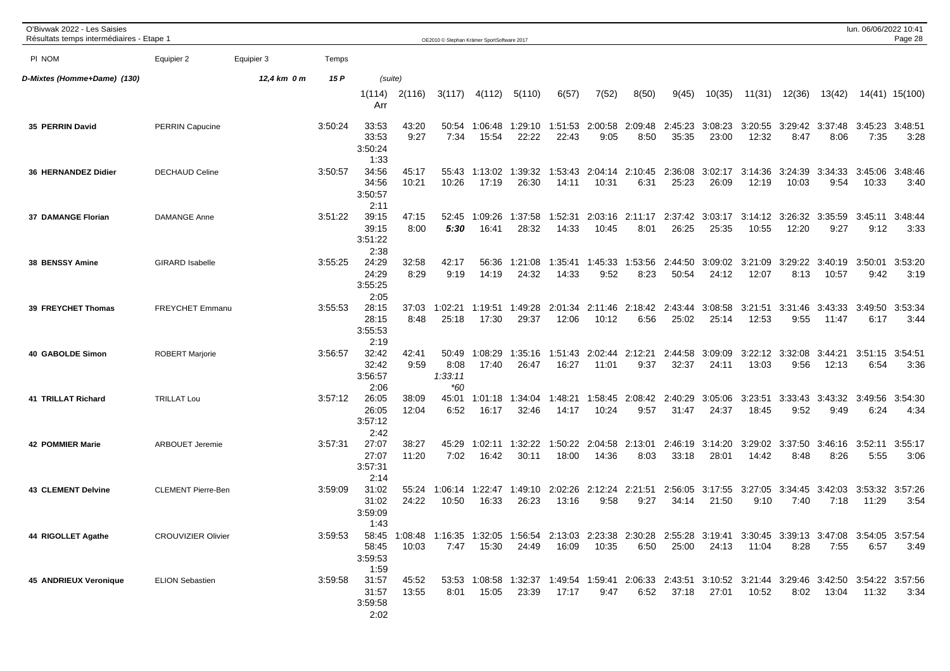| O'Bivwak 2022 - Les Saisies<br>Résultats temps intermédiaires - Etape 1 |                           |             |         |                                   |                | OE2010 © Stephan Krämer SportSoftware 2017 |                          |                                                                                                                                |                  |                          |                 |                  |                  |                          |                  |                         | lun. 06/06/2022 10:41    | Page 28         |
|-------------------------------------------------------------------------|---------------------------|-------------|---------|-----------------------------------|----------------|--------------------------------------------|--------------------------|--------------------------------------------------------------------------------------------------------------------------------|------------------|--------------------------|-----------------|------------------|------------------|--------------------------|------------------|-------------------------|--------------------------|-----------------|
| PI NOM                                                                  | Equipier 2                | Equipier 3  | Temps   |                                   |                |                                            |                          |                                                                                                                                |                  |                          |                 |                  |                  |                          |                  |                         |                          |                 |
| D-Mixtes (Homme+Dame) (130)                                             |                           | 12,4 km 0 m | 15 P    | (suite)                           |                |                                            |                          |                                                                                                                                |                  |                          |                 |                  |                  |                          |                  |                         |                          |                 |
|                                                                         |                           |             |         | 1(114)<br>Arr                     | 2(116)         | 3(117)                                     | 4(112)                   | 5(110)                                                                                                                         | 6(57)            | 7(52)                    | 8(50)           | 9(45)            | 10(35)           | 11(31)                   | 12(36)           | 13(42)                  |                          | 14(41) 15(100)  |
| 35 PERRIN David                                                         | <b>PERRIN Capucine</b>    |             | 3:50:24 | 33:53<br>33:53<br>3:50:24<br>1:33 | 43:20<br>9:27  | 50:54<br>7:34                              | 1:06:48<br>15:54         | 1:29:10<br>22:22                                                                                                               | 1:51:53<br>22:43 | 2:00:58<br>9:05          | 2:09:48<br>8:50 | 2:45:23<br>35:35 | 3:08:23<br>23:00 | 3:20:55<br>12:32         | 3:29:42<br>8:47  | 3:37:48<br>8:06         | 3:45:23<br>7:35          | 3:48:51<br>3:28 |
| 36 HERNANDEZ Didier                                                     | <b>DECHAUD Celine</b>     |             | 3:50:57 | 34:56<br>34:56<br>3:50:57<br>2:11 | 45:17<br>10:21 | 55:43<br>10:26                             | 1:13:02<br>17:19         | 1:39:32<br>26:30                                                                                                               | 1:53:43<br>14:11 | 2:04:14<br>10:31         | 2:10:45<br>6:31 | 2:36:08<br>25:23 | 3:02:17<br>26:09 | 3:14:36<br>12:19         | 3:24:39<br>10:03 | 3:34:33<br>9:54         | 3:45:06<br>10:33         | 3:48:46<br>3:40 |
| 37 DAMANGE Florian                                                      | <b>DAMANGE Anne</b>       |             | 3:51:22 | 39:15<br>39:15<br>3:51:22<br>2:38 | 47:15<br>8:00  | 52:45<br>5:30                              | 1:09:26<br>16:41         | 1:37:58<br>28:32                                                                                                               | 1:52:31<br>14:33 | 2:03:16<br>10:45         | 2:11:17<br>8:01 | 2:37:42<br>26:25 | 3:03:17<br>25:35 | 3:14:12<br>10:55         | 3:26:32<br>12:20 | 3:35:59<br>9:27         | 3:45:11<br>9:12          | 3:48:44<br>3:33 |
| 38 BENSSY Amine                                                         | <b>GIRARD Isabelle</b>    |             | 3:55:25 | 24:29<br>24:29<br>3:55:25<br>2:05 | 32:58<br>8:29  | 42:17<br>9:19                              | 56:36<br>14:19           | 1:21:08<br>24:32                                                                                                               | 1:35:41<br>14:33 | 1:45:33<br>9:52          | 1:53:56<br>8:23 | 2:44:50<br>50:54 | 3:09:02<br>24:12 | 3:21:09<br>12:07         | 3:29:22<br>8:13  | 3:40:19<br>10:57        | 3:50:01<br>9:42          | 3:53:20<br>3:19 |
| 39 FREYCHET Thomas                                                      | FREYCHET Emmanu           |             | 3:55:53 | 28:15<br>28:15<br>3:55:53<br>2:19 | 37:03<br>8:48  | 1:02:21<br>25:18                           | 1:19:51<br>17:30         | 1:49:28<br>29:37                                                                                                               | 2:01:34<br>12:06 | 2:11:46<br>10:12         | 2:18:42<br>6:56 | 2:43:44<br>25:02 | 3:08:58<br>25:14 | 3:21:51<br>12:53         | 3:31:46<br>9:55  | 3:43:33<br>11:47        | 3:49:50<br>6:17          | 3:53:34<br>3:44 |
| 40 GABOLDE Simon                                                        | <b>ROBERT Marjorie</b>    |             | 3:56:57 | 32:42<br>32:42<br>3:56:57<br>2:06 | 42:41<br>9:59  | 50:49<br>8:08<br>1:33:11<br>*60            | 1:08:29<br>17:40         | 1:35:16<br>26:47                                                                                                               | 1:51:43<br>16:27 | 2:02:44 2:12:21<br>11:01 | 9:37            | 2:44:58<br>32:37 | 3:09:09<br>24:11 | 3:22:12 3:32:08<br>13:03 | 9:56             | 3:44:21<br>12:13        | 3:51:15<br>6:54          | 3:54:51<br>3:36 |
| 41 TRILLAT Richard                                                      | <b>TRILLAT Lou</b>        |             | 3:57:12 | 26:05<br>26:05<br>3:57:12<br>2:42 | 38:09<br>12:04 | 45:01<br>6:52                              | 1:01:18<br>16:17         | 1:34:04<br>32:46                                                                                                               | 1:48:21<br>14:17 | 1:58:45<br>10:24         | 2:08:42<br>9:57 | 2:40:29<br>31:47 | 3:05:06<br>24:37 | 3:23:51<br>18:45         | 3:33:43<br>9:52  | 3:43:32<br>9:49         | 3:49:56<br>6:24          | 3:54:30<br>4:34 |
| <b>42 POMMIER Marie</b>                                                 | <b>ARBOUET Jeremie</b>    |             | 3:57:31 | 27:07<br>27:07<br>3:57:31<br>2:14 | 38:27<br>11:20 | 45:29<br>7:02                              | 1:02:11<br>16:42         | 1:32:22<br>30:11                                                                                                               | 1:50:22<br>18:00 | 2:04:58<br>14:36         | 2:13:01<br>8:03 | 2:46:19<br>33:18 | 3:14:20<br>28:01 | 3:29:02<br>14:42         | 3:37:50<br>8:48  | 3:46:16<br>8:26         | 3:52:11<br>5:55          | 3:55:17<br>3:06 |
| <b>43 CLEMENT Delvine</b>                                               | <b>CLEMENT Pierre-Ben</b> |             | 3:59:09 | 31:02<br>31:02<br>3:59:09<br>1:43 | 55:24<br>24:22 | 10:50                                      | 1:06:14 1:22:47<br>16:33 | 1:49:10<br>26:23                                                                                                               | 2:02:26<br>13:16 | 2:12:24 2:21:51<br>9:58  | 9:27            | 2:56:05<br>34:14 | 21:50            | 3:17:55 3:27:05<br>9:10  | 7:40             | 3:34:45 3:42:03<br>7:18 | 3:53:32 3:57:26<br>11:29 | 3:54            |
| 44 RIGOLLET Agathe                                                      | <b>CROUVIZIER Olivier</b> |             | 3:59:53 | 58:45<br>3:59:53<br>1:59          | 10:03          | 7:47                                       | 15:30                    | 58:45 1:08:48 1:16:35 1:32:05 1:56:54 2:13:03 2:23:38 2:30:28 2:55:28 3:19:41 3:30:45 3:39:13 3:47:08 3:54:05 3:57:54<br>24:49 | 16:09            | 10:35                    | 6:50            | 25:00            | 24:13            | 11:04                    | 8:28             | 7:55                    | 6:57                     | 3:49            |
| <b>45 ANDRIEUX Veronique</b>                                            | <b>ELION Sebastien</b>    |             | 3:59:58 | 31:57<br>31:57<br>3:59:58<br>2:02 | 45:52<br>13:55 |                                            | 8:01  15:05              | 53:53 1:08:58 1:32:37 1:49:54 1:59:41 2:06:33 2:43:51 3:10:52 3:21:44 3:29:46 3:42:50 3:54:22 3:57:56<br>23:39                 | 17:17            | 9:47                     | 6:52            | 37:18            | 27:01            | 10:52                    | 8:02             | 13:04                   | 11:32                    | 3:34            |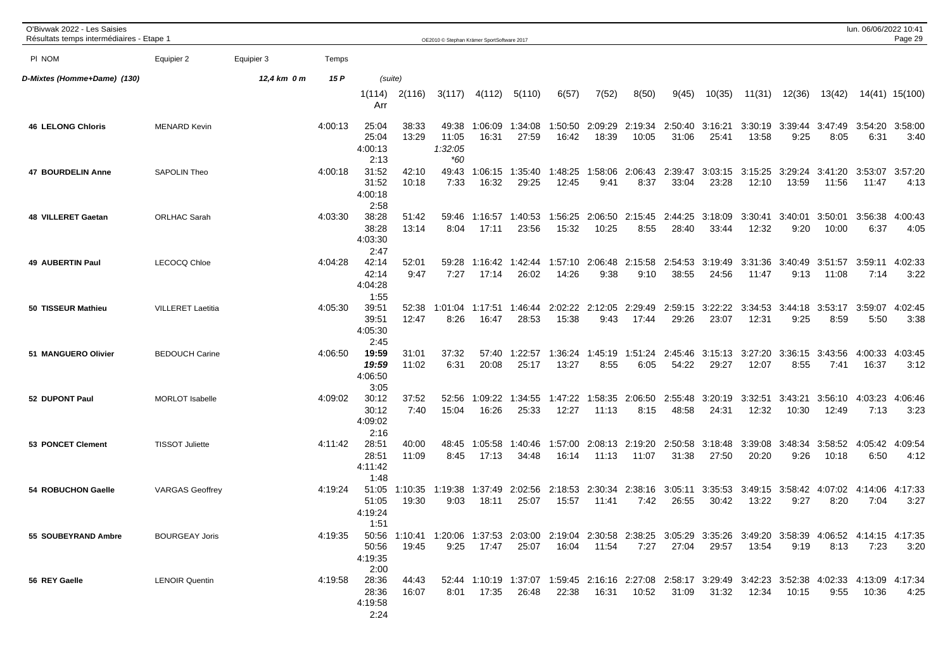| O'Bivwak 2022 - Les Saisies<br>Résultats temps intermédiaires - Etape 1 |                          |             |         |                                           |                  | OE2010 © Stephan Krämer SportSoftware 2017 |                  |                                                                                                                                |                  |                  |                          |                  |                  |                  |                         |                                         | lun. 06/06/2022 10:41 | Page 29         |
|-------------------------------------------------------------------------|--------------------------|-------------|---------|-------------------------------------------|------------------|--------------------------------------------|------------------|--------------------------------------------------------------------------------------------------------------------------------|------------------|------------------|--------------------------|------------------|------------------|------------------|-------------------------|-----------------------------------------|-----------------------|-----------------|
| PI NOM                                                                  | Equipier 2               | Equipier 3  | Temps   |                                           |                  |                                            |                  |                                                                                                                                |                  |                  |                          |                  |                  |                  |                         |                                         |                       |                 |
| D-Mixtes (Homme+Dame) (130)                                             |                          | 12,4 km 0 m | 15 P    | (suite)                                   |                  |                                            |                  |                                                                                                                                |                  |                  |                          |                  |                  |                  |                         |                                         |                       |                 |
|                                                                         |                          |             |         | 1(114)<br>Arr                             | 2(116)           | 3(117)                                     | 4(112)           | 5(110)                                                                                                                         | 6(57)            | 7(52)            | 8(50)                    | 9(45)            | 10(35)           | 11(31)           | 12(36)                  | 13(42)                                  |                       | 14(41) 15(100)  |
| <b>46 LELONG Chloris</b>                                                | <b>MENARD Kevin</b>      |             | 4:00:13 | 25:04<br>25:04<br>4:00:13<br>2:13         | 38:33<br>13:29   | 49:38<br>11:05<br>1:32:05<br>$*60$         | 1:06:09<br>16:31 | 1:34:08<br>27:59                                                                                                               | 1:50:50<br>16:42 | 2:09:29<br>18:39 | 2:19:34<br>10:05         | 2:50:40<br>31:06 | 3:16:21<br>25:41 | 13:58            | 3:30:19 3:39:44<br>9:25 | 3:47:49<br>8:05                         | 3:54:20<br>6:31       | 3:58:00<br>3:40 |
| 47 BOURDELIN Anne                                                       | <b>SAPOLIN Theo</b>      |             | 4:00:18 | 31:52<br>31:52<br>4:00:18<br>2:58         | 42:10<br>10:18   | 49:43<br>7:33                              | 1:06:15<br>16:32 | 1:35:40<br>29:25                                                                                                               | 1:48:25<br>12:45 | 1:58:06<br>9:41  | 2:06:43<br>8:37          | 2:39:47<br>33:04 | 3:03:15<br>23:28 | 3:15:25<br>12:10 | 3:29:24<br>13:59        | 3:41:20<br>11:56                        | 3:53:07<br>11:47      | 3:57:20<br>4:13 |
| 48 VILLERET Gaetan                                                      | <b>ORLHAC Sarah</b>      |             | 4:03:30 | 38:28<br>38:28<br>4:03:30<br>2:47         | 51:42<br>13:14   | 59:46<br>8:04                              | 1:16:57<br>17:11 | 1:40:53<br>23:56                                                                                                               | 1:56:25<br>15:32 | 2:06:50<br>10:25 | 2:15:45<br>8:55          | 2:44:25<br>28:40 | 3:18:09<br>33:44 | 3:30:41<br>12:32 | 3:40:01<br>9:20         | 3:50:01<br>10:00                        | 3:56:38<br>6:37       | 4:00:43<br>4:05 |
| <b>49 AUBERTIN Paul</b>                                                 | <b>LECOCQ Chloe</b>      |             | 4:04:28 | 42:14<br>42:14<br>4:04:28<br>1:55         | 52:01<br>9:47    | 59:28<br>7:27                              | 1:16:42<br>17:14 | 1:42:44<br>26:02                                                                                                               | 1:57:10<br>14:26 | 2:06:48<br>9:38  | 2:15:58<br>9:10          | 2:54:53<br>38:55 | 3:19:49<br>24:56 | 3:31:36<br>11:47 | 3:40:49<br>9:13         | 3:51:57<br>11:08                        | 3:59:11<br>7:14       | 4:02:33<br>3:22 |
| 50 TISSEUR Mathieu                                                      | <b>VILLERET Laetitia</b> |             | 4:05:30 | 39:51<br>39:51<br>4:05:30<br>2:45         | 52:38<br>12:47   | 1:01:04<br>8:26                            | 1:17:51<br>16:47 | 1:46:44<br>28:53                                                                                                               | 2:02:22<br>15:38 | 2:12:05<br>9:43  | 2:29:49<br>17:44         | 2:59:15<br>29:26 | 3:22:22<br>23:07 | 3:34:53<br>12:31 | 3:44:18<br>9:25         | 3:53:17<br>8:59                         | 3:59:07<br>5:50       | 4:02:45<br>3:38 |
| 51 MANGUERO Olivier                                                     | <b>BEDOUCH Carine</b>    |             | 4:06:50 | 19:59<br>19:59<br>4:06:50<br>3:05         | 31:01<br>11:02   | 37:32<br>6:31                              | 57:40<br>20:08   | 1:22:57<br>25:17                                                                                                               | 1:36:24<br>13:27 | 1:45:19<br>8:55  | 1:51:24<br>6:05          | 2:45:46<br>54:22 | 3:15:13<br>29:27 | 3:27:20<br>12:07 | 3:36:15<br>8:55         | 3:43:56<br>7:41                         | 4:00:33<br>16:37      | 4:03:45<br>3:12 |
| 52 DUPONT Paul                                                          | <b>MORLOT Isabelle</b>   |             | 4:09:02 | 30:12<br>30:12<br>4:09:02<br>2:16         | 37:52<br>7:40    | 52:56<br>15:04                             | 1:09:22<br>16:26 | 1:34:55<br>25:33                                                                                                               | 1:47:22<br>12:27 | 1:58:35<br>11:13 | 2:06:50<br>8:15          | 2:55:48<br>48:58 | 3:20:19<br>24:31 | 3:32:51<br>12:32 | 3:43:21<br>10:30        | 3:56:10<br>12:49                        | 4:03:23<br>7:13       | 4:06:46<br>3:23 |
| 53 PONCET Clement                                                       | <b>TISSOT Juliette</b>   |             | 4:11:42 | 28:51<br>28:51<br>4:11:42<br>1:48         | 40:00<br>11:09   | 48:45<br>8:45                              | 1:05:58<br>17:13 | 1:40:46<br>34:48                                                                                                               | 1:57:00<br>16:14 | 11:13            | 2:08:13 2:19:20<br>11:07 | 2:50:58<br>31:38 | 3:18:48<br>27:50 | 3:39:08<br>20:20 | 3:48:34<br>9:26         | 3:58:52<br>10:18                        | 4:05:42<br>6:50       | 4:09:54<br>4:12 |
| 54 ROBUCHON Gaelle                                                      | <b>VARGAS Geoffrey</b>   |             | 4:19:24 | 51:05<br>51:05<br>4:19:24<br>1:51         | 1:10:35<br>19:30 | 1:19:38<br>9:03                            | 1:37:49<br>18:11 | 2:02:56 2:18:53<br>25:07                                                                                                       | 15:57            | 11:41            | 2:30:34 2:38:16<br>7:42  | 3:05:11<br>26:55 | 3:35:53<br>30:42 | 13:22            | 9:27                    | 3:49:15 3:58:42 4:07:02 4:14:06<br>8:20 | 7:04                  | 4:17:33<br>3:27 |
| 55 SOUBEYRAND Ambre                                                     | <b>BOURGEAY Joris</b>    |             | 4:19:35 | 50:56<br>4:19:35<br>2:00                  | 19:45            | 9:25                                       | 17:47            | 50:56 1:10:41 1:20:06 1:37:53 2:03:00 2:19:04 2:30:58 2:38:25 3:05:29 3:35:26 3:49:20 3:58:39 4:06:52 4:14:15 4:17:35<br>25:07 | 16:04            | 11:54            | 7:27                     |                  | 27:04 29:57      | 13:54            | 9:19                    | 8:13                                    | 7:23                  | 3:20            |
| 56 REY Gaelle                                                           | <b>LENOIR Quentin</b>    |             |         | 4:19:58 28:36<br>28:36<br>4:19:58<br>2:24 | 44:43<br>16:07   |                                            | 8:01 17:35       | 52:44 1:10:19 1:37:07 1:59:45 2:16:16 2:27:08 2:58:17 3:29:49 3:42:23 3:52:38 4:02:33 4:13:09 4:17:34<br>26:48                 |                  |                  | 22:38  16:31  10:52      |                  | 31:09 31:32      |                  |                         | 9:55                                    | 10:36                 | 4:25            |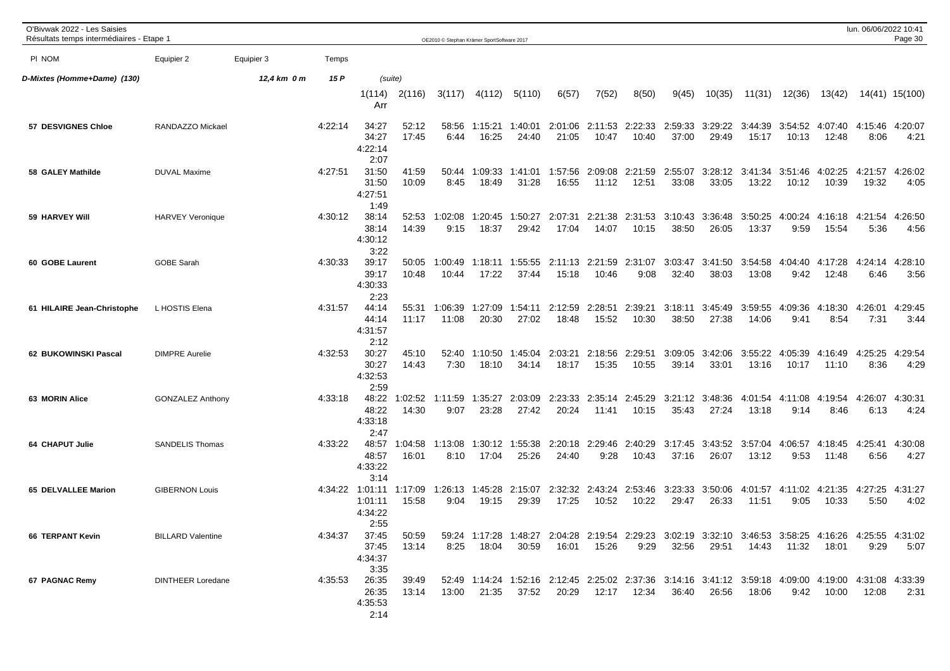| O'Bivwak 2022 - Les Saisies<br>Résultats temps intermédiaires - Etape 1 |                          |             |         |                                               |                  | OE2010 © Stephan Krämer SportSoftware 2017 |                          |                  |                  |                     |                          |                  |                  |                                                                                                                |                         |                          | lun. 06/06/2022 10:41 | Page 30         |
|-------------------------------------------------------------------------|--------------------------|-------------|---------|-----------------------------------------------|------------------|--------------------------------------------|--------------------------|------------------|------------------|---------------------|--------------------------|------------------|------------------|----------------------------------------------------------------------------------------------------------------|-------------------------|--------------------------|-----------------------|-----------------|
| PI NOM                                                                  | Equipier 2               | Equipier 3  | Temps   |                                               |                  |                                            |                          |                  |                  |                     |                          |                  |                  |                                                                                                                |                         |                          |                       |                 |
| D-Mixtes (Homme+Dame) (130)                                             |                          | 12,4 km 0 m | 15 P    | (suite)                                       |                  |                                            |                          |                  |                  |                     |                          |                  |                  |                                                                                                                |                         |                          |                       |                 |
|                                                                         |                          |             |         | 1(114)<br>Arr                                 | 2(116)           | 3(117)                                     | 4(112)                   | 5(110)           | 6(57)            | 7(52)               | 8(50)                    | 9(45)            | 10(35)           | 11(31)                                                                                                         | 12(36)                  | 13(42)                   |                       | 14(41) 15(100)  |
| 57 DESVIGNES Chloe                                                      | RANDAZZO Mickael         |             | 4:22:14 | 34:27<br>34:27<br>4:22:14<br>2:07             | 52:12<br>17:45   | 58:56<br>6:44                              | 1:15:21<br>16:25         | 1:40:01<br>24:40 | 2:01:06<br>21:05 | 10:47               | 2:11:53 2:22:33<br>10:40 | 2:59:33<br>37:00 | 3:29:22<br>29:49 | 3:44:39<br>15:17                                                                                               | 3:54:52<br>10:13        | 4:07:40<br>12:48         | 4:15:46<br>8:06       | 4:20:07<br>4:21 |
| 58 GALEY Mathilde                                                       | <b>DUVAL Maxime</b>      |             | 4:27:51 | 31:50<br>31:50<br>4:27:51<br>1:49             | 41:59<br>10:09   | 50:44<br>8:45                              | 1:09:33<br>18:49         | 1:41:01<br>31:28 | 1:57:56<br>16:55 | 2:09:08<br>11:12    | 2:21:59<br>12:51         | 2:55:07<br>33:08 | 3:28:12<br>33:05 | 3:41:34<br>13:22                                                                                               | 3:51:46<br>10:12        | 4:02:25<br>10:39         | 4:21:57<br>19:32      | 4:26:02<br>4:05 |
| 59 HARVEY Will                                                          | <b>HARVEY Veronique</b>  |             | 4:30:12 | 38:14<br>38:14<br>4:30:12<br>3:22             | 52:53<br>14:39   | 1:02:08<br>9:15                            | 1:20:45<br>18:37         | 1:50:27<br>29:42 | 2:07:31<br>17:04 | 2:21:38<br>14:07    | 2:31:53<br>10:15         | 3:10:43<br>38:50 | 3:36:48<br>26:05 | 3:50:25<br>13:37                                                                                               | 4:00:24<br>9:59         | 4:16:18<br>15:54         | 4:21:54<br>5:36       | 4:26:50<br>4:56 |
| 60 GOBE Laurent                                                         | <b>GOBE Sarah</b>        |             | 4:30:33 | 39:17<br>39:17<br>4:30:33<br>2:23             | 50:05<br>10:48   | 1:00:49<br>10:44                           | 1:18:11<br>17:22         | 1:55:55<br>37:44 | 2:11:13<br>15:18 | 2:21:59<br>10:46    | 2:31:07<br>9:08          | 3:03:47<br>32:40 | 3:41:50<br>38:03 | 3:54:58<br>13:08                                                                                               | 4:04:40<br>9:42         | 4:17:28<br>12:48         | 4:24:14<br>6:46       | 4:28:10<br>3:56 |
| 61 HILAIRE Jean-Christophe                                              | L HOSTIS Elena           |             | 4:31:57 | 44:14<br>44:14<br>4:31:57<br>2:12             | 55:31<br>11:17   | 1:06:39<br>11:08                           | 1:27:09<br>20:30         | 1:54:11<br>27:02 | 2:12:59<br>18:48 | 2:28:51<br>15:52    | 2:39:21<br>10:30         | 3:18:11<br>38:50 | 3:45:49<br>27:38 | 3:59:55<br>14:06                                                                                               | 4:09:36<br>9:41         | 4:18:30<br>8:54          | :26:01<br>4<br>7:31   | 4:29:45<br>3:44 |
| 62 BUKOWINSKI Pascal                                                    | <b>DIMPRE Aurelie</b>    |             | 4:32:53 | 30:27<br>30:27<br>4:32:53<br>2:59             | 45:10<br>14:43   | 52:40<br>7:30                              | 1:10:50<br>18:10         | 1:45:04<br>34:14 | 2:03:21<br>18:17 | 2:18:56<br>15:35    | 2:29:51<br>10:55         | 3:09:05<br>39:14 | 3:42:06<br>33:01 | 3:55:22<br>13:16                                                                                               | 4:05:39<br>10:17        | 4:16:49<br>11:10         | 4:25:25<br>8:36       | 4:29:54<br>4:29 |
| 63 MORIN Alice                                                          | <b>GONZALEZ Anthony</b>  |             | 4:33:18 | 48:22<br>48:22<br>4:33:18<br>2:47             | 1:02:52<br>14:30 | 1:11:59<br>9:07                            | 1:35:27<br>23:28         | 2:03:09<br>27:42 | 2:23:33<br>20:24 | 2:35:14<br>11:41    | 2:45:29<br>10:15         | 3:21:12<br>35:43 | 3:48:36<br>27:24 | 4:01:54<br>13:18                                                                                               | 4:11:08<br>9:14         | 4:19:54<br>8:46          | 4:26:07<br>6:13       | 4:30:31<br>4:24 |
| 64 CHAPUT Julie                                                         | <b>SANDELIS Thomas</b>   |             | 4:33:22 | 48:57<br>48:57<br>4:33:22<br>3:14             | 1:04:58<br>16:01 | 1:13:08<br>8:10                            | 1:30:12<br>17:04         | 1:55:38<br>25:26 | 2:20:18<br>24:40 | 2:29:46<br>9:28     | 2:40:29<br>10:43         | 3:17:45<br>37:16 | 3:43:52<br>26:07 | 3:57:04<br>13:12                                                                                               | 4:06:57<br>9:53         | 4:18:45<br>11:48         | 4:25:41<br>6:56       | 4:30:08<br>4:27 |
| 65 DELVALLEE Marion                                                     | <b>GIBERNON Louis</b>    |             |         | 4:34:22 1:01:11<br>1:01:11<br>4:34:22<br>2:55 | 1:17:09<br>15:58 | 9:04                                       | 1:26:13 1:45:28<br>19:15 | 2:15:07<br>29:39 | 2:32:32<br>17:25 | 10:52               | 2:43:24 2:53:46<br>10:22 | 3:23:33<br>29:47 | 3:50:06<br>26:33 | 11:51                                                                                                          | 4:01:57 4:11:02<br>9:05 | 4:21:35 4:27:25<br>10:33 | 5:50                  | 4:31:27<br>4:02 |
| <b>66 TERPANT Kevin</b>                                                 | <b>BILLARD Valentine</b> |             | 4:34:37 | 37:45<br>37:45<br>4:34:37<br>3:35             | 50:59<br>13:14   | 8:25                                       | 18:04                    | 30:59            | 16:01            | 15:26               | 9:29                     | 32:56            | 29:51            | 59:24 1:17:28 1:48:27 2:04:28 2:19:54 2:29:23 3:02:19 3:32:10 3:46:53 3:58:25 4:16:26 4:25:55 4:31:02<br>14:43 | 11:32                   | 18:01                    | 9:29                  | 5:07            |
| 67 PAGNAC Remy                                                          | <b>DINTHEER Loredane</b> |             | 4:35:53 | 26:35<br>26:35<br>4:35:53<br>2:14             | 39:49<br>13:14   | 13:00                                      | 21:35                    | 37:52            |                  | 20:29  12:17  12:34 |                          | 36:40            | 26:56            | 52:49 1:14:24 1:52:16 2:12:45 2:25:02 2:37:36 3:14:16 3:41:12 3:59:18 4:09:00 4:19:00 4:31:08 4:33:39<br>18:06 | 9:42                    | 10:00                    | 12:08                 | 2:31            |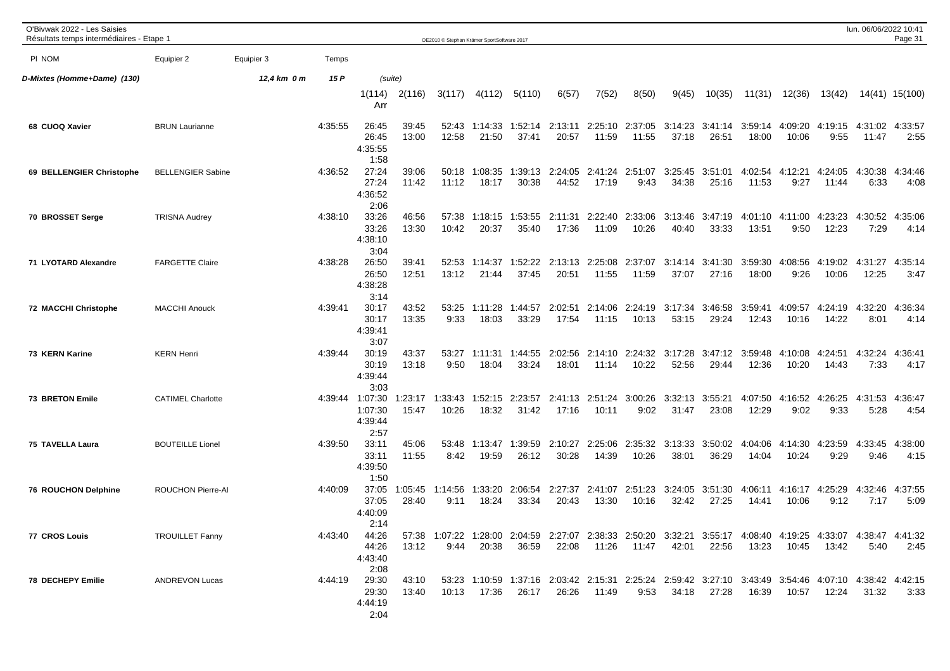| O'Bivwak 2022 - Les Saisies<br>Résultats temps intermédiaires - Etape 1 |                          |             |         |                                               |                  | OE2010 © Stephan Krämer SportSoftware 2017 |                  |                  |                  |                  |                          |                  |                  |                                                                                                                        |                  |                         | lun. 06/06/2022 10:41 | Page 31         |
|-------------------------------------------------------------------------|--------------------------|-------------|---------|-----------------------------------------------|------------------|--------------------------------------------|------------------|------------------|------------------|------------------|--------------------------|------------------|------------------|------------------------------------------------------------------------------------------------------------------------|------------------|-------------------------|-----------------------|-----------------|
| PI NOM                                                                  | Equipier 2               | Equipier 3  | Temps   |                                               |                  |                                            |                  |                  |                  |                  |                          |                  |                  |                                                                                                                        |                  |                         |                       |                 |
| D-Mixtes (Homme+Dame) (130)                                             |                          | 12,4 km 0 m | 15 P    | (suite)                                       |                  |                                            |                  |                  |                  |                  |                          |                  |                  |                                                                                                                        |                  |                         |                       |                 |
|                                                                         |                          |             |         | 1(114)<br>Arr                                 | 2(116)           | 3(117)                                     | 4(112)           | 5(110)           | 6(57)            | 7(52)            | 8(50)                    | 9(45)            | 10(35)           | 11(31)                                                                                                                 | 12(36)           | 13(42)                  |                       | 14(41) 15(100)  |
| 68 CUOQ Xavier                                                          | <b>BRUN Laurianne</b>    |             | 4:35:55 | 26:45<br>26:45<br>4:35:55<br>1:58             | 39:45<br>13:00   | 52:43<br>12:58                             | 1:14:33<br>21:50 | 1:52:14<br>37:41 | 2:13:11<br>20:57 | 11:59            | 2:25:10 2:37:05<br>11:55 | 3:14:23<br>37:18 | 3:41:14<br>26:51 | 3:59:14<br>18:00                                                                                                       | 4:09:20<br>10:06 | 4:19:15 4:31:02<br>9:55 | 11:47                 | 4:33:57<br>2:55 |
| 69 BELLENGIER Christophe                                                | <b>BELLENGIER Sabine</b> |             | 4:36:52 | 27:24<br>27:24<br>4:36:52<br>2:06             | 39:06<br>11:42   | 50:18<br>11:12                             | 1:08:35<br>18:17 | 1:39:13<br>30:38 | 2:24:05<br>44:52 | 2:41:24<br>17:19 | 2:51:07<br>9:43          | 3:25:45<br>34:38 | 3:51:01<br>25:16 | 4:02:54<br>11:53                                                                                                       | 4:12:21<br>9:27  | 4:24:05<br>11:44        | 4:30:38<br>6:33       | 4:34:46<br>4:08 |
| 70 BROSSET Serge                                                        | <b>TRISNA Audrey</b>     |             | 4:38:10 | 33:26<br>33:26<br>4:38:10<br>3:04             | 46:56<br>13:30   | 57:38<br>10:42                             | 1:18:15<br>20:37 | 1:53:55<br>35:40 | 2:11:31<br>17:36 | 2:22:40<br>11:09 | 2:33:06<br>10:26         | 3:13:46<br>40:40 | 3:47:19<br>33:33 | 4:01:10<br>13:51                                                                                                       | 4:11:00<br>9:50  | 4:23:23<br>12:23        | 4:30:52<br>7:29       | 4:35:06<br>4:14 |
| 71 LYOTARD Alexandre                                                    | <b>FARGETTE Claire</b>   |             | 4:38:28 | 26:50<br>26:50<br>4:38:28<br>3:14             | 39:41<br>12:51   | 52:53<br>13:12                             | 1:14:37<br>21:44 | 1:52:22<br>37:45 | 2:13:13<br>20:51 | 2:25:08<br>11:55 | 2:37:07<br>11:59         | 3:14:14<br>37:07 | 3:41:30<br>27:16 | 3:59:30<br>18:00                                                                                                       | 4:08:56<br>9:26  | 4:19:02<br>10:06        | 4:31:27<br>12:25      | 4:35:14<br>3:47 |
| <b>72 MACCHI Christophe</b>                                             | <b>MACCHI Anouck</b>     |             | 4:39:41 | 30:17<br>30:17<br>4:39:41<br>3:07             | 43:52<br>13:35   | 53:25<br>9:33                              | 1:11:28<br>18:03 | 1:44:57<br>33:29 | 2:02:51<br>17:54 | 2:14:06<br>11:15 | 2:24:19<br>10:13         | 3:17:34<br>53:15 | 3:46:58<br>29:24 | 3:59:41<br>12:43                                                                                                       | 4:09:57<br>10:16 | 4:24:19<br>14:22        | 4:32:20<br>8:01       | 4:36:34<br>4:14 |
| 73 KERN Karine                                                          | <b>KERN Henri</b>        |             | 4:39:44 | 30:19<br>30:19<br>4:39:44<br>3:03             | 43:37<br>13:18   | 53:27<br>9:50                              | 1:11:31<br>18:04 | 1:44:55<br>33:24 | 2:02:56<br>18:01 | 11:14            | 2:14:10 2:24:32<br>10:22 | 3:17:28<br>52:56 | 3:47:12<br>29:44 | 3:59:48<br>12:36                                                                                                       | 4:10:08<br>10:20 | 4:24:51<br>14:43        | 4:32:24<br>7:33       | 4:36:41<br>4:17 |
| <b>73 BRETON Emile</b>                                                  | <b>CATIMEL Charlotte</b> |             |         | 4:39:44 1:07:30<br>1:07:30<br>4:39:44<br>2:57 | 1:23:17<br>15:47 | :33:43<br>10:26                            | 1:52:15<br>18:32 | 2:23:57<br>31:42 | 2:41:13<br>17:16 | 2:51:24<br>10:11 | 3:00:26<br>9:02          | 3:32:13<br>31:47 | 3:55:21<br>23:08 | 4:07:50<br>12:29                                                                                                       | 4:16:52<br>9:02  | 4:26:25<br>9:33         | 4:31:53<br>5:28       | 4:36:47<br>4:54 |
| 75 TAVELLA Laura                                                        | <b>BOUTEILLE Lionel</b>  |             | 4:39:50 | 33:11<br>33:11<br>4:39:50<br>1:50             | 45:06<br>11:55   | 53:48<br>8:42                              | 1:13:47<br>19:59 | 1:39:59<br>26:12 | 2:10:27<br>30:28 | 2:25:06<br>14:39 | 2:35:32<br>10:26         | 3:13:33<br>38:01 | 3:50:02<br>36:29 | 4:04:06<br>14:04                                                                                                       | 4:14:30<br>10:24 | 4:23:59<br>9:29         | 4:33:45<br>9:46       | 4:38:00<br>4:15 |
| <b>76 ROUCHON Delphine</b>                                              | ROUCHON Pierre-Al        |             | 4:40:09 | 37:05<br>37:05<br>4:40:09<br>2:14             | 1:05:45<br>28:40 | 1:14:56<br>9:11                            | 1:33:20<br>18:24 | 2:06:54<br>33:34 | 2:27:37<br>20:43 | 13:30            | 2:41:07 2:51:23<br>10:16 | 3:24:05<br>32:42 | 3:51:30<br>27:25 | 4:06:11<br>14:41                                                                                                       | 10:06            | 4:16:17 4:25:29<br>9:12 | 4:32:46<br>7:17       | 4:37:55<br>5:09 |
| 77 CROS Louis                                                           | <b>TROUILLET Fanny</b>   |             | 4:43:40 | 44:26<br>44:26<br>4:43:40<br>2:08             | 13:12            | 9:44                                       | 20:38            | 36:59            |                  | 22:08 11:26      | 11:47                    |                  | 42:01 22:56      | 57:38 1:07:22 1:28:00 2:04:59 2:27:07 2:38:33 2:50:20 3:32:21 3:55:17 4:08:40 4:19:25 4:33:07 4:38:47 4:41:32<br>13:23 | 10:45            | 13:42                   | 5:40                  | 2:45            |
| 78 DECHEPY Emilie                                                       | <b>ANDREVON Lucas</b>    |             | 4:44:19 | 29:30<br>29:30<br>4:44:19<br>2:04             | 43:10<br>13:40   |                                            | 10:13  17:36     | 26:17            |                  | 26:26 11:49      | 9:53                     |                  | 34:18 27:28      | 53:23 1:10:59 1:37:16 2:03:42 2:15:31 2:25:24 2:59:42 3:27:10 3:43:49 3:54:46 4:07:10 4:38:42 4:42:15<br>16:39         |                  |                         | 31:32                 | 3:33            |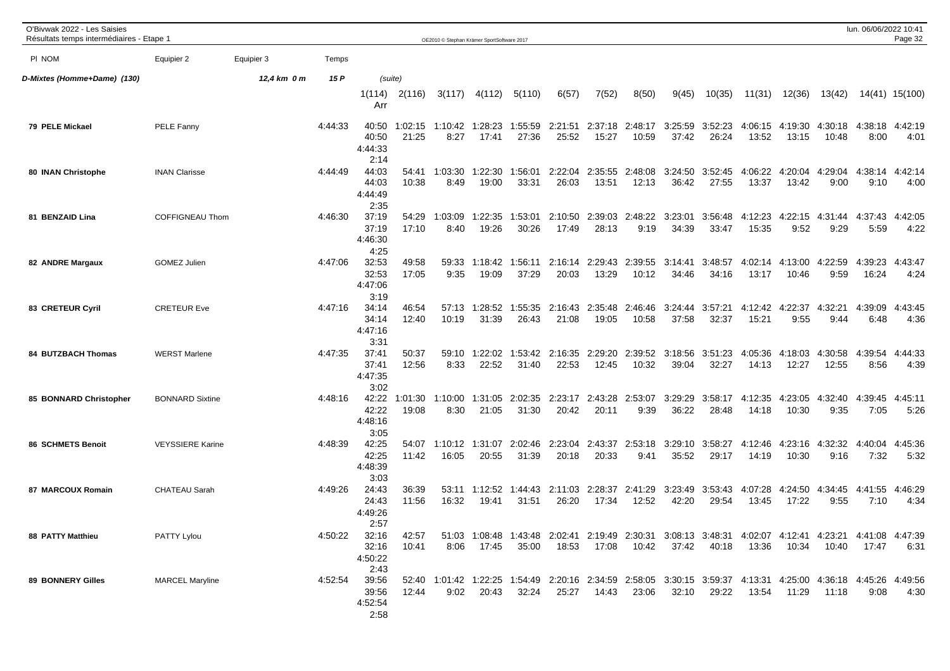| O'Bivwak 2022 - Les Saisies<br>Résultats temps intermédiaires - Etape 1 |                         |             |         |                                   |                  | OE2010 © Stephan Krämer SportSoftware 2017 |                        |                  |                          |                  |                          |                  |                                                                                                                        |                  |                          |                    | lun. 06/06/2022 10:41 | Page 32         |
|-------------------------------------------------------------------------|-------------------------|-------------|---------|-----------------------------------|------------------|--------------------------------------------|------------------------|------------------|--------------------------|------------------|--------------------------|------------------|------------------------------------------------------------------------------------------------------------------------|------------------|--------------------------|--------------------|-----------------------|-----------------|
| PI NOM                                                                  | Equipier 2              | Equipier 3  | Temps   |                                   |                  |                                            |                        |                  |                          |                  |                          |                  |                                                                                                                        |                  |                          |                    |                       |                 |
| D-Mixtes (Homme+Dame) (130)                                             |                         | 12,4 km 0 m | 15 P    | (suite)                           |                  |                                            |                        |                  |                          |                  |                          |                  |                                                                                                                        |                  |                          |                    |                       |                 |
|                                                                         |                         |             |         | 1(114)<br>Arr                     | 2(116)           | 3(117)                                     | 4(112)                 | 5(110)           | 6(57)                    | 7(52)            | 8(50)                    | 9(45)            | 10(35)                                                                                                                 | 11(31)           | 12(36)                   | 13(42)             |                       | 14(41) 15(100)  |
| 79 PELE Mickael                                                         | PELE Fanny              |             | 4:44:33 | 40:50<br>40:50<br>4:44:33<br>2:14 | 1:02:15<br>21:25 | 1:10:42<br>8:27                            | 1:28:23<br>17:41       | 1:55:59<br>27:36 | 2:21:51<br>25:52         | 15:27            | 2:37:18 2:48:17<br>10:59 | 3:25:59<br>37:42 | 3:52:23<br>26:24                                                                                                       | 4:06:15<br>13:52 | 4:19:30<br>13:15         | 4:30:18<br>10:48   | 4:38:18<br>8:00       | 4:42:19<br>4:01 |
| 80 INAN Christophe                                                      | <b>INAN Clarisse</b>    |             | 4:44:49 | 44:03<br>44:03<br>4:44:49<br>2:35 | 54:41<br>10:38   | 1:03:30<br>8:49                            | 1:22:30<br>19:00       | 1:56:01<br>33:31 | 2:22:04<br>26:03         | 2:35:55<br>13:51 | 2:48:08<br>12:13         | 3:24:50<br>36:42 | 3:52:45<br>27:55                                                                                                       | 4:06:22<br>13:37 | 4:20:04<br>13:42         | 4:29:04<br>9:00    | 4:38:14<br>9:10       | 4:42:14<br>4:00 |
| 81 BENZAID Lina                                                         | COFFIGNEAU Thom         |             | 4:46:30 | 37:19<br>37:19<br>4:46:30<br>4:25 | 54:29<br>17:10   | 1:03:09<br>8:40                            | 1:22:35<br>19:26       | 1:53:01<br>30:26 | 2:10:50<br>17:49         | 2:39:03<br>28:13 | 2:48:22<br>9:19          | 3:23:01<br>34:39 | 3:56:48<br>33:47                                                                                                       | 4:12:23<br>15:35 | 4:22:15<br>9:52          | 4:31:44<br>9:29    | 4:37:43<br>5:59       | 4:42:05<br>4:22 |
| 82 ANDRE Margaux                                                        | <b>GOMEZ Julien</b>     |             | 4:47:06 | 32:53<br>32:53<br>4:47:06<br>3:19 | 49:58<br>17:05   | 59:33<br>9:35                              | 1:18:42<br>19:09       | 1:56:11<br>37:29 | 2:16:14<br>20:03         | 2:29:43<br>13:29 | 2:39:55<br>10:12         | 3:14:41<br>34:46 | 3:48:57<br>34:16                                                                                                       | 4:02:14<br>13:17 | 4:13:00<br>10:46         | 4:22:59<br>9:59    | 4:39:23<br>16:24      | 4:43:47<br>4:24 |
| 83 CRETEUR Cyril                                                        | <b>CRETEUR Eve</b>      |             | 4:47:16 | 34:14<br>34:14<br>4:47:16<br>3:31 | 46:54<br>12:40   | 57:13<br>10:19                             | 1:28:52<br>31:39       | 1:55:35<br>26:43 | 2:16:43<br>21:08         | 2:35:48<br>19:05 | 2:46:46<br>10:58         | 3:24:44<br>37:58 | 3:57:21<br>32:37                                                                                                       | 4:12:42<br>15:21 | 22:37<br>4<br>9:55       | 32:21<br>4<br>9:44 | 4:39:09<br>6:48       | 4:43:45<br>4:36 |
| <b>84 BUTZBACH Thomas</b>                                               | <b>WERST Marlene</b>    |             | 4:47:35 | 37:41<br>37:41<br>4:47:35<br>3:02 | 50:37<br>12:56   | 59:10<br>8:33                              | 1:22:02<br>22:52       | 1:53:42<br>31:40 | 2:16:35<br>22:53         | 2:29:20<br>12:45 | 2:39:52<br>10:32         | 3:18:56<br>39:04 | 3:51:23<br>32:27                                                                                                       | 4:05:36<br>14:13 | 4:18:03<br>12:27         | 4:30:58<br>12:55   | 4:39:54<br>8:56       | 4:44:33<br>4:39 |
| 85 BONNARD Christopher                                                  | <b>BONNARD Sixtine</b>  |             | 4:48:16 | 42:22<br>42:22<br>4:48:16<br>3:05 | 1:01:30<br>19:08 | 1:10:00<br>8:30                            | 1:31:05<br>21:05       | 2:02:35<br>31:30 | 2:23:17<br>20:42         | 2:43:28<br>20:11 | 2:53:07<br>9:39          | 3:29:29<br>36:22 | 3:58:17<br>28:48                                                                                                       | 4:12:35<br>14:18 | 4:23:05<br>10:30         | 4:32:40<br>9:35    | 4:39:45<br>7:05       | 4:45:11<br>5:26 |
| 86 SCHMETS Benoit                                                       | <b>VEYSSIERE Karine</b> |             | 4:48:39 | 42:25<br>42:25<br>4:48:39<br>3:03 | 54:07<br>11:42   | 1:10:12<br>16:05                           | 1:31:07<br>20:55       | 2:02:46<br>31:39 | 2:23:04<br>20:18         | 2:43:37<br>20:33 | 2:53:18<br>9:41          | 3:29:10<br>35:52 | 3:58:27<br>29:17                                                                                                       | 4:12:46<br>14:19 | 4:23:16<br>10:30         | 4:32:32<br>9:16    | 4:40:04<br>7:32       | 4:45:36<br>5:32 |
| 87 MARCOUX Romain                                                       | <b>CHATEAU Sarah</b>    |             | 4:49:26 | 24:43<br>24:43<br>4:49:26<br>2:57 | 36:39<br>11:56   | 16:32                                      | 53:11 1:12:52<br>19:41 | 31:51            | 1:44:43 2:11:03<br>26:20 | 2:28:37<br>17:34 | 2:41:29<br>12:52         | 3:23:49<br>42:20 | 3:53:43<br>29:54                                                                                                       | 4:07:28<br>13:45 | 4:24:50 4:34:45<br>17:22 | 9:55               | 4:41:55<br>7:10       | 4:46:29<br>4:34 |
| 88 PATTY Matthieu                                                       | PATTY Lylou             |             | 4:50:22 | 32:16<br>32:16<br>4:50:22<br>2:43 | 42:57<br>10:41   | 8:06                                       | 17:45                  | 35:00            |                          | 18:53  17:08     | 10:42                    | 37:42            | 51:03 1:08:48 1:43:48 2:02:41 2:19:49 2:30:31 3:08:13 3:48:31 4:02:07 4:12:41 4:23:21 4:41:08 4:47:39<br>40:18         | 13:36            |                          | 10:34  10:40       | 17:47                 | 6:31            |
| 89 BONNERY Gilles                                                       | <b>MARCEL Maryline</b>  |             | 4:52:54 | 39:56<br>39:56<br>4:52:54<br>2:58 | 12:44            | 9:02                                       | 20:43                  | 32:24            | 25:27                    | 14:43            | 23:06                    | 32:10            | 52:40 1:01:42 1:22:25 1:54:49 2:20:16 2:34:59 2:58:05 3:30:15 3:59:37 4:13:31 4:25:00 4:36:18 4:45:26 4:49:56<br>29:22 | 13:54            | 11:29                    | 11:18              | 9:08                  | 4:30            |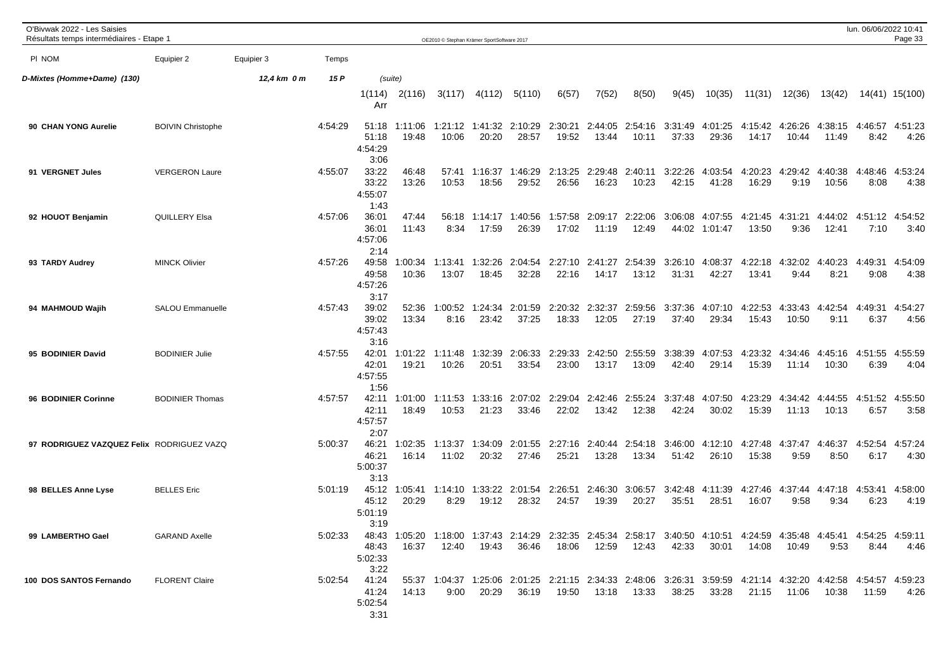| O'Bivwak 2022 - Les Saisies<br>Résultats temps intermédiaires - Etape 1 |                          |             |         |                                                                                                                                                           |                  | OE2010 © Stephan Krämer SportSoftware 2017 |                          |                        |                     |                  |                          |                                                                                                               |                    |                   |                  |                                | lun. 06/06/2022 10:41 | Page 33         |
|-------------------------------------------------------------------------|--------------------------|-------------|---------|-----------------------------------------------------------------------------------------------------------------------------------------------------------|------------------|--------------------------------------------|--------------------------|------------------------|---------------------|------------------|--------------------------|---------------------------------------------------------------------------------------------------------------|--------------------|-------------------|------------------|--------------------------------|-----------------------|-----------------|
| PI NOM                                                                  | Equipier 2               | Equipier 3  | Temps   |                                                                                                                                                           |                  |                                            |                          |                        |                     |                  |                          |                                                                                                               |                    |                   |                  |                                |                       |                 |
| D-Mixtes (Homme+Dame) (130)                                             |                          | 12,4 km 0 m | 15 P    | (suite)                                                                                                                                                   |                  |                                            |                          |                        |                     |                  |                          |                                                                                                               |                    |                   |                  |                                |                       |                 |
|                                                                         |                          |             |         | 1(114)<br>Arr                                                                                                                                             | 2(116)           | 3(117)                                     | 4(112)                   | 5(110)                 | 6(57)               | 7(52)            | 8(50)                    | 9(45)                                                                                                         | 10(35)             | 11(31)            | 12(36)           | 13(42)                         |                       | 14(41) 15(100)  |
| 90 CHAN YONG Aurelie                                                    | <b>BOIVIN Christophe</b> |             | 4:54:29 | 51:18<br>51:18<br>4:54:29<br>3:06                                                                                                                         | 1:11:06<br>19:48 | 10:06                                      | 1:21:12 1:41:32<br>20:20 | 2:10:29<br>28:57       | 2:30:21<br>19:52    | 2:44:05<br>13:44 | 2:54:16<br>10:11         | 3:31:49<br>37:33                                                                                              | 4:01:25<br>29:36   | 4:15:42<br>14:17  | 4:26:26<br>10:44 | 4:38:15<br>11:49               | 4:46:57<br>8:42       | 4:51:23<br>4:26 |
| 91 VERGNET Jules                                                        | <b>VERGERON Laure</b>    |             | 4:55:07 | 33:22<br>33:22<br>4:55:07<br>1:43                                                                                                                         | 46:48<br>13:26   | 10:53                                      | 57:41 1:16:37<br>18:56   | 1:46:29<br>29:52       | 2:13:25<br>26:56    | 2:29:48<br>16:23 | 2:40:11<br>10:23         | 3:22:26<br>42:15                                                                                              | 4:03:54<br>41:28   | 4:20:23<br>16:29  | 4:29:42<br>9:19  | 4:40:38<br>10:56               | 4:48:46<br>8:08       | 4:53:24<br>4:38 |
| 92 HOUOT Benjamin                                                       | <b>QUILLERY Elsa</b>     |             | 4:57:06 | 36:01<br>36:01<br>4:57:06<br>2:14                                                                                                                         | 47:44<br>11:43   | 56:18<br>8:34                              | 1:14:17<br>17:59         | 1:40:56<br>26:39       | 1:57:58<br>17:02    | 2:09:17<br>11:19 | 2:22:06<br>12:49         | 3:06:08<br>44:02                                                                                              | 4:07:55<br>1:01:47 | 4:21:45<br>13:50  | 4:31:21<br>9:36  | 4:44:02<br>12:41               | 4:51:12<br>7:10       | 4:54:52<br>3:40 |
| 93 TARDY Audrey                                                         | <b>MINCK Olivier</b>     |             | 4:57:26 | 49:58<br>49:58<br>4:57:26<br>3:17                                                                                                                         | 1:00:34<br>10:36 | 1:13:41<br>13:07                           | 1:32:26<br>18:45         | 2:04:54<br>32:28       | 2:27:10<br>22:16    | 2:41:27<br>14:17 | 2:54:39<br>13:12         | 3:26:10<br>31:31                                                                                              | 4:08:37<br>42:27   | 4:22:18<br>13:41  | 4:32:02<br>9:44  | :40:23<br>$\mathbf{A}$<br>8:21 | 4:49:31<br>9:08       | 4:54:09<br>4:38 |
| 94 MAHMOUD Wajih                                                        | <b>SALOU Emmanuelle</b>  |             | 4:57:43 | 39:02<br>39:02<br>4:57:43<br>3:16                                                                                                                         | 52:36<br>13:34   | 1:00:52<br>8:16                            | 1:24:34<br>23:42         | 2:01:59<br>37:25       | 2:20:32<br>18:33    | 2:32:37<br>12:05 | 2:59:56<br>27:19         | 3:37:36<br>37:40                                                                                              | 4:07:10<br>29:34   | 4:22:53<br>15:43  | 4:33:43<br>10:50 | :42:54<br>-4<br>9:11           | 4:49:31<br>6:37       | 4:54:27<br>4:56 |
| 95 BODINIER David                                                       | <b>BODINIER Julie</b>    |             | 4:57:55 | 42:01<br>42:01<br>4:57:55<br>1:56                                                                                                                         | 1:01:22<br>19:21 | 1:11:48<br>10:26                           | 1:32:39<br>20:51         | 2:06:33<br>33:54       | 2:29:33<br>23:00    | 2:42:50<br>13:17 | 2:55:59<br>13:09         | 3:38:39<br>42:40                                                                                              | 4:07:53<br>29:14   | 4:23:32<br>15:39  | 4:34:46<br>11:14 | 4:45:16<br>10:30               | 4:51:55<br>6:39       | 4:55:59<br>4:04 |
| 96 BODINIER Corinne                                                     | <b>BODINIER Thomas</b>   |             | 4:57:57 | 42:11<br>42:11<br>4:57:57<br>2:07                                                                                                                         | 1:01:00<br>18:49 | 1:11:53<br>10:53                           | 1:33:16<br>21:23         | 2:07:02<br>33:46       | 2:29:04<br>22:02    | 2:42:46<br>13:42 | 2:55:24<br>12:38         | 3:37:48<br>42:24                                                                                              | 4:07:50<br>30:02   | 4:23:29<br>15:39  | 4:34:42<br>11:13 | 4:44:55<br>10:13               | 4:51:52<br>6:57       | 4:55:50<br>3:58 |
| 97 RODRIGUEZ VAZQUEZ Felix RODRIGUEZ VAZQ                               |                          |             | 5:00:37 | 46:21<br>46:21<br>5:00:37<br>3:13                                                                                                                         | 1:02:35<br>16:14 | 1:13:37<br>11:02                           | 1:34:09<br>20:32         | 2:01:55<br>27:46       | 2:27:16<br>25:21    | 2:40:44<br>13:28 | 2:54:18<br>13:34         | 3:46:00<br>51:42                                                                                              | 4:12:10<br>26:10   | 4:27:48<br>15:38  | 4:37:47<br>9:59  | 4:46:37<br>8:50                | 4:52:54<br>6:17       | 4:57:24<br>4:30 |
| 98 BELLES Anne Lyse                                                     | <b>BELLES</b> Eric       |             | 5:01:19 | 45:12<br>45:12<br>5:01:19<br>3:19                                                                                                                         | 1:05:41<br>20:29 | 8:29                                       | 19:12                    | 28:32                  | 2:26:51<br>24:57    | 19:39            | 2:46:30 3:06:57<br>20:27 | 3:42:48<br>35:51                                                                                              | 4:11:39<br>28:51   | 4:27:46<br>16:07  | 9:58             | 4:37:44 4:47:18<br>9:34        | 4:53:41<br>6:23       | 4:58:00<br>4:19 |
| 99 LAMBERTHO Gael                                                       | <b>GARAND Axelle</b>     |             |         | 5:02:33 48:43 1:05:20 1:18:00 1:37:43 2:14:29 2:32:35 2:45:34 2:58:17 3:40:50 4:10:51 4:24:59 4:35:48 4:45:41 4:54:25 4:59:11<br>48:43<br>5:02:33<br>3:22 | 16:37            |                                            |                          |                        | 18:06  12:59  12:43 |                  |                          |                                                                                                               | 42:33 30:01        |                   |                  | 9:53                           | 8:44                  | -4:46           |
| 100 DOS SANTOS Fernando                                                 | <b>FLORENT Claire</b>    |             |         | 5:02:54 41:24<br>5:02:54<br>3:31                                                                                                                          | 41:24 14:13      |                                            |                          | $9:00$ $20:29$ $36:19$ | 19:50  13:18  13:33 |                  |                          | 55:37 1:04:37 1:25:06 2:01:25 2:21:15 2:34:33 2:48:06 3:26:31 3:59:59 4:21:14 4:32:20 4:42:58 4:54:57 4:59:23 | 38:25 33:28        | 21:15 11:06 10:38 |                  |                                |                       |                 |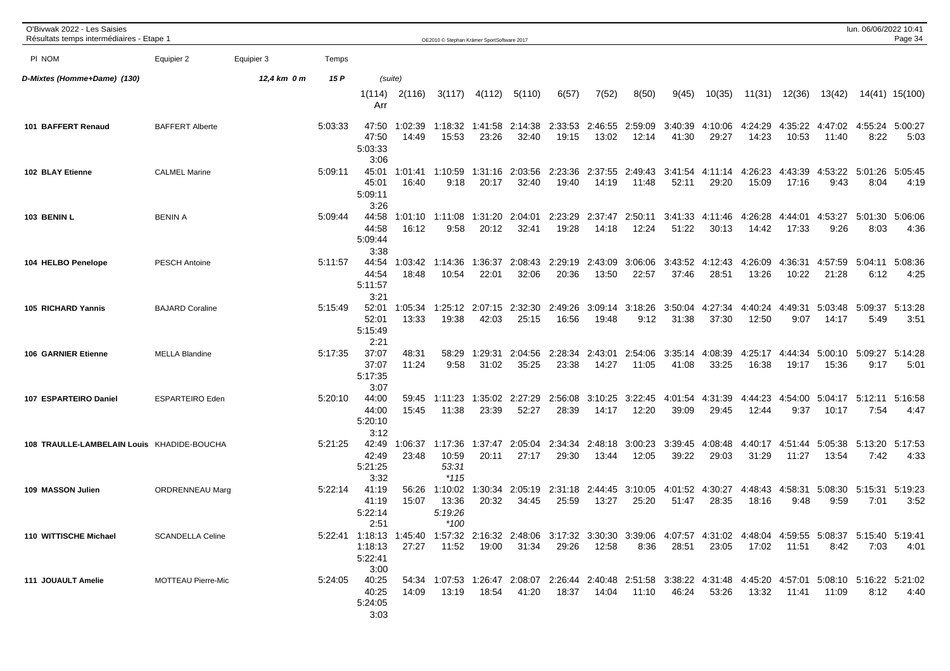| O'Bivwak 2022 - Les Saisies<br>Résultats temps intermédiaires - Etape 1 |                           |             |         |                                                                                                                                                               |                  | OE2010 © Stephan Krämer SportSoftware 2017 |                  |                                                                                                                                      |                  |                  |                          |                  |                  |                  |                     |                          | lun. 06/06/2022 10:41 | Page 34                 |
|-------------------------------------------------------------------------|---------------------------|-------------|---------|---------------------------------------------------------------------------------------------------------------------------------------------------------------|------------------|--------------------------------------------|------------------|--------------------------------------------------------------------------------------------------------------------------------------|------------------|------------------|--------------------------|------------------|------------------|------------------|---------------------|--------------------------|-----------------------|-------------------------|
| PI NOM                                                                  | Equipier 2                | Equipier 3  | Temps   |                                                                                                                                                               |                  |                                            |                  |                                                                                                                                      |                  |                  |                          |                  |                  |                  |                     |                          |                       |                         |
| D-Mixtes (Homme+Dame) (130)                                             |                           | 12,4 km 0 m | 15 P    |                                                                                                                                                               | (suite)          |                                            |                  |                                                                                                                                      |                  |                  |                          |                  |                  |                  |                     |                          |                       |                         |
|                                                                         |                           |             |         | 1(114)<br>Arr                                                                                                                                                 | 2(116)           | 3(117)                                     | 4(112)           | 5(110)                                                                                                                               | 6(57)            | 7(52)            | 8(50)                    | 9(45)            | 10(35)           | 11(31)           | 12(36)              | 13(42)                   |                       | 14(41) 15(100)          |
| 101 BAFFERT Renaud                                                      | <b>BAFFERT Alberte</b>    |             | 5:03:33 | 47:50<br>47:50<br>5:03:33<br>3:06                                                                                                                             | 1:02:39<br>14:49 | 1:18:32<br>15:53                           | 1:41:58<br>23:26 | 2:14:38<br>32:40                                                                                                                     | 2:33:53<br>19:15 | 2:46:55<br>13:02 | 2:59:09<br>12:14         | 3:40:39<br>41:30 | 4:10:06<br>29:27 | 4:24:29<br>14:23 | 4:35:22<br>10:53    | 4:47:02<br>11:40         | 8:22                  | 4:55:24 5:00:27<br>5:03 |
| 102 BLAY Etienne                                                        | <b>CALMEL Marine</b>      |             | 5:09:11 | 45:01<br>45:01<br>5:09:11<br>3:26                                                                                                                             | 1:01:41<br>16:40 | 1:10:59<br>9:18                            | 1:31:16<br>20:17 | 2:03:56<br>32:40                                                                                                                     | 2:23:36<br>19:40 | 2:37:55<br>14:19 | 2:49:43<br>11:48         | 3:41:54<br>52:11 | 4:11:14<br>29:20 | 4:26:23<br>15:09 | 4:43:39<br>17:16    | 4:53:22<br>9:43          | 5:01:26<br>8:04       | 5:05:45<br>4:19         |
| 103 BENIN L                                                             | <b>BENIN A</b>            |             | 5:09:44 | 44:58<br>44:58<br>5:09:44<br>3:38                                                                                                                             | 1:01:10<br>16:12 | 1:11:08<br>9:58                            | 1:31:20<br>20:12 | 2:04:01<br>32:41                                                                                                                     | 2:23:29<br>19:28 | 2:37:47<br>14:18 | 2:50:11<br>12:24         | 3:41:33<br>51:22 | 4:11:46<br>30:13 | 4:26:28<br>14:42 | 4:44:01<br>17:33    | 4:53:27<br>9:26          | 5:01:30<br>8:03       | 5:06:06<br>4:36         |
| 104 HELBO Penelope                                                      | <b>PESCH Antoine</b>      |             | 5:11:57 | 44:54<br>44:54<br>5:11:57<br>3:21                                                                                                                             | 1:03:42<br>18:48 | 1:14:36<br>10:54                           | 1:36:37<br>22:01 | 2:08:43<br>32:06                                                                                                                     | 2:29:19<br>20:36 | 2:43:09<br>13:50 | 3:06:06<br>22:57         | 3:43:52<br>37:46 | 4:12:43<br>28:51 | 4:26:09<br>13:26 | 4:36:31<br>10:22    | 4:57:59<br>21:28         | 5:04:11<br>6:12       | 5:08:36<br>4:25         |
| 105 RICHARD Yannis                                                      | <b>BAJARD Coraline</b>    |             | 5:15:49 | 52:01<br>52:01<br>5:15:49<br>2:21                                                                                                                             | 1:05:34<br>13:33 | :25:12<br>19:38                            | 2:07:15<br>42:03 | 2:32:30<br>25:15                                                                                                                     | 2:49:26<br>16:56 | 3:09:14<br>19:48 | 3:18:26<br>9:12          | 3:50:04<br>31:38 | 4:27:34<br>37:30 | 4:40:24<br>12:50 | 4:49:31<br>9:07     | 5:03:48<br>14:17         | 5:09:37<br>5:49       | 5:13:28<br>3:51         |
| <b>106 GARNIER Etienne</b>                                              | <b>MELLA Blandine</b>     |             | 5:17:35 | 37:07<br>37:07<br>5:17:35<br>3:07                                                                                                                             | 48:31<br>11:24   | 58:29<br>9:58                              | 1:29:31<br>31:02 | 2:04:56<br>35:25                                                                                                                     | 2:28:34<br>23:38 | 2:43:01<br>14:27 | 2:54:06<br>11:05         | 3:35:14<br>41:08 | 4:08:39<br>33:25 | 4:25:17<br>16:38 | 4:44:34<br>19:17    | 5:00:10<br>15:36         | 5:09:27<br>9:17       | 5:14:28<br>5:01         |
| 107 ESPARTEIRO Daniel                                                   | <b>ESPARTEIRO Eden</b>    |             | 5:20:10 | 44:00<br>44:00<br>5:20:10<br>3:12                                                                                                                             | 59:45<br>15:45   | 1:11:23<br>11:38                           | 1:35:02<br>23:39 | 2:27:29<br>52:27                                                                                                                     | 2:56:08<br>28:39 | 3:10:25<br>14:17 | 3:22:45<br>12:20         | 4:01:54<br>39:09 | 4:31:39<br>29:45 | 4:44:23<br>12:44 | 4:54:00<br>9:37     | 5:04:17<br>10:17         | 5:12:11<br>7:54       | 5:16:58<br>4:47         |
| 108 TRAULLE-LAMBELAIN Louis KHADIDE-BOUCHA                              |                           |             | 5:21:25 | 42:49<br>42:49<br>5:21:25<br>3:32                                                                                                                             | 1:06:37<br>23:48 | 1:17:36<br>10:59<br>53:31<br>$*115$        | 1:37:47<br>20:11 | 2:05:04<br>27:17                                                                                                                     | 2:34:34<br>29:30 | 2:48:18<br>13:44 | 3:00:23<br>12:05         | 3:39:45<br>39:22 | 4:08:48<br>29:03 | 4:40:17<br>31:29 | 11:27               | 4:51:44 5:05:38<br>13:54 | 5:13:20<br>7:42       | 5:17:53<br>4:33         |
| 109 MASSON Julien                                                       | ORDRENNEAU Marg           |             | 5:22:14 | 41:19<br>41:19<br>5:22:14<br>2:51                                                                                                                             | 56:26<br>15:07   | 1:10:02<br>13:36<br>5:19:26<br>*100        | 1:30:34<br>20:32 | 2:05:19<br>34:45                                                                                                                     | 2:31:18<br>25:59 | 13:27            | 2:44:45 3:10:05<br>25:20 | 4:01:52<br>51:47 | 4:30:27<br>28:35 | 4:48:43<br>18:16 | 4:58:31<br>9:48     | 5:08:30<br>9:59          | 5:15:31<br>7:01       | 5:19:23<br>3:52         |
| 110 WITTISCHE Michael                                                   | <b>SCANDELLA Celine</b>   |             |         | 5:22:41 1:18:13 1:45:40 1:57:32 2:16:32 2:48:06 3:17:32 3:30:30 3:39:06 4:07:57 4:31:02 4:48:04 4:59:55 5:08:37 5:15:40 5:19:41<br>1:18:13<br>5:22:41<br>3:00 | 27:27            | 11:52                                      |                  | 19:00 31:34                                                                                                                          | 29:26            | 12:58            | 8:36                     | 28:51            | 23:05            |                  |                     | 8:42                     | 7:03                  | - 4:01                  |
| 111 JOUAULT Amelie                                                      | <b>MOTTEAU Pierre-Mic</b> |             |         | 5:24:05 40:25<br>40:25<br>5:24:05<br>3:03                                                                                                                     | 14:09            |                                            |                  | 54:34 1:07:53 1:26:47 2:08:07 2:26:44 2:40:48 2:51:58 3:38:22 4:31:48 4:45:20 4:57:01 5:08:10 5:16:22 5:21:02<br>13:19  18:54  41:20 |                  |                  | 18:37  14:04  11:10      | 46:24            | 53:26            |                  | 13:32  11:41  11:09 |                          |                       | $8:12$ $4:40$           |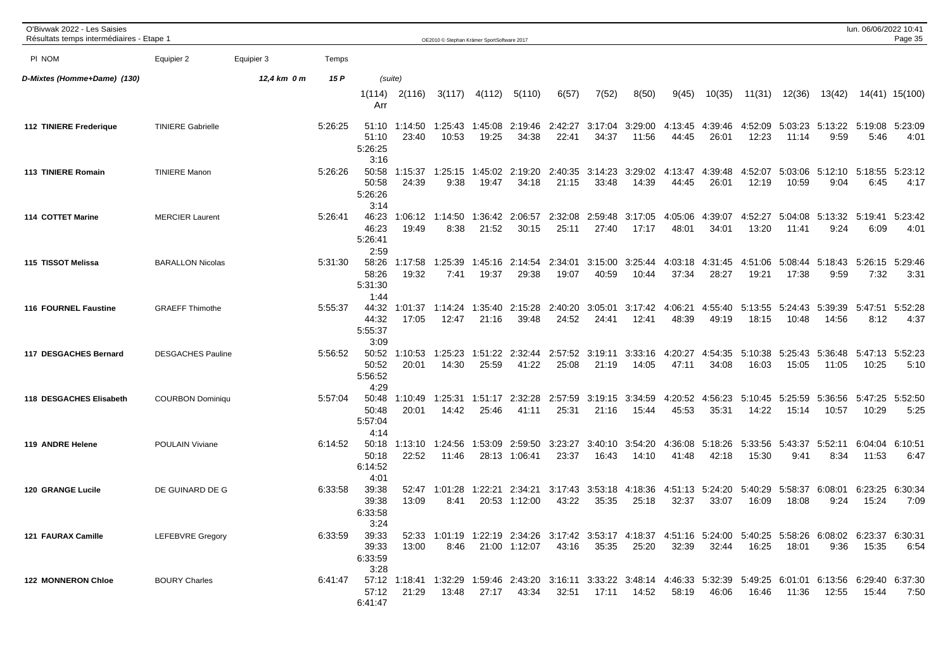| O'Bivwak 2022 - Les Saisies<br>Résultats temps intermédiaires - Etape 1 |                          |             |         |                                   |                        | OE2010 © Stephan Krämer SportSoftware 2017 |                  |                    |                  |                  |                          |                  |                  |                          |                  |                  | lun. 06/06/2022 10:41 | Page 35         |
|-------------------------------------------------------------------------|--------------------------|-------------|---------|-----------------------------------|------------------------|--------------------------------------------|------------------|--------------------|------------------|------------------|--------------------------|------------------|------------------|--------------------------|------------------|------------------|-----------------------|-----------------|
| PI NOM                                                                  | Equipier 2               | Equipier 3  | Temps   |                                   |                        |                                            |                  |                    |                  |                  |                          |                  |                  |                          |                  |                  |                       |                 |
| D-Mixtes (Homme+Dame) (130)                                             |                          | 12,4 km 0 m | 15 P    | (suite)                           |                        |                                            |                  |                    |                  |                  |                          |                  |                  |                          |                  |                  |                       |                 |
|                                                                         |                          |             |         | 1(114)<br>Arr                     | 2(116)                 | 3(117)                                     | 4(112)           | 5(110)             | 6(57)            | 7(52)            | 8(50)                    | 9(45)            | 10(35)           | 11(31)                   | 12(36)           | 13(42)           |                       | 14(41) 15(100)  |
| <b>112 TINIERE Frederique</b>                                           | <b>TINIERE Gabrielle</b> |             | 5:26:25 | 51:10<br>5:26:25<br>3:16          | 51:10 1:14:50<br>23:40 | 1:25:43<br>10:53                           | 1:45:08<br>19:25 | 2:19:46<br>34:38   | 2:42:27<br>22:41 | 3:17:04<br>34:37 | 3:29:00<br>11:56         | 4:13:45<br>44:45 | 4:39:46<br>26:01 | 4:52:09<br>12:23         | 5:03:23<br>11:14 | 5:13:22<br>9:59  | 5:19:08<br>5:46       | 5:23:09<br>4:01 |
| 113 TINIERE Romain                                                      | <b>TINIERE Manon</b>     |             | 5:26:26 | 50:58<br>50:58<br>5:26:26<br>3:14 | 1:15:37<br>24:39       | 1:25:15<br>9:38                            | 1:45:02<br>19:47 | 2:19:20<br>34:18   | 2:40:35<br>21:15 | 3:14:23<br>33:48 | 3:29:02<br>14:39         | 4:13:47<br>44:45 | 4:39:48<br>26:01 | 4:52:07<br>12:19         | 5:03:06<br>10:59 | 5:12:10<br>9:04  | 5:18:55<br>6:45       | 5:23:12<br>4:17 |
| 114 COTTET Marine                                                       | <b>MERCIER Laurent</b>   |             | 5:26:41 | 46:23<br>46:23<br>5:26:41<br>2:59 | 1:06:12<br>19:49       | 1:14:50<br>8:38                            | 1:36:42<br>21:52 | 2:06:57<br>30:15   | 2:32:08<br>25:11 | 2:59:48<br>27:40 | 3:17:05<br>17:17         | 4:05:06<br>48:01 | 4:39:07<br>34:01 | 4:52:27<br>13:20         | 5:04:08<br>11:41 | 5:13:32<br>9:24  | 5:19:41<br>6:09       | 5:23:42<br>4:01 |
| 115 TISSOT Melissa                                                      | <b>BARALLON Nicolas</b>  |             | 5:31:30 | 58:26<br>58:26<br>5:31:30<br>1:44 | 1:17:58<br>19:32       | 1:25:39<br>7:41                            | 1:45:16<br>19:37 | 2:14:54<br>29:38   | 2:34:01<br>19:07 | 3:15:00<br>40:59 | 3:25:44<br>10:44         | 4:03:18<br>37:34 | 4:31:45<br>28:27 | 4:51:06<br>19:21         | 5:08:44<br>17:38 | 5:18:43<br>9:59  | 5:26:15<br>7:32       | 5:29:46<br>3:31 |
| 116 FOURNEL Faustine                                                    | <b>GRAEFF Thimothe</b>   |             | 5:55:37 | 44:32<br>44:32<br>5:55:37<br>3:09 | 1:01:37<br>17:05       | 1:14:24<br>12:47                           | 1:35:40<br>21:16 | 2:15:28<br>39:48   | 2:40:20<br>24:52 | 3:05:01<br>24:41 | 3:17:42<br>12:41         | 4:06:21<br>48:39 | 4:55:40<br>49:19 | 5:13:55<br>18:15         | 5:24:43<br>10:48 | 5:39:39<br>14:56 | 5:47:51<br>8:12       | 5:52:28<br>4:37 |
| 117 DESGACHES Bernard                                                   | <b>DESGACHES Pauline</b> |             | 5:56:52 | 50:52<br>50:52<br>5:56:52<br>4:29 | 1:10:53<br>20:01       | 1:25:23<br>14:30                           | 1:51:22<br>25:59 | 2:32:44<br>41:22   | 2:57:52<br>25:08 | 3:19:11<br>21:19 | 3:33:16<br>14:05         | 4:20:27<br>47:11 | 4:54:35<br>34:08 | 5:10:38<br>16:03         | 5:25:43<br>15:05 | 5:36:48<br>11:05 | 5:47:13<br>10:25      | 5:52:23<br>5:10 |
| 118 DESGACHES Elisabeth                                                 | <b>COURBON Dominiqu</b>  |             | 5:57:04 | 50:48<br>50:48<br>5:57:04<br>4:14 | 1:10:49<br>20:01       | 1:25:31<br>14:42                           | 1:51:17<br>25:46 | 2:32:28<br>41:11   | 2:57:59<br>25:31 | 3:19:15<br>21:16 | 3:34:59<br>15:44         | 4:20:52<br>45:53 | 4:56:23<br>35:31 | 5:10:45<br>14:22         | 5:25:59<br>15:14 | 5:36:56<br>10:57 | 5:47:25<br>10:29      | 5:52:50<br>5:25 |
| 119 ANDRE Helene                                                        | POULAIN Viviane          |             | 6:14:52 | 50:18<br>50:18<br>6:14:52<br>4:01 | 1:13:10<br>22:52       | 1:24:56<br>11:46                           | 1:53:09<br>28:13 | 2:59:50<br>1:06:41 | 3:23:27<br>23:37 | 3:40:10<br>16:43 | 3:54:20<br>14:10         | 4:36:08<br>41:48 | 5:18:26<br>42:18 | 5:33:56<br>15:30         | 5:43:37<br>9:41  | 5:52:11<br>8:34  | 6:04:04<br>11:53      | 6:10:51<br>6:47 |
| 120 GRANGE Lucile                                                       | DE GUINARD DE G          |             | 6:33:58 | 39:38<br>39:38<br>6:33:58<br>3:24 | 52:47<br>13:09         | 1:01:28<br>8:41                            | 1:22:21<br>20:53 | 2:34:21<br>1:12:00 | 3:17:43<br>43:22 | 3:53:18<br>35:35 | 4:18:36<br>25:18         | 4:51:13<br>32:37 | 33:07            | 5:24:20 5:40:29<br>16:09 | 5:58:37<br>18:08 | 6:08:01<br>9:24  | 6:23:25<br>15:24      | 6:30:34<br>7:09 |
| 121 FAURAX Camille                                                      | <b>LEFEBVRE Gregory</b>  |             | 6:33:59 | 39:33<br>39:33<br>6:33:59<br>3:28 | 52:33<br>13:00         | 1:01:19<br>8:46                            | 1:22:19<br>21:00 | 2:34:26<br>1:12:07 | 3:17:42<br>43:16 | 35:35            | 3:53:17 4:18:37<br>25:20 | 4:51:16<br>32:39 | 5:24:00<br>32:44 | 5:40:25<br>16:25         | 5:58:26<br>18:01 | 6:08:02<br>9:36  | 6:23:37<br>15:35      | 6:30:31<br>6:54 |
| 122 MONNERON Chloe                                                      | <b>BOURY Charles</b>     |             | 6:41:47 | 57:12<br>57:12<br>6:41:47         | 1:18:41<br>21:29       | 1:32:29<br>13:48                           | 1:59:46<br>27:17 | 2:43:20<br>43:34   | 3:16:11<br>32:51 | 3:33:22<br>17:11 | 3:48:14<br>14:52         | 4:46:33<br>58:19 | 5:32:39<br>46:06 | 5:49:25<br>16:46         | 6:01:01<br>11:36 | 6:13:56<br>12:55 | 6:29:40<br>15:44      | 6:37:30<br>7:50 |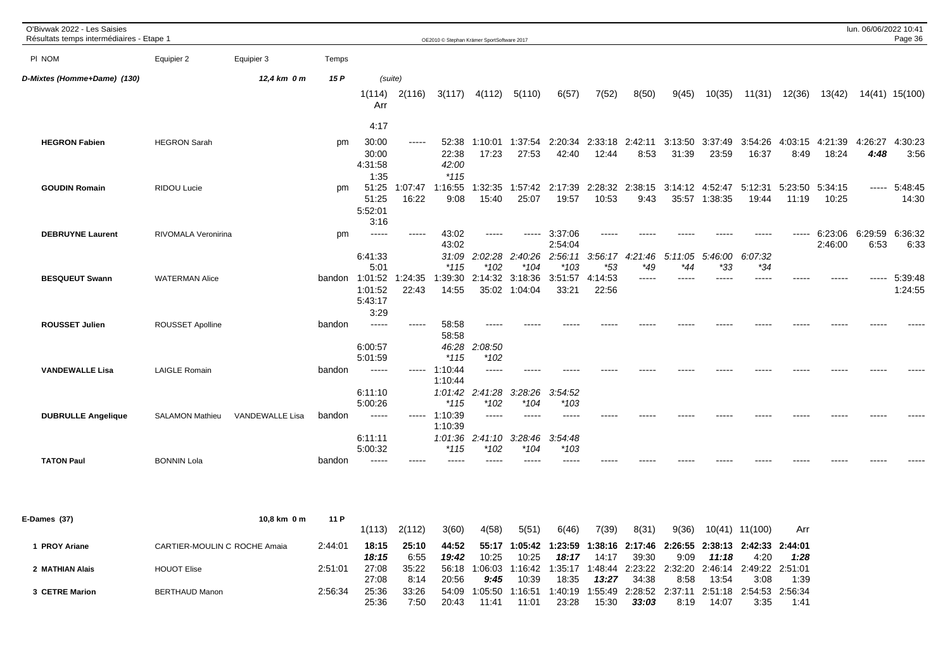| O'Bivwak 2022 - Les Saisies<br>Résultats temps intermédiaires - Etape 1 |                        |                 |        |                                              |                   |                                     | OE2010 © Stephan Krämer SportSoftware 2017 |                          |                               |                           |                                         |         |                |                  |                          |               | lun. 06/06/2022 10:41                                                           | Page 36            |
|-------------------------------------------------------------------------|------------------------|-----------------|--------|----------------------------------------------|-------------------|-------------------------------------|--------------------------------------------|--------------------------|-------------------------------|---------------------------|-----------------------------------------|---------|----------------|------------------|--------------------------|---------------|---------------------------------------------------------------------------------|--------------------|
| PI NOM                                                                  | Equipier 2             | Equipier 3      | Temps  |                                              |                   |                                     |                                            |                          |                               |                           |                                         |         |                |                  |                          |               |                                                                                 |                    |
| D-Mixtes (Homme+Dame) (130)                                             |                        | 12,4 km 0 m     | 15 P   | (suite)                                      |                   |                                     |                                            |                          |                               |                           |                                         |         |                |                  |                          |               |                                                                                 |                    |
|                                                                         |                        |                 |        | Arr                                          | $1(114)$ $2(116)$ |                                     | $3(117)$ $4(112)$                          | 5(110)                   | 6(57)                         | 7(52)                     | 8(50)                                   | 9(45)   | 10(35)         | 11(31)           |                          | 12(36) 13(42) |                                                                                 | 14(41) 15(100)     |
|                                                                         |                        |                 |        | 4:17                                         |                   |                                     |                                            |                          |                               |                           |                                         |         |                |                  |                          |               |                                                                                 |                    |
| <b>HEGRON Fabien</b>                                                    | <b>HEGRON Sarah</b>    |                 | pm     | 30:00<br>30:00<br>4:31:58                    | $\cdots$          | 52:38<br>22:38<br>42:00             | 1:10:01<br>17:23                           | 1:37:54<br>27:53         | 42:40                         | 12:44                     | 8:53                                    | 31:39   | 23:59          | 16:37            | 8:49                     | 18:24         | 2:20:34 2:33:18 2:42:11 3:13:50 3:37:49 3:54:26 4:03:15 4:21:39 4:26:27<br>4:48 | 4:30:23<br>3:56    |
| <b>GOUDIN Romain</b>                                                    | RIDOU Lucie            |                 | pm     | 1:35<br>51:25<br>51:25<br>5:52:01<br>3:16    | 1:07:47<br>16:22  | $*115$<br>1:16:55<br>9:08           | 1:32:35<br>15:40                           | 1:57:42<br>25:07         | 2:17:39<br>19:57              | 10:53                     | 2:28:32 2:38:15 3:14:12 4:52:47<br>9:43 |         | 35:57 1:38:35  | 5:12:31<br>19:44 | 5:23:50 5:34:15<br>11:19 | 10:25         | $\cdots$                                                                        | 5:48:45<br>14:30   |
| <b>DEBRUYNE Laurent</b>                                                 | RIVOMALA Veronirina    |                 | pm     | -----<br>6:41:33                             | $- - - - -$       | 43:02<br>43:02<br>31:09             | $---$<br>2:02:28 2:40:26                   | -----                    | 3:37:06<br>2:54:04<br>2:56:11 | -----<br>3:56:17          | 4:21:46                                 | 5:11:05 | 5:46:00        | 6:07:32          | -----                    | 2:46:00       | 6:23:06 6:29:59<br>6:53                                                         | 6:36:32<br>6:33    |
| <b>BESQUEUT Swann</b>                                                   | <b>WATERMAN Alice</b>  |                 |        | 5:01<br>bandon 1:01:52<br>1:01:52<br>5:43:17 | 1:24:35<br>22:43  | $*115$<br>1:39:30<br>14:55          | $*102$<br>2:14:32 3:18:36                  | $*104$<br>35:02 1:04:04  | $*103$<br>3:51:57<br>33:21    | $*53$<br>4:14:53<br>22:56 | *49<br>-----                            | *44     | $*33$<br>----- | *34<br>-----     |                          |               | -----                                                                           | 5:39:48<br>1:24:55 |
| <b>ROUSSET Julien</b>                                                   | ROUSSET Apolline       |                 | bandon | 3:29<br>$- - - - -$<br>6:00:57<br>5:01:59    | $\frac{1}{2}$     | 58:58<br>58:58<br>46:28<br>$*115$   | $\frac{1}{2}$<br>2:08:50<br>$*102$         |                          |                               |                           |                                         |         |                |                  |                          |               |                                                                                 |                    |
| <b>VANDEWALLE Lisa</b>                                                  | <b>LAIGLE Romain</b>   |                 | bandon | $- - - - -$<br>6:11:10                       |                   | $--- 1:10:44$<br>1:10:44<br>1:01:42 | $\frac{1}{2}$<br>2:41:28                   | 3:28:26                  | 3:54:52                       |                           |                                         |         |                |                  |                          |               |                                                                                 |                    |
| <b>DUBRULLE Angelique</b>                                               | <b>SALAMON Mathieu</b> | VANDEWALLE Lisa | bandon | 5:00:26<br>-----                             |                   | $*115$<br>$--- 1:10:39$<br>1:10:39  | $*102$<br>$\frac{1}{2}$                    | $*104$<br>-----          | $*103$<br>-----               |                           |                                         |         |                |                  |                          |               |                                                                                 |                    |
| <b>TATON Paul</b>                                                       | <b>BONNIN Lola</b>     |                 | bandon | 6:11:11<br>5:00:32<br>-----                  | -----             | $*115$<br>-----                     | 1:01:36 2:41:10<br>*102                    | 3:28:46<br>*104<br>----- | 3:54:48<br>$*103$             |                           |                                         |         |                |                  |                          |               |                                                                                 |                    |

| E-Dames (37)       | 10.8 km 0 m                  | 11 P    |        |        |       |         |                  |         |         |         |                                                                 |         |                 |      |
|--------------------|------------------------------|---------|--------|--------|-------|---------|------------------|---------|---------|---------|-----------------------------------------------------------------|---------|-----------------|------|
|                    |                              |         | 1(113) | 2(112) | 3(60) | 4(58)   | 5(51)            | 6(46)   | 7(39)   | 8(31)   | 9(36)                                                           | 10(41)  | 11(100)         | Arr  |
| <b>PROY Ariane</b> | CARTIER-MOULIN C ROCHE Amaia | 2:44:01 | 18:15  | 25:10  | 44:52 | 55:17   |                  |         |         |         | 1:05:42 1:23:59 1:38:16 2:17:46 2:26:55 2:38:13 2:42:33 2:44:01 |         |                 |      |
|                    |                              |         | 18:15  | 6:55   | 19:42 | 10:25   | 10:25            | 18:17   | 14:17   | 39:30   | 9:09                                                            | 11:18   | 4:20            | 1:28 |
| 2 MATHIAN Alais    | <b>HOUOT Elise</b>           | 2:51:01 | 27:08  | 35:22  | 56:18 | 1:06:03 | 1.16:42          | 1:35:17 | 1:48:44 |         | 2:23:22 2:32:20 2:46:14 2:49:22 2:51:01                         |         |                 |      |
|                    |                              |         | 27:08  | 8:14   | 20:56 | 9:45    | 10:39            | 18:35   | 13:27   | 34:38   | 8:58                                                            | 13:54   | 3:08            | 1:39 |
| 3 CETRE Marion     | <b>BERTHAUD Manon</b>        | 2:56:34 | 25:36  | 33:26  | 54:09 | 1:05:50 | $^{\circ}$ 16:51 | 1:40:19 | 1:55:49 | 2:28:52 | 2:37:11                                                         | 2:51:18 | 2:54:53 2:56:34 |      |
|                    |                              |         | 25:36  | 7:5C   | 20:43 | 11:41   | 11:01            | 23:28   | 15:30   | 33:03   | 8:19                                                            | 14:07   | 3:35            | 1:41 |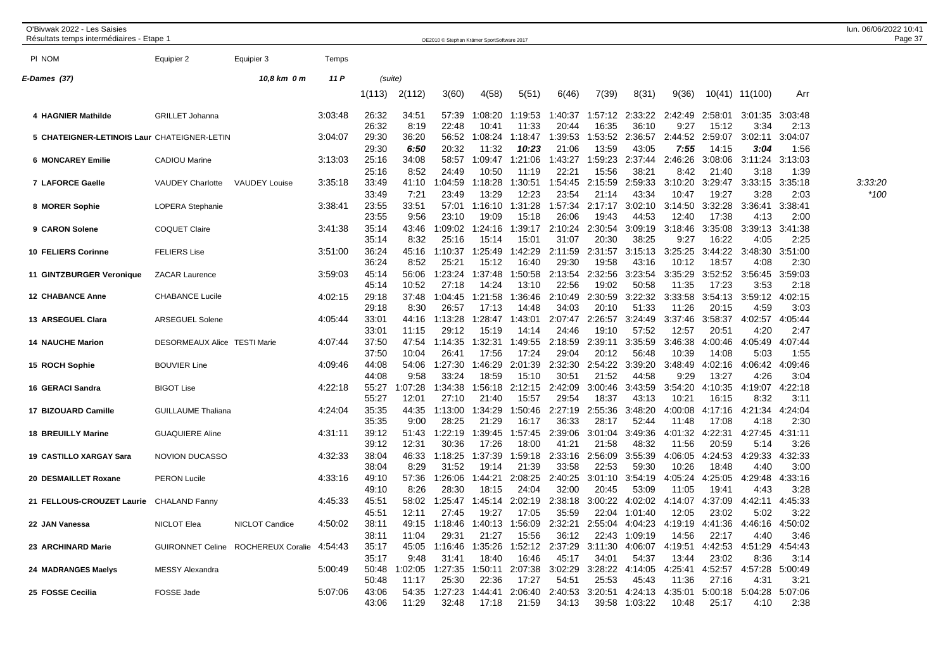| O'Bivwak 2022 - Les Saisies<br>Résultats temps intermédiaires - Etape 1 |                              |                                    |         |                         |                          | OE2010 © Stephan Krämer SportSoftware 2017 |                           |                           |                           |                           |                             |                           |                           |                         |                         | lun. 06/06/2022 10:41<br>Page 37 |
|-------------------------------------------------------------------------|------------------------------|------------------------------------|---------|-------------------------|--------------------------|--------------------------------------------|---------------------------|---------------------------|---------------------------|---------------------------|-----------------------------|---------------------------|---------------------------|-------------------------|-------------------------|----------------------------------|
| PI NOM                                                                  | Equipier 2                   | Equipier 3                         | Temps   |                         |                          |                                            |                           |                           |                           |                           |                             |                           |                           |                         |                         |                                  |
| E-Dames (37)                                                            |                              | 10,8 km 0 m                        | 11 P    |                         | (suite)                  |                                            |                           |                           |                           |                           |                             |                           |                           |                         |                         |                                  |
|                                                                         |                              |                                    |         | 1(113)                  | 2(112)                   | 3(60)                                      | 4(58)                     | 5(51)                     | 6(46)                     | 7(39)                     | 8(31)                       | 9(36)                     |                           | 10(41) 11(100)          | Arr                     |                                  |
| 4 HAGNIER Mathilde                                                      | <b>GRILLET Johanna</b>       |                                    | 3:03:48 | 26:32<br>26:32          | 34:51<br>8:19            | 57:39<br>22:48                             | 1:08:20<br>10:41          | 1:19:53<br>11:33          | 1:40:37<br>20:44          | 1:57:12<br>16:35          | 2:33:22<br>36:10            | 2:42:49<br>9:27           | 2:58:01<br>15:12          | 3:01:35 3:03:48<br>3:34 | 2:13                    |                                  |
| 5 CHATEIGNER-LETINOIS Laur CHATEIGNER-LETIN                             |                              |                                    | 3:04:07 | 29:30<br>29:30          | 36:20<br>6:50            | 56:52<br>20:32                             | 1:08:24<br>11:32          | 1:18:47<br>10:23          | 1:39:53<br>21:06          | 1:53:52<br>13:59          | 2:36:57<br>43:05            | 2:44:52<br>7:55           | 2:59:07<br>14:15          | 3:02:11<br>3:04         | 3:04:07<br>1:56         |                                  |
| <b>6 MONCAREY Emilie</b>                                                | <b>CADIOU Marine</b>         |                                    | 3:13:03 | 25:16<br>25:16          | 34:08                    | 58:57<br>24:49                             | 1:09:47                   | 1:21:06<br>11:19          | 1:43:27<br>22:21          | 1:59:23                   | 2:37:44<br>38:21            | 2:46:26<br>8:42           | 3:08:06<br>21:40          | 3:11:24<br>3:18         | 3:13:03                 |                                  |
| 7 LAFORCE Gaelle                                                        | <b>VAUDEY Charlotte</b>      | <b>VAUDEY Louise</b>               | 3:35:18 | 33:49                   | 8:52<br>41:10            | 1:04:59                                    | 10:50<br>1:18:28          | 1:30:51                   | 1:54:45                   | 15:56<br>2:15:59          | 2:59:33                     | 3:10:20                   | 3:29:47                   | 3:33:15                 | 1:39<br>3:35:18         | 3:33:20                          |
| 8 MORER Sophie                                                          | <b>LOPERA Stephanie</b>      |                                    | 3:38:41 | 33:49<br>23:55<br>23:55 | 7:21<br>33:51<br>9:56    | 23:49<br>57:01<br>23:10                    | 13:29<br>1:16:10<br>19:09 | 12:23<br>1:31:28<br>15:18 | 23:54<br>1:57:34<br>26:06 | 21:14<br>2:17:17<br>19:43 | 43:34<br>3:02:10<br>44:53   | 10:47<br>3:14:50<br>12:40 | 19:27<br>3:32:28<br>17:38 | 3:28<br>3:36:41<br>4:13 | 2:03<br>3:38:41<br>2:00 | *100                             |
| 9 CARON Solene                                                          | <b>COQUET Claire</b>         |                                    | 3:41:38 | 35:14<br>35:14          | 43:46<br>8:32            | 1:09:02<br>25:16                           | 1:24:16<br>15:14          | 1:39:17<br>15:01          | 2:10:24<br>31:07          | 2:30:54<br>20:30          | 3:09:19<br>38:25            | 3:18:46<br>9:27           | 3:35:08<br>16:22          | 3:39:13<br>4:05         | 3:41:38<br>2:25         |                                  |
| 10 FELIERS Corinne                                                      | <b>FELIERS Lise</b>          |                                    | 3:51:00 | 36:24<br>36:24          | 45:16<br>8:52            | 1:10:37<br>25:21                           | 1:25:49<br>15:12          | 1:42:29<br>16:40          | 2:11:59<br>29:30          | 2:31:57<br>19:58          | 3:15:13<br>43:16            | 3:25:25<br>10:12          | 3:44:22<br>18:57          | 3:48:30<br>4:08         | 3:51:00<br>2:30         |                                  |
| 11 GINTZBURGER Veronique                                                | <b>ZACAR Laurence</b>        |                                    | 3:59:03 | 45:14<br>45:14          | 56:06<br>10:52           | 1:23:24<br>27:18                           | 1:37:48<br>14:24          | 1:50:58<br>13:10          | 2:13:54<br>22:56          | 2:32:56<br>19:02          | 3:23:54<br>50:58            | 3:35:29<br>11:35          | 3:52:52<br>17:23          | 3:56:45<br>3:53         | 3:59:03<br>2:18         |                                  |
| <b>12 CHABANCE Anne</b>                                                 | <b>CHABANCE Lucile</b>       |                                    | 4:02:15 | 29:18                   | 37:48<br>8:30            | 1:04:45                                    | 1:21:58                   | 1:36:46                   | 2:10:49                   | 2:30:59<br>20:10          | 3:22:32<br>51:33            | 3:33:58                   | 3:54:13                   | 3:59:12                 | 4:02:15                 |                                  |
| 13 ARSEGUEL Clara                                                       | <b>ARSEGUEL Solene</b>       |                                    | 4:05:44 | 29:18<br>33:01          | 44:16                    | 26:57<br>1:13:28                           | 17:13<br>1:28:47          | 14:48<br>1:43:01<br>14:14 | 34:03<br>2:07:47<br>24:46 | 2:26:57                   | 3:24:49                     | 11:26<br>3:37:46          | 20:15<br>3:58:37          | 4:59<br>4:02:57         | 3:03<br>4:05:44         |                                  |
| <b>14 NAUCHE Marion</b>                                                 | DESORMEAUX Alice TESTI Marie |                                    | 4:07:44 | 33:01<br>37:50          | 11:15<br>47:54           | 29:12<br>1:14:35                           | 15:19<br>1:32:31          | 1:49:55                   | 2:18:59                   | 19:10<br>2:39:11          | 57:52<br>3:35:59            | 12:57<br>3:46:38          | 20:51<br>4:00:46          | 4:20<br>4:05:49         | 2:47<br>4:07:44         |                                  |
| 15 ROCH Sophie                                                          | <b>BOUVIER Line</b>          |                                    | 4:09:46 | 37:50<br>44:08          | 10:04<br>54:06           | 26:41<br>1:27:30                           | 17:56<br>1:46:29          | 17:24<br>2:01:39          | 29:04<br>2:32:30          | 20:12<br>2:54:22          | 56:48<br>3:39:20            | 10:39<br>3:48:49          | 14:08<br>4:02:16          | 5:03<br>4:06:42         | 1:55<br>4:09:46         |                                  |
| 16 GERACI Sandra                                                        | <b>BIGOT Lise</b>            |                                    | 4:22:18 | 44:08<br>55:27<br>55:27 | 9:58<br>1:07:28<br>12:01 | 33:24<br>1:34:38<br>27:10                  | 18:59<br>1:56:18<br>21:40 | 15:10<br>2:12:15<br>15:57 | 30:51<br>2:42:09<br>29:54 | 21:52<br>3:00:46<br>18:37 | 44:58<br>3:43:59<br>43:13   | 9:29<br>3:54:20<br>10:21  | 13:27<br>4:10:35<br>16:15 | 4:26<br>4:19:07<br>8:32 | 3:04<br>4:22:18<br>3:11 |                                  |
| 17 BIZOUARD Camille                                                     | <b>GUILLAUME Thaliana</b>    |                                    | 4:24:04 | 35:35<br>35:35          | 44:35                    | 1:13:00<br>28:25                           | 1:34:29<br>21:29          | 1:50:46                   | 2:27:19<br>36:33          | 2:55:36<br>28:17          | 3:48:20<br>52:44            | 4:00:08<br>11:48          | 4:17:16                   | 4:21:34                 | 4:24:04                 |                                  |
| <b>18 BREUILLY Marine</b>                                               | <b>GUAQUIERE Aline</b>       |                                    | 4:31:11 | 39:12                   | 9:00<br>51:43            | 1:22:19<br>30:36                           | 1:39:45<br>17:26          | 16:17<br>1:57:45          | 2:39:06                   | 3:01:04                   | 3:49:36<br>48:32            | 4:01:32                   | 17:08<br>4:22:31<br>20:59 | 4:18<br>4:27:45<br>5:14 | 2:30<br>4:31:11         |                                  |
| <b>19 CASTILLO XARGAY Sara</b>                                          | <b>NOVION DUCASSO</b>        |                                    | 4:32:33 | 39:12<br>38:04          | 12:31<br>46:33           | 1:18:25                                    | 1:37:39                   | 18:00<br>1:59:18          | 41:21<br>2:33:16          | 21:58<br>2:56:09          | 3:55:39                     | 11:56<br>4:06:05          | 4:24:53                   | 4:29:33                 | 3:26<br>4:32:33         |                                  |
| 20 DESMAILLET Roxane                                                    | <b>PERON Lucile</b>          |                                    | 4:33:16 | 38:04<br>49:10          | 8:29<br>57:36            | 31:52<br>1:26:06                           | 19:14<br>1:44:21          | 21:39<br>2:08:25          | 33:58<br>2:40:25          | 22:53<br>3:01:10          | 59:30<br>3:54:19            | 10:26<br>4:05:24          | 18:48<br>4:25:05          | 4:40<br>4:29:48         | 3:00<br>4:33:16         |                                  |
| 21 FELLOUS-CROUZET Laurie                                               | CHALAND Fanny                |                                    | 4:45:33 | 49:10<br>45:51          | 8:26<br>58:02            | 28:30<br>1:25:47                           | 18:15<br>1:45:14          | 24:04<br>2:02:19          | 32:00<br>2:38:18          | 20:45<br>3:00:22          | 53:09<br>4:02:02            | 11:05<br>4:14:07          | 19:41<br>4:37:09          | 4:43<br>4:42:11         | 3:28<br>4:45:33         |                                  |
| 22 JAN Vanessa                                                          | NICLOT Elea                  | NICLOT Candice                     | 4:50:02 | 45:51<br>38:11          | 12:11<br>49:15           | 27:45<br>1:18:46                           | 19:27<br>1:40:13          | 17:05<br>1:56:09          | 35:59<br>2:32:21          | 22:04<br>2:55:04          | 1:01:40<br>4:04:23          | 12:05<br>4:19:19          | 23:02<br>4:41:36          | 5:02<br>4:46:16         | 3:22<br>4:50:02         |                                  |
| 23 ARCHINARD Marie                                                      |                              | GUIRONNET Celine ROCHEREUX Coralie | 4:54:43 | 38:11<br>35:17          | 11:04<br>45:05           | 29:31<br>1:16:46                           | 21:27<br>1:35:26          | 15:56<br>1:52:12          | 36:12<br>2:37:29          | 22:43<br>3:11:30          | 1:09:19<br>4:06:07          | 14:56<br>4:19:51          | 22:17<br>4:42:53          | 4:40<br>4:51:29         | 3:46<br>4:54:43         |                                  |
| 24 MADRANGES Maelys                                                     | MESSY Alexandra              |                                    | 5:00:49 | 35:17<br>50:48          | 9:48<br>1:02:05          | 31:41<br>1:27:35                           | 18:40<br>1:50:11          | 16:46<br>2:07:38          | 45:17<br>3:02:29          | 34:01<br>3:28:22          | 54:37<br>4:14:05            | 13:44<br>4:25:41          | 23:02<br>4:52:57          | 8:36<br>4:57:28         | 3:14<br>5:00:49         |                                  |
| 25 FOSSE Cecilia                                                        | FOSSE Jade                   |                                    | 5:07:06 | 50:48<br>43:06<br>43:06 | 11:17<br>54:35<br>11:29  | 25:30<br>1:27:23<br>32:48                  | 22:36<br>1:44:41<br>17:18 | 17:27<br>2:06:40<br>21:59 | 54:51<br>2:40:53<br>34:13 | 25:53<br>3:20:51<br>39:58 | 45:43<br>4:24:13<br>1:03:22 | 11:36<br>4:35:01<br>10:48 | 27:16<br>5:00:18<br>25:17 | 4:31<br>5:04:28<br>4:10 | 3:21<br>5:07:06<br>2:38 |                                  |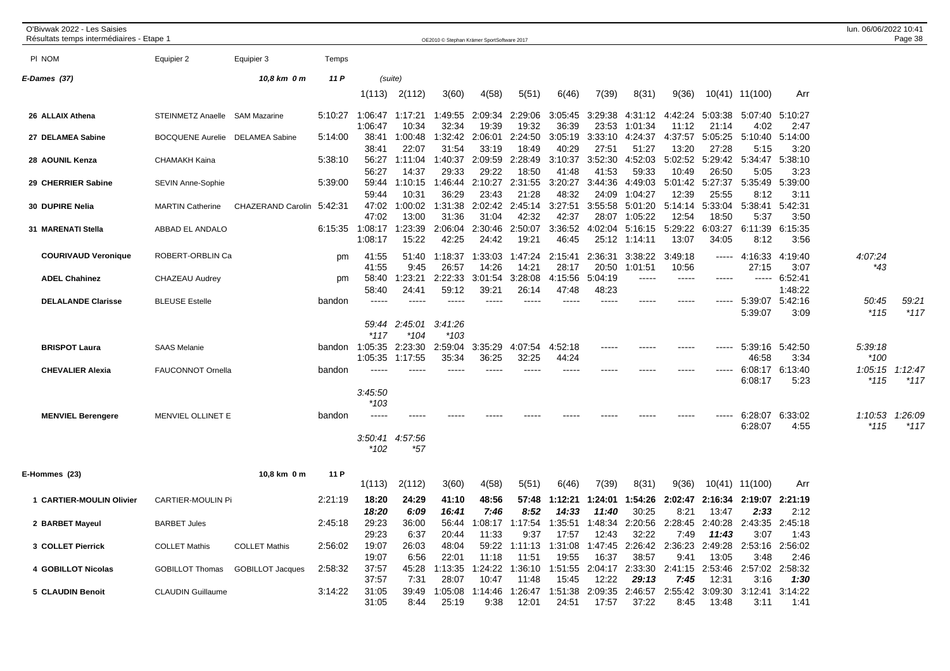| O'Bivwak 2022 - Les Saisies<br>Résultats temps intermédiaires - Etape 1 |                          |                           |         |                           |                       | OE2010 © Stephan Krämer SportSoftware 2017 |                         |                          |                           |                           |                           |                         |                           |                          |                         | lun. 06/06/2022 10:41 | Page 38           |
|-------------------------------------------------------------------------|--------------------------|---------------------------|---------|---------------------------|-----------------------|--------------------------------------------|-------------------------|--------------------------|---------------------------|---------------------------|---------------------------|-------------------------|---------------------------|--------------------------|-------------------------|-----------------------|-------------------|
| PI NOM                                                                  | Equipier 2               | Equipier 3                | Temps   |                           |                       |                                            |                         |                          |                           |                           |                           |                         |                           |                          |                         |                       |                   |
| E-Dames (37)                                                            |                          | 10,8 km 0 m               | 11 P    |                           | (suite)               |                                            |                         |                          |                           |                           |                           |                         |                           |                          |                         |                       |                   |
|                                                                         |                          |                           |         | 1(113)                    | 2(112)                | 3(60)                                      | 4(58)                   | 5(51)                    | 6(46)                     | 7(39)                     | 8(31)                     | 9(36)                   |                           | 10(41) 11(100)           | Arr                     |                       |                   |
| 26 ALLAIX Athena                                                        | <b>STEINMETZ Anaelle</b> | <b>SAM Mazarine</b>       | 5:10:27 | 1:06:47<br>1:06:47        | 1:17:21<br>10:34      | 1:49:55<br>32:34                           | 2:09:34<br>19:39        | 2:29:06<br>19:32         | 3:05:45<br>36:39          | 3:29:38<br>23:53          | 4:31:12<br>1:01:34        | 4:42:24<br>11:12        | 5:03:38<br>21:14          | 5:07:40<br>4:02          | 5:10:27<br>2:47         |                       |                   |
| 27 DELAMEA Sabine                                                       | <b>BOCQUENE Aurelie</b>  | <b>DELAMEA Sabine</b>     | 5:14:00 | 38:41<br>38:41            | 1:00:48<br>22:07      | 1:32:42<br>31:54                           | 2:06:01<br>33:19        | 2:24:50<br>18:49         | 3:05:19<br>40:29          | 3:33:10<br>27:51          | 4:24:37<br>51:27          | 4:37:57<br>13:20        | 5:05:25<br>27:28          | 5:10:40<br>5:15          | 5:14:00<br>3:20         |                       |                   |
| 28 AOUNIL Kenza                                                         | CHAMAKH Kaina            |                           | 5:38:10 | 56:27<br>56:27            | 1:11:04<br>14:37      | 1:40:37<br>29:33                           | 2:09:59<br>29:22        | 2:28:49<br>18:50         | 3:10:37<br>41:48          | 3:52:30<br>41:53          | 4:52:03<br>59:33          | 5:02:52<br>10:49        | 5:29:42<br>26:50          | 5:34:47<br>5:05          | 5:38:10<br>3:23         |                       |                   |
| 29 CHERRIER Sabine                                                      | SEVIN Anne-Sophie        |                           | 5:39:00 | 59:44<br>59:44            | 1:10:15<br>10:31      | 1:46:44<br>36:29                           | 2:10:27<br>23:43        | 2:31:55<br>21:28         | 3:20:27<br>48:32          | 3:44:36<br>24:09          | 4:49:03<br>1:04:27        | 5:01:42<br>12:39        | 5:27:37<br>25:55          | 5:35:49<br>8:12          | 5:39:00<br>3:11         |                       |                   |
| 30 DUPIRE Nelia                                                         | <b>MARTIN Catherine</b>  | CHAZERAND Carolin 5:42:31 |         | 47:02<br>47:02            | 1:00:02<br>13:00      | 1:31:38<br>31:36                           | 2:02:42<br>31:04        | 2:45:14<br>42:32         | 3:27:51<br>42:37          | 3:55:58<br>28:07          | 5:01:20<br>1:05:22        | 5:14:14<br>12:54        | 5:33:04<br>18:50          | 5:38:41<br>5:37          | 5:42:31<br>3:50         |                       |                   |
| 31 MARENATI Stella                                                      | ABBAD EL ANDALO          |                           | 6:15:35 | 1:08:17<br>1:08:17        | :23:39<br>15:22       | 2:06:04<br>42:25                           | 2:30:46<br>24:42        | 2:50:07<br>19:21         | 3:36:52<br>46:45          | 4:02:04<br>25:12          | 5:16:15<br>1:14:11        | 5:29:22<br>13:07        | 6:03:27<br>34:05          | 6:11:39<br>8:12          | 6:15:35<br>3:56         |                       |                   |
| <b>COURIVAUD Veronique</b>                                              | ROBERT-ORBLIN Ca         |                           | pm      | 41:55<br>41:55            | 51:40<br>9:45         | 1:18:37<br>26:57                           | 1:33:03<br>14:26        | 1:47:24<br>14:21         | 2:15:41<br>28:17          | 2:36:31<br>20:50          | 3:38:22<br>1:01:51        | 3:49:18<br>10:56        | $\frac{1}{2}$             | 4:16:33<br>27:15         | 4:19:40<br>3:07         | 4:07:24<br>$*43$      |                   |
| <b>ADEL Chahinez</b>                                                    | CHAZEAU Audrey           |                           | pm      | 58:40<br>58:40            | 1:23:21<br>24:41      | 2:22:33<br>59:12                           | 3:01:54<br>39:21        | 3:28:08<br>26:14         | 4:15:56<br>47:48          | 5:04:19<br>48:23          | -----                     | $\frac{1}{2}$           | $---$                     | $\frac{1}{2}$            | 6:52:41<br>1:48:22      |                       |                   |
| <b>DELALANDE Clarisse</b>                                               | <b>BLEUSE Estelle</b>    |                           | bandon  | -----                     | -----                 | $\cdots$                                   | ----                    |                          |                           | ----                      |                           | -----                   | -----                     | 5:39:07<br>5:39:07       | 5:42:16<br>3:09         | 50:45<br>$*115$       | 59:21<br>$*117$   |
|                                                                         |                          |                           |         | 59:44<br>$*117$           | 2:45:01<br>$*104$     | 3:41:26<br>$*103$                          |                         |                          |                           |                           |                           |                         |                           |                          |                         |                       |                   |
| <b>BRISPOT Laura</b>                                                    | <b>SAAS Melanie</b>      |                           |         | bandon 1:05:35<br>1:05:35 | 2:23:30<br>1:17:55    | 2:59:04<br>35:34                           | 3:35:29<br>36:25        | 4:07:54<br>32:25         | 4:52:18<br>44:24          | -----                     | ----                      | -----                   | -----                     | 5:39:16 5:42:50<br>46:58 | 3:34                    | 5:39:18<br>*100       |                   |
| <b>CHEVALIER Alexia</b>                                                 | <b>FAUCONNOT Ornella</b> |                           | bandon  | 3:45:50                   | -----                 |                                            |                         |                          |                           |                           |                           |                         |                           | 6:08:17<br>6:08:17       | 6:13:40<br>5:23         | 1:05:15<br>*115       | 1:12:47<br>$*117$ |
| <b>MENVIEL Berengere</b>                                                | MENVIEL OLLINET E        |                           | bandon  | $*103$                    |                       |                                            |                         |                          |                           |                           |                           |                         |                           | 6:28:07<br>6:28:07       | 6:33:02<br>4:55         | 1:10:53<br>$*115$     | 1:26:09<br>$*117$ |
|                                                                         |                          |                           |         | 3:50:41<br>$*102$         | 4:57:56<br>$*57$      |                                            |                         |                          |                           |                           |                           |                         |                           |                          |                         |                       |                   |
| E-Hommes (23)                                                           |                          | 10,8 km 0 m               | 11 P    | 1(113)                    | 2(112)                | 3(60)                                      | 4(58)                   | 5(51)                    | 6(46)                     | 7(39)                     | 8(31)                     | 9(36)                   |                           | 10(41) 11(100)           | Arr                     |                       |                   |
| 1 CARTIER-MOULIN Olivier                                                | CARTIER-MOULIN Pi        |                           | 2:21:19 | 18:20                     | 24:29                 | 41:10                                      | 48:56                   | 57:48                    | 1:12:21                   | 1:24:01                   | 1:54:26                   | 2:02:47                 | 2:16:34                   | 2:19:07                  | 2:21:19                 |                       |                   |
| 2 BARBET Mayeul                                                         | <b>BARBET Jules</b>      |                           | 2:45:18 | 18:20<br>29:23            | 6:09<br>36:00         | 16:41<br>56:44                             | 7:46<br>:08:17          | 8:52<br>:17:54           | 14:33<br>1:35:51          | 11:40<br>1:48:34          | 30:25<br>2:20:56          | 8:21<br>2:28:45         | 13:47<br>2:40:28          | 2:33<br>2:43:35          | 2:12<br>2:45:18         |                       |                   |
| 3 COLLET Pierrick                                                       | <b>COLLET Mathis</b>     | <b>COLLET Mathis</b>      | 2:56:02 | 29:23<br>19:07<br>19:07   | 6:37<br>26:03<br>6:56 | 20:44<br>48:04<br>22:01                    | 11:33<br>59:22<br>11:18 | 9:37<br>1:11:13<br>11:51 | 17:57<br>1:31:08<br>19:55 | 12:43<br>1:47:45<br>16:37 | 32:22<br>2:26:42<br>38:57 | 7:49<br>2:36:23<br>9:41 | 11:43<br>2:49:28<br>13:05 | 3:07<br>2:53:16<br>3:48  | 1:43<br>2:56:02<br>2:46 |                       |                   |
| 4 GOBILLOT Nicolas                                                      | <b>GOBILLOT Thomas</b>   | <b>GOBILLOT Jacques</b>   | 2:58:32 | 37:57<br>37:57            | 45:28<br>7:31         | 1:13:35<br>28:07                           | 1:24:22<br>10:47        | 1:36:10<br>11:48         | 1:51:55<br>15:45          | 2:04:17<br>12:22          | 2:33:30<br>29:13          | 2:41:15<br>7:45         | 2:53:46<br>12:31          | 2:57:02<br>3:16          | 2:58:32<br>1:30         |                       |                   |
| 5 CLAUDIN Benoit                                                        | <b>CLAUDIN Guillaume</b> |                           | 3:14:22 | 31:05<br>31:05            | 39:49<br>8:44         | 1:05:08<br>25:19                           | 1:14:46<br>9:38         | 1:26:47<br>12:01         | 1:51:38<br>24:51          | 2:09:35<br>17:57          | 2:46:57<br>37:22          | 2:55:42<br>8:45         | 3:09:30<br>13:48          | 3:12:41<br>3:11          | 3:14:22<br>1:41         |                       |                   |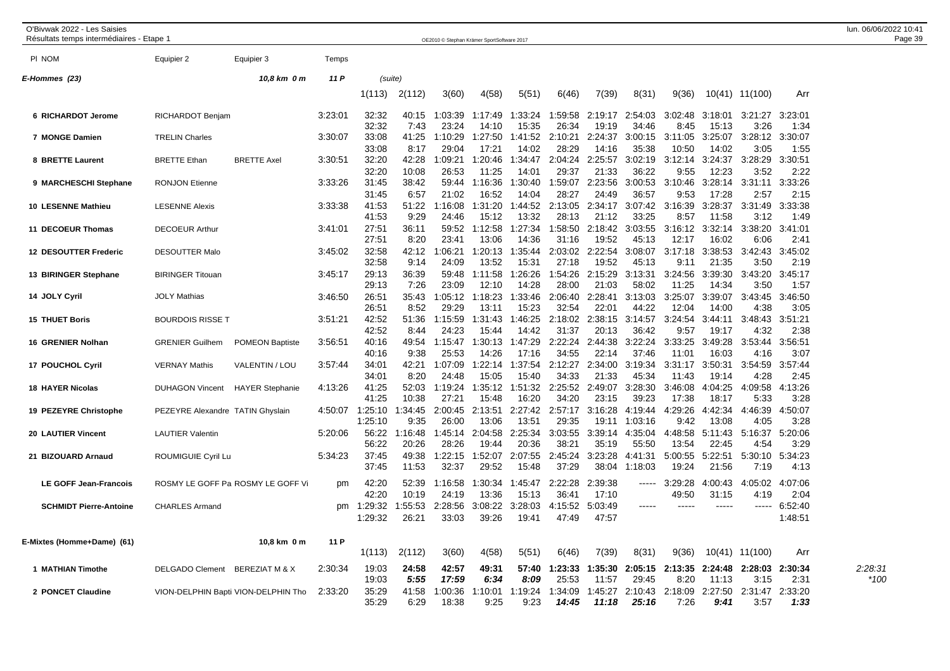| O'Bivwak 2022 - Les Saisies<br>Résultats temps intermédiaires - Etape 1 |                                  |                                     |         |                         |                       | OE2010 © Stephan Krämer SportSoftware 2017 |                         |                         |                           |                           |                           |                         |                          |                         |                         | lun. 06/06/2022 10:41<br>Page 39 |
|-------------------------------------------------------------------------|----------------------------------|-------------------------------------|---------|-------------------------|-----------------------|--------------------------------------------|-------------------------|-------------------------|---------------------------|---------------------------|---------------------------|-------------------------|--------------------------|-------------------------|-------------------------|----------------------------------|
| PI NOM                                                                  | Equipier 2                       | Equipier 3                          | Temps   |                         |                       |                                            |                         |                         |                           |                           |                           |                         |                          |                         |                         |                                  |
| E-Hommes (23)                                                           |                                  | 10,8 km 0 m                         | 11 P    | (suite)                 |                       |                                            |                         |                         |                           |                           |                           |                         |                          |                         |                         |                                  |
|                                                                         |                                  |                                     |         | 1(113)                  | 2(112)                | 3(60)                                      | 4(58)                   | 5(51)                   | 6(46)                     | 7(39)                     | 8(31)                     | 9(36)                   |                          | 10(41) 11(100)          | Arr                     |                                  |
| 6 RICHARDOT Jerome                                                      | RICHARDOT Benjam                 |                                     | 3:23:01 | 32:32<br>32:32          | 40:15<br>7:43         | 1:03:39<br>23:24                           | 1:17:49<br>14:10        | 1:33:24<br>15:35        | 1:59:58<br>26:34          | 2:19:17<br>19:19          | 2:54:03<br>34:46          | 3:02:48<br>8:45         | 3:18:01<br>15:13         | 3:21:27 3:23:01<br>3:26 | 1:34                    |                                  |
| 7 MONGE Damien                                                          | <b>TRELIN Charles</b>            |                                     | 3:30:07 | 33:08<br>33:08          | 41:25<br>8:17         | 1:10:29<br>29:04                           | 1:27:50<br>17:21        | 1:41:52<br>14:02        | 2:10:21<br>28:29          | 2:24:37<br>14:16          | 3:00:15<br>35:38          | 3:11:05<br>10:50        | 3:25:07<br>14:02         | 3:28:12 3:30:07<br>3:05 | 1:55                    |                                  |
| 8 BRETTE Laurent                                                        | <b>BRETTE Ethan</b>              | <b>BRETTE Axel</b>                  | 3:30:51 | 32:20<br>32:20          | 42:28<br>10:08        | 1:09:21<br>26:53                           | 1:20:46<br>11:25        | 1:34:47<br>14:01        | 2:04:24<br>29:37          | 2:25:57<br>21:33          | 3:02:19<br>36:22          | 3:12:14<br>9:55         | 3:24:37<br>12:23         | 3:28:29<br>3:52         | 3:30:51<br>2:22         |                                  |
| 9 MARCHESCHI Stephane                                                   | <b>RONJON Etienne</b>            |                                     | 3:33:26 | 31:45<br>31:45          | 38:42<br>6:57         | 59:44<br>21:02                             | 1:16:36<br>16:52        | 1:30:40<br>14:04        | 1:59:07<br>28:27          | 2:23:56<br>24:49          | 3:00:53<br>36:57          | 3:10:46<br>9:53         | 3:28:14<br>17:28         | 3:31:11<br>2:57         | 3:33:26<br>2:15         |                                  |
| 10 LESENNE Mathieu                                                      | <b>LESENNE Alexis</b>            |                                     | 3:33:38 | 41:53<br>41:53          | 51:22<br>9:29         | 1:16:08<br>24:46                           | 1:31:20<br>15:12        | 1:44:52<br>13:32        | 2:13:05<br>28:13          | 2:34:17<br>21:12          | 3:07:42<br>33:25          | 3:16:39<br>8:57         | 3:28:37<br>11:58         | 3:31:49<br>3:12         | 3:33:38<br>1:49         |                                  |
| 11 DECOEUR Thomas                                                       | <b>DECOEUR Arthur</b>            |                                     | 3:41:01 | 27:51<br>27:51          | 36:11<br>8:20         | 59:52<br>23:41                             | 1:12:58<br>13:06        | 1:27:34<br>14:36        | 1:58:50<br>31:16          | 2:18:42<br>19:52          | 3:03:55<br>45:13          | 3:16:12<br>12:17        | 3:32:14<br>16:02         | 3:38:20<br>6:06         | 3:41:01<br>2:41         |                                  |
| 12 DESOUTTER Frederic                                                   | <b>DESOUTTER Malo</b>            |                                     | 3:45:02 | 32:58<br>32:58          | 42:12<br>9:14         | 1:06:21<br>24:09                           | 1:20:13<br>13:52        | 1:35:44<br>15:31        | 2:03:02<br>27:18          | 2:22:54<br>19:52          | 3:08:07<br>45:13          | 3:17:18<br>9:11         | 3:38:53<br>21:35         | 3:42:43<br>3:50         | 3:45:02<br>2:19         |                                  |
| 13 BIRINGER Stephane                                                    | <b>BIRINGER Titouan</b>          |                                     | 3:45:17 | 29:13<br>29:13          | 36:39<br>7:26         | 59:48<br>23:09                             | 1:11:58<br>12:10        | 1:26:26<br>14:28        | 1:54:26<br>28:00          | 2:15:29<br>21:03          | 3:13:31<br>58:02          | 3:24:56<br>11:25        | 3:39:30<br>14:34         | 3:43:20<br>3:50         | 3:45:17<br>1:57         |                                  |
| 14 JOLY Cyril                                                           | <b>JOLY Mathias</b>              |                                     | 3:46:50 | 26:51<br>26:51          | 35:43<br>8:52         | 1:05:12<br>29:29                           | 1:18:23<br>13:11        | 1:33:46<br>15:23        | 2:06:40<br>32:54          | 2:28:41<br>22:01          | 3:13:03<br>44:22          | 3:25:07<br>12:04        | 3:39:07<br>14:00         | 3:43:45<br>4:38         | 3:46:50<br>3:05         |                                  |
| <b>15 THUET Boris</b>                                                   | <b>BOURDOIS RISSE T</b>          |                                     | 3:51:21 | 42:52<br>42:52          | 51:36<br>8:44         | 1:15:59<br>24:23                           | 1:31:43<br>15:44        | 1:46:25<br>14:42        | 2:18:02<br>31:37          | 2:38:15<br>20:13          | 3:14:57<br>36:42          | 3:24:54<br>9:57         | 3:44:11<br>19:17         | 3:48:43 3:51:21<br>4:32 | 2:38                    |                                  |
| 16 GRENIER Nolhan                                                       | <b>GRENIER Guilhem</b>           | <b>POMEON Baptiste</b>              | 3:56:51 | 40:16<br>40:16          | 49:54<br>9:38         | 1:15:47<br>25:53                           | 1:30:13<br>14:26        | 1:47:29<br>17:16        | 2:22:24<br>34:55          | 2:44:38<br>22:14          | 3:22:24<br>37:46          | 3:33:25<br>11:01        | 3:49:28<br>16:03         | 3:53:44 3:56:51<br>4:16 | 3:07                    |                                  |
| 17 POUCHOL Cyril                                                        | <b>VERNAY Mathis</b>             | VALENTIN / LOU                      | 3:57:44 | 34:01<br>34:01          | 42:21<br>8:20         | 1:07:09<br>24:48                           | 1:22:14<br>15:05        | 1:37:54<br>15:40        | 34:33                     | 2:12:27 2:34:00<br>21:33  | 3:19:34<br>45:34          | 3:31:17<br>11:43        | 3:50:31<br>19:14         | 3:54:59 3:57:44<br>4:28 | 2:45                    |                                  |
| <b>18 HAYER Nicolas</b>                                                 | <b>DUHAGON Vincent</b>           | <b>HAYER Stephanie</b>              | 4:13:26 | 41:25<br>41:25          | 52:03<br>10:38        | 1:19:24<br>27:21                           | 1:35:12<br>15:48        | 1:51:32<br>16:20        | 2:25:52<br>34:20          | 2:49:07<br>23:15          | 3:28:30<br>39:23          | 3:46:08<br>17:38        | 4:04:25<br>18:17         | 4:09:58<br>5:33         | 4:13:26<br>3:28         |                                  |
| 19 PEZEYRE Christophe                                                   | PEZEYRE Alexandre TATIN Ghyslain |                                     | 4:50:07 | 1:25:10<br>1:25:10      | :34:45<br>9:35        | 2:00:45<br>26:00                           | 2:13:51<br>13:06        | 2:27:42<br>13:51        | 2:57:17<br>29:35          | 3:16:28<br>19:11          | 4:19:44<br>1:03:16        | 4:29:26<br>9:42         | 4:42:34<br>13:08         | 4:46:39<br>4:05         | 4:50:07<br>3:28         |                                  |
| 20 LAUTIER Vincent                                                      | <b>LAUTIER Valentin</b>          |                                     | 5:20:06 | 56:22<br>56:22          | 1:16:48<br>20:26      | 1:45:14<br>28:26                           | 2:04:58<br>19:44        | 2:25:34<br>20:36        | 3:03:55<br>38:21          | 3:39:14<br>35:19          | 4:35:04<br>55:50          | 4:48:58<br>13:54        | 5:11:43<br>22:45         | 4:54                    | 5:16:37 5:20:06<br>3:29 |                                  |
| 21 BIZOUARD Arnaud                                                      | ROUMIGUIE Cyril Lu               |                                     | 5:34:23 | 37:45<br>37:45          | 49:38<br>11:53        | 1:22:15<br>32:37                           | 1:52:07<br>29:52        | 2:07:55<br>15:48        | 2:45:24<br>37:29          | 3:23:28<br>38:04          | 4:41:31<br>1:18:03        | 5:00:55<br>19:24        | 5:22:51<br>21:56         | 5:30:10<br>7:19         | 5:34:23<br>4:13         |                                  |
| <b>LE GOFF Jean-Francois</b>                                            |                                  | ROSMY LE GOFF Pa ROSMY LE GOFF Vi   | pm      | 42:20<br>42:20          | 52:39<br>10:19        | 1:16:58<br>24:19                           | 1:30:34<br>13:36        | 1:45:47<br>15:13        | 2:22:28<br>36:41          | 2:39:38<br>17:10          | $- - - - -$               | 3:29:28<br>49:50        | 4:00:43<br>31:15         | 4:05:02<br>4:19         | 4:07:06<br>2:04         |                                  |
| <b>SCHMIDT Pierre-Antoine</b>                                           | <b>CHARLES Armand</b>            |                                     | pm      | 1:29:32<br>1:29:32      | :55:53<br>26:21       | 2:28:56<br>33:03                           | 3:08:22<br>39:26        | 3:28:03<br>19:41        | 4:15:52<br>47:49          | 5:03:49<br>47:57          | $---$                     |                         |                          | $\cdots$                | 6:52:40<br>1:48:51      |                                  |
| E-Mixtes (Homme+Dame) (61)                                              |                                  | 10,8 km 0 m                         | 11 P    | 1(113)                  | 2(112)                | 3(60)                                      | 4(58)                   | 5(51)                   | 6(46)                     | 7(39)                     | 8(31)                     | 9(36)                   |                          | 10(41) 11(100)          | Arr                     |                                  |
| 1 MATHIAN Timothe                                                       | <b>DELGADO Clement</b>           | <b>BEREZIAT M &amp; X</b>           | 2:30:34 | 19:03                   | 24:58                 | 42:57                                      | 49:31                   | 57:40                   | 1:23:33                   | 1:35:30                   | 2:05:15                   | 2:13:35                 | 2:24:48                  | 2:28:03                 | 2:30:34                 | 2:28:31                          |
| 2 PONCET Claudine                                                       |                                  | VION-DELPHIN Bapti VION-DELPHIN Tho | 2:33:20 | 19:03<br>35:29<br>35:29 | 5:55<br>41:58<br>6:29 | 17:59<br>1:00:36<br>18:38                  | 6:34<br>1:10:01<br>9:25 | 8:09<br>1:19:24<br>9:23 | 25:53<br>1:34:09<br>14:45 | 11:57<br>1:45:27<br>11:18 | 29:45<br>2:10:43<br>25:16 | 8:20<br>2:18:09<br>7:26 | 11:13<br>2:27:50<br>9:41 | 3:15<br>2:31:47<br>3:57 | 2:31<br>2:33:20<br>1:33 | $*100$                           |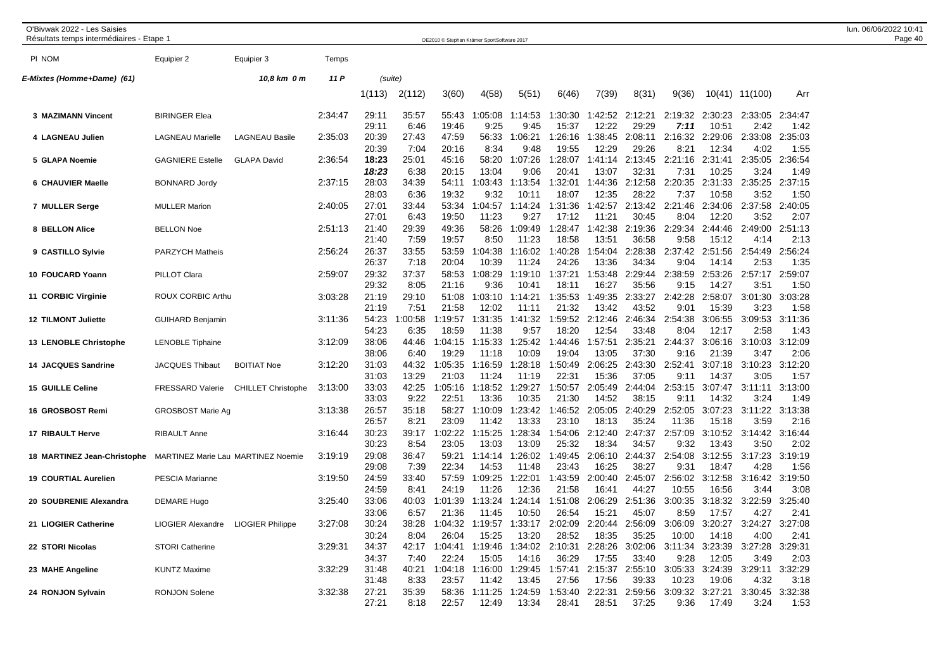| O'Bivwak 2022 - Les Saisies<br>Résultats temps intermédiaires - Etape 1 |                          |                           |         |                |                 | OE2010 © Stephan Krämer SportSoftware 2017 |                  |                  |                  |                  |                  |                  |                  |                 |                 | lun. 06/06/2022 10:41<br>Page 40 |
|-------------------------------------------------------------------------|--------------------------|---------------------------|---------|----------------|-----------------|--------------------------------------------|------------------|------------------|------------------|------------------|------------------|------------------|------------------|-----------------|-----------------|----------------------------------|
| PI NOM                                                                  | Equipier 2               | Equipier 3                | Temps   |                |                 |                                            |                  |                  |                  |                  |                  |                  |                  |                 |                 |                                  |
| E-Mixtes (Homme+Dame) (61)                                              |                          | 10,8 km 0 m               | 11 P    |                | (suite)         |                                            |                  |                  |                  |                  |                  |                  |                  |                 |                 |                                  |
|                                                                         |                          |                           |         | 1(113)         | 2(112)          | 3(60)                                      | 4(58)            | 5(51)            | 6(46)            | 7(39)            | 8(31)            | 9(36)            |                  | 10(41) 11(100)  | Arr             |                                  |
| 3 MAZIMANN Vincent                                                      | <b>BIRINGER Elea</b>     |                           | 2:34:47 | 29:11<br>29:11 | 35:57<br>6:46   | 55:43<br>19:46                             | 1:05:08<br>9:25  | 1:14:53<br>9:45  | 1:30:30<br>15:37 | 1:42:52<br>12:22 | 2:12:21<br>29:29 | 2:19:32<br>7:11  | 2:30:23<br>10:51 | 2:33:05<br>2:42 | 2:34:47<br>1:42 |                                  |
| 4 LAGNEAU Julien                                                        | <b>LAGNEAU Marielle</b>  | <b>LAGNEAU Basile</b>     | 2:35:03 | 20:39<br>20:39 | 27:43<br>7:04   | 47:59<br>20:16                             | 56:33<br>8:34    | 1:06:21<br>9:48  | 1:26:16<br>19:55 | 1:38:45<br>12:29 | 2:08:11<br>29:26 | 2:16:32<br>8:21  | 2:29:06<br>12:34 | 2:33:08<br>4:02 | 2:35:03<br>1:55 |                                  |
| 5 GLAPA Noemie                                                          | <b>GAGNIERE Estelle</b>  | <b>GLAPA David</b>        | 2:36:54 | 18:23<br>18:23 | 25:01<br>6:38   | 45:16<br>20:15                             | 58:20<br>13:04   | 1:07:26<br>9:06  | 1:28:07<br>20:41 | 1:41:14<br>13:07 | 2:13:45<br>32:31 | 2:21:16<br>7:31  | 2:31:41<br>10:25 | 2:35:05<br>3:24 | 2:36:54<br>1:49 |                                  |
| 6 CHAUVIER Maelle                                                       | <b>BONNARD Jordy</b>     |                           | 2:37:15 | 28:03<br>28:03 | 34:39<br>6:36   | 54:11<br>19:32                             | 1:03:43<br>9:32  | 1:13:54<br>10:11 | 1:32:01<br>18:07 | 1:44:36<br>12:35 | 2:12:58<br>28:22 | 2:20:35<br>7:37  | 2:31:33<br>10:58 | 2:35:25<br>3:52 | 2:37:15<br>1:50 |                                  |
| 7 MULLER Serge                                                          | <b>MULLER Marion</b>     |                           | 2:40:05 | 27:01<br>27:01 | 33:44<br>6:43   | 53:34<br>19:50                             | 1:04:57<br>11:23 | 1:14:24<br>9:27  | 1:31:36<br>17:12 | 1:42:57<br>11:21 | 2:13:42<br>30:45 | 2:21:46<br>8:04  | 2:34:06<br>12:20 | 2:37:58<br>3:52 | 2:40:05<br>2:07 |                                  |
| 8 BELLON Alice                                                          | <b>BELLON Noe</b>        |                           | 2:51:13 | 21:40<br>21:40 | 29:39<br>7:59   | 49:36<br>19:57                             | 58:26<br>8:50    | 1:09:49<br>11:23 | 1:28:47<br>18:58 | 1:42:38<br>13:51 | 2:19:36<br>36:58 | 2:29:34<br>9:58  | 2:44:46<br>15:12 | 2:49:00<br>4:14 | 2:51:13<br>2:13 |                                  |
| 9 CASTILLO Sylvie                                                       | <b>PARZYCH Matheis</b>   |                           | 2:56:24 | 26:37<br>26:37 | 33:55<br>7:18   | 53:59<br>20:04                             | 1:04:38<br>10:39 | 1:16:02<br>11:24 | 1:40:28<br>24:26 | 1:54:04<br>13:36 | 2:28:38<br>34:34 | 2:37:42<br>9:04  | 2:51:56<br>14:14 | 2:54:49<br>2:53 | 2:56:24<br>1:35 |                                  |
| 10 FOUCARD Yoann                                                        | PILLOT Clara             |                           | 2:59:07 | 29:32<br>29:32 | 37:37<br>8:05   | 58:53<br>21:16                             | 1:08:29<br>9:36  | 1:19:10<br>10:41 | 1:37:21<br>18:11 | 1:53:48<br>16:27 | 2:29:44<br>35:56 | 2:38:59<br>9:15  | 2:53:26<br>14:27 | 2:57:17<br>3:51 | 2:59:07<br>1:50 |                                  |
| 11 CORBIC Virginie                                                      | <b>ROUX CORBIC Arthu</b> |                           | 3:03:28 | 21:19<br>21:19 | 29:10<br>7:51   | 51:08<br>21:58                             | 1:03:10<br>12:02 | 1:14:21<br>11:11 | 1:35:53<br>21:32 | 1:49:35<br>13:42 | 2:33:27<br>43:52 | 2:42:28<br>9:01  | 2:58:07<br>15:39 | 3:01:30<br>3:23 | 3:03:28<br>1:58 |                                  |
| <b>12 TILMONT Juliette</b>                                              | <b>GUIHARD Benjamin</b>  |                           | 3:11:36 | 54:23<br>54:23 | 1:00:58<br>6:35 | 1:19:57<br>18:59                           | 1:31:35<br>11:38 | 1:41:32<br>9:57  | 1:59:52<br>18:20 | 2:12:46<br>12:54 | 2:46:34<br>33:48 | 2:54:38<br>8:04  | 3:06:55<br>12:17 | 3:09:53<br>2:58 | 3:11:36<br>1:43 |                                  |
| 13 LENOBLE Christophe                                                   | <b>LENOBLE Tiphaine</b>  |                           | 3:12:09 | 38:06<br>38:06 | 44:46<br>6:40   | 1:04:15<br>19:29                           | 1:15:33<br>11:18 | 1:25:42<br>10:09 | 1:44:46<br>19:04 | 1:57:51<br>13:05 | 2:35:21<br>37:30 | 2:44:37<br>9:16  | 3:06:16<br>21:39 | 3:10:03<br>3:47 | 3:12:09<br>2:06 |                                  |
| <b>14 JACQUES Sandrine</b>                                              | <b>JACQUES Thibaut</b>   | <b>BOITIAT Noe</b>        | 3:12:20 | 31:03<br>31:03 | 44:32<br>13:29  | 1:05:35<br>21:03                           | 1:16:59<br>11:24 | 1:28:18<br>11:19 | 1:50:49<br>22:31 | 2:06:25<br>15:36 | 2:43:30<br>37:05 | 2:52:41<br>9:11  | 3:07:18<br>14:37 | 3:10:23<br>3:05 | 3:12:20<br>1:57 |                                  |
| <b>15 GUILLE Celine</b>                                                 | <b>FRESSARD Valerie</b>  | <b>CHILLET Christophe</b> | 3:13:00 | 33:03<br>33:03 | 42:25<br>9:22   | 1:05:16<br>22:51                           | 1:18:52<br>13:36 | 1:29:27<br>10:35 | 1:50:57<br>21:30 | 2:05:49<br>14:52 | 2:44:04<br>38:15 | 2:53:15<br>9:11  | 3:07:47<br>14:32 | 3:11:11<br>3:24 | 3:13:00<br>1:49 |                                  |
| 16 GROSBOST Remi                                                        | <b>GROSBOST Marie Ag</b> |                           | 3:13:38 | 26:57<br>26:57 | 35:18<br>8:21   | 58:27<br>23:09                             | 1:10:09<br>11:42 | 1:23:42<br>13:33 | 1:46:52<br>23:10 | 2:05:05<br>18:13 | 2:40:29<br>35:24 | 2:52:05<br>11:36 | 3:07:23<br>15:18 | 3:11:22<br>3:59 | 3:13:38<br>2:16 |                                  |
| 17 RIBAULT Herve                                                        | <b>RIBAULT Anne</b>      |                           | 3:16:44 | 30:23<br>30:23 | 39:17<br>8:54   | 1:02:22<br>23:05                           | 1:15:25<br>13:03 | 1:28:34<br>13:09 | 1:54:06<br>25:32 | 2:12:40<br>18:34 | 2:47:37<br>34:57 | 2:57:09<br>9:32  | 3:10:52<br>13:43 | 3:14:42<br>3:50 | 3:16:44<br>2:02 |                                  |
| 18 MARTINEZ Jean-Christophe MARTINEZ Marie Lau MARTINEZ Noemie          |                          |                           | 3:19:19 | 29:08<br>29:08 | 36:47<br>7:39   | 59:21<br>22:34                             | 1:14:14<br>14:53 | 1:26:02<br>11:48 | 1:49:45<br>23:43 | 2:06:10<br>16:25 | 2:44:37<br>38:27 | 2:54:08<br>9:31  | 3:12:55<br>18:47 | 3:17:23<br>4:28 | 3:19:19<br>1:56 |                                  |
| <b>19 COURTIAL Aurelien</b>                                             | <b>PESCIA Marianne</b>   |                           | 3:19:50 | 24:59<br>24:59 | 33:40<br>8:41   | 57:59<br>24:19                             | 1:09:25<br>11:26 | 1:22:01<br>12:36 | 1:43:59<br>21:58 | 2:00:40<br>16:41 | 2:45:07<br>44:27 | 2:56:02<br>10:55 | 3:12:58<br>16:56 | 3:16:42<br>3:44 | 3:19:50<br>3:08 |                                  |
| 20 SOUBRENIE Alexandra                                                  | <b>DEMARE Hugo</b>       |                           | 3:25:40 | 33:06<br>33:06 | 40:03<br>6:57   | 1:01:39<br>21:36                           | 1:13:24<br>11:45 | 1:24:14<br>10:50 | 1:51:08<br>26:54 | 2:06:29<br>15:21 | 2:51:36<br>45:07 | 3:00:35<br>8:59  | 3:18:32<br>17:57 | 3:22:59<br>4:27 | 3:25:40<br>2:41 |                                  |
| 21 LIOGIER Catherine                                                    | <b>LIOGIER Alexandre</b> | <b>LIOGIER Philippe</b>   | 3:27:08 | 30:24<br>30:24 | 38:28<br>8:04   | 1:04:32<br>26:04                           | 1:19:57<br>15:25 | 1:33:17<br>13:20 | 2:02:09<br>28:52 | 2:20:44<br>18:35 | 2:56:09<br>35:25 | 3:06:09<br>10:00 | 3:20:27<br>14:18 | 3:24:27<br>4:00 | 3:27:08<br>2:41 |                                  |
| 22 STORI Nicolas                                                        | <b>STORI Catherine</b>   |                           | 3:29:31 | 34:37<br>34:37 | 42:17<br>7:40   | 1:04:41<br>22:24                           | 1:19:46<br>15:05 | 1:34:02<br>14:16 | 2:10:31<br>36:29 | 2:28:26<br>17:55 | 3:02:06<br>33:40 | 3:11:34<br>9:28  | 3:23:39<br>12:05 | 3:27:28<br>3:49 | 3:29:31<br>2:03 |                                  |
| 23 MAHE Angeline                                                        | <b>KUNTZ Maxime</b>      |                           | 3:32:29 | 31:48<br>31:48 | 40:21<br>8:33   | 1:04:18<br>23:57                           | 1:16:00<br>11:42 | 1:29:45<br>13:45 | 1:57:41<br>27:56 | 2:15:37<br>17:56 | 2:55:10<br>39:33 | 3:05:33<br>10:23 | 3:24:39<br>19:06 | 3:29:11<br>4:32 | 3:32:29<br>3:18 |                                  |
| 24 RONJON Sylvain                                                       | <b>RONJON Solene</b>     |                           | 3:32:38 | 27:21<br>27:21 | 35:39<br>8:18   | 58:36<br>22:57                             | 1:11:25<br>12:49 | 1:24:59<br>13:34 | 1:53:40<br>28:41 | 2:22:31<br>28:51 | 2:59:56<br>37:25 | 3:09:32<br>9:36  | 3:27:21<br>17:49 | 3:30:45<br>3:24 | 3:32:38<br>1:53 |                                  |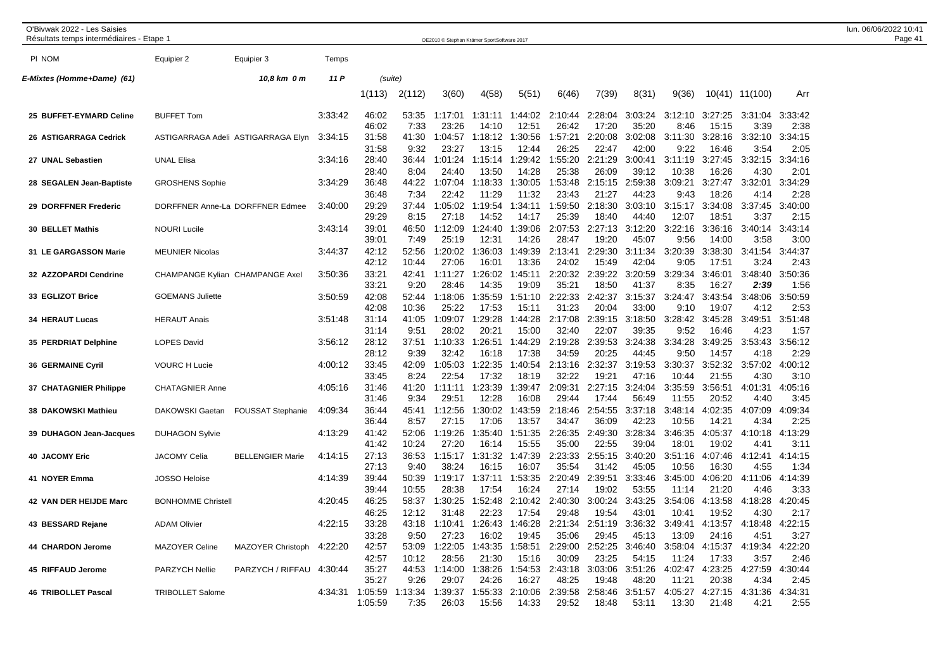| O'Bivwak 2022 - Les Saisies<br>Résultats temps intermédiaires - Etape 1 |                           |                                    |         |                             |                         | OE2010 © Stephan Krämer SportSoftware 2017 |                           |                           |                           |                           |                           |                           |                           |                         |                         | lun. 06/06/2022 10:41<br>Page 41 |
|-------------------------------------------------------------------------|---------------------------|------------------------------------|---------|-----------------------------|-------------------------|--------------------------------------------|---------------------------|---------------------------|---------------------------|---------------------------|---------------------------|---------------------------|---------------------------|-------------------------|-------------------------|----------------------------------|
| PI NOM                                                                  | Equipier 2                | Equipier 3                         | Temps   |                             |                         |                                            |                           |                           |                           |                           |                           |                           |                           |                         |                         |                                  |
| E-Mixtes (Homme+Dame) (61)                                              |                           | 10,8 km 0 m                        | 11 P    | (suite)                     |                         |                                            |                           |                           |                           |                           |                           |                           |                           |                         |                         |                                  |
|                                                                         |                           |                                    |         | 1(113)                      | 2(112)                  | 3(60)                                      | 4(58)                     | 5(51)                     | 6(46)                     | 7(39)                     | 8(31)                     | 9(36)                     |                           | 10(41) 11(100)          | Arr                     |                                  |
| 25 BUFFET-EYMARD Celine                                                 | <b>BUFFET Tom</b>         |                                    | 3:33:42 | 46:02<br>46:02              | 53:35<br>7:33           | 1:17:01<br>23:26                           | 1:31:11<br>14:10          | 1:44:02<br>12:51          | 2:10:44<br>26:42          | 2:28:04<br>17:20          | 3:03:24<br>35:20          | 3:12:10<br>8:46           | 3:27:25<br>15:15          | 3:31:04<br>3:39         | 3:33:42<br>2:38         |                                  |
| 26 ASTIGARRAGA Cedrick                                                  |                           | ASTIGARRAGA Adeli ASTIGARRAGA Elyn | 3:34:15 | 31:58<br>31:58              | 41:30<br>9:32           | 1:04:57<br>23:27                           | 1:18:12<br>13:15          | 1:30:56<br>12:44          | 1:57:21<br>26:25          | 2:20:08<br>22:47          | 3:02:08<br>42:00          | 3:11:30<br>9:22           | 3:28:16<br>16:46          | 3:32:10<br>3:54         | 3:34:15<br>2:05         |                                  |
| 27 UNAL Sebastien                                                       | <b>UNAL Elisa</b>         |                                    | 3:34:16 | 28:40<br>28:40              | 36:44<br>8:04           | 1:01:24<br>24:40                           | 1:15:14<br>13:50          | 1:29:42<br>14:28          | 1:55:20<br>25:38          | 2:21:29<br>26:09          | 3:00:41<br>39:12          | 3:11:19<br>10:38          | 3:27:45<br>16:26          | 3:32:15<br>4:30         | 3:34:16<br>2:01         |                                  |
| 28 SEGALEN Jean-Baptiste                                                | <b>GROSHENS Sophie</b>    |                                    | 3:34:29 | 36:48<br>36:48              | 44:22<br>7:34           | 1:07:04<br>22:42                           | 1:18:33<br>11:29          | 1:30:05<br>11:32          | 1:53:48<br>23:43          | 21:27                     | 2:15:15 2:59:38<br>44:23  | 3:09:21<br>9:43           | 3:27:47<br>18:26          | 3:32:01<br>4:14         | 3:34:29<br>2:28         |                                  |
| 29 DORFFNER Frederic                                                    |                           | DORFFNER Anne-La DORFFNER Edmee    | 3:40:00 | 29:29<br>29:29              | 37:44<br>8:15           | 1:05:02<br>27:18                           | 1:19:54<br>14:52          | 1:34:11<br>14:17          | 1:59:50<br>25:39          | 2:18:30<br>18:40          | 3:03:10<br>44:40          | 3:15:17<br>12:07          | 3:34:08<br>18:51          | 3:37:45<br>3:37         | 3:40:00<br>2:15         |                                  |
| 30 BELLET Mathis                                                        | <b>NOURI Lucile</b>       |                                    | 3:43:14 | 39:01<br>39:01              | 46:50<br>7:49           | 1:12:09<br>25:19                           | 1:24:40<br>12:31          | 1:39:06<br>14:26          | 2:07:53<br>28:47          | 2:27:13<br>19:20          | 3:12:20<br>45:07          | 3:22:16<br>9:56           | 3:36:16<br>14:00          | 3:40:14<br>3:58         | 3:43:14<br>3:00         |                                  |
| 31 LE GARGASSON Marie                                                   | <b>MEUNIER Nicolas</b>    |                                    | 3:44:37 | 42:12<br>42:12              | 52:56<br>10:44          | 1:20:02<br>27:06                           | 1:36:03<br>16:01          | 1:49:39<br>13:36          | 2:13:41<br>24:02          | 2:29:30<br>15:49          | 3:11:34<br>42:04          | 3:20:39<br>9:05           | 3:38:30<br>17:51          | 3:41:54<br>3:24         | 3:44:37<br>2:43         |                                  |
| 32 AZZOPARDI Cendrine                                                   |                           | CHAMPANGE Kylian CHAMPANGE Axel    | 3:50:36 | 33:21<br>33:21              | 42:41<br>9:20           | 1:11:27<br>28:46                           | 1:26:02<br>14:35          | 1:45:11<br>19:09          | 2:20:32<br>35:21          | 2:39:22<br>18:50          | 3:20:59<br>41:37          | 3:29:34<br>8:35           | 3:46:01<br>16:27          | 3:48:40<br>2:39         | 3:50:36<br>1:56         |                                  |
| 33 EGLIZOT Brice                                                        | <b>GOEMANS Juliette</b>   |                                    | 3:50:59 | 42:08<br>42:08              | 52:44<br>10:36          | 1:18:06<br>25:22                           | 1:35:59<br>17:53          | 1:51:10<br>15:11          | 2:22:33<br>31:23          | 2:42:37<br>20:04          | 3:15:37<br>33:00          | 3:24:47<br>9:10           | 3:43:54<br>19:07          | 3:48:06<br>4:12         | 3:50:59<br>2:53         |                                  |
| <b>34 HERAUT Lucas</b>                                                  | <b>HERAUT Anais</b>       |                                    | 3:51:48 | 31:14                       | 41:05                   | 1:09:07                                    | 1:29:28                   | 1:44:28                   | 2:17:08                   | 2:39:15                   | 3:18:50                   | 3:28:42                   | 3:45:28                   | 3:49:51                 | 3:51:48                 |                                  |
| 35 PERDRIAT Delphine                                                    | <b>LOPES David</b>        |                                    | 3:56:12 | 31:14<br>28:12              | 9:51<br>37:51           | 28:02<br>1:10:33                           | 20:21<br>1:26:51          | 15:00<br>1:44:29          | 32:40<br>2:19:28          | 22:07<br>2:39:53          | 39:35<br>3:24:38          | 9:52<br>3:34:28           | 16:46<br>3:49:25          | 4:23<br>3:53:43         | 1:57<br>3:56:12         |                                  |
| <b>36 GERMAINE Cyril</b>                                                | <b>VOURC H Lucie</b>      |                                    | 4:00:12 | 28:12<br>33:45              | 9:39<br>42:09           | 32:42<br>1:05:03                           | 16:18<br>1:22:35          | 17:38<br>1:40:54          | 34:59<br>2:13:16          | 20:25<br>2:32:37<br>19:21 | 44:45<br>3:19:53          | 9:50<br>3:30:37           | 14:57<br>3:52:32          | 4:18<br>3:57:02         | 2:29<br>4:00:12         |                                  |
| 37 CHATAGNIER Philippe                                                  | <b>CHATAGNIER Anne</b>    |                                    | 4:05:16 | 33:45<br>31:46<br>31:46     | 8:24<br>41:20<br>9:34   | 22:54<br>1:11:11<br>29:51                  | 17:32<br>1:23:39<br>12:28 | 18:19<br>1:39:47<br>16:08 | 32:22<br>2:09:31<br>29:44 | 2:27:15<br>17:44          | 47:16<br>3:24:04<br>56:49 | 10:44<br>3:35:59<br>11:55 | 21:55<br>3:56:51<br>20:52 | 4:30<br>4:01:31<br>4:40 | 3:10<br>4:05:16<br>3:45 |                                  |
| 38 DAKOWSKI Mathieu                                                     | DAKOWSKI Gaetan           | <b>FOUSSAT Stephanie</b>           | 4:09:34 | 36:44<br>36:44              | 45:41                   | 1:12:56                                    | 1:30:02<br>17:06          | 1:43:59<br>13:57          | 2:18:46<br>34:47          | 2:54:55                   | 3:37:18                   | 3:48:14<br>10:56          | 4:02:35<br>14:21          | 4:07:09<br>4:34         | 4:09:34                 |                                  |
| 39 DUHAGON Jean-Jacques                                                 | <b>DUHAGON Sylvie</b>     |                                    | 4:13:29 | 41:42<br>41:42              | 8:57<br>52:06<br>10:24  | 27:15<br>1:19:26<br>27:20                  | 1:35:40<br>16:14          | 1:51:35<br>15:55          | 2:26:35<br>35:00          | 36:09<br>2:49:30<br>22:55 | 42:23<br>3:28:34<br>39:04 | 3:46:35<br>18:01          | 4:05:37<br>19:02          | 4:10:18<br>4:41         | 2:25<br>4:13:29<br>3:11 |                                  |
| <b>40 JACOMY Eric</b>                                                   | <b>JACOMY Celia</b>       | <b>BELLENGIER Marie</b>            | 4:14:15 | 27:13<br>27:13              | 36:53<br>9:40           | 1:15:17<br>38:24                           | 1:31:32<br>16:15          | 1:47:39<br>16:07          | 2:23:33<br>35:54          | 2:55:15<br>31:42          | 3:40:20<br>45:05          | 3:51:16<br>10:56          | 4:07:46<br>16:30          | 4:12:41<br>4:55         | 4:14:15<br>1:34         |                                  |
| 41 NOYER Emma                                                           | <b>JOSSO Heloise</b>      |                                    | 4:14:39 | 39:44                       | 50:39                   | 1:19:17                                    | 1:37:11                   | 1:53:35                   | 2:20:49                   | 2:39:51                   | 3:33:46                   | 3:45:00                   | 4:06:20                   | 4:11:06                 | 4:14:39                 |                                  |
| 42 VAN DER HEIJDE Marc                                                  | <b>BONHOMME Christell</b> |                                    | 4:20:45 | 39:44<br>46:25              | 10:55<br>58:37          | 28:38<br>1:30:25                           | 17:54<br>1:52:48          | 16:24<br>2:10:42          | 27:14<br>2:40:30          | 19:02<br>3:00:24          | 53:55<br>3:43:25          | 11:14<br>3:54:06          | 21:20<br>4:13:58          | 4:46<br>4:18:28         | 3:33<br>4:20:45         |                                  |
| 43 BESSARD Rejane                                                       | <b>ADAM Olivier</b>       |                                    | 4:22:15 | 46:25<br>33:28              | 12:12<br>43:18          | 31:48<br>1:10:41                           | 22:23<br>1:26:43          | 17:54<br>1:46:28          | 29:48<br>2:21:34          | 19:54<br>2:51:19          | 43:01<br>3:36:32          | 10:41<br>3:49:41          | 19:52<br>4:13:57          | 4:30<br>4:18:48         | 2:17<br>4:22:15         |                                  |
| 44 CHARDON Jerome                                                       | <b>MAZOYER Celine</b>     | <b>MAZOYER Christoph</b>           | 4:22:20 | 33:28<br>42:57              | 9:50<br>53:09           | 27:23<br>1:22:05                           | 16:02<br>1:43:35          | 19:45<br>1:58:51          | 35:06<br>2:29:00          | 29:45<br>2:52:25          | 45:13<br>3:46:40          | 13:09<br>3:58:04          | 24:16<br>4:15:37          | 4:51<br>4:19:34         | 3:27<br>4:22:20         |                                  |
| 45 RIFFAUD Jerome                                                       | PARZYCH Nellie            | PARZYCH / RIFFAU                   | 4:30:44 | 42:57<br>35:27              | 10:12<br>44:53          | 28:56<br>1:14:00                           | 21:30<br>1:38:26          | 15:16<br>1:54:53          | 30:09<br>2:43:18          | 23:25<br>3:03:06          | 54:15<br>3:51:26          | 11:24<br>4:02:47          | 17:33<br>4:23:25          | 3:57<br>4:27:59         | 2:46<br>4:30:44         |                                  |
| <b>46 TRIBOLLET Pascal</b>                                              | <b>TRIBOLLET Salome</b>   |                                    | 4:34:31 | 35:27<br>1:05:59<br>1:05:59 | 9:26<br>1:13:34<br>7:35 | 29:07<br>1:39:37<br>26:03                  | 24:26<br>1:55:33<br>15:56 | 16:27<br>2:10:06<br>14:33 | 48:25<br>2:39:58<br>29:52 | 19:48<br>2:58:46<br>18:48 | 48:20<br>3:51:57<br>53:11 | 11:21<br>4:05:27<br>13:30 | 20:38<br>4:27:15<br>21:48 | 4:34<br>4:31:36<br>4:21 | 2:45<br>4:34:31<br>2:55 |                                  |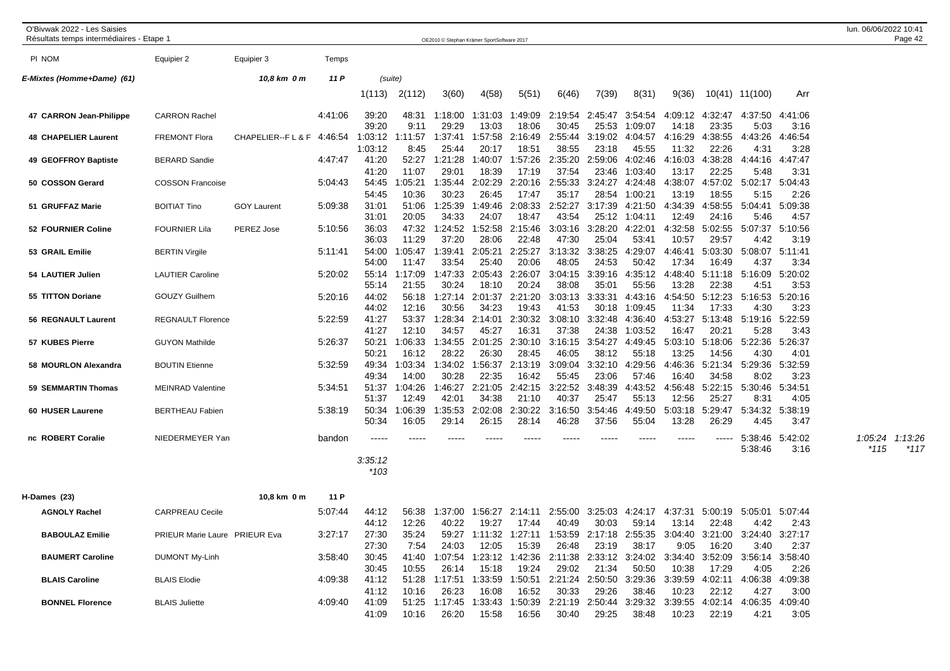| O'Bivwak 2022 - Les Saisies<br>Résultats temps intermédiaires - Etape 1 |                               |                         |         |                           |                           | OE2010 © Stephan Krämer SportSoftware 2017                     |                           |                           |                                    |                                   |                                  |                           |                           |                                                                                         |                         | lun. 06/06/2022 10:41<br>Page 42     |
|-------------------------------------------------------------------------|-------------------------------|-------------------------|---------|---------------------------|---------------------------|----------------------------------------------------------------|---------------------------|---------------------------|------------------------------------|-----------------------------------|----------------------------------|---------------------------|---------------------------|-----------------------------------------------------------------------------------------|-------------------------|--------------------------------------|
| PI NOM                                                                  | Equipier 2                    | Equipier 3              | Temps   |                           |                           |                                                                |                           |                           |                                    |                                   |                                  |                           |                           |                                                                                         |                         |                                      |
| E-Mixtes (Homme+Dame) (61)                                              |                               | 10,8 km 0 m             | 11 P    | (suite)                   |                           |                                                                |                           |                           |                                    |                                   |                                  |                           |                           |                                                                                         |                         |                                      |
|                                                                         |                               |                         |         | 1(113)                    | 2(112)                    | 3(60)                                                          | 4(58)                     | 5(51)                     | 6(46)                              | 7(39)                             | 8(31)                            | 9(36)                     |                           | 10(41) 11(100)                                                                          | Arr                     |                                      |
| 47 CARRON Jean-Philippe                                                 | <b>CARRON Rachel</b>          |                         | 4:41:06 | 39:20<br>39:20            | 48:31<br>9:11             | 1:18:00<br>29:29                                               | 1:31:03<br>13:03          | 1:49:09<br>18:06          | 2:19:54<br>30:45                   | 2:45:47<br>25:53                  | 3:54:54<br>1:09:07               | 4:09:12<br>14:18          | 4:32:47<br>23:35          | 4:37:50<br>5:03                                                                         | 4:41:06<br>3:16         |                                      |
| <b>48 CHAPELIER Laurent</b>                                             | <b>FREMONT Flora</b>          | CHAPELIER--FL&F 4:46:54 |         | 1:03:12                   | :11:57                    | 1:37:41                                                        | 1:57:58                   | 2:16:49                   | 2:55:44                            | 3:19:02                           | 4:04:57                          | 4:16:29                   | 4:38:55                   | 4:43:26                                                                                 | 4:46:54                 |                                      |
| 49 GEOFFROY Baptiste                                                    | <b>BERARD Sandie</b>          |                         | 4:47:47 | 1:03:12<br>41:20<br>41:20 | 8:45<br>52:27<br>11:07    | 25:44<br>1:21:28<br>29:01                                      | 20:17<br>1:40:07<br>18:39 | 18:51<br>1:57:26<br>17:19 | 38:55<br>2:35:20<br>37:54          | 23:18<br>2:59:06<br>23:46         | 45:55<br>4:02:46<br>1:03:40      | 11:32<br>4:16:03<br>13:17 | 22:26<br>4:38:28<br>22:25 | 4:31<br>4:44:16<br>5:48                                                                 | 3:28<br>4:47:47<br>3:31 |                                      |
| 50 COSSON Gerard                                                        | <b>COSSON Francoise</b>       |                         | 5:04:43 | 54:45                     | :05:21                    | 1:35:44                                                        | 2:02:29                   | 2:20:16                   | 2:55:33                            | 3:24:27                           | 4:24:48                          | 4:38:07                   | 4:57:02                   | 5:02:17                                                                                 | 5:04:43                 |                                      |
| 51 GRUFFAZ Marie                                                        | <b>BOITIAT Tino</b>           | <b>GOY Laurent</b>      | 5:09:38 | 54:45<br>31:01<br>31:01   | 10:36<br>51:06<br>20:05   | 30:23<br>1:25:39<br>34:33                                      | 26:45<br>1:49:46<br>24:07 | 17:47<br>2:08:33<br>18:47 | 35:17<br>2:52:27<br>43:54          | 28:54<br>3:17:39<br>25:12         | 1:00:21<br>4:21:50<br>1:04:11    | 13:19<br>4:34:39<br>12:49 | 18:55<br>4:58:55<br>24:16 | 5:15<br>5:04:41<br>5:46                                                                 | 2:26<br>5:09:38<br>4:57 |                                      |
| 52 FOURNIER Coline                                                      | <b>FOURNIER Lila</b>          | PEREZ Jose              | 5:10:56 | 36:03<br>36:03            | 47:32<br>11:29            | 1:24:52<br>37:20                                               | 1:52:58<br>28:06          | 2:15:46<br>22:48          | 3:03:16<br>47:30                   | 3:28:20<br>25:04                  | 4:22:01<br>53:41                 | 4:32:58<br>10:57          | 5:02:55<br>29:57          | 5:07:37<br>4:42                                                                         | 5:10:56<br>3:19         |                                      |
| 53 GRAIL Emilie                                                         | <b>BERTIN Virgile</b>         |                         | 5:11:41 | 54:00<br>54:00            | 1:05:47<br>11:47          | 1:39:41<br>33:54                                               | 2:05:21<br>25:40          | 2:25:27<br>20:06          | 3:13:32<br>48:05                   | 3:38:25<br>24:53                  | 4:29:07<br>50:42                 | 4:46:41<br>17:34          | 5:03:30<br>16:49          | 5:08:07<br>4:37                                                                         | 5:11:41<br>3:34         |                                      |
| 54 LAUTIER Julien                                                       | <b>LAUTIER Caroline</b>       |                         | 5:20:02 | 55:14<br>55:14            | 1:17:09<br>21:55          | 1:47:33<br>30:24                                               | 2:05:43<br>18:10          | 2:26:07<br>20:24          | 3:04:15<br>38:08                   | 3:39:16<br>35:01                  | 4:35:12<br>55:56                 | 4:48:40<br>13:28          | 5:11:18<br>22:38          | 5:16:09<br>4:51                                                                         | 5:20:02<br>3:53         |                                      |
| 55 TITTON Doriane                                                       | <b>GOUZY Guilhem</b>          |                         | 5:20:16 | 44:02<br>44:02            | 56:18<br>12:16            | 1:27:14<br>30:56                                               | 2:01:37<br>34:23          | 2:21:20<br>19:43          | 3:03:13<br>41:53                   | 3:33:31<br>30:18                  | 4:43:16<br>1:09:45               | 4:54:50<br>11:34          | 5:12:23<br>17:33          | 5:16:53<br>4:30                                                                         | 5:20:16<br>3:23         |                                      |
| 56 REGNAULT Laurent                                                     | <b>REGNAULT Florence</b>      |                         | 5:22:59 | 41:27                     | 53:37                     | 1:28:34                                                        | 2:14:01                   | 2:30:32                   | 3:08:10                            | 3:32:48                           | 4:36:40                          | 4:53:27                   | 5:13:48                   | 5:19:16                                                                                 | 5:22:59                 |                                      |
| 57 KUBES Pierre                                                         | <b>GUYON Mathilde</b>         |                         | 5:26:37 | 41:27<br>50:21<br>50:21   | 12:10<br>1:06:33<br>16:12 | 34:57<br>1:34:55<br>28:22                                      | 45:27<br>2:01:25<br>26:30 | 16:31<br>2:30:10<br>28:45 | 37:38<br>3:16:15<br>46:05          | 24:38<br>3:54:27<br>38:12         | 1:03:52<br>4:49:45<br>55:18      | 16:47<br>5:03:10<br>13:25 | 20:21<br>5:18:06<br>14:56 | 5:28<br>5:22:36<br>4:30                                                                 | 3:43<br>5:26:37<br>4:01 |                                      |
| 58 MOURLON Alexandra                                                    | <b>BOUTIN Etienne</b>         |                         | 5:32:59 | 49:34                     | 1:03:34<br>14:00          | 1:34:02<br>30:28                                               | 1:56:37<br>22:35          | 2:13:19<br>16:42          | 3:09:04<br>55:45                   | 3:32:10<br>23:06                  | 4:29:56<br>57:46                 | 4:46:36<br>16:40          | 5:21:34<br>34:58          | 5:29:36<br>8:02                                                                         | 5:32:59<br>3:23         |                                      |
| 59 SEMMARTIN Thomas                                                     | <b>MEINRAD Valentine</b>      |                         | 5:34:51 | 49:34<br>51:37<br>51:37   | 1:04:26<br>12:49          | 1:46:27<br>42:01                                               | 2:21:05<br>34:38          | 2:42:15<br>21:10          | 3:22:52<br>40:37                   | 3:48:39<br>25:47                  | 4:43:52<br>55:13                 | 4:56:48<br>12:56          | 5:22:15<br>25:27          | 5:30:46<br>8:31                                                                         | 5:34:51<br>4:05         |                                      |
| 60 HUSER Laurene                                                        | <b>BERTHEAU Fabien</b>        |                         | 5:38:19 | 50:34<br>50:34            | :06:39<br>16:05           | :35:53<br>29:14                                                | 2:02:08<br>26:15          | 2:30:22<br>28:14          | 3:16:50<br>46:28                   | 3:54:46<br>37:56                  | 4:49:50<br>55:04                 | 5:03:18<br>13:28          | 5:29:47<br>26:29          | 5:34:32<br>4:45                                                                         | 5:38:19<br>3:47         |                                      |
| nc ROBERT Coralie                                                       | NIEDERMEYER Yan               |                         | bandon  | $\frac{1}{2}$             |                           |                                                                |                           |                           |                                    |                                   |                                  |                           | -----                     | 5:38:46<br>5:38:46                                                                      | 5:42:02<br>3:16         | 1:05:24<br>1:13:26<br>*115<br>$*117$ |
|                                                                         |                               |                         |         | 3:35:12<br>*103           |                           |                                                                |                           |                           |                                    |                                   |                                  |                           |                           |                                                                                         |                         |                                      |
| H-Dames (23)                                                            |                               | 10,8 km 0 m             | 11 P    |                           |                           |                                                                |                           |                           |                                    |                                   |                                  |                           |                           |                                                                                         |                         |                                      |
| AGNOLY Rachel                                                           | <b>CARPREAU Cecile</b>        |                         | 5:07:44 | 44:12                     | 56:38                     | 1:37:00                                                        | 1:56:27                   | 2:14:11                   | 2:55:00                            | 3:25:03                           | 4:24:17                          | 4:37:31                   |                           | 5:00:19 5:05:01                                                                         | 5:07:44                 |                                      |
| <b>BABOULAZ Emilie</b>                                                  | PRIEUR Marie Laure PRIEUR Eva |                         | 3:27:17 | 44:12<br>27:30<br>27:30   | 12:26<br>35:24<br>7:54    | 40:22<br>59:27<br>24:03                                        | 19:27<br>1:11:32<br>12:05 | 17:44<br>15:39            | 40:49<br>1:27:11  1:53:59<br>26:48 | 30:03<br>2:17:18 2:55:35<br>23:19 | 59:14<br>38:17                   | 13:14<br>3:04:40<br>9:05  | 22:48<br>16:20            | 4:42<br>3:21:00 3:24:40<br>3:40                                                         | 2:43<br>3:27:17<br>2:37 |                                      |
| <b>BAUMERT Caroline</b>                                                 | <b>DUMONT My-Linh</b>         |                         | 3:58:40 | 30:45<br>30:45            | 41:40<br>10:55            | 26:14                                                          | 15:18                     | 19:24                     | 29:02                              | 21:34                             | 50:50                            | 10:38                     | 17:29                     | 1:07:54 1:23:12 1:42:36 2:11:38 2:33:12 3:24:02 3:34:40 3:52:09 3:56:14 3:58:40<br>4:05 | 2:26                    |                                      |
| <b>BLAIS Caroline</b>                                                   | <b>BLAIS Elodie</b>           |                         | 4:09:38 | 41:12<br>41:12            | 10:16                     | 51:28 1:17:51 1:33:59 1:50:51 2:21:24 2:50:50 3:29:36<br>26:23 | 16:08                     | 16:52                     | 30:33                              | 29:26                             | 38:46                            | 3:39:59<br>10:23          | 22:12                     | 4:02:11 4:06:38<br>4:27                                                                 | 4:09:38<br>3:00         |                                      |
| <b>BONNEL Florence</b>                                                  | <b>BLAIS Juliette</b>         |                         | 4:09:40 | 41:09<br>41:09            | 10:16                     | 51:25 1:17:45<br>26:20                                         | 1:33:43<br>15:58          | 1:50:39<br>16:56          | 30:40                              | 29:25                             | 2:21:19 2:50:44 3:29:32<br>38:48 | 10:23                     | 22:19                     | 3:39:55 4:02:14 4:06:35 4:09:40<br>4:21                                                 | 3:05                    |                                      |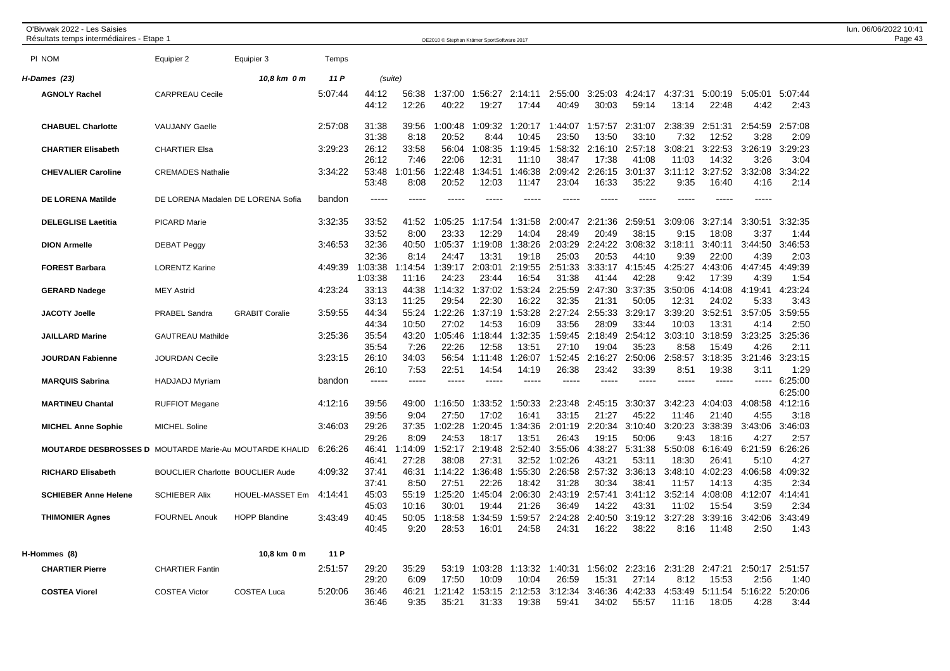| O'Bivwak 2022 - Les Saisies<br>Résultats temps intermédiaires - Etape 1 |                                                |                                   |                   |                         |                        | OE2010 © Stephan Krämer SportSoftware 2017 |                                   |                               |                                   |                           |                                   |                          |                           |                         |                                  | lun. 06/06/2022 10:41<br>Page 43 |
|-------------------------------------------------------------------------|------------------------------------------------|-----------------------------------|-------------------|-------------------------|------------------------|--------------------------------------------|-----------------------------------|-------------------------------|-----------------------------------|---------------------------|-----------------------------------|--------------------------|---------------------------|-------------------------|----------------------------------|----------------------------------|
| PI NOM                                                                  | Equipier 2                                     | Equipier 3                        | Temps             |                         |                        |                                            |                                   |                               |                                   |                           |                                   |                          |                           |                         |                                  |                                  |
| H-Dames (23)                                                            |                                                | 10,8 km 0 m                       | 11 P              |                         | (suite)                |                                            |                                   |                               |                                   |                           |                                   |                          |                           |                         |                                  |                                  |
| <b>AGNOLY Rachel</b>                                                    | <b>CARPREAU Cecile</b>                         |                                   | 5:07:44           | 44:12<br>44:12          | 56:38<br>12:26         | 1:37:00<br>40:22                           | 1:56:27<br>19:27                  | 2:14:11<br>17:44              | 2:55:00<br>40:49                  | 3:25:03<br>30:03          | 4:24:17<br>59:14                  | 4:37:31<br>13:14         | 5:00:19<br>22:48          | 5:05:01<br>4:42         | 5:07:44<br>2:43                  |                                  |
| <b>CHABUEL Charlotte</b>                                                | <b>VAUJANY Gaelle</b>                          |                                   | 2:57:08           | 31:38<br>31:38          | 39:56<br>8:18          | 1:00:48<br>20:52                           | 1:09:32<br>8:44                   | 1:20:17<br>10:45              | 1:44:07<br>23:50                  | 1:57:57<br>13:50          | 2:31:07<br>33:10                  | 2:38:39<br>7:32          | 2:51:31<br>12:52          | 2:54:59<br>3:28         | 2:57:08<br>2:09                  |                                  |
| <b>CHARTIER Elisabeth</b>                                               | <b>CHARTIER Elsa</b>                           |                                   | 3:29:23           | 26:12<br>26:12          | 33:58<br>7:46          | 56:04<br>22:06                             | 1:08:35<br>12:31                  | 1:19:45<br>11:10              | 1:58:32<br>38:47                  | 2:16:10<br>17:38          | 2:57:18<br>41:08                  | 3:08:21<br>11:03         | 3:22:53<br>14:32          | 3:26:19<br>3:26         | 3:29:23<br>3:04                  |                                  |
| <b>CHEVALIER Caroline</b>                                               | <b>CREMADES Nathalie</b>                       |                                   | 3:34:22           | 53:48<br>53:48          | 1:01:56<br>8:08        | 1:22:48<br>20:52                           | 1:34:51<br>12:03                  | 1:46:38<br>11:47              | 2:09:42<br>23:04                  | 2:26:15<br>16:33          | 3:01:37<br>35:22                  | 3:11:12<br>9:35          | 3:27:52<br>16:40          | 3:32:08<br>4:16         | 3:34:22<br>2:14                  |                                  |
| <b>DE LORENA Matilde</b>                                                |                                                | DE LORENA Madalen DE LORENA Sofia | bandon            | -----                   | $---$                  | $---$                                      |                                   | -----                         |                                   |                           | -----                             | -----                    | $\frac{1}{2}$             | $\frac{1}{2}$           |                                  |                                  |
| <b>DELEGLISE Laetitia</b>                                               | <b>PICARD Marie</b>                            |                                   | 3:32:35           | 33:52<br>33:52          | 41:52<br>8:00          | 1:05:25<br>23:33                           | 1:17:54<br>12:29                  | 1:31:58<br>14:04              | 2:00:47<br>28:49                  | 2:21:36<br>20:49          | 2:59:51<br>38:15                  | 3:09:06<br>9:15          | 3:27:14<br>18:08          | 3:30:51<br>3:37         | 3:32:35<br>1:44                  |                                  |
| <b>DION Armelle</b>                                                     | <b>DEBAT Peggy</b>                             |                                   | 3:46:53           | 32:36<br>32:36          | 40:50<br>8:14          | 1:05:37<br>24:47                           | 1:19:08<br>13:31                  | 1:38:26<br>19:18              | 2:03:29<br>25:03                  | 2:24:22<br>20:53          | 3:08:32<br>44:10                  | 3:18:11<br>9:39          | 3:40:11<br>22:00          | 3:44:50<br>4:39         | 3:46:53<br>2:03                  |                                  |
| <b>FOREST Barbara</b>                                                   | <b>LORENTZ Karine</b>                          |                                   | 4:49:39           | 1:03:38<br>1:03:38      | 1:14:54<br>11:16       | 1:39:17<br>24:23                           | 2:03:01<br>23:44                  | 2:19:55<br>16:54              | 2:51:33<br>31:38                  | 3:33:17<br>41:44          | 4:15:45<br>42:28                  | 4:25:27<br>9:42          | 4:43:06<br>17:39          | 4:47:45<br>4:39         | 4:49:39<br>1:54                  |                                  |
| <b>GERARD Nadege</b>                                                    | <b>MEY Astrid</b>                              |                                   | 4:23:24           | 33:13<br>33:13          | 44:38<br>11:25         | 1:14:32<br>29:54                           | 1:37:02<br>22:30                  | 1:53:24<br>16:22              | 2:25:59<br>32:35                  | 2:47:30<br>21:31          | 3:37:35<br>50:05                  | 3:50:06<br>12:31         | 4:14:08<br>24:02          | 4:19:41<br>5:33         | 4:23:24<br>3:43                  |                                  |
| <b>JACOTY Joelle</b>                                                    | PRABEL Sandra                                  | <b>GRABIT Coralie</b>             | 3:59:55           | 44:34<br>44:34          | 55:24<br>10:50         | 1:22:26<br>27:02                           | 1:37:19<br>14:53                  | 1:53:28<br>16:09              | 2:27:24<br>33:56                  | 2:55:33<br>28:09          | 3:29:17<br>33:44                  | 3:39:20<br>10:03         | 3:52:51<br>13:31          | 3:57:05<br>4:14         | 3:59:55<br>2:50                  |                                  |
| <b>JAILLARD Marine</b>                                                  | <b>GAUTREAU Mathilde</b>                       |                                   | 3:25:36           | 35:54<br>35:54          | 43:20<br>7:26          | 1:05:46<br>22:26                           | 1:18:44<br>12:58                  | 1:32:35<br>13:51              | 1:59:45<br>27:10                  | 2:18:49<br>19:04          | 2:54:12<br>35:23                  | 3:03:10<br>8:58          | 3:18:59<br>15:49          | 3:23:25<br>4:26         | 3:25:36<br>2:11                  |                                  |
| <b>JOURDAN Fabienne</b><br><b>MARQUIS Sabrina</b>                       | <b>JOURDAN Cecile</b><br><b>HADJADJ Myriam</b> |                                   | 3:23:15<br>bandon | 26:10<br>26:10<br>$---$ | 34:03<br>7:53<br>$---$ | 56:54<br>22:51<br>$\frac{1}{2}$            | 1:11:48<br>14:54<br>$\frac{1}{2}$ | 1:26:07<br>14:19<br>$--- - -$ | 1:52:45<br>26:38<br>$\frac{1}{2}$ | 2:16:27<br>23:42<br>$---$ | 2:50:06<br>33:39<br>$\frac{1}{2}$ | 2:58:57<br>8:51<br>----- | 3:18:35<br>19:38<br>$---$ | 3:21:46<br>3:11         | 3:23:15<br>1:29<br>$--- 6:25:00$ |                                  |
| <b>MARTINEU Chantal</b>                                                 | <b>RUFFIOT Megane</b>                          |                                   | 4:12:16           | 39:56                   | 49:00                  | 1:16:50                                    | 1:33:52                           | 1:50:33                       | 2:23:48                           | 2:45:15                   | 3:30:37                           | 3:42:23                  | 4:04:03                   | 4:08:58                 | 6:25:00<br>4:12:16               |                                  |
| <b>MICHEL Anne Sophie</b>                                               | <b>MICHEL Soline</b>                           |                                   | 3:46:03           | 39:56<br>29:26          | 9:04<br>37:35          | 27:50<br>1:02:28                           | 17:02<br>1:20:45                  | 16:41<br>1:34:36              | 33:15<br>2:01:19                  | 21:27<br>2:20:34          | 45:22<br>3:10:40                  | 11:46<br>3:20:23         | 21:40<br>3:38:39          | 4:55<br>3:43:06         | 3:18<br>3:46:03                  |                                  |
| <b>MOUTARDE DESBROSSES D MOUTARDE Marie-Au MOUTARDE KHALID</b>          |                                                |                                   | 6:26:26           | 29:26<br>46:41          | 8:09<br>1:14:09        | 24:53<br>1:52:17                           | 18:17<br>2:19:48                  | 13:51<br>2:52:40              | 26:43<br>3:55:06                  | 19:15<br>4:38:27          | 50:06<br>5:31:38                  | 9:43<br>5:50:08          | 18:16<br>6:16:49          | 4:27<br>6:21:59         | 2:57<br>6:26:26                  |                                  |
| <b>RICHARD Elisabeth</b>                                                | <b>BOUCLIER Charlotte BOUCLIER Aude</b>        |                                   | 4:09:32           | 46:41<br>37:41          | 27:28<br>46:31         | 38:08<br>1:14:22                           | 27:31<br>1:36:48                  | 32:52<br>1:55:30              | 1:02:26<br>2:26:58                | 43:21<br>2:57:32          | 53:11<br>3:36:13                  | 18:30<br>3:48:10         | 26:41<br>4:02:23          | 5:10<br>4:06:58         | 4:27<br>4:09:32                  |                                  |
| <b>SCHIEBER Anne Helene</b>                                             | <b>SCHIEBER Alix</b>                           | <b>HOUEL-MASSET Em</b>            | 4:14:41           | 37:41<br>45:03          | 8:50<br>55:19          | 27:51<br>1:25:20                           | 22:26<br>1:45:04                  | 18:42<br>2:06:30              | 31:28<br>2:43:19                  | 30:34<br>2:57:41          | 38:41<br>3:41:12                  | 11:57<br>3:52:14         | 14:13<br>4:08:08          | 4:35<br>4:12:07         | 2:34<br>4:14:41                  |                                  |
| <b>THIMONIER Agnes</b>                                                  | <b>FOURNEL Anouk</b>                           | <b>HOPP Blandine</b>              | 3:43:49           | 45:03<br>40:45<br>40:45 | 10:16<br>50:05<br>9:20 | 30:01<br>1:18:58<br>28:53                  | 19:44<br>1:34:59<br>16:01         | 21:26<br>1:59:57<br>24:58     | 36:49<br>2:24:28<br>24:31         | 14:22<br>2:40:50<br>16:22 | 43:31<br>3:19:12<br>38:22         | 11:02<br>3:27:28<br>8:16 | 15:54<br>3:39:16<br>11:48 | 3:59<br>3:42:06<br>2:50 | 2:34<br>3:43:49<br>1:43          |                                  |
| H-Hommes (8)                                                            |                                                | 10,8 km 0 m                       | 11 P              |                         |                        |                                            |                                   |                               |                                   |                           |                                   |                          |                           |                         |                                  |                                  |
| <b>CHARTIER Pierre</b>                                                  | <b>CHARTIER Fantin</b>                         |                                   | 2:51:57           | 29:20<br>29:20          | 35:29<br>6:09          | 53:19<br>17:50                             | 1:03:28<br>10:09                  | 1:13:32<br>10:04              | 1:40:31<br>26:59                  | 1:56:02<br>15:31          | 2:23:16<br>27:14                  | 2:31:28<br>8:12          | 2:47:21<br>15:53          | 2:50:17 2:51:57<br>2:56 | 1:40                             |                                  |
| <b>COSTEA Viorel</b>                                                    | <b>COSTEA Victor</b>                           | <b>COSTEA Luca</b>                | 5:20:06           | 36:46<br>36:46          | 46:21<br>9:35          | 1:21:42<br>35:21                           | 1:53:15<br>31:33                  | 2:12:53<br>19:38              | 3:12:34<br>59:41                  | 3:46:36<br>34:02          | 4:42:33<br>55:57                  | 4:53:49<br>11:16         | 5:11:54<br>18:05          | 5:16:22<br>4:28         | 5:20:06<br>3:44                  |                                  |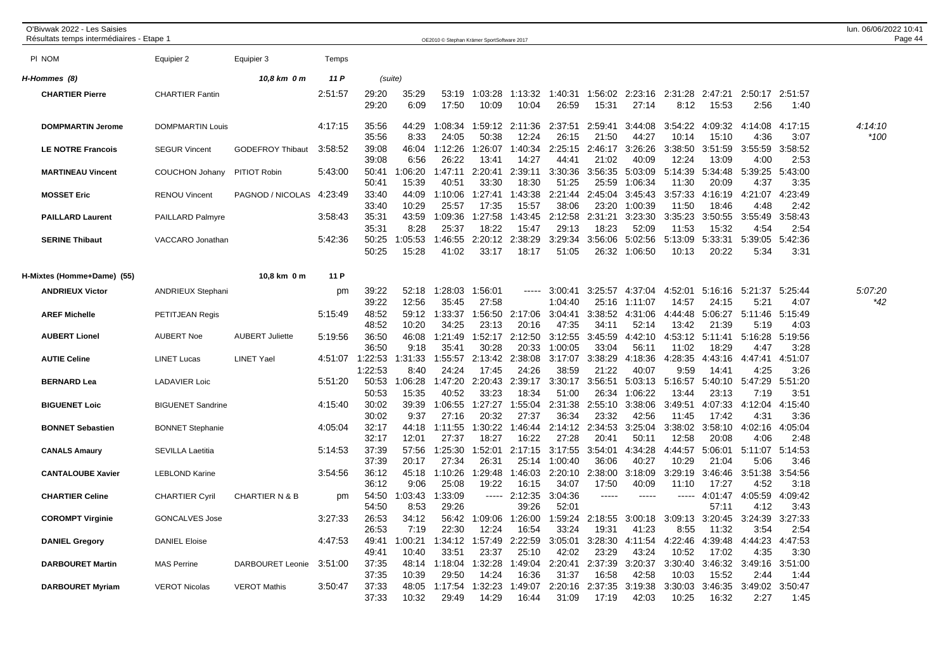| O'Bivwak 2022 - Les Saisies<br>Résultats temps intermédiaires - Etape 1 |                          |                           |         |                            |                      | OE2010 © Stephan Krämer SportSoftware 2017 |                  |                          |                    |                  |                    |                  |                  |                 |                         | lun. 06/06/2022 10:41<br>Page 44 |
|-------------------------------------------------------------------------|--------------------------|---------------------------|---------|----------------------------|----------------------|--------------------------------------------|------------------|--------------------------|--------------------|------------------|--------------------|------------------|------------------|-----------------|-------------------------|----------------------------------|
| PI NOM                                                                  | Equipier 2               | Equipier 3                | Temps   |                            |                      |                                            |                  |                          |                    |                  |                    |                  |                  |                 |                         |                                  |
| H-Hommes (8)                                                            |                          | 10,8 km 0 m               | 11 P    |                            | (suite)              |                                            |                  |                          |                    |                  |                    |                  |                  |                 |                         |                                  |
| <b>CHARTIER Pierre</b>                                                  | <b>CHARTIER Fantin</b>   |                           | 2:51:57 | 29:20<br>29:20             | 35:29<br>6:09        | 53:19<br>17:50                             | 1:03:28<br>10:09 | 1:13:32<br>10:04         | 1:40:31<br>26:59   | 1:56:02<br>15:31 | 2:23:16<br>27:14   | 2:31:28<br>8:12  | 2:47:21<br>15:53 | 2:50:17<br>2:56 | 2:51:57<br>1:40         |                                  |
| <b>DOMPMARTIN Jerome</b>                                                | <b>DOMPMARTIN Louis</b>  |                           | 4:17:15 | 35:56<br>35:56             | 44:29<br>8:33        | 1:08:34<br>24:05                           | 50:38            | 1:59:12 2:11:36<br>12:24 | 2:37:51<br>26:15   | 2:59:41<br>21:50 | 3:44:08<br>44:27   | 3:54:22<br>10:14 | 4:09:32<br>15:10 | 4:14:08<br>4:36 | 4:17:15<br>3:07         | 4:14:10<br>*100                  |
| <b>LE NOTRE Francois</b>                                                | <b>SEGUR Vincent</b>     | <b>GODEFROY Thibaut</b>   | 3:58:52 | 39:08<br>39:08             | 46:04<br>6:56        | 1:12:26<br>26:22                           | 1:26:07<br>13:41 | 1:40:34<br>14:27         | 2:25:15<br>44:41   | 2:46:17<br>21:02 | 3:26:26<br>40:09   | 3:38:50<br>12:24 | 3:51:59<br>13:09 | 3:55:59<br>4:00 | 3:58:52<br>2:53         |                                  |
| <b>MARTINEAU Vincent</b>                                                | <b>COUCHON Johany</b>    | PITIOT Robin              | 5:43:00 | 50:41<br>50:41             | 1:06:20<br>15:39     | 1:47:11<br>40:51                           | 2:20:41<br>33:30 | 2:39:11<br>18:30         | 3:30:36<br>51:25   | 3:56:35<br>25:59 | 5:03:09<br>1:06:34 | 5:14:39<br>11:30 | 5:34:48<br>20:09 | 5:39:25<br>4:37 | 5:43:00<br>3:35         |                                  |
| <b>MOSSET Eric</b>                                                      | <b>RENOU Vincent</b>     | PAGNOD / NICOLAS          | 4:23:49 | 33:40<br>33:40             | 44:09<br>10:29       | 1:10:06<br>25:57                           | 1:27:41<br>17:35 | 1:43:38<br>15:57         | 2:21:44<br>38:06   | 2:45:04<br>23:20 | 3:45:43<br>1:00:39 | 3:57:33<br>11:50 | 4:16:19<br>18:46 | 4:21:07<br>4:48 | 4:23:49<br>2:42         |                                  |
| <b>PAILLARD Laurent</b>                                                 | <b>PAILLARD Palmyre</b>  |                           | 3:58:43 | 35:31<br>35:31             | 43:59<br>8:28        | 1:09:36<br>25:37                           | 1:27:58<br>18:22 | 1:43:45<br>15:47         | 2:12:58<br>29:13   | 2:31:21<br>18:23 | 3:23:30<br>52:09   | 3:35:23<br>11:53 | 3:50:55<br>15:32 | 3:55:49<br>4:54 | 3:58:43<br>2:54         |                                  |
| <b>SERINE Thibaut</b>                                                   | VACCARO Jonathan         |                           | 5:42:36 | 50:25<br>50:25             | 1:05:53<br>15:28     | 1:46:55<br>41:02                           | 2:20:12<br>33:17 | 2:38:29<br>18:17         | 3:29:34<br>51:05   | 3:56:06<br>26:32 | 5:02:56<br>1:06:50 | 5:13:09<br>10:13 | 5:33:31<br>20:22 | 5:39:05<br>5:34 | 5:42:36<br>3:31         |                                  |
| H-Mixtes (Homme+Dame) (55)                                              |                          | 10.8 km 0 m               | 11 P    |                            |                      |                                            |                  |                          |                    |                  |                    |                  |                  |                 |                         |                                  |
| <b>ANDRIEUX Victor</b>                                                  | <b>ANDRIEUX Stephani</b> |                           | pm      | 39:22<br>39:22             | 52:18<br>12:56       | 1:28:03<br>35:45                           | 1:56:01<br>27:58 | $- - - - -$              | 3:00:41<br>1:04:40 | 3:25:57<br>25:16 | 4:37:04<br>1:11:07 | 4:52:01<br>14:57 | 5:16:16<br>24:15 | 5:21:37<br>5:21 | 5:25:44<br>4:07         | 5:07:20<br>*42                   |
| <b>AREF Michelle</b>                                                    | PETITJEAN Regis          |                           | 5:15:49 | 48:52<br>48:52             | 59:12<br>10:20       | 1:33:37<br>34:25                           | 1:56:50<br>23:13 | 2:17:06<br>20:16         | 3:04:41<br>47:35   | 3:38:52<br>34:11 | 4:31:06<br>52:14   | 4:44:48<br>13:42 | 5:06:27<br>21:39 | 5:11:46<br>5:19 | 5:15:49<br>4:03         |                                  |
| <b>AUBERT Lionel</b>                                                    | <b>AUBERT Noe</b>        | <b>AUBERT Juliette</b>    | 5:19:56 | 36:50<br>36:50             | 46:08<br>9:18        | 1:21:49<br>35:41                           | 1:52:17<br>30:28 | 2:12:50<br>20:33         | 3:12:55<br>1:00:05 | 3:45:59<br>33:04 | 4:42:10<br>56:11   | 4:53:12<br>11:02 | 5:11:41<br>18:29 | 5:16:28<br>4:47 | 5:19:56<br>3:28         |                                  |
| <b>AUTIE Celine</b>                                                     | <b>LINET Lucas</b>       | <b>LINET Yael</b>         |         | 4:51:07 1:22:53<br>1:22:53 | :31:33<br>-1<br>8:40 | 1:55:57<br>24:24                           | 2:13:42<br>17:45 | 2:38:08<br>24:26         | 3:17:07<br>38:59   | 3:38:29<br>21:22 | 4:18:36<br>40:07   | 4:28:35<br>9:59  | 4:43:16<br>14:41 | 4:47:41<br>4:25 | 4:51:07<br>3:26         |                                  |
| <b>BERNARD Lea</b>                                                      | <b>LADAVIER Loic</b>     |                           | 5:51:20 | 50:53<br>50:53             | :06:28<br>15:35      | 1:47:20<br>40:52                           | 2:20:43<br>33:23 | 2:39:17<br>18:34         | 3:30:17<br>51:00   | 3:56:51<br>26:34 | 5:03:13<br>1:06:22 | 5:16:57<br>13:44 | 5:40:10<br>23:13 | 5:47:29<br>7:19 | 5:51:20<br>3:51         |                                  |
| <b>BIGUENET Loic</b>                                                    | <b>BIGUENET Sandrine</b> |                           | 4:15:40 | 30:02<br>30:02             | 39:39<br>9:37        | 1:06:55<br>27:16                           | 1:27:27<br>20:32 | 1:55:04<br>27:37         | 2:31:38<br>36:34   | 2:55:10<br>23:32 | 3:38:06<br>42:56   | 3:49:51<br>11:45 | 4:07:33<br>17:42 | 4:12:04<br>4:31 | 4:15:40<br>3:36         |                                  |
| <b>BONNET Sebastien</b>                                                 | <b>BONNET Stephanie</b>  |                           | 4:05:04 | 32:17<br>32:17             | 44:18<br>12:01       | 1:11:55<br>27:37                           | 1:30:22<br>18:27 | 1:46:44<br>16:22         | 2:14:12<br>27:28   | 2:34:53<br>20:41 | 3:25:04<br>50:11   | 3:38:02<br>12:58 | 3:58:10<br>20:08 | 4:02:16<br>4:06 | 4:05:04<br>2:48         |                                  |
| <b>CANALS Amaury</b>                                                    | <b>SEVILLA Laetitia</b>  |                           | 5:14:53 | 37:39<br>37:39             | 57:56<br>20:17       | 1:25:30<br>27:34                           | 1:52:01<br>26:31 | 2:17:15<br>25:14         | 3:17:55<br>1:00:40 | 3:54:01<br>36:06 | 4:34:28<br>40:27   | 4:44:57<br>10:29 | 5:06:01<br>21:04 | 5:06            | 5:11:07 5:14:53<br>3:46 |                                  |
| <b>CANTALOUBE Xavier</b>                                                | <b>LEBLOND Karine</b>    |                           | 3:54:56 | 36:12<br>36:12             | 45:18<br>9:06        | 1:10:26<br>25:08                           | 1:29:48<br>19:22 | 1:46:03<br>16:15         | 2:20:10<br>34:07   | 2:38:00<br>17:50 | 3:18:09<br>40:09   | 3:29:19<br>11:10 | 3:46:46<br>17:27 | 3:51:38<br>4:52 | 3:54:56<br>3:18         |                                  |
| <b>CHARTIER Celine</b>                                                  | <b>CHARTIER Cyril</b>    | <b>CHARTIER N &amp; B</b> | pm      | 54:50<br>54:50             | 1:03:43<br>8:53      | 1:33:09<br>29:26                           | -----            | 2:12:35<br>39:26         | 3:04:36<br>52:01   | $---$            | -----              | $\frac{1}{2}$    | 4:01:47<br>57:11 | 4:05:59<br>4:12 | 4:09:42<br>3:43         |                                  |
| <b>COROMPT Virginie</b>                                                 | <b>GONCALVES Jose</b>    |                           | 3:27:33 | 26:53<br>26:53             | 34:12<br>7:19        | 56:42<br>22:30                             | 1:09:06<br>12:24 | 1:26:00<br>16:54         | 1:59:24<br>33:24   | 2:18:55<br>19:31 | 3:00:18<br>41:23   | 3:09:13<br>8:55  | 3:20:45<br>11:32 | 3:24:39<br>3:54 | 3:27:33<br>2:54         |                                  |
| <b>DANIEL Gregory</b>                                                   | <b>DANIEL Eloise</b>     |                           | 4:47:53 | 49:41<br>49:41             | 1:00:21<br>10:40     | 1:34:12<br>33:51                           | 1:57:49<br>23:37 | 2:22:59<br>25:10         | 3:05:01<br>42:02   | 3:28:30<br>23:29 | 4:11:54<br>43:24   | 4:22:46<br>10:52 | 4:39:48<br>17:02 | 4:44:23<br>4:35 | 4:47:53<br>3:30         |                                  |
| <b>DARBOURET Martin</b>                                                 | <b>MAS Perrine</b>       | DARBOURET Leonie          | 3:51:00 | 37:35<br>37:35             | 48:14<br>10:39       | 1:18:04<br>29:50                           | 1:32:28<br>14:24 | 1:49:04<br>16:36         | 2:20:41<br>31:37   | 2:37:39<br>16:58 | 3:20:37<br>42:58   | 3:30:40<br>10:03 | 3:46:32<br>15:52 | 3:49:16<br>2:44 | 3:51:00<br>1:44         |                                  |
| <b>DARBOURET Myriam</b>                                                 | <b>VEROT Nicolas</b>     | <b>VEROT Mathis</b>       | 3:50:47 | 37:33<br>37:33             | 48:05<br>10:32       | 1:17:54<br>29:49                           | 1:32:23<br>14:29 | 1:49:07<br>16:44         | 2:20:16<br>31:09   | 2:37:35<br>17:19 | 3:19:38<br>42:03   | 3:30:03<br>10:25 | 3:46:35<br>16:32 | 3:49:02<br>2:27 | 3:50:47<br>1:45         |                                  |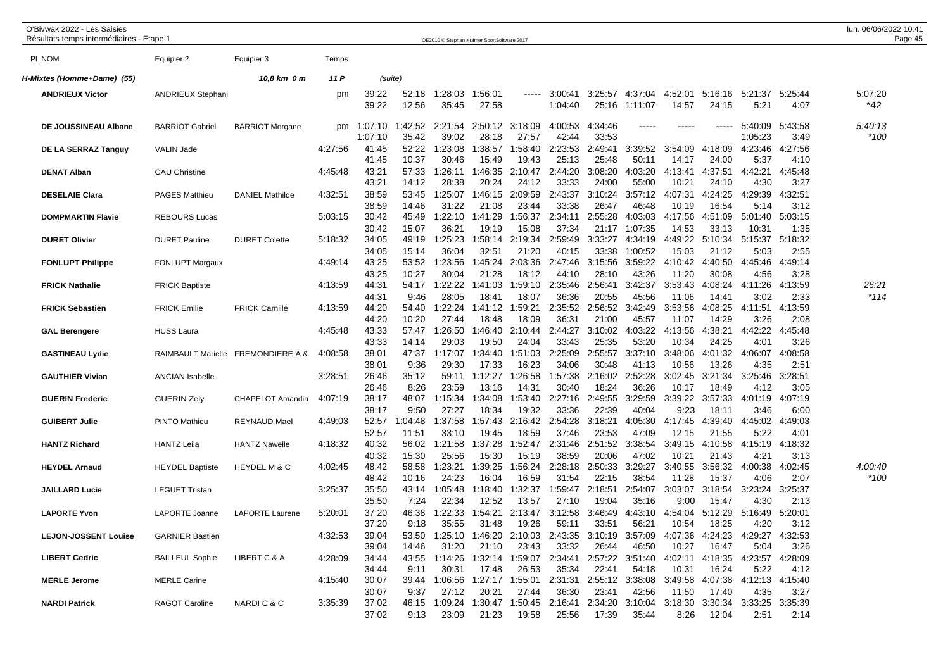| O'Bivwak 2022 - Les Saisies<br>Résultats temps intermédiaires - Etape 1 |                          |                            |         |                         |                  | OE2010 © Stephan Krämer SportSoftware 2017      |                          |                  |                                   |                  |                                   |                  |                  |                                         |                 | lun. 06/06/2022 10:41<br>Page 45 |
|-------------------------------------------------------------------------|--------------------------|----------------------------|---------|-------------------------|------------------|-------------------------------------------------|--------------------------|------------------|-----------------------------------|------------------|-----------------------------------|------------------|------------------|-----------------------------------------|-----------------|----------------------------------|
| PI NOM                                                                  | Equipier 2               | Equipier 3                 | Temps   |                         |                  |                                                 |                          |                  |                                   |                  |                                   |                  |                  |                                         |                 |                                  |
| H-Mixtes (Homme+Dame) (55)                                              |                          | 10,8 km 0 m                | 11 P    |                         | (suite)          |                                                 |                          |                  |                                   |                  |                                   |                  |                  |                                         |                 |                                  |
| <b>ANDRIEUX Victor</b>                                                  | <b>ANDRIEUX Stephani</b> |                            | pm      | 39:22<br>39:22          | 52:18<br>12:56   | 1:28:03<br>35:45                                | 1:56:01<br>27:58         | -----            | 3:00:41<br>1:04:40                | 3:25:57<br>25:16 | 4:37:04<br>1:11:07                | 4:52:01<br>14:57 | 5:16:16<br>24:15 | 5:21:37<br>5:21                         | 5:25:44<br>4:07 | 5:07:20<br>*42                   |
| DE JOUSSINEAU Albane                                                    | BARRIOT Gabriel          | <b>BARRIOT Morgane</b>     |         | pm 1:07:10<br>1:07:10   | :42:52<br>35:42  | 39:02                                           | 2:21:54 2:50:12<br>28:18 | 3:18:09<br>27:57 | 4:00:53<br>42:44                  | 4:34:46<br>33:53 | -----                             | -----            | -----            | 5:40:09<br>1:05:23                      | 5:43:58<br>3:49 | 5:40:13<br>$*100$                |
| DE LA SERRAZ Tanguy                                                     | VALIN Jade               |                            | 4:27:56 | 41:45<br>41:45          | 52:22<br>10:37   | 1:23:08<br>30:46                                | 1:38:57<br>15:49         | 1:58:40<br>19:43 | 2:23:53<br>25:13                  | 2:49:41<br>25:48 | 3:39:52<br>50:11                  | 3:54:09<br>14:17 | 4:18:09<br>24:00 | 4:23:46<br>5:37                         | 4:27:56<br>4:10 |                                  |
| <b>DENAT Alban</b>                                                      | CAU Christine            |                            | 4:45:48 | 43:21<br>43:21          | 57:33<br>14:12   | 1:26:11<br>28:38                                | 1:46:35<br>20:24         | 2:10:47<br>24:12 | 2:44:20<br>33:33                  | 3:08:20<br>24:00 | 4:03:20<br>55:00                  | 4:13:41<br>10:21 | 4:37:51<br>24:10 | 4:42:21<br>4:30                         | 4:45:48<br>3:27 |                                  |
| <b>DESELAIE Clara</b>                                                   | PAGES Matthieu           | <b>DANIEL Mathilde</b>     | 4:32:51 | 38:59<br>38:59          | 53:45<br>14:46   | 1:25:07<br>31:22                                | 1:46:15<br>21:08         | 2:09:59<br>23:44 | 2:43:37<br>33:38                  | 3:10:24<br>26:47 | 3:57:12<br>46:48                  | 4:07:31<br>10:19 | 4:24:25<br>16:54 | 4:29:39<br>5:14                         | 4:32:51<br>3:12 |                                  |
| <b>DOMPMARTIN Flavie</b>                                                | <b>REBOURS Lucas</b>     |                            | 5:03:15 | 30:42<br>30:42          | 45:49<br>15:07   | 1:22:10<br>36:21                                | 1:41:29<br>19:19         | 1:56:37<br>15:08 | 2:34:11<br>37:34                  | 2:55:28<br>21:17 | 4:03:03<br>1:07:35                | 4:17:56<br>14:53 | 4:51:09<br>33:13 | 5:01:40<br>10:31                        | 5:03:15<br>1:35 |                                  |
| <b>DURET Olivier</b>                                                    | <b>DURET Pauline</b>     | <b>DURET Colette</b>       | 5:18:32 | 34:05<br>34:05          | 49:19<br>15:14   | 1:25:23<br>36:04                                | 1:58:14<br>32:51         | 2:19:34<br>21:20 | 2:59:49<br>40:15                  | 3:33:27<br>33:38 | 4:34:19<br>1:00:52                | 4:49:22<br>15:03 | 5:10:34<br>21:12 | 5:15:37 5:18:32<br>5:03                 | 2:55            |                                  |
| <b>FONLUPT Philippe</b>                                                 | <b>FONLUPT Margaux</b>   |                            | 4:49:14 | 43:25<br>43:25          | 53:52<br>10:27   | 1:23:56<br>30:04                                | 1:45:24<br>21:28         | 2:03:36<br>18:12 | 2:47:46<br>44:10                  | 3:15:56<br>28:10 | 3:59:22<br>43:26                  | 4:10:42<br>11:20 | 4:40:50<br>30:08 | 4:45:46<br>4:56                         | 4:49:14<br>3:28 |                                  |
| <b>FRICK Nathalie</b>                                                   | <b>FRICK Baptiste</b>    |                            | 4:13:59 | 44:31<br>44:31          | 54:17<br>9:46    | 1:22:22<br>28:05                                | 1:41:03<br>18:41         | 1:59:10<br>18:07 | 2:35:46<br>36:36                  | 2:56:41<br>20:55 | 3:42:37<br>45:56                  | 3:53:43<br>11:06 | 4:08:24<br>14:41 | 4:11:26<br>3:02                         | 4:13:59<br>2:33 | 26:21<br>*114                    |
| <b>FRICK Sebastien</b>                                                  | FRICK Emilie             | <b>FRICK Camille</b>       | 4:13:59 | 44:20<br>44:20          | 54:40<br>10:20   | 1:22:24<br>27:44                                | 1:41:12<br>18:48         | 1:59:21<br>18:09 | 2:35:52<br>36:31                  | 2:56:52<br>21:00 | 3:42:49<br>45:57                  | 3:53:56<br>11:07 | 4:08:25<br>14:29 | 4:11:51<br>3:26                         | 4:13:59<br>2:08 |                                  |
| <b>GAL Berengere</b>                                                    | <b>HUSS Laura</b>        |                            | 4:45:48 | 43:33<br>43:33          | 57:47<br>14:14   | 1:26:50<br>29:03                                | 1:46:40<br>19:50         | 2:10:44<br>24:04 | 2:44:27<br>33:43                  | 3:10:02<br>25:35 | 4:03:22<br>53:20                  | 4:13:56<br>10:34 | 4:38:21<br>24:25 | 4:42:22<br>4:01                         | 4:45:48<br>3:26 |                                  |
| <b>GASTINEAU Lydie</b>                                                  | RAIMBAULT Marielle       | <b>FREMONDIERE A &amp;</b> | 4:08:58 | 38:01<br>38:01          | 47:37<br>9:36    | 1:17:07<br>29:30                                | 1:34:40<br>17:33         | 1:51:03<br>16:23 | 2:25:09<br>34:06                  | 2:55:57<br>30:48 | 3:37:10<br>41:13                  | 3:48:06<br>10:56 | 4:01:32<br>13:26 | 4:06:07<br>4:35                         | 4:08:58<br>2:51 |                                  |
| <b>GAUTHIER Vivian</b>                                                  | ANCIAN Isabelle          |                            | 3:28:51 | 26:46<br>26:46          | 35:12<br>8:26    | 59:11<br>23:59                                  | 1:12:27<br>13:16         | 1:26:58<br>14:31 | 1:57:38<br>30:40                  | 2:16:02<br>18:24 | 2:52:28<br>36:26                  | 3:02:45<br>10:17 | 3:21:34<br>18:49 | 3:25:46<br>4:12                         | 3:28:51<br>3:05 |                                  |
| <b>GUERIN Frederic</b>                                                  | <b>GUERIN Zely</b>       | CHAPELOT Amandin           | 4:07:19 | 38:17<br>38:17          | 48:07<br>9:50    | 1:15:34<br>27:27                                | 1:34:08<br>18:34         | 1:53:40<br>19:32 | 2:27:16<br>33:36                  | 2:49:55<br>22:39 | 3:29:59<br>40:04                  | 3:39:22<br>9:23  | 3:57:33<br>18:11 | 4:01:19<br>3:46                         | 4:07:19<br>6:00 |                                  |
| <b>GUIBERT Julie</b>                                                    | <b>PINTO Mathieu</b>     | <b>REYNAUD Mael</b>        | 4:49:03 | 52:57<br>52:57          | 1:04:48<br>11:51 | 1:37:58<br>33:10                                | 1:57:43<br>19:45         | 2:16:42<br>18:59 | 2:54:28<br>37:46                  | 3:18:21<br>23:53 | 4:05:30<br>47:09                  | 4:17:45<br>12:15 | 4:39:40<br>21:55 | 4:45:02<br>5:22                         | 4:49:03<br>4:01 |                                  |
| <b>HANTZ Richard</b>                                                    | <b>HANTZ Leila</b>       | <b>HANTZ Nawelle</b>       | 4:18:32 | 40:32<br>40:32          | 56:02<br>15:30   | 1:21:58<br>25:56                                | 1:37:28<br>15:30         | 1:52:47<br>15:19 | 2:31:46<br>38:59                  | 2:51:52<br>20:06 | 3:38:54<br>47:02                  | 3:49:15<br>10:21 | 4:10:58<br>21:43 | 4:15:19<br>4:21                         | 4:18:32<br>3:13 |                                  |
| <b>HEYDEL Arnaud</b>                                                    | <b>HEYDEL Baptiste</b>   | <b>HEYDEL M &amp; C</b>    | 4:02:45 | 48:42<br>48:42          | 58:58<br>10:16   | 1:23:21<br>24:23                                | 1:39:25<br>16:04         | 1:56:24<br>16:59 | 2:28:18<br>31:54                  | 2:50:33<br>22:15 | 3:29:27<br>38:54                  | 3:40:55<br>11:28 | 3:56:32<br>15:37 | 4:00:38<br>4:06                         | 4:02:45<br>2:07 | 4:00:40<br>$*100$                |
| <b>JAILLARD Lucie</b>                                                   | <b>LEGUET Tristan</b>    |                            | 3:25:37 | 35:50<br>35:50          | 43:14<br>7:24    | 1:05:48<br>22:34                                | 1:18:40<br>12:52         | 1:32:37<br>13:57 | 1:59:47<br>27:10                  | 2:18:51<br>19:04 | 2:54:07<br>35:16                  | 3:03:07<br>9:00  | 3:18:54<br>15:47 | 3:23:24 3:25:37<br>4:30                 | 2:13            |                                  |
| <b>LAPORTE Yvon</b>                                                     | LAPORTE Joanne           | <b>LAPORTE Laurene</b>     | 5:20:01 | 37:20<br>37:20          | 46:38<br>9:18    | 1:22:33<br>35:55                                | 1:54:21<br>31:48         | 2:13:47<br>19:26 | 3:12:58<br>59:11                  | 3:46:49<br>33:51 | 4:43:10<br>56:21                  | 4:54:04<br>10:54 | 5:12:29<br>18:25 | 5:16:49<br>4:20                         | 5:20:01<br>3:12 |                                  |
| <b>LEJON-JOSSENT Louise</b>                                             | <b>GARNIER Bastien</b>   |                            | 4:32:53 | 39:04<br>39:04          | 53:50<br>14:46   | 31:20                                           | 1:25:10 1:46:20<br>21:10 | 2:10:03<br>23:43 | 33:32                             | 26:44            | 2:43:35 3:10:19 3:57:09<br>46:50  | 4:07:36<br>10:27 | 4:24:23<br>16:47 | 4:29:27<br>5:04                         | 4:32:53<br>3:26 |                                  |
| <b>LIBERT Cedric</b>                                                    | <b>BAILLEUL Sophie</b>   | LIBERT C & A               | 4:28:09 | 34:44<br>34:44          | 43:55<br>9:11    | 30:31                                           | 1:14:26 1:32:14<br>17:48 | 1:59:07<br>26:53 | 35:34                             | 22:41            | 2:34:41 2:57:22 3:51:40<br>54:18  | 4:02:11<br>10:31 | 4:18:35<br>16:24 | 4:23:57 4:28:09<br>5:22                 | 4:12            |                                  |
| <b>MERLE Jerome</b>                                                     | <b>MERLE Carine</b>      |                            | 4:15:40 | 30:07                   |                  | 39:44 1:06:56 1:27:17                           |                          | 1:55:01          |                                   |                  | 2:31:31 2:55:12 3:38:08           | 3:49:58          | 4:07:38          | 4:12:13 4:15:40                         |                 |                                  |
| <b>NARDI Patrick</b>                                                    | RAGOT Caroline           | NARDIC & C                 | 3:35:39 | 30:07<br>37:02<br>37:02 | 9:37<br>9:13     | 27:12<br>46:15 1:09:24 1:30:47 1:50:45<br>23:09 | 20:21<br>21:23           | 27:44<br>19:58   | 36:30<br>2:16:41 2:34:20<br>25:56 | 23:41<br>17:39   | 42:56<br>3:10:04 3:18:30<br>35:44 | 11:50<br>8:26    | 17:40<br>12:04   | 4:35<br>3:30:34 3:33:25 3:35:39<br>2:51 | 3:27<br>2:14    |                                  |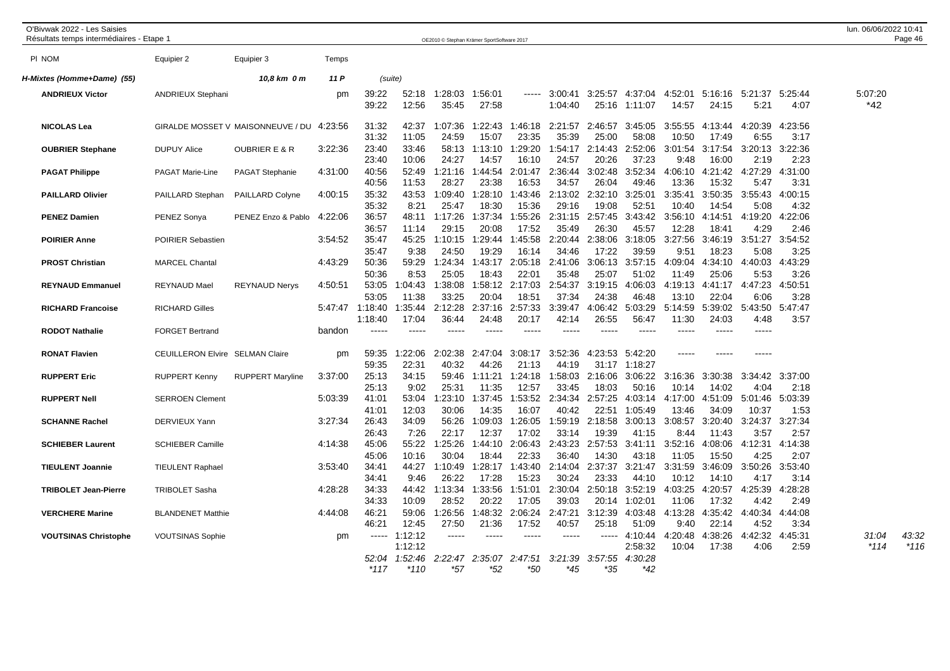| O'Bivwak 2022 - Les Saisies<br>Résultats temps intermédiaires - Etape 1 |                                                    |                                   |                    |                                             |                                       | OE2010 © Stephan Krämer SportSoftware 2017 |                                           |                             |                             |                             |                                      |                             |                             |                            |                            | lun. 06/06/2022 10:41 | Page 46         |
|-------------------------------------------------------------------------|----------------------------------------------------|-----------------------------------|--------------------|---------------------------------------------|---------------------------------------|--------------------------------------------|-------------------------------------------|-----------------------------|-----------------------------|-----------------------------|--------------------------------------|-----------------------------|-----------------------------|----------------------------|----------------------------|-----------------------|-----------------|
| PI NOM                                                                  | Equipier 2                                         | Equipier 3                        | Temps              |                                             |                                       |                                            |                                           |                             |                             |                             |                                      |                             |                             |                            |                            |                       |                 |
| H-Mixtes (Homme+Dame) (55)                                              |                                                    | 10,8 km 0 m                       | 11 P               |                                             | (suite)                               |                                            |                                           |                             |                             |                             |                                      |                             |                             |                            |                            |                       |                 |
| <b>ANDRIEUX Victor</b>                                                  | <b>ANDRIEUX Stephani</b>                           |                                   | pm                 | 39:22<br>39:22                              | 52:18<br>12:56                        | 1:28:03<br>35:45                           | 1:56:01<br>27:58                          | $- - - - -$                 | 3:00:41<br>1:04:40          | 3:25:57<br>25:16            | 4:37:04<br>1:11:07                   | 4:52:01<br>14:57            | 5:16:16<br>24:15            | 5:21:37<br>5:21            | 5:25:44<br>4:07            | 5:07:20<br>*42        |                 |
| <b>NICOLAS Lea</b>                                                      |                                                    | GIRALDE MOSSET V MAISONNEUVE / DU | 4:23:56            | 31:32<br>31:32                              | 42:37<br>11:05                        | 1:07:36<br>24:59                           | 1:22:43<br>15:07                          | 1:46:18<br>23:35            | 2:21:57<br>35:39            | 2:46:57<br>25:00            | 3:45:05<br>58:08                     | 3:55:55<br>10:50            | 4:13:44<br>17:49            | 4:20:39<br>6:55            | 4:23:56<br>3:17            |                       |                 |
| <b>OUBRIER Stephane</b>                                                 | <b>DUPUY Alice</b>                                 | <b>OUBRIER E &amp; R</b>          | 3:22:36            | 23:40<br>23:40                              | 33:46<br>10:06                        | 58:13<br>24:27                             | 1:13:10<br>14:57                          | 1:29:20<br>16:10            | 1:54:17<br>24:57            | 2:14:43<br>20:26            | 2:52:06<br>37:23                     | 3:01:54<br>9:48             | 3:17:54<br>16:00            | 3:20:13<br>2:19            | 3:22:36<br>2:23            |                       |                 |
| <b>PAGAT Philippe</b>                                                   | <b>PAGAT Marie-Line</b>                            | PAGAT Stephanie                   | 4:31:00            | 40:56<br>40:56                              | 52:49<br>11:53                        | :21:16<br>28:27                            | 1:44:54<br>23:38                          | 2:01:47<br>16:53            | 2:36:44<br>34:57            | 3:02:48<br>26:04            | 3:52:34<br>49:46                     | 4:06:10<br>13:36            | 4:21:42<br>15:32            | 4:27:29<br>5:47            | 4:31:00<br>3:31            |                       |                 |
| <b>PAILLARD Olivier</b>                                                 | PAILLARD Stephan                                   | <b>PAILLARD Colyne</b>            | 4:00:15            | 35:32<br>35:32                              | 43:53<br>8:21                         | 1:09:40<br>25:47                           | 1:28:10<br>18:30                          | 1:43:46<br>15:36            | 2:13:02<br>29:16            | 2:32:10<br>19:08            | 3:25:01<br>52:51                     | 3:35:41<br>10:40            | 3:50:35<br>14:54            | 3:55:43<br>5:08            | 4:00:15<br>4:32            |                       |                 |
| <b>PENEZ Damien</b>                                                     | PENEZ Sonya                                        | PENEZ Enzo & Pablo                | 4:22:06            | 36:57<br>36:57                              | 48:11<br>11:14                        | 1:17:26<br>29:15                           | 1:37:34<br>20:08                          | 1:55:26<br>17:52            | 2:31:15<br>35:49            | 2:57:45<br>26:30            | 3:43:42<br>45:57                     | 3:56:10<br>12:28            | 4:14:51<br>18:41            | 4:19:20<br>4:29            | 4:22:06<br>2:46            |                       |                 |
| <b>POIRIER Anne</b>                                                     | <b>POIRIER Sebastien</b>                           |                                   | 3:54:52            | 35:47<br>35:47                              | 45:25<br>9:38                         | 1:10:15<br>24:50                           | 1:29:44<br>19:29                          | 1:45:58<br>16:14            | 2:20:44<br>34:46            | 2:38:06<br>17:22            | 3:18:05<br>39:59                     | 3:27:56<br>9:51             | 3:46:19<br>18:23            | 3:51:27<br>5:08            | 3:54:52<br>3:25            |                       |                 |
| <b>PROST Christian</b>                                                  | <b>MARCEL Chantal</b>                              |                                   | 4:43:29            | 50:36<br>50:36                              | 59:29<br>8:53                         | 1:24:34<br>25:05                           | 1:43:17<br>18:43                          | 2:05:18<br>22:01            | 2:41:06<br>35:48            | 3:06:13<br>25:07            | 3:57:15<br>51:02                     | 4:09:04<br>11:49            | 4:34:10<br>25:06            | 4:40:03<br>5:53            | 4:43:29<br>3:26            |                       |                 |
| <b>REYNAUD Emmanuel</b>                                                 | <b>REYNAUD Mael</b>                                | <b>REYNAUD Nerys</b>              | 4:50:51            | 53:05<br>53:05                              | 1:04:43<br>11:38                      | 1:38:08<br>33:25                           | 1:58:12<br>20:04                          | 2:17:03<br>18:51            | 2:54:37<br>37:34            | 3:19:15<br>24:38            | 4:06:03<br>46:48                     | 4:19:13<br>13:10            | 4:41:17<br>22:04            | 4:47:23<br>6:06            | 4:50:51<br>3:28            |                       |                 |
| <b>RICHARD Francoise</b><br><b>RODOT Nathalie</b>                       | <b>RICHARD Gilles</b><br><b>FORGET Bertrand</b>    |                                   | bandon             | 5:47:47 1:18:40<br>1:18:40<br>$\frac{1}{2}$ | 1:35:44<br>17:04<br>$---$             | 2:12:28<br>36:44<br>-----                  | 2:37:16<br>24:48                          | 2:57:33<br>20:17<br>-----   | 3:39:47<br>42:14<br>$---$   | 4:06:42<br>26:55<br>$---$   | 5:03:29<br>56:47<br>$---$            | 5:14:59<br>11:30            | 5:39:02<br>24:03<br>-----   | 5:43:50<br>4:48<br>-----   | 5:47:47<br>3:57            |                       |                 |
|                                                                         |                                                    |                                   |                    |                                             |                                       |                                            |                                           |                             |                             |                             |                                      |                             |                             |                            |                            |                       |                 |
| <b>RONAT Flavien</b>                                                    | CEUILLERON Elvire SELMAN Claire                    |                                   | pm                 | 59:35<br>59:35                              | :22:06<br>22:31                       | 2:02:38<br>40:32                           | 2:47:04<br>44:26                          | 3:08:17<br>21:13            | 3:52:36<br>44:19            | 4:23:53<br>31:17            | 5:42:20<br>1:18:27                   |                             |                             |                            |                            |                       |                 |
| <b>RUPPERT Eric</b>                                                     | <b>RUPPERT Kenny</b>                               | <b>RUPPERT Maryline</b>           | 3:37:00            | 25:13<br>25:13                              | 34:15<br>9:02                         | 59:46<br>25:31                             | 1:11:21<br>11:35                          | 1:24:18<br>12:57            | 1:58:03<br>33:45            | 2:16:06<br>18:03            | 3:06:22<br>50:16                     | 3:16:36<br>10:14            | 3:30:38<br>14:02            | 3:34:42<br>4:04            | 3:37:00<br>2:18            |                       |                 |
| <b>RUPPERT Nell</b>                                                     | <b>SERROEN Clement</b>                             |                                   | 5:03:39            | 41:01<br>41:01                              | 53:04<br>12:03                        | :23:10<br>30:06                            | 1:37:45<br>14:35                          | 1:53:52<br>16:07            | 2:34:34<br>40:42            | 2:57:25<br>22:51            | 4:03:14<br>1:05:49                   | 4:17:00<br>13:46            | 4:51:09<br>34:09            | 5:01:46<br>10:37           | 5:03:39<br>1:53            |                       |                 |
| <b>SCHANNE Rachel</b>                                                   | DERVIEUX Yann                                      |                                   | 3:27:34            | 26:43<br>26:43                              | 34:09<br>7:26                         | 56:26<br>22:17                             | 1:09:03<br>12:37                          | 1:26:05<br>17:02            | 1:59:19<br>33:14            | 2:18:58<br>19:39            | 3:00:13<br>41:15                     | 3:08:57<br>8:44             | 3:20:40<br>11:43            | 3:24:37<br>3:57            | 3:27:34<br>2:57            |                       |                 |
| <b>SCHIEBER Laurent</b><br><b>TIEULENT Joannie</b>                      | <b>SCHIEBER Camille</b><br><b>TIEULENT Raphael</b> |                                   | 4:14:38<br>3:53:40 | 45:06<br>45:06<br>34:41                     | 55:22<br>10:16<br>44:27               | 1:25:26<br>30:04<br>1:10:49                | 1:44:10<br>18:44<br>1:28:17               | 2:06:43<br>22:33<br>1:43:40 | 2:43:23<br>36:40<br>2:14:04 | 2:57:53<br>14:30<br>2:37:37 | 3:41:11<br>43:18<br>3:21:47          | 3:52:16<br>11:05<br>3:31:59 | 4:08:06<br>15:50<br>3:46:09 | 4:12:31<br>4:25<br>3:50:26 | 4:14:38<br>2:07<br>3:53:40 |                       |                 |
| <b>TRIBOLET Jean-Pierre</b>                                             | <b>TRIBOLET Sasha</b>                              |                                   | 4:28:28            | 34:41<br>34:33                              | 9:46<br>44:42                         | 26:22<br>1:13:34                           | 17:28<br>1:33:56                          | 15:23<br>1:51:01            | 30:24<br>2:30:04            | 23:33<br>2:50:18            | 44:10<br>3:52:19                     | 10:12<br>4:03:25            | 14:10<br>4:20:57            | 4:17<br>4:25:39            | 3:14<br>4:28:28            |                       |                 |
| <b>VERCHERE Marine</b>                                                  | <b>BLANDENET Matthie</b>                           |                                   | 4:44:08            | 34:33<br>46:21                              | 10:09<br>59:06                        | 28:52<br>:26:56                            | 20:22<br>1:48:32                          | 17:05<br>2:06:24            | 39:03<br>2:47:21            | 20:14<br>3:12:39            | 1:02:01<br>4:03:48                   | 11:06<br>4:13:28            | 17:32<br>4:35:42            | 4:42<br>4:40:34            | 2:49<br>4:44:08            |                       |                 |
|                                                                         |                                                    |                                   |                    | 46:21                                       | 12:45                                 | 27:50                                      | 21:36                                     | 17:52                       | 40:57                       | 25:18                       | 51:09                                | 9:40                        | 22:14                       | 4:52                       | 3:34                       |                       |                 |
| <b>VOUTSINAS Christophe</b>                                             | <b>VOUTSINAS Sophie</b>                            |                                   | pm                 | $\cdots$<br>52:04<br>$*117$                 | 1:12:12<br>1:12:12<br>1:52:46<br>*110 | -----<br>*57                               | $\frac{1}{2}$<br>2:22:47 2:35:07<br>$*52$ | $--- -$<br>2:47:51<br>*50   | $--- - -$<br>3:21:39<br>*45 | -----<br>3:57:55<br>*35     | 4:10:44<br>2:58:32<br>4:30:28<br>*42 | 4:20:48<br>10:04            | 4:38:26<br>17:38            | 4:42:32<br>4:06            | 4:45:31<br>2:59            | 31:04<br>*114         | 43:32<br>$*116$ |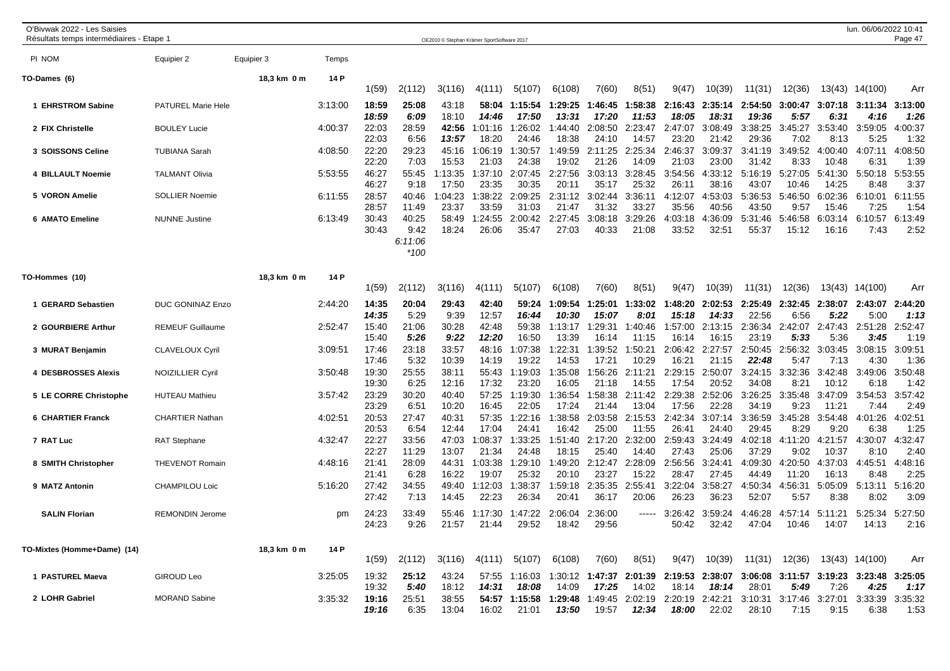| O'Bivwak 2022 - Les Saisies<br>Résultats temps intermédiaires - Etape 1 |                                               |             |                    |                         |                                    | OE2010 © Stephan Krämer SportSoftware 2017 |                           |                                         |                             |                             |                             |                                         |                             |                                                                                   |                            |                            | lun. 06/06/2022 10:41           | Page 47                    |
|-------------------------------------------------------------------------|-----------------------------------------------|-------------|--------------------|-------------------------|------------------------------------|--------------------------------------------|---------------------------|-----------------------------------------|-----------------------------|-----------------------------|-----------------------------|-----------------------------------------|-----------------------------|-----------------------------------------------------------------------------------|----------------------------|----------------------------|---------------------------------|----------------------------|
| PI NOM                                                                  | Equipier 2                                    | Equipier 3  | Temps              |                         |                                    |                                            |                           |                                         |                             |                             |                             |                                         |                             |                                                                                   |                            |                            |                                 |                            |
| TO-Dames (6)                                                            |                                               | 18,3 km 0 m | 14 P               | 1(59)                   | 2(112)                             | 3(116)                                     | 4(111)                    | 5(107)                                  | 6(108)                      | 7(60)                       | 8(51)                       | 9(47)                                   | 10(39)                      | 11(31)                                                                            | 12(36)                     |                            | 13(43) 14(100)                  | Arr                        |
| 1 EHRSTROM Sabine                                                       | PATUREL Marie Hele                            |             | 3:13:00            | 18:59<br>18:59          | 25:08<br>6:09                      | 43:18<br>18:10                             | 58:04<br>14:46            | 1:15:54<br>17:50                        | 1:29:25<br>13:31            | 1:46:45<br>17:20            | :58:38<br>11:53             | 2:16:43<br>18:05                        | 2:35:14<br>18:31            | 2:54:50<br>19:36                                                                  | 3:00:47<br>5:57            | 3:07:18<br>6:31            | 3:11:34<br>4:16                 | 3:13:00<br>1:26            |
| 2 FIX Christelle                                                        | <b>BOULEY Lucie</b>                           |             | 4:00:37            | 22:03<br>22:03          | 28:59<br>6:56                      | 42:56<br>13:57                             | 1:01:16<br>18:20          | :26:02<br>24:46                         | 1:44:40<br>18:38            | 2:08:50<br>24:10            | 2:23:47<br>14:57            | 2:47:07<br>23:20                        | 3:08:49<br>21:42            | 3:38:25<br>29:36                                                                  | 3:45:27<br>7:02            | 3:53:40<br>8:13            | 3:59:05<br>5:25                 | 4:00:37<br>1:32            |
| 3 SOISSONS Celine                                                       | <b>TUBIANA Sarah</b>                          |             | 4:08:50            | 22:20<br>22:20          | 29:23<br>7:03                      | 45:16<br>15:53                             | 1:06:19<br>21:03          | :30:57<br>24:38                         | 1:49:59<br>19:02            | 2:11:25<br>21:26            | 2:25:34<br>14:09            | 2:46:37<br>21:03                        | 3:09:37<br>23:00            | 3:41:19<br>31:42                                                                  | 3:49:52<br>8:33            | 4:00:40<br>10:48           | 4:07:11<br>6:31                 | 4:08:50<br>1:39            |
| 4 BILLAULT Noemie                                                       | <b>TALMANT Olivia</b>                         |             | 5:53:55            | 46:27<br>46:27          | 55:45<br>9:18                      | 1:13:35<br>17:50                           | 1:37:10<br>23:35          | 2:07:45<br>30:35                        | 2:27:56<br>20:11            | 3:03:13<br>35:17            | 3:28:45<br>25:32            | 3:54:56<br>26:11                        | 4:33:12<br>38:16            | 5:16:19<br>43:07                                                                  | 5:27:05<br>10:46           | 5:41:30<br>14:25           | 5:50:18<br>8:48                 | 5:53:55<br>3:37            |
| 5 VORON Amelie                                                          | <b>SOLLIER Noemie</b>                         |             | 6:11:55            | 28:57<br>28:57          | 40:46<br>11:49                     | 1:04:23<br>23:37                           | 1:38:22<br>33:59          | 2:09:25<br>31:03                        | 2:31:12<br>21:47            | 3:02:44<br>31:32            | 3:36:11<br>33:27            | 4:12:07<br>35:56                        | 4:53:03<br>40:56            | 5:36:53<br>43:50                                                                  | 5:46:50<br>9:57            | 6:02:36<br>15:46           | 6:10:01<br>7:25                 | 6:11:55<br>1:54            |
| 6 AMATO Emeline                                                         | <b>NUNNE</b> Justine                          |             | 6:13:49            | 30:43<br>30:43          | 40:25<br>9:42<br>6:11:06<br>$*100$ | 58:49<br>18:24                             | 1:24:55<br>26:06          | 2:00:42<br>35:47                        | 2:27:45<br>27:03            | 3:08:18<br>40:33            | 3:29:26<br>21:08            | 4:03:18<br>33:52                        | 4:36:09<br>32:51            | 5:31:46<br>55:37                                                                  | 5:46:58<br>15:12           | 6:03:14<br>16:16           | 6:10:57<br>7:43                 | 6:13:49<br>2:52            |
| TO-Hommes (10)                                                          |                                               | 18,3 km 0 m | 14 P               | 1(59)                   | 2(112)                             | 3(116)                                     | 4(111)                    | 5(107)                                  | 6(108)                      | 7(60)                       | 8(51)                       | 9(47)                                   | 10(39)                      | 11(31)                                                                            | 12(36)                     | 13(43)                     | 14(100)                         | Arr                        |
| 1 GERARD Sebastien                                                      | <b>DUC GONINAZ Enzo</b>                       |             | 2:44:20            | 14:35<br>14:35          | 20:04<br>5:29                      | 29:43<br>9:39                              | 42:40<br>12:57            | 59:24<br>16:44                          | 1:09:54<br>10:30            | 1:25:01<br>15:07            | :33:02<br>8:01              | :48:20<br>15:18                         | 2:02:53<br>14:33            | 2:25:49<br>22:56                                                                  | 2:32:45<br>6:56            | 2:38:07<br>5:22            | 2:43:07<br>5:00                 | 2:44:20<br>1:13            |
| 2 GOURBIERE Arthur                                                      | <b>REMEUF Guillaume</b>                       |             | 2:52:47            | 15:40<br>15:40          | 21:06<br>5:26                      | 30:28<br>9:22                              | 42:48<br>12:20            | 59:38<br>16:50                          | 1:13:17<br>13:39            | 1:29:31<br>16:14            | 1:40:46<br>11:15            | 1:57:00<br>16:14                        | 2:13:15<br>16:15            | 2:36:34<br>23:19                                                                  | 2:42:07<br>5:33            | 2:47:43<br>5:36            | 2:51:28<br>3:45                 | 2:52:47<br>1:19            |
| 3 MURAT Benjamin                                                        | CLAVELOUX Cyril                               |             | 3:09:51            | 17:46<br>17:46          | 23:18<br>5:32                      | 33:57<br>10:39                             | 48:16<br>14:19            | :07:38<br>19:22                         | :22:31<br>14:53             | 1:39:52<br>17:21            | 1:50:21<br>10:29            | 2:06:42<br>16:21                        | 2:27:57<br>21:15            | 2:50:45<br>22:48                                                                  | 2:56:32<br>5:47            | 3:03:45<br>7:13            | 3:08:15<br>4:30                 | 3:09:51<br>1:36            |
| 4 DESBROSSES Alexis                                                     | <b>NOIZILLIER Cyril</b>                       |             | 3:50:48            | 19:30<br>19:30          | 25:55<br>6:25                      | 38:11<br>12:16                             | 55:43<br>17:32            | 1:19:03<br>23:20                        | 1:35:08<br>16:05            | 1:56:26<br>21:18            | 2:11:21<br>14:55            | 2:29:15<br>17:54                        | 2:50:07<br>20:52            | 3:24:15<br>34:08                                                                  | 3:32:36<br>8:21            | 3:42:48<br>10:12           | 3:49:06<br>6:18                 | 3:50:48<br>1:42            |
| 5 LE CORRE Christophe                                                   | <b>HUTEAU Mathieu</b>                         |             | 3:57:42            | 23:29<br>23:29          | 30:20<br>6:51                      | 40:40<br>10:20                             | 57:25<br>16:45            | 1:19:30<br>22:05                        | 1:36:54<br>17:24            | 1:58:38<br>21:44            | 2:11:42<br>13:04            | 2:29:38<br>17:56                        | 2:52:06<br>22:28            | 3:26:25<br>34:19                                                                  | 3:35:48<br>9:23            | 3:47:09<br>11:21           | 3:54:53<br>7:44                 | 3:57:42<br>2:49            |
| <b>6 CHARTIER Franck</b><br>7 RAT Luc                                   | <b>CHARTIER Nathan</b><br><b>RAT Stephane</b> |             | 4:02:51<br>4:32:47 | 20:53<br>20:53<br>22:27 | 27:47<br>6:54<br>33:56             | 40:31<br>12:44<br>47:03                    | 57:35<br>17:04<br>1:08:37 | :22:16<br>24:41<br>:33:25               | 1:38:58<br>16:42<br>1:51:40 | 2:03:58<br>25:00<br>2:17:20 | 2:15:53<br>11:55<br>2:32:00 | 2:42:34<br>26:41<br>2:59:43             | 3:07:14<br>24:40<br>3:24:49 | 3:36:59<br>29:45<br>4:02:18                                                       | 3:45:28<br>8:29<br>4:11:20 | 3:54:48<br>9:20<br>4:21:57 | 4:01:26<br>6:38<br>4:30:07      | 4:02:51<br>1:25<br>4:32:47 |
| 8 SMITH Christopher                                                     | <b>THEVENOT Romain</b>                        |             | 4:48:16            | 22:27<br>21:41          | 11:29<br>28:09                     | 13:07<br>44:31                             | 21:34<br>1:03:38          | 24:48<br>1:29:10                        | 18:15<br>1:49:20            | 25:40<br>2:12:47            | 14:40<br>2:28:09            | 27:43<br>2:56:56                        | 25:06<br>3:24:41            | 37:29<br>4:09:30                                                                  | 9:02<br>4:20:50            | 10:37<br>4:37:03           | 8:10<br>4:45:51                 | 2:40<br>4:48:16            |
| 9 MATZ Antonin                                                          | <b>CHAMPILOU Loic</b>                         |             | 5:16:20            | 21:41<br>27:42<br>27:42 | 6:28<br>34:55<br>7:13              | 16:22<br>49:40<br>14:45                    | 19:07<br>1:12:03<br>22:23 | 25:32<br>:38:37<br>26:34                | 20:10<br>1:59:18<br>20:41   | 23:27<br>2:35:35<br>36:17   | 15:22<br>2:55:41<br>20:06   | 28:47<br>3:22:04<br>26:23               | 27:45<br>3:58:27<br>36:23   | 44:49<br>4:50:34<br>52:07                                                         | 11:20<br>4:56:31<br>5:57   | 16:13<br>5:05:09<br>8:38   | 8:48<br>5:13:11<br>8:02         | 2:25<br>5:16:20<br>3:09    |
| <b>SALIN Florian</b>                                                    | <b>REMONDIN Jerome</b>                        |             | pm                 | 24:23<br>24:23          | 33:49<br>9:26                      | 55:46<br>21:57                             | 1:17:30<br>21:44          | 1:47:22<br>29:52                        | 2:06:04<br>18:42            | 2:36:00<br>29:56            | -----                       | 3:26:42<br>50:42                        | 3:59:24<br>32:42            | 4:46:28<br>47:04                                                                  | 4:57:14<br>10:46           | 5:11:21<br>14:07           | 5:25:34<br>14:13                | 5:27:50<br>2:16            |
| TO-Mixtes (Homme+Dame) (14)                                             |                                               | 18,3 km 0 m | 14 P               | 1(59)                   | 2(112)                             | 3(116)                                     | 4(111)                    | 5(107)                                  | 6(108)                      | 7(60)                       | 8(51)                       | 9(47)                                   | 10(39)                      | 11(31)                                                                            | 12(36)                     |                            | 13(43) 14(100)                  | Arr                        |
| 1 PASTUREL Maeva                                                        | <b>GIROUD Leo</b>                             |             | 3:25:05            | 19:32                   | 25:12                              | 43:24                                      |                           | 57:55 1:16:03                           |                             |                             |                             | 1:30:12 1:47:37 2:01:39 2:19:53 2:38:07 |                             |                                                                                   |                            |                            | 3:06:08 3:11:57 3:19:23 3:23:48 | 3:25:05                    |
| 2 LOHR Gabriel                                                          | <b>MORAND Sabine</b>                          |             | 3:35:32            | 19:32<br>19:16<br>19:16 | 5:40<br>25:51<br>6:35              | 18:12<br>38:55<br>13:04                    | 14:31<br>16:02            | 18:08<br>54:57 1:15:58 1:29:48<br>21:01 | 14:09<br>13:50              | 17:25<br>19:57              | 14:02<br>12:34              | 18:14<br>18:00                          | 18:14<br>22:02              | 28:01<br>1:49:45 2:02:19 2:20:19 2:42:21 3:10:31 3:17:46 3:27:01 3:33:39<br>28:10 | 5:49<br>7:15               | 7:26<br>9:15               | 4:25<br>6:38                    | 1:17<br>3:35:32<br>1:53    |